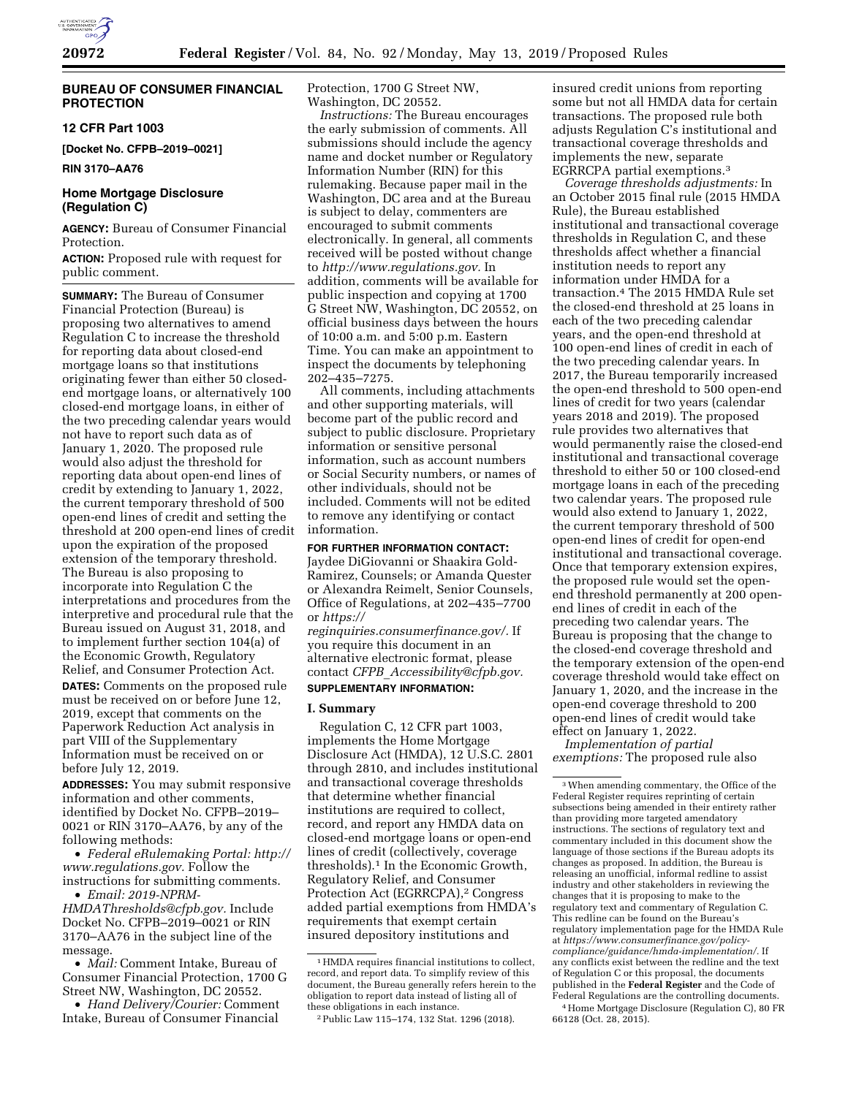

### **BUREAU OF CONSUMER FINANCIAL PROTECTION**

### **12 CFR Part 1003**

**[Docket No. CFPB–2019–0021]** 

**RIN 3170–AA76** 

### **Home Mortgage Disclosure (Regulation C)**

**AGENCY:** Bureau of Consumer Financial Protection.

**ACTION:** Proposed rule with request for public comment.

**SUMMARY:** The Bureau of Consumer Financial Protection (Bureau) is proposing two alternatives to amend Regulation C to increase the threshold for reporting data about closed-end mortgage loans so that institutions originating fewer than either 50 closedend mortgage loans, or alternatively 100 closed-end mortgage loans, in either of the two preceding calendar years would not have to report such data as of January 1, 2020. The proposed rule would also adjust the threshold for reporting data about open-end lines of credit by extending to January 1, 2022, the current temporary threshold of 500 open-end lines of credit and setting the threshold at 200 open-end lines of credit upon the expiration of the proposed extension of the temporary threshold. The Bureau is also proposing to incorporate into Regulation C the interpretations and procedures from the interpretive and procedural rule that the Bureau issued on August 31, 2018, and to implement further section 104(a) of the Economic Growth, Regulatory Relief, and Consumer Protection Act.

**DATES:** Comments on the proposed rule must be received on or before June 12, 2019, except that comments on the Paperwork Reduction Act analysis in part VIII of the Supplementary Information must be received on or before July 12, 2019.

**ADDRESSES:** You may submit responsive information and other comments, identified by Docket No. CFPB–2019– 0021 or RIN 3170–AA76, by any of the following methods:

• *Federal eRulemaking Portal: [http://](http://www.regulations.gov)  [www.regulations.gov.](http://www.regulations.gov)* Follow the instructions for submitting comments. • *Email: [2019-NPRM-](mailto:2019-NPRM-HMDAThresholds@cfpb.gov)*

*[HMDAThresholds@cfpb.gov.](mailto:2019-NPRM-HMDAThresholds@cfpb.gov)* Include Docket No. CFPB–2019–0021 or RIN 3170–AA76 in the subject line of the message.

• *Mail:* Comment Intake, Bureau of Consumer Financial Protection, 1700 G Street NW, Washington, DC 20552.

• *Hand Delivery/Courier:* Comment Intake, Bureau of Consumer Financial

Protection, 1700 G Street NW, Washington, DC 20552.

*Instructions:* The Bureau encourages the early submission of comments. All submissions should include the agency name and docket number or Regulatory Information Number (RIN) for this rulemaking. Because paper mail in the Washington, DC area and at the Bureau is subject to delay, commenters are encouraged to submit comments electronically. In general, all comments received will be posted without change to *[http://www.regulations.gov.](http://www.regulations.gov)* In addition, comments will be available for public inspection and copying at 1700 G Street NW, Washington, DC 20552, on official business days between the hours of 10:00 a.m. and 5:00 p.m. Eastern Time. You can make an appointment to inspect the documents by telephoning 202–435–7275.

All comments, including attachments and other supporting materials, will become part of the public record and subject to public disclosure. Proprietary information or sensitive personal information, such as account numbers or Social Security numbers, or names of other individuals, should not be included. Comments will not be edited to remove any identifying or contact information.

**FOR FURTHER INFORMATION CONTACT:**  Jaydee DiGiovanni or Shaakira Gold-Ramirez, Counsels; or Amanda Quester or Alexandra Reimelt, Senior Counsels, Office of Regulations, at 202–435–7700 or *[https://](https://reginquiries.consumerfinance.gov/)*

*[reginquiries.consumerfinance.gov/.](https://reginquiries.consumerfinance.gov/)* If you require this document in an alternative electronic format, please contact *CFPB*\_*[Accessibility@cfpb.gov.](mailto:CFPB_Accessibility@cfpb.gov)*  **SUPPLEMENTARY INFORMATION:** 

# **I. Summary**

Regulation C, 12 CFR part 1003, implements the Home Mortgage Disclosure Act (HMDA), 12 U.S.C. 2801 through 2810, and includes institutional and transactional coverage thresholds that determine whether financial institutions are required to collect, record, and report any HMDA data on closed-end mortgage loans or open-end lines of credit (collectively, coverage thresholds).1 In the Economic Growth, Regulatory Relief, and Consumer Protection Act (EGRRCPA),2 Congress added partial exemptions from HMDA's requirements that exempt certain insured depository institutions and

insured credit unions from reporting some but not all HMDA data for certain transactions. The proposed rule both adjusts Regulation C's institutional and transactional coverage thresholds and implements the new, separate EGRRCPA partial exemptions.3

*Coverage thresholds adjustments:* In an October 2015 final rule (2015 HMDA Rule), the Bureau established institutional and transactional coverage thresholds in Regulation C, and these thresholds affect whether a financial institution needs to report any information under HMDA for a transaction.4 The 2015 HMDA Rule set the closed-end threshold at 25 loans in each of the two preceding calendar years, and the open-end threshold at 100 open-end lines of credit in each of the two preceding calendar years. In 2017, the Bureau temporarily increased the open-end threshold to 500 open-end lines of credit for two years (calendar years 2018 and 2019). The proposed rule provides two alternatives that would permanently raise the closed-end institutional and transactional coverage threshold to either 50 or 100 closed-end mortgage loans in each of the preceding two calendar years. The proposed rule would also extend to January 1, 2022, the current temporary threshold of 500 open-end lines of credit for open-end institutional and transactional coverage. Once that temporary extension expires, the proposed rule would set the openend threshold permanently at 200 openend lines of credit in each of the preceding two calendar years. The Bureau is proposing that the change to the closed-end coverage threshold and the temporary extension of the open-end coverage threshold would take effect on January 1, 2020, and the increase in the open-end coverage threshold to 200 open-end lines of credit would take effect on January 1, 2022.

*Implementation of partial exemptions:* The proposed rule also

 $^{\rm 1}$  HMDA requires financial institutions to collect, record, and report data. To simplify review of this document, the Bureau generally refers herein to the obligation to report data instead of listing all of these obligations in each instance.

<sup>2</sup>Public Law 115–174, 132 Stat. 1296 (2018).

<sup>3</sup>When amending commentary, the Office of the Federal Register requires reprinting of certain subsections being amended in their entirety rather than providing more targeted amendatory instructions. The sections of regulatory text and commentary included in this document show the language of those sections if the Bureau adopts its changes as proposed. In addition, the Bureau is releasing an unofficial, informal redline to assist industry and other stakeholders in reviewing the changes that it is proposing to make to the regulatory text and commentary of Regulation C. This redline can be found on the Bureau's regulatory implementation page for the HMDA Rule at *[https://www.consumerfinance.gov/policy](https://www.consumerfinance.gov/policy-compliance/guidance/hmda-implementation/)[compliance/guidance/hmda-implementation/.](https://www.consumerfinance.gov/policy-compliance/guidance/hmda-implementation/)* If any conflicts exist between the redline and the text of Regulation C or this proposal, the documents published in the **Federal Register** and the Code of Federal Regulations are the controlling documents. 4Home Mortgage Disclosure (Regulation C), 80 FR 66128 (Oct. 28, 2015).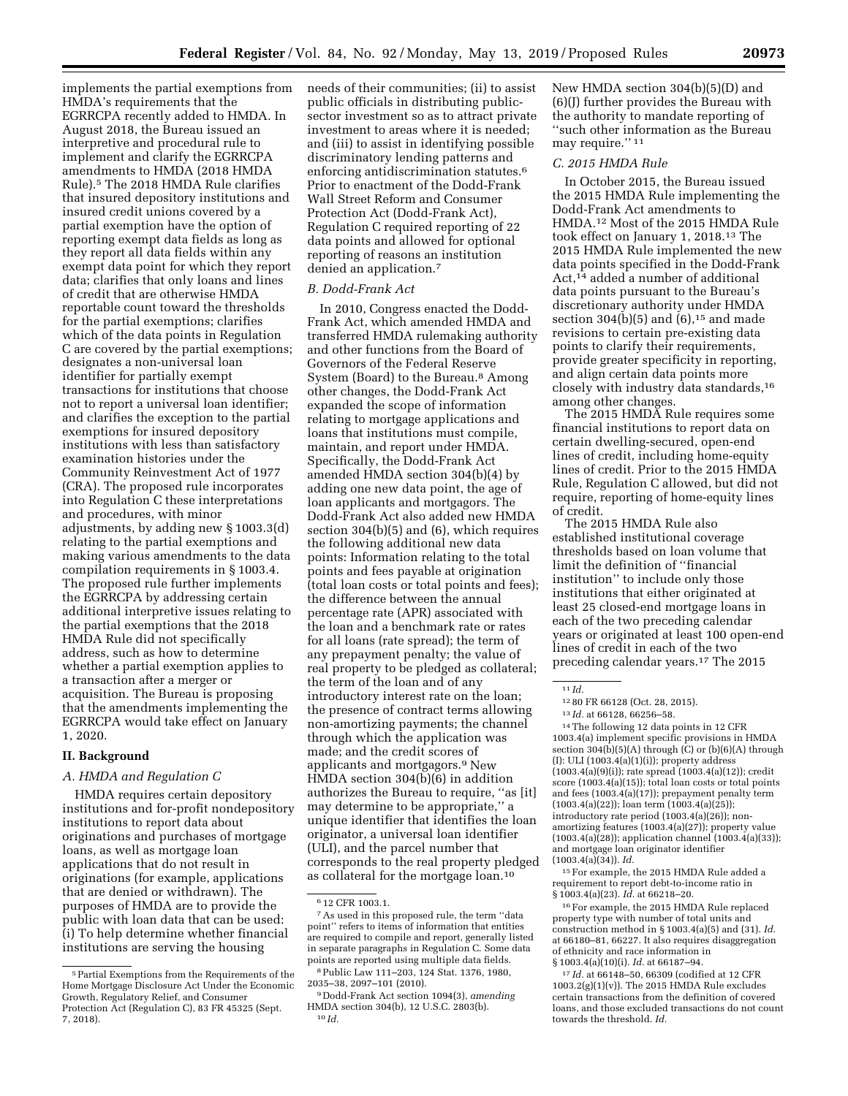implements the partial exemptions from HMDA's requirements that the EGRRCPA recently added to HMDA. In August 2018, the Bureau issued an interpretive and procedural rule to implement and clarify the EGRRCPA amendments to HMDA (2018 HMDA Rule).5 The 2018 HMDA Rule clarifies that insured depository institutions and insured credit unions covered by a partial exemption have the option of reporting exempt data fields as long as they report all data fields within any exempt data point for which they report data; clarifies that only loans and lines of credit that are otherwise HMDA reportable count toward the thresholds for the partial exemptions; clarifies which of the data points in Regulation C are covered by the partial exemptions; designates a non-universal loan identifier for partially exempt transactions for institutions that choose not to report a universal loan identifier; and clarifies the exception to the partial exemptions for insured depository institutions with less than satisfactory examination histories under the Community Reinvestment Act of 1977 (CRA). The proposed rule incorporates into Regulation C these interpretations and procedures, with minor adjustments, by adding new § 1003.3(d) relating to the partial exemptions and making various amendments to the data compilation requirements in § 1003.4. The proposed rule further implements the EGRRCPA by addressing certain additional interpretive issues relating to the partial exemptions that the 2018 HMDA Rule did not specifically address, such as how to determine whether a partial exemption applies to a transaction after a merger or acquisition. The Bureau is proposing that the amendments implementing the EGRRCPA would take effect on January 1, 2020.

### **II. Background**

### *A. HMDA and Regulation C*

HMDA requires certain depository institutions and for-profit nondepository institutions to report data about originations and purchases of mortgage loans, as well as mortgage loan applications that do not result in originations (for example, applications that are denied or withdrawn). The purposes of HMDA are to provide the public with loan data that can be used: (i) To help determine whether financial institutions are serving the housing

needs of their communities; (ii) to assist public officials in distributing publicsector investment so as to attract private investment to areas where it is needed; and (iii) to assist in identifying possible discriminatory lending patterns and enforcing antidiscrimination statutes.6 Prior to enactment of the Dodd-Frank Wall Street Reform and Consumer Protection Act (Dodd-Frank Act), Regulation C required reporting of 22 data points and allowed for optional reporting of reasons an institution denied an application.7

### *B. Dodd-Frank Act*

In 2010, Congress enacted the Dodd-Frank Act, which amended HMDA and transferred HMDA rulemaking authority and other functions from the Board of Governors of the Federal Reserve System (Board) to the Bureau.8 Among other changes, the Dodd-Frank Act expanded the scope of information relating to mortgage applications and loans that institutions must compile, maintain, and report under HMDA. Specifically, the Dodd-Frank Act amended HMDA section 304(b)(4) by adding one new data point, the age of loan applicants and mortgagors. The Dodd-Frank Act also added new HMDA section 304(b)(5) and (6), which requires the following additional new data points: Information relating to the total points and fees payable at origination (total loan costs or total points and fees); the difference between the annual percentage rate (APR) associated with the loan and a benchmark rate or rates for all loans (rate spread); the term of any prepayment penalty; the value of real property to be pledged as collateral; the term of the loan and of any introductory interest rate on the loan; the presence of contract terms allowing non-amortizing payments; the channel through which the application was made; and the credit scores of applicants and mortgagors.9 New HMDA section 304(b)(6) in addition authorizes the Bureau to require, ''as [it] may determine to be appropriate,'' a unique identifier that identifies the loan originator, a universal loan identifier (ULI), and the parcel number that corresponds to the real property pledged as collateral for the mortgage loan.10

New HMDA section 304(b)(5)(D) and (6)(J) further provides the Bureau with the authority to mandate reporting of ''such other information as the Bureau may require." 11

### *C. 2015 HMDA Rule*

In October 2015, the Bureau issued the 2015 HMDA Rule implementing the Dodd-Frank Act amendments to HMDA.12 Most of the 2015 HMDA Rule took effect on January 1, 2018.13 The 2015 HMDA Rule implemented the new data points specified in the Dodd-Frank Act,14 added a number of additional data points pursuant to the Bureau's discretionary authority under HMDA section 304(b)(5) and  $(6)$ ,<sup>15</sup> and made revisions to certain pre-existing data points to clarify their requirements, provide greater specificity in reporting, and align certain data points more closely with industry data standards,16 among other changes.

The 2015 HMDA Rule requires some financial institutions to report data on certain dwelling-secured, open-end lines of credit, including home-equity lines of credit. Prior to the 2015 HMDA Rule, Regulation C allowed, but did not require, reporting of home-equity lines of credit.

The 2015 HMDA Rule also established institutional coverage thresholds based on loan volume that limit the definition of ''financial institution'' to include only those institutions that either originated at least 25 closed-end mortgage loans in each of the two preceding calendar years or originated at least 100 open-end lines of credit in each of the two preceding calendar years.17 The 2015

14The following 12 data points in 12 CFR 1003.4(a) implement specific provisions in HMDA section  $304(b)(5)(A)$  through (C) or  $(b)(6)(A)$  through (I): ULI (1003.4(a)(1)(i)); property address (1003.4(a)(9)(i)); rate spread (1003.4(a)(12)); credit score  $(1003.4(a)(15))$ ; total loan costs or total points and fees (1003.4(a)(17)); prepayment penalty term (1003.4(a)(22)); loan term (1003.4(a)(25)); introductory rate period (1003.4(a)(26)); nonamortizing features (1003.4(a)(27)); property value (1003.4(a)(28)); application channel (1003.4(a)(33)); and mortgage loan originator identifier (1003.4(a)(34)). *Id.* 

15For example, the 2015 HMDA Rule added a requirement to report debt-to-income ratio in § 1003.4(a)(23). *Id.* at 66218–20.

16For example, the 2015 HMDA Rule replaced property type with number of total units and construction method in § 1003.4(a)(5) and (31). *Id.*  at 66180–81, 66227. It also requires disaggregation of ethnicity and race information in § 1003.4(a)(10)(i). *Id.* at 66187–94.

17 *Id.* at 66148–50, 66309 (codified at 12 CFR 1003.2(g)(1)(v)). The 2015 HMDA Rule excludes certain transactions from the definition of covered loans, and those excluded transactions do not count towards the threshold. *Id.* 

<sup>5</sup>Partial Exemptions from the Requirements of the Home Mortgage Disclosure Act Under the Economic Growth, Regulatory Relief, and Consumer Protection Act (Regulation C), 83 FR 45325 (Sept. 7, 2018).

<sup>6</sup> 12 CFR 1003.1.

<sup>7</sup>As used in this proposed rule, the term ''data point'' refers to items of information that entities are required to compile and report, generally listed in separate paragraphs in Regulation C. Some data points are reported using multiple data fields.

<sup>8</sup>Public Law 111–203, 124 Stat. 1376, 1980, 2035–38, 2097–101 (2010).

<sup>9</sup> Dodd-Frank Act section 1094(3), *amending*  HMDA section 304(b), 12 U.S.C. 2803(b). 10 *Id.* 

<sup>11</sup> *Id.* 

<sup>12</sup> 80 FR 66128 (Oct. 28, 2015).

<sup>13</sup> *Id.* at 66128, 66256–58.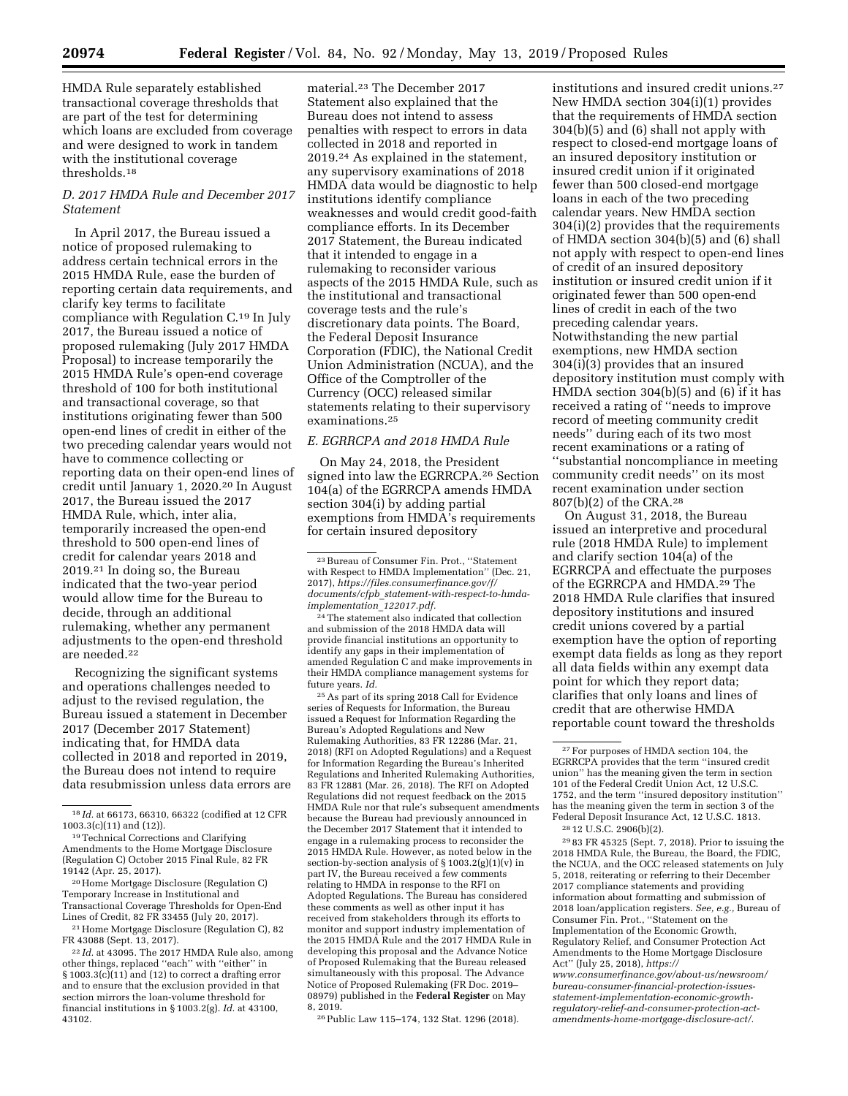HMDA Rule separately established transactional coverage thresholds that are part of the test for determining which loans are excluded from coverage and were designed to work in tandem with the institutional coverage thresholds.18

### *D. 2017 HMDA Rule and December 2017 Statement*

In April 2017, the Bureau issued a notice of proposed rulemaking to address certain technical errors in the 2015 HMDA Rule, ease the burden of reporting certain data requirements, and clarify key terms to facilitate compliance with Regulation C.19 In July 2017, the Bureau issued a notice of proposed rulemaking (July 2017 HMDA Proposal) to increase temporarily the 2015 HMDA Rule's open-end coverage threshold of 100 for both institutional and transactional coverage, so that institutions originating fewer than 500 open-end lines of credit in either of the two preceding calendar years would not have to commence collecting or reporting data on their open-end lines of credit until January 1, 2020.20 In August 2017, the Bureau issued the 2017 HMDA Rule, which, inter alia, temporarily increased the open-end threshold to 500 open-end lines of credit for calendar years 2018 and 2019.21 In doing so, the Bureau indicated that the two-year period would allow time for the Bureau to decide, through an additional rulemaking, whether any permanent adjustments to the open-end threshold are needed.22

Recognizing the significant systems and operations challenges needed to adjust to the revised regulation, the Bureau issued a statement in December 2017 (December 2017 Statement) indicating that, for HMDA data collected in 2018 and reported in 2019, the Bureau does not intend to require data resubmission unless data errors are

21Home Mortgage Disclosure (Regulation C), 82 FR 43088 (Sept. 13, 2017).

22 *Id.* at 43095. The 2017 HMDA Rule also, among other things, replaced ''each'' with ''either'' in  $\S 1003.3(c)(11)$  and (12) to correct a drafting error and to ensure that the exclusion provided in that section mirrors the loan-volume threshold for financial institutions in § 1003.2(g). *Id.* at 43100, 43102.

material.23 The December 2017 Statement also explained that the Bureau does not intend to assess penalties with respect to errors in data collected in 2018 and reported in 2019.24 As explained in the statement, any supervisory examinations of 2018 HMDA data would be diagnostic to help institutions identify compliance weaknesses and would credit good-faith compliance efforts. In its December 2017 Statement, the Bureau indicated that it intended to engage in a rulemaking to reconsider various aspects of the 2015 HMDA Rule, such as the institutional and transactional coverage tests and the rule's discretionary data points. The Board, the Federal Deposit Insurance Corporation (FDIC), the National Credit Union Administration (NCUA), and the Office of the Comptroller of the Currency (OCC) released similar statements relating to their supervisory examinations.25

### *E. EGRRCPA and 2018 HMDA Rule*

On May 24, 2018, the President signed into law the EGRRCPA.26 Section 104(a) of the EGRRCPA amends HMDA section 304(i) by adding partial exemptions from HMDA's requirements for certain insured depository

24The statement also indicated that collection and submission of the 2018 HMDA data will provide financial institutions an opportunity to identify any gaps in their implementation of amended Regulation C and make improvements in their HMDA compliance management systems for future years. *Id.* 

25As part of its spring 2018 Call for Evidence series of Requests for Information, the Bureau issued a Request for Information Regarding the Bureau's Adopted Regulations and New Rulemaking Authorities, 83 FR 12286 (Mar. 21, 2018) (RFI on Adopted Regulations) and a Request for Information Regarding the Bureau's Inherited Regulations and Inherited Rulemaking Authorities, 83 FR 12881 (Mar. 26, 2018). The RFI on Adopted Regulations did not request feedback on the 2015 HMDA Rule nor that rule's subsequent amendments because the Bureau had previously announced in the December 2017 Statement that it intended to engage in a rulemaking process to reconsider the 2015 HMDA Rule. However, as noted below in the section-by-section analysis of  $\S 1003.2(g)(1)(v)$  in part IV, the Bureau received a few comments relating to HMDA in response to the RFI on Adopted Regulations. The Bureau has considered these comments as well as other input it has received from stakeholders through its efforts to monitor and support industry implementation of the 2015 HMDA Rule and the 2017 HMDA Rule in developing this proposal and the Advance Notice of Proposed Rulemaking that the Bureau released simultaneously with this proposal. The Advance Notice of Proposed Rulemaking (FR Doc. 2019– 08979) published in the **Federal Register** on May 8, 2019.

26Public Law 115–174, 132 Stat. 1296 (2018).

institutions and insured credit unions.27 New HMDA section 304(i)(1) provides that the requirements of HMDA section 304(b)(5) and (6) shall not apply with respect to closed-end mortgage loans of an insured depository institution or insured credit union if it originated fewer than 500 closed-end mortgage loans in each of the two preceding calendar years. New HMDA section 304(i)(2) provides that the requirements of HMDA section 304(b)(5) and (6) shall not apply with respect to open-end lines of credit of an insured depository institution or insured credit union if it originated fewer than 500 open-end lines of credit in each of the two preceding calendar years. Notwithstanding the new partial exemptions, new HMDA section 304(i)(3) provides that an insured depository institution must comply with HMDA section 304(b)(5) and (6) if it has received a rating of ''needs to improve record of meeting community credit needs'' during each of its two most recent examinations or a rating of ''substantial noncompliance in meeting community credit needs'' on its most recent examination under section 807(b)(2) of the CRA.28

On August 31, 2018, the Bureau issued an interpretive and procedural rule (2018 HMDA Rule) to implement and clarify section 104(a) of the EGRRCPA and effectuate the purposes of the EGRRCPA and HMDA.<sup>29</sup> The 2018 HMDA Rule clarifies that insured depository institutions and insured credit unions covered by a partial exemption have the option of reporting exempt data fields as long as they report all data fields within any exempt data point for which they report data; clarifies that only loans and lines of credit that are otherwise HMDA reportable count toward the thresholds

28 12 U.S.C. 2906(b)(2).

29 83 FR 45325 (Sept. 7, 2018). Prior to issuing the 2018 HMDA Rule, the Bureau, the Board, the FDIC, the NCUA, and the OCC released statements on July 5, 2018, reiterating or referring to their December 2017 compliance statements and providing information about formatting and submission of 2018 loan/application registers. *See, e.g.,* Bureau of Consumer Fin. Prot., ''Statement on the Implementation of the Economic Growth, Regulatory Relief, and Consumer Protection Act Amendments to the Home Mortgage Disclosure Act'' (July 25, 2018), *[https://](https://www.consumerfinance.gov/about-us/newsroom/bureau-consumer-financial-protection-issues-statement-implementation-economic-growth-regulatory-relief-and-consumer-protection-act-amendments-home-mortgage-disclosure-act)*

*[www.consumerfinance.gov/about-us/newsroom/](https://www.consumerfinance.gov/about-us/newsroom/bureau-consumer-financial-protection-issues-statement-implementation-economic-growth-regulatory-relief-and-consumer-protection-act-amendments-home-mortgage-disclosure-act)  bureau-consumer-financial-protection-issuesstatement-implementation-economic-growthregulatory-relief-and-consumer-protection-actamendments-home-mortgage-disclosure-act/.* 

<sup>18</sup> *Id.* at 66173, 66310, 66322 (codified at 12 CFR 1003.3(c)(11) and (12)).

<sup>19</sup>Technical Corrections and Clarifying Amendments to the Home Mortgage Disclosure (Regulation C) October 2015 Final Rule, 82 FR 19142 (Apr. 25, 2017).

<sup>20</sup>Home Mortgage Disclosure (Regulation C) Temporary Increase in Institutional and Transactional Coverage Thresholds for Open-End Lines of Credit, 82 FR 33455 (July 20, 2017).

<sup>23</sup>Bureau of Consumer Fin. Prot., ''Statement with Respect to HMDA Implementation'' (Dec. 21, 2017), *[https://files.consumerfinance.gov/f/](https://files.consumerfinance.gov/f/documents/cfpb_statement-with-respect-to-hmda-implementation_122017.pdf) documents/cfpb*\_*[statement-with-respect-to-hmda](https://files.consumerfinance.gov/f/documents/cfpb_statement-with-respect-to-hmda-implementation_122017.pdf)[implementation](https://files.consumerfinance.gov/f/documents/cfpb_statement-with-respect-to-hmda-implementation_122017.pdf)*\_*122017.pdf.* 

<sup>27</sup>For purposes of HMDA section 104, the EGRRCPA provides that the term ''insured credit union'' has the meaning given the term in section 101 of the Federal Credit Union Act, 12 U.S.C. 1752, and the term ''insured depository institution'' has the meaning given the term in section 3 of the Federal Deposit Insurance Act, 12 U.S.C. 1813.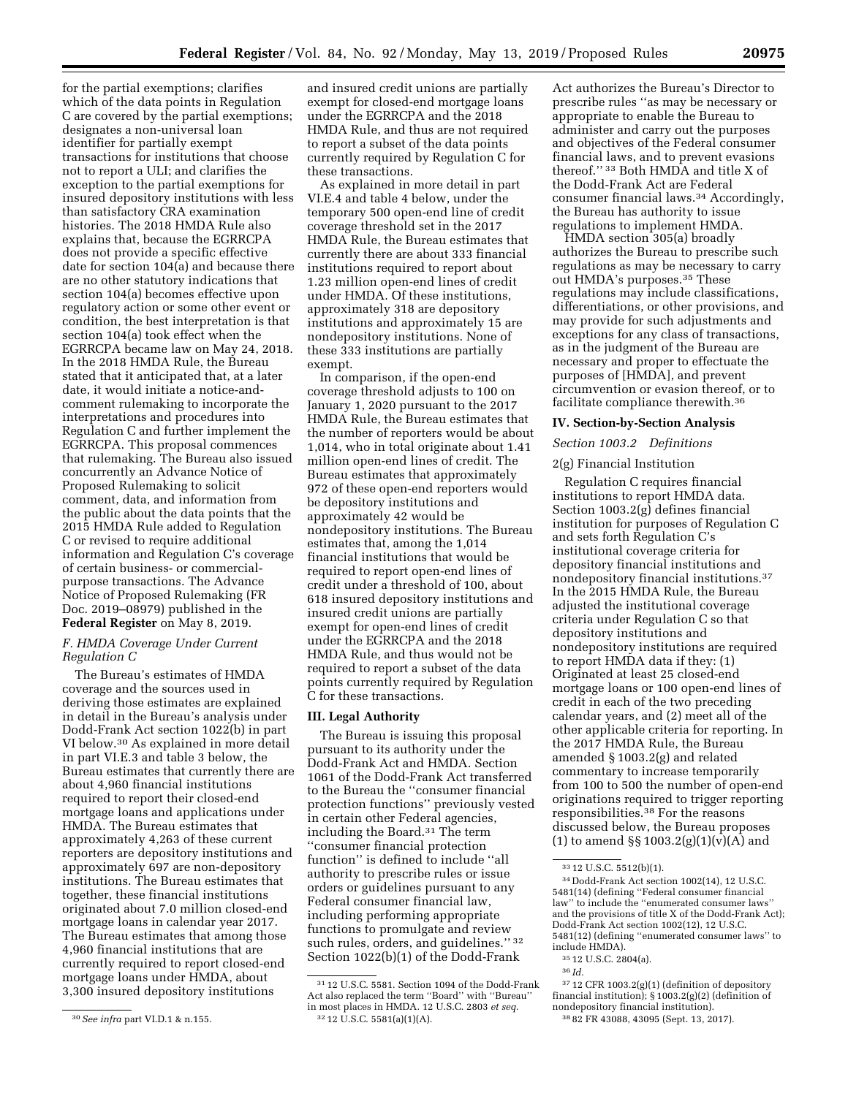for the partial exemptions; clarifies which of the data points in Regulation C are covered by the partial exemptions; designates a non-universal loan identifier for partially exempt transactions for institutions that choose not to report a ULI; and clarifies the exception to the partial exemptions for insured depository institutions with less than satisfactory CRA examination histories. The 2018 HMDA Rule also explains that, because the EGRRCPA does not provide a specific effective date for section 104(a) and because there are no other statutory indications that section 104(a) becomes effective upon regulatory action or some other event or condition, the best interpretation is that section 104(a) took effect when the EGRRCPA became law on May 24, 2018. In the 2018 HMDA Rule, the Bureau stated that it anticipated that, at a later date, it would initiate a notice-andcomment rulemaking to incorporate the interpretations and procedures into Regulation C and further implement the EGRRCPA. This proposal commences that rulemaking. The Bureau also issued concurrently an Advance Notice of Proposed Rulemaking to solicit comment, data, and information from the public about the data points that the 2015 HMDA Rule added to Regulation C or revised to require additional information and Regulation C's coverage of certain business- or commercialpurpose transactions. The Advance Notice of Proposed Rulemaking (FR Doc. 2019–08979) published in the **Federal Register** on May 8, 2019.

### *F. HMDA Coverage Under Current Regulation C*

The Bureau's estimates of HMDA coverage and the sources used in deriving those estimates are explained in detail in the Bureau's analysis under Dodd-Frank Act section 1022(b) in part VI below.30 As explained in more detail in part VI.E.3 and table 3 below, the Bureau estimates that currently there are about 4,960 financial institutions required to report their closed-end mortgage loans and applications under HMDA. The Bureau estimates that approximately 4,263 of these current reporters are depository institutions and approximately 697 are non-depository institutions. The Bureau estimates that together, these financial institutions originated about 7.0 million closed-end mortgage loans in calendar year 2017. The Bureau estimates that among those 4,960 financial institutions that are currently required to report closed-end mortgage loans under HMDA, about 3,300 insured depository institutions

and insured credit unions are partially exempt for closed-end mortgage loans under the EGRRCPA and the 2018 HMDA Rule, and thus are not required to report a subset of the data points currently required by Regulation C for these transactions.

As explained in more detail in part VI.E.4 and table 4 below, under the temporary 500 open-end line of credit coverage threshold set in the 2017 HMDA Rule, the Bureau estimates that currently there are about 333 financial institutions required to report about 1.23 million open-end lines of credit under HMDA. Of these institutions, approximately 318 are depository institutions and approximately 15 are nondepository institutions. None of these 333 institutions are partially exempt.

In comparison, if the open-end coverage threshold adjusts to 100 on January 1, 2020 pursuant to the 2017 HMDA Rule, the Bureau estimates that the number of reporters would be about 1,014, who in total originate about 1.41 million open-end lines of credit. The Bureau estimates that approximately 972 of these open-end reporters would be depository institutions and approximately 42 would be nondepository institutions. The Bureau estimates that, among the 1,014 financial institutions that would be required to report open-end lines of credit under a threshold of 100, about 618 insured depository institutions and insured credit unions are partially exempt for open-end lines of credit under the EGRRCPA and the 2018 HMDA Rule, and thus would not be required to report a subset of the data points currently required by Regulation C for these transactions.

### **III. Legal Authority**

The Bureau is issuing this proposal pursuant to its authority under the Dodd-Frank Act and HMDA. Section 1061 of the Dodd-Frank Act transferred to the Bureau the ''consumer financial protection functions'' previously vested in certain other Federal agencies, including the Board.31 The term ''consumer financial protection function'' is defined to include ''all authority to prescribe rules or issue orders or guidelines pursuant to any Federal consumer financial law, including performing appropriate functions to promulgate and review such rules, orders, and guidelines.'' 32 Section 1022(b)(1) of the Dodd-Frank

Act authorizes the Bureau's Director to prescribe rules ''as may be necessary or appropriate to enable the Bureau to administer and carry out the purposes and objectives of the Federal consumer financial laws, and to prevent evasions thereof." <sup>33</sup> Both HMDA and title X of the Dodd-Frank Act are Federal consumer financial laws.34 Accordingly, the Bureau has authority to issue regulations to implement HMDA.

HMDA section 305(a) broadly authorizes the Bureau to prescribe such regulations as may be necessary to carry out HMDA's purposes.35 These regulations may include classifications, differentiations, or other provisions, and may provide for such adjustments and exceptions for any class of transactions, as in the judgment of the Bureau are necessary and proper to effectuate the purposes of [HMDA], and prevent circumvention or evasion thereof, or to facilitate compliance therewith.36

### **IV. Section-by-Section Analysis**

### *Section 1003.2 Definitions*

### 2(g) Financial Institution

Regulation C requires financial institutions to report HMDA data. Section 1003.2(g) defines financial institution for purposes of Regulation C and sets forth Regulation C's institutional coverage criteria for depository financial institutions and nondepository financial institutions.37 In the 2015 HMDA Rule, the Bureau adjusted the institutional coverage criteria under Regulation C so that depository institutions and nondepository institutions are required to report HMDA data if they: (1) Originated at least 25 closed-end mortgage loans or 100 open-end lines of credit in each of the two preceding calendar years, and (2) meet all of the other applicable criteria for reporting. In the 2017 HMDA Rule, the Bureau amended § 1003.2(g) and related commentary to increase temporarily from 100 to 500 the number of open-end originations required to trigger reporting responsibilities.38 For the reasons discussed below, the Bureau proposes (1) to amend  $\S\S 1003.2(g)(1)(v)(A)$  and

36 *Id.* 

<sup>30</sup>*See infra* part VI.D.1 & n.155.

<sup>31</sup> 12 U.S.C. 5581. Section 1094 of the Dodd-Frank Act also replaced the term ''Board'' with ''Bureau'' in most places in HMDA. 12 U.S.C. 2803 *et seq.*  32 12 U.S.C. 5581(a)(1)(A).

<sup>33</sup> 12 U.S.C. 5512(b)(1).

<sup>34</sup> Dodd-Frank Act section 1002(14), 12 U.S.C. 5481(14) (defining ''Federal consumer financial law'' to include the ''enumerated consumer laws'' and the provisions of title X of the Dodd-Frank Act); Dodd-Frank Act section 1002(12), 12 U.S.C. 5481(12) (defining ''enumerated consumer laws'' to include HMDA).

<sup>35</sup> 12 U.S.C. 2804(a).

<sup>37</sup> 12 CFR 1003.2(g)(1) (definition of depository financial institution); § 1003.2(g)(2) (definition of nondepository financial institution). 38 82 FR 43088, 43095 (Sept. 13, 2017).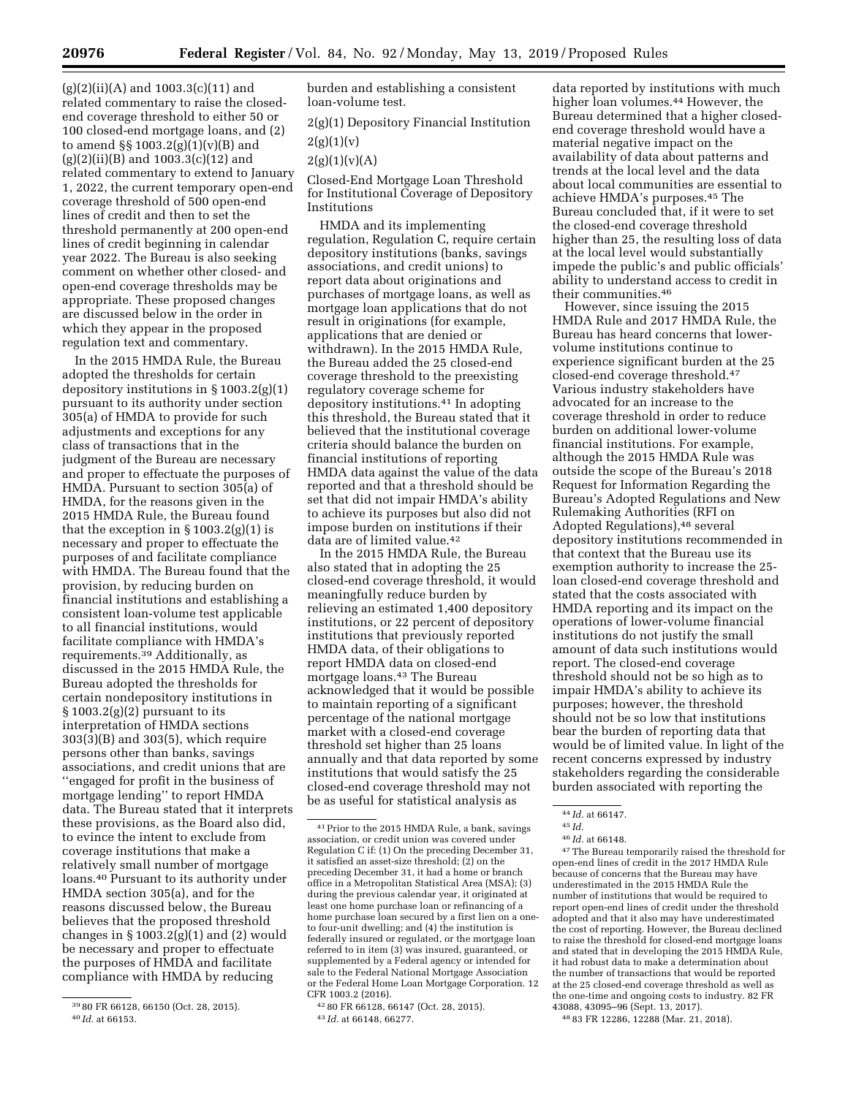$(g)(2)(ii)(A)$  and  $1003.3(c)(11)$  and related commentary to raise the closedend coverage threshold to either 50 or 100 closed-end mortgage loans, and (2) to amend §§ 1003.2(g)(1)(v)(B) and  $(g)(2)(ii)(B)$  and 1003.3(c)(12) and related commentary to extend to January 1, 2022, the current temporary open-end coverage threshold of 500 open-end lines of credit and then to set the threshold permanently at 200 open-end lines of credit beginning in calendar year 2022. The Bureau is also seeking comment on whether other closed- and open-end coverage thresholds may be appropriate. These proposed changes are discussed below in the order in which they appear in the proposed regulation text and commentary.

In the 2015 HMDA Rule, the Bureau adopted the thresholds for certain depository institutions in § 1003.2(g)(1) pursuant to its authority under section 305(a) of HMDA to provide for such adjustments and exceptions for any class of transactions that in the judgment of the Bureau are necessary and proper to effectuate the purposes of HMDA. Pursuant to section 305(a) of HMDA, for the reasons given in the 2015 HMDA Rule, the Bureau found that the exception in  $\S 1003.2(g)(1)$  is necessary and proper to effectuate the purposes of and facilitate compliance with HMDA. The Bureau found that the provision, by reducing burden on financial institutions and establishing a consistent loan-volume test applicable to all financial institutions, would facilitate compliance with HMDA's requirements.39 Additionally, as discussed in the 2015 HMDA Rule, the Bureau adopted the thresholds for certain nondepository institutions in  $\S 1003.2(g)(2)$  pursuant to its interpretation of HMDA sections 303(3)(B) and 303(5), which require persons other than banks, savings associations, and credit unions that are ''engaged for profit in the business of mortgage lending'' to report HMDA data. The Bureau stated that it interprets these provisions, as the Board also did, to evince the intent to exclude from coverage institutions that make a relatively small number of mortgage loans.40 Pursuant to its authority under HMDA section 305(a), and for the reasons discussed below, the Bureau believes that the proposed threshold changes in  $\S 1003.2(g)(1)$  and (2) would be necessary and proper to effectuate the purposes of HMDA and facilitate compliance with HMDA by reducing

burden and establishing a consistent loan-volume test.

2(g)(1) Depository Financial Institution  $2(g)(1)(v)$ 

 $2(g)(1)(v)(A)$ 

Closed-End Mortgage Loan Threshold for Institutional Coverage of Depository Institutions

HMDA and its implementing regulation, Regulation C, require certain depository institutions (banks, savings associations, and credit unions) to report data about originations and purchases of mortgage loans, as well as mortgage loan applications that do not result in originations (for example, applications that are denied or withdrawn). In the 2015 HMDA Rule, the Bureau added the 25 closed-end coverage threshold to the preexisting regulatory coverage scheme for depository institutions.41 In adopting this threshold, the Bureau stated that it believed that the institutional coverage criteria should balance the burden on financial institutions of reporting HMDA data against the value of the data reported and that a threshold should be set that did not impair HMDA's ability to achieve its purposes but also did not impose burden on institutions if their data are of limited value.42

In the 2015 HMDA Rule, the Bureau also stated that in adopting the 25 closed-end coverage threshold, it would meaningfully reduce burden by relieving an estimated 1,400 depository institutions, or 22 percent of depository institutions that previously reported HMDA data, of their obligations to report HMDA data on closed-end mortgage loans.43 The Bureau acknowledged that it would be possible to maintain reporting of a significant percentage of the national mortgage market with a closed-end coverage threshold set higher than 25 loans annually and that data reported by some institutions that would satisfy the 25 closed-end coverage threshold may not be as useful for statistical analysis as

data reported by institutions with much higher loan volumes.44 However, the Bureau determined that a higher closedend coverage threshold would have a material negative impact on the availability of data about patterns and trends at the local level and the data about local communities are essential to achieve HMDA's purposes.45 The Bureau concluded that, if it were to set the closed-end coverage threshold higher than 25, the resulting loss of data at the local level would substantially impede the public's and public officials' ability to understand access to credit in their communities.46

However, since issuing the 2015 HMDA Rule and 2017 HMDA Rule, the Bureau has heard concerns that lowervolume institutions continue to experience significant burden at the 25 closed-end coverage threshold.47 Various industry stakeholders have advocated for an increase to the coverage threshold in order to reduce burden on additional lower-volume financial institutions. For example, although the 2015 HMDA Rule was outside the scope of the Bureau's 2018 Request for Information Regarding the Bureau's Adopted Regulations and New Rulemaking Authorities (RFI on Adopted Regulations),48 several depository institutions recommended in that context that the Bureau use its exemption authority to increase the 25 loan closed-end coverage threshold and stated that the costs associated with HMDA reporting and its impact on the operations of lower-volume financial institutions do not justify the small amount of data such institutions would report. The closed-end coverage threshold should not be so high as to impair HMDA's ability to achieve its purposes; however, the threshold should not be so low that institutions bear the burden of reporting data that would be of limited value. In light of the recent concerns expressed by industry stakeholders regarding the considerable burden associated with reporting the

47The Bureau temporarily raised the threshold for open-end lines of credit in the 2017 HMDA Rule because of concerns that the Bureau may have underestimated in the 2015 HMDA Rule the number of institutions that would be required to report open-end lines of credit under the threshold adopted and that it also may have underestimated the cost of reporting. However, the Bureau declined to raise the threshold for closed-end mortgage loans and stated that in developing the 2015 HMDA Rule, it had robust data to make a determination about the number of transactions that would be reported at the 25 closed-end coverage threshold as well as the one-time and ongoing costs to industry. 82 FR 43088, 43095–96 (Sept. 13, 2017).

48 83 FR 12286, 12288 (Mar. 21, 2018).

<sup>39</sup> 80 FR 66128, 66150 (Oct. 28, 2015). 40 *Id.* at 66153.

<sup>41</sup>Prior to the 2015 HMDA Rule, a bank, savings association, or credit union was covered under Regulation C if: (1) On the preceding December 31, it satisfied an asset-size threshold; (2) on the preceding December 31, it had a home or branch office in a Metropolitan Statistical Area (MSA); (3) during the previous calendar year, it originated at least one home purchase loan or refinancing of a home purchase loan secured by a first lien on a oneto four-unit dwelling; and (4) the institution is federally insured or regulated, or the mortgage loan referred to in item (3) was insured, guaranteed, or supplemented by a Federal agency or intended for sale to the Federal National Mortgage Association or the Federal Home Loan Mortgage Corporation. 12 CFR 1003.2 (2016).

<sup>42</sup> 80 FR 66128, 66147 (Oct. 28, 2015). 43 *Id.* at 66148, 66277.

<sup>44</sup> *Id.* at 66147.

<sup>45</sup> *Id.* 

<sup>46</sup> *Id.* at 66148.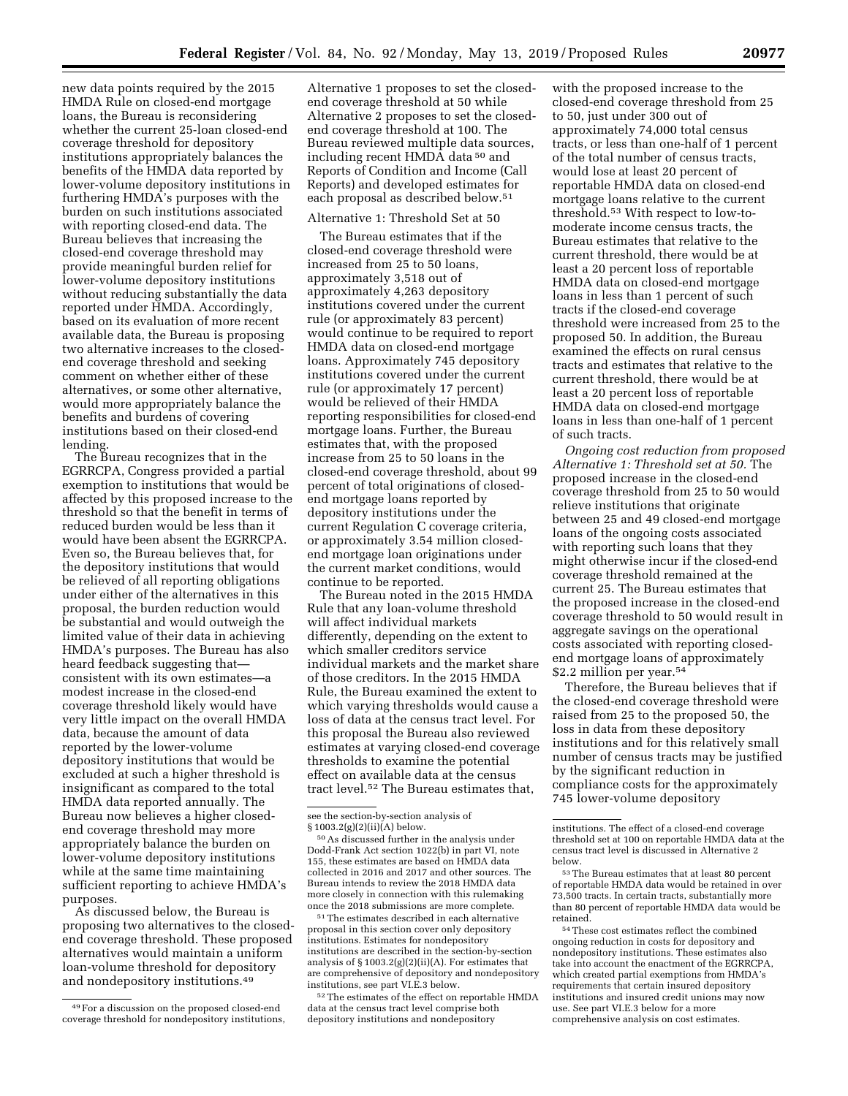new data points required by the 2015 HMDA Rule on closed-end mortgage loans, the Bureau is reconsidering whether the current 25-loan closed-end coverage threshold for depository institutions appropriately balances the benefits of the HMDA data reported by lower-volume depository institutions in furthering HMDA's purposes with the burden on such institutions associated with reporting closed-end data. The Bureau believes that increasing the closed-end coverage threshold may provide meaningful burden relief for lower-volume depository institutions without reducing substantially the data reported under HMDA. Accordingly, based on its evaluation of more recent available data, the Bureau is proposing two alternative increases to the closedend coverage threshold and seeking comment on whether either of these alternatives, or some other alternative, would more appropriately balance the benefits and burdens of covering institutions based on their closed-end lending.

The Bureau recognizes that in the EGRRCPA, Congress provided a partial exemption to institutions that would be affected by this proposed increase to the threshold so that the benefit in terms of reduced burden would be less than it would have been absent the EGRRCPA. Even so, the Bureau believes that, for the depository institutions that would be relieved of all reporting obligations under either of the alternatives in this proposal, the burden reduction would be substantial and would outweigh the limited value of their data in achieving HMDA's purposes. The Bureau has also heard feedback suggesting that consistent with its own estimates—a modest increase in the closed-end coverage threshold likely would have very little impact on the overall HMDA data, because the amount of data reported by the lower-volume depository institutions that would be excluded at such a higher threshold is insignificant as compared to the total HMDA data reported annually. The Bureau now believes a higher closedend coverage threshold may more appropriately balance the burden on lower-volume depository institutions while at the same time maintaining sufficient reporting to achieve HMDA's purposes.

As discussed below, the Bureau is proposing two alternatives to the closedend coverage threshold. These proposed alternatives would maintain a uniform loan-volume threshold for depository and nondepository institutions.49

Alternative 1 proposes to set the closedend coverage threshold at 50 while Alternative 2 proposes to set the closedend coverage threshold at 100. The Bureau reviewed multiple data sources, including recent HMDA data 50 and Reports of Condition and Income (Call Reports) and developed estimates for each proposal as described below.51

### Alternative 1: Threshold Set at 50

The Bureau estimates that if the closed-end coverage threshold were increased from 25 to 50 loans, approximately 3,518 out of approximately 4,263 depository institutions covered under the current rule (or approximately 83 percent) would continue to be required to report HMDA data on closed-end mortgage loans. Approximately 745 depository institutions covered under the current rule (or approximately 17 percent) would be relieved of their HMDA reporting responsibilities for closed-end mortgage loans. Further, the Bureau estimates that, with the proposed increase from 25 to 50 loans in the closed-end coverage threshold, about 99 percent of total originations of closedend mortgage loans reported by depository institutions under the current Regulation C coverage criteria, or approximately 3.54 million closedend mortgage loan originations under the current market conditions, would continue to be reported.

The Bureau noted in the 2015 HMDA Rule that any loan-volume threshold will affect individual markets differently, depending on the extent to which smaller creditors service individual markets and the market share of those creditors. In the 2015 HMDA Rule, the Bureau examined the extent to which varying thresholds would cause a loss of data at the census tract level. For this proposal the Bureau also reviewed estimates at varying closed-end coverage thresholds to examine the potential effect on available data at the census tract level.52 The Bureau estimates that,

51The estimates described in each alternative proposal in this section cover only depository institutions. Estimates for nondepository institutions are described in the section-by-section analysis of § 1003.2(g)(2)(ii)(A). For estimates that are comprehensive of depository and nondepository institutions, see part VI.E.3 below.

52The estimates of the effect on reportable HMDA data at the census tract level comprise both depository institutions and nondepository

with the proposed increase to the closed-end coverage threshold from 25 to 50, just under 300 out of approximately 74,000 total census tracts, or less than one-half of 1 percent of the total number of census tracts, would lose at least 20 percent of reportable HMDA data on closed-end mortgage loans relative to the current threshold.53 With respect to low-tomoderate income census tracts, the Bureau estimates that relative to the current threshold, there would be at least a 20 percent loss of reportable HMDA data on closed-end mortgage loans in less than 1 percent of such tracts if the closed-end coverage threshold were increased from 25 to the proposed 50. In addition, the Bureau examined the effects on rural census tracts and estimates that relative to the current threshold, there would be at least a 20 percent loss of reportable HMDA data on closed-end mortgage loans in less than one-half of 1 percent of such tracts.

*Ongoing cost reduction from proposed Alternative 1: Threshold set at 50.* The proposed increase in the closed-end coverage threshold from 25 to 50 would relieve institutions that originate between 25 and 49 closed-end mortgage loans of the ongoing costs associated with reporting such loans that they might otherwise incur if the closed-end coverage threshold remained at the current 25. The Bureau estimates that the proposed increase in the closed-end coverage threshold to 50 would result in aggregate savings on the operational costs associated with reporting closedend mortgage loans of approximately \$2.2 million per year.<sup>54</sup>

Therefore, the Bureau believes that if the closed-end coverage threshold were raised from 25 to the proposed 50, the loss in data from these depository institutions and for this relatively small number of census tracts may be justified by the significant reduction in compliance costs for the approximately 745 lower-volume depository

<sup>49</sup>For a discussion on the proposed closed-end coverage threshold for nondepository institutions,

see the section-by-section analysis of § 1003.2(g)(2)(ii)(A) below.

<sup>50</sup>As discussed further in the analysis under Dodd-Frank Act section 1022(b) in part VI, note 155, these estimates are based on HMDA data collected in 2016 and 2017 and other sources. The Bureau intends to review the 2018 HMDA data more closely in connection with this rulemaking once the 2018 submissions are more complete.

institutions. The effect of a closed-end coverage threshold set at 100 on reportable HMDA data at the census tract level is discussed in Alternative 2 below.

<sup>53</sup>The Bureau estimates that at least 80 percent of reportable HMDA data would be retained in over 73,500 tracts. In certain tracts, substantially more than 80 percent of reportable HMDA data would be retained.

<sup>54</sup>These cost estimates reflect the combined ongoing reduction in costs for depository and nondepository institutions. These estimates also take into account the enactment of the EGRRCPA, which created partial exemptions from HMDA's requirements that certain insured depository institutions and insured credit unions may now use. See part VI.E.3 below for a more comprehensive analysis on cost estimates.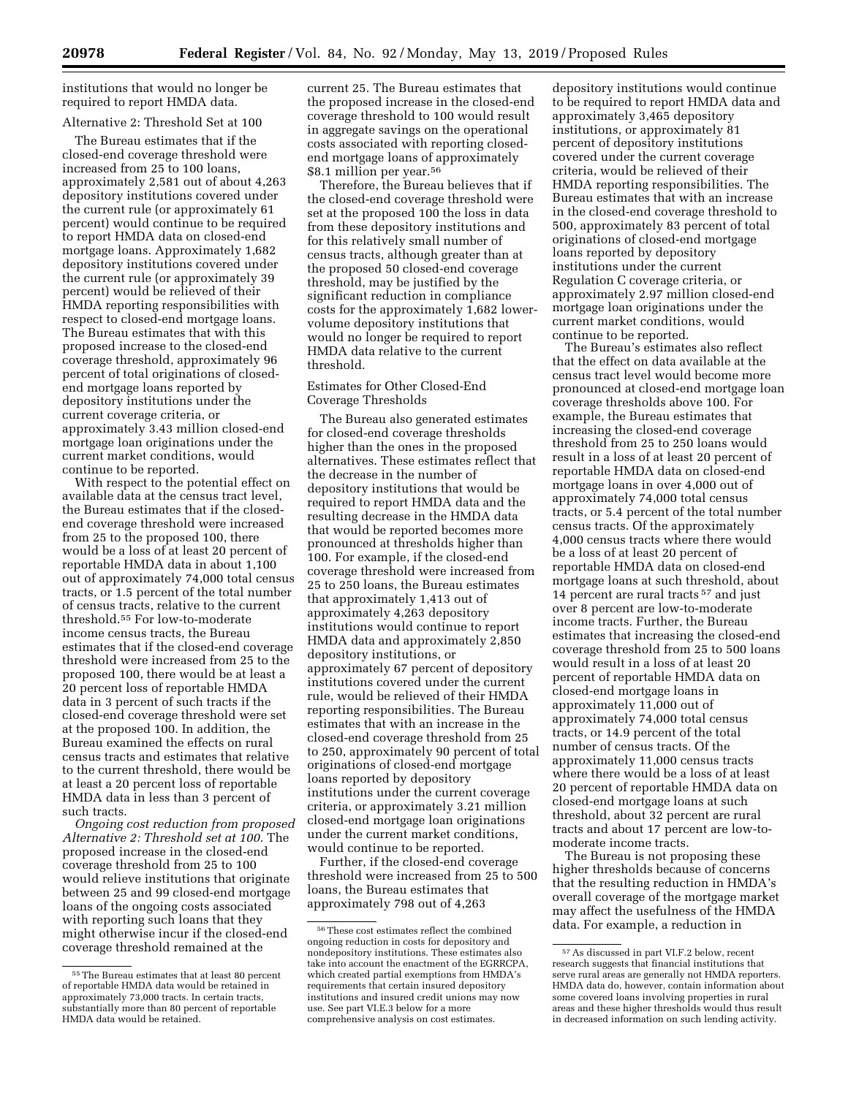institutions that would no longer be required to report HMDA data.

# Alternative 2: Threshold Set at 100

The Bureau estimates that if the closed-end coverage threshold were increased from 25 to 100 loans, approximately 2,581 out of about 4,263 depository institutions covered under the current rule (or approximately 61 percent) would continue to be required to report HMDA data on closed-end mortgage loans. Approximately 1,682 depository institutions covered under the current rule (or approximately 39 percent) would be relieved of their HMDA reporting responsibilities with respect to closed-end mortgage loans. The Bureau estimates that with this proposed increase to the closed-end coverage threshold, approximately 96 percent of total originations of closedend mortgage loans reported by depository institutions under the current coverage criteria, or approximately 3.43 million closed-end mortgage loan originations under the current market conditions, would continue to be reported.

With respect to the potential effect on available data at the census tract level, the Bureau estimates that if the closedend coverage threshold were increased from 25 to the proposed 100, there would be a loss of at least 20 percent of reportable HMDA data in about 1,100 out of approximately 74,000 total census tracts, or 1.5 percent of the total number of census tracts, relative to the current threshold.55 For low-to-moderate income census tracts, the Bureau estimates that if the closed-end coverage threshold were increased from 25 to the proposed 100, there would be at least a 20 percent loss of reportable HMDA data in 3 percent of such tracts if the closed-end coverage threshold were set at the proposed 100. In addition, the Bureau examined the effects on rural census tracts and estimates that relative to the current threshold, there would be at least a 20 percent loss of reportable HMDA data in less than 3 percent of such tracts.

*Ongoing cost reduction from proposed Alternative 2: Threshold set at 100.* The proposed increase in the closed-end coverage threshold from 25 to 100 would relieve institutions that originate between 25 and 99 closed-end mortgage loans of the ongoing costs associated with reporting such loans that they might otherwise incur if the closed-end coverage threshold remained at the

current 25. The Bureau estimates that the proposed increase in the closed-end coverage threshold to 100 would result in aggregate savings on the operational costs associated with reporting closedend mortgage loans of approximately \$8.1 million per year.<sup>56</sup>

Therefore, the Bureau believes that if the closed-end coverage threshold were set at the proposed 100 the loss in data from these depository institutions and for this relatively small number of census tracts, although greater than at the proposed 50 closed-end coverage threshold, may be justified by the significant reduction in compliance costs for the approximately 1,682 lowervolume depository institutions that would no longer be required to report HMDA data relative to the current threshold.

### Estimates for Other Closed-End Coverage Thresholds

The Bureau also generated estimates for closed-end coverage thresholds higher than the ones in the proposed alternatives. These estimates reflect that the decrease in the number of depository institutions that would be required to report HMDA data and the resulting decrease in the HMDA data that would be reported becomes more pronounced at thresholds higher than 100. For example, if the closed-end coverage threshold were increased from 25 to 250 loans, the Bureau estimates that approximately 1,413 out of approximately 4,263 depository institutions would continue to report HMDA data and approximately 2,850 depository institutions, or approximately 67 percent of depository institutions covered under the current rule, would be relieved of their HMDA reporting responsibilities. The Bureau estimates that with an increase in the closed-end coverage threshold from 25 to 250, approximately 90 percent of total originations of closed-end mortgage loans reported by depository institutions under the current coverage criteria, or approximately 3.21 million closed-end mortgage loan originations under the current market conditions, would continue to be reported.

Further, if the closed-end coverage threshold were increased from 25 to 500 loans, the Bureau estimates that approximately 798 out of 4,263

depository institutions would continue to be required to report HMDA data and approximately 3,465 depository institutions, or approximately 81 percent of depository institutions covered under the current coverage criteria, would be relieved of their HMDA reporting responsibilities. The Bureau estimates that with an increase in the closed-end coverage threshold to 500, approximately 83 percent of total originations of closed-end mortgage loans reported by depository institutions under the current Regulation C coverage criteria, or approximately 2.97 million closed-end mortgage loan originations under the current market conditions, would continue to be reported.

The Bureau's estimates also reflect that the effect on data available at the census tract level would become more pronounced at closed-end mortgage loan coverage thresholds above 100. For example, the Bureau estimates that increasing the closed-end coverage threshold from 25 to 250 loans would result in a loss of at least 20 percent of reportable HMDA data on closed-end mortgage loans in over 4,000 out of approximately 74,000 total census tracts, or 5.4 percent of the total number census tracts. Of the approximately 4,000 census tracts where there would be a loss of at least 20 percent of reportable HMDA data on closed-end mortgage loans at such threshold, about 14 percent are rural tracts 57 and just over 8 percent are low-to-moderate income tracts. Further, the Bureau estimates that increasing the closed-end coverage threshold from 25 to 500 loans would result in a loss of at least 20 percent of reportable HMDA data on closed-end mortgage loans in approximately 11,000 out of approximately 74,000 total census tracts, or 14.9 percent of the total number of census tracts. Of the approximately 11,000 census tracts where there would be a loss of at least 20 percent of reportable HMDA data on closed-end mortgage loans at such threshold, about 32 percent are rural tracts and about 17 percent are low-tomoderate income tracts.

The Bureau is not proposing these higher thresholds because of concerns that the resulting reduction in HMDA's overall coverage of the mortgage market may affect the usefulness of the HMDA data. For example, a reduction in

<sup>55</sup>The Bureau estimates that at least 80 percent of reportable HMDA data would be retained in approximately 73,000 tracts. In certain tracts, substantially more than 80 percent of reportable HMDA data would be retained.

<sup>56</sup>These cost estimates reflect the combined ongoing reduction in costs for depository and nondepository institutions. These estimates also take into account the enactment of the EGRRCPA, which created partial exemptions from HMDA's requirements that certain insured depository institutions and insured credit unions may now use. See part VI.E.3 below for a more comprehensive analysis on cost estimates.

<sup>57</sup>As discussed in part VI.F.2 below, recent research suggests that financial institutions that serve rural areas are generally not HMDA reporters. HMDA data do, however, contain information about some covered loans involving properties in rural areas and these higher thresholds would thus result in decreased information on such lending activity.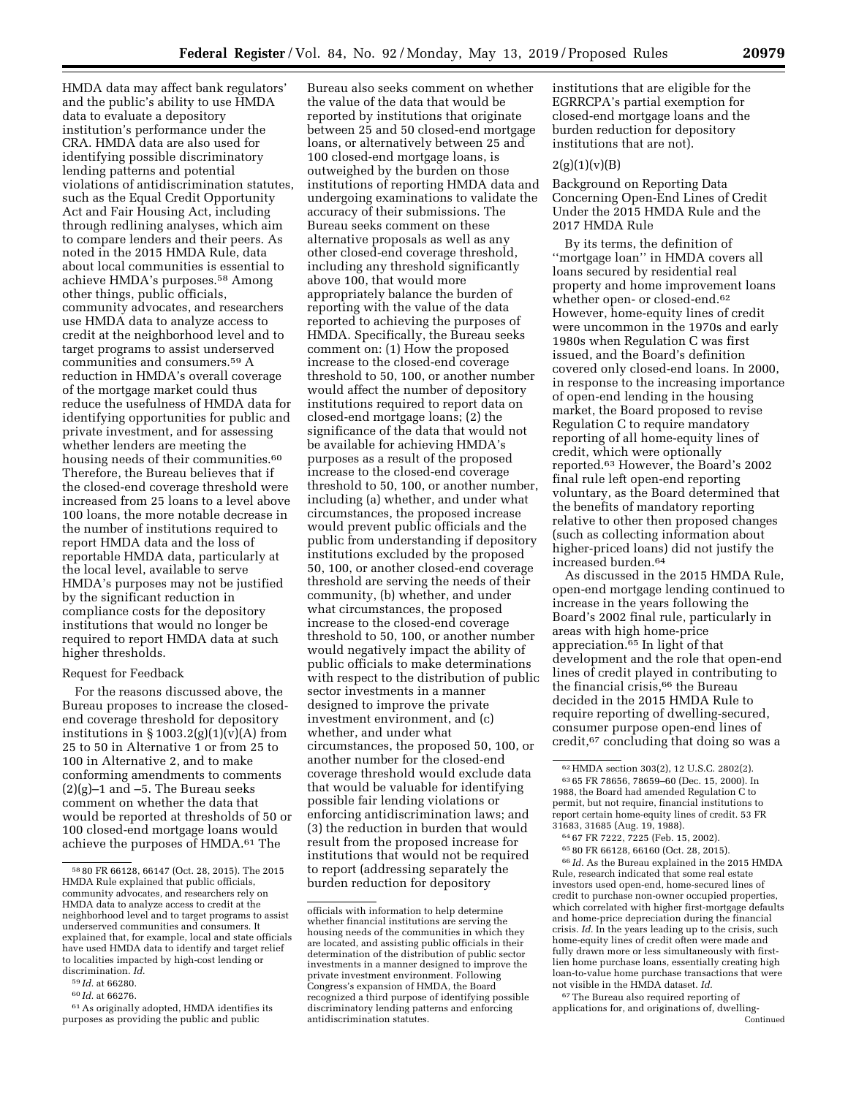HMDA data may affect bank regulators' and the public's ability to use HMDA data to evaluate a depository institution's performance under the CRA. HMDA data are also used for identifying possible discriminatory lending patterns and potential violations of antidiscrimination statutes, such as the Equal Credit Opportunity Act and Fair Housing Act, including through redlining analyses, which aim to compare lenders and their peers. As noted in the 2015 HMDA Rule, data about local communities is essential to achieve HMDA's purposes.58 Among other things, public officials, community advocates, and researchers use HMDA data to analyze access to credit at the neighborhood level and to target programs to assist underserved communities and consumers.59 A reduction in HMDA's overall coverage of the mortgage market could thus reduce the usefulness of HMDA data for identifying opportunities for public and private investment, and for assessing whether lenders are meeting the housing needs of their communities.<sup>60</sup> Therefore, the Bureau believes that if the closed-end coverage threshold were increased from 25 loans to a level above 100 loans, the more notable decrease in the number of institutions required to report HMDA data and the loss of reportable HMDA data, particularly at the local level, available to serve HMDA's purposes may not be justified by the significant reduction in compliance costs for the depository institutions that would no longer be required to report HMDA data at such higher thresholds.

### Request for Feedback

For the reasons discussed above, the Bureau proposes to increase the closedend coverage threshold for depository institutions in  $\S 1003.2(g)(1)(v)(A)$  from 25 to 50 in Alternative 1 or from 25 to 100 in Alternative 2, and to make conforming amendments to comments  $(2)(g)-1$  and  $-5$ . The Bureau seeks comment on whether the data that would be reported at thresholds of 50 or 100 closed-end mortgage loans would achieve the purposes of HMDA.61 The

60 *Id.* at 66276.

Bureau also seeks comment on whether the value of the data that would be reported by institutions that originate between 25 and 50 closed-end mortgage loans, or alternatively between 25 and 100 closed-end mortgage loans, is outweighed by the burden on those institutions of reporting HMDA data and undergoing examinations to validate the accuracy of their submissions. The Bureau seeks comment on these alternative proposals as well as any other closed-end coverage threshold, including any threshold significantly above 100, that would more appropriately balance the burden of reporting with the value of the data reported to achieving the purposes of HMDA. Specifically, the Bureau seeks comment on: (1) How the proposed increase to the closed-end coverage threshold to 50, 100, or another number would affect the number of depository institutions required to report data on closed-end mortgage loans; (2) the significance of the data that would not be available for achieving HMDA's purposes as a result of the proposed increase to the closed-end coverage threshold to 50, 100, or another number, including (a) whether, and under what circumstances, the proposed increase would prevent public officials and the public from understanding if depository institutions excluded by the proposed 50, 100, or another closed-end coverage threshold are serving the needs of their community, (b) whether, and under what circumstances, the proposed increase to the closed-end coverage threshold to 50, 100, or another number would negatively impact the ability of public officials to make determinations with respect to the distribution of public sector investments in a manner designed to improve the private investment environment, and (c) whether, and under what circumstances, the proposed 50, 100, or another number for the closed-end coverage threshold would exclude data that would be valuable for identifying possible fair lending violations or enforcing antidiscrimination laws; and (3) the reduction in burden that would result from the proposed increase for institutions that would not be required to report (addressing separately the burden reduction for depository

institutions that are eligible for the EGRRCPA's partial exemption for closed-end mortgage loans and the burden reduction for depository institutions that are not).

### $2(g)(1)(v)(B)$

Background on Reporting Data Concerning Open-End Lines of Credit Under the 2015 HMDA Rule and the 2017 HMDA Rule

By its terms, the definition of ''mortgage loan'' in HMDA covers all loans secured by residential real property and home improvement loans whether open- or closed-end.<sup>62</sup> However, home-equity lines of credit were uncommon in the 1970s and early 1980s when Regulation C was first issued, and the Board's definition covered only closed-end loans. In 2000, in response to the increasing importance of open-end lending in the housing market, the Board proposed to revise Regulation C to require mandatory reporting of all home-equity lines of credit, which were optionally reported.63 However, the Board's 2002 final rule left open-end reporting voluntary, as the Board determined that the benefits of mandatory reporting relative to other then proposed changes (such as collecting information about higher-priced loans) did not justify the increased burden.64

As discussed in the 2015 HMDA Rule, open-end mortgage lending continued to increase in the years following the Board's 2002 final rule, particularly in areas with high home-price appreciation.65 In light of that development and the role that open-end lines of credit played in contributing to the financial crisis,<sup>66</sup> the Bureau decided in the 2015 HMDA Rule to require reporting of dwelling-secured, consumer purpose open-end lines of credit,67 concluding that doing so was a

65 80 FR 66128, 66160 (Oct. 28, 2015).  $^{66}\,Id.$  As the Bureau explained in the 2015 HMDA Rule, research indicated that some real estate investors used open-end, home-secured lines of credit to purchase non-owner occupied properties, which correlated with higher first-mortgage defaults and home-price depreciation during the financial crisis. *Id.* In the years leading up to the crisis, such home-equity lines of credit often were made and fully drawn more or less simultaneously with firstlien home purchase loans, essentially creating high loan-to-value home purchase transactions that were not visible in the HMDA dataset. *Id.* 

67The Bureau also required reporting of applications for, and originations of, dwelling-Continued

<sup>58</sup> 80 FR 66128, 66147 (Oct. 28, 2015). The 2015 HMDA Rule explained that public officials, community advocates, and researchers rely on HMDA data to analyze access to credit at the neighborhood level and to target programs to assist underserved communities and consumers. It explained that, for example, local and state officials have used HMDA data to identify and target relief to localities impacted by high-cost lending or discrimination. *Id.* 

<sup>59</sup> *Id.* at 66280.

<sup>61</sup>As originally adopted, HMDA identifies its purposes as providing the public and public

officials with information to help determine whether financial institutions are serving the housing needs of the communities in which they are located, and assisting public officials in their determination of the distribution of public sector investments in a manner designed to improve the private investment environment. Following Congress's expansion of HMDA, the Board recognized a third purpose of identifying possible discriminatory lending patterns and enforcing antidiscrimination statutes.

<sup>62</sup>HMDA section 303(2), 12 U.S.C. 2802(2). 63 65 FR 78656, 78659–60 (Dec. 15, 2000). In 1988, the Board had amended Regulation C to permit, but not require, financial institutions to report certain home-equity lines of credit. 53 FR 31683, 31685 (Aug. 19, 1988).

<sup>64</sup> 67 FR 7222, 7225 (Feb. 15, 2002).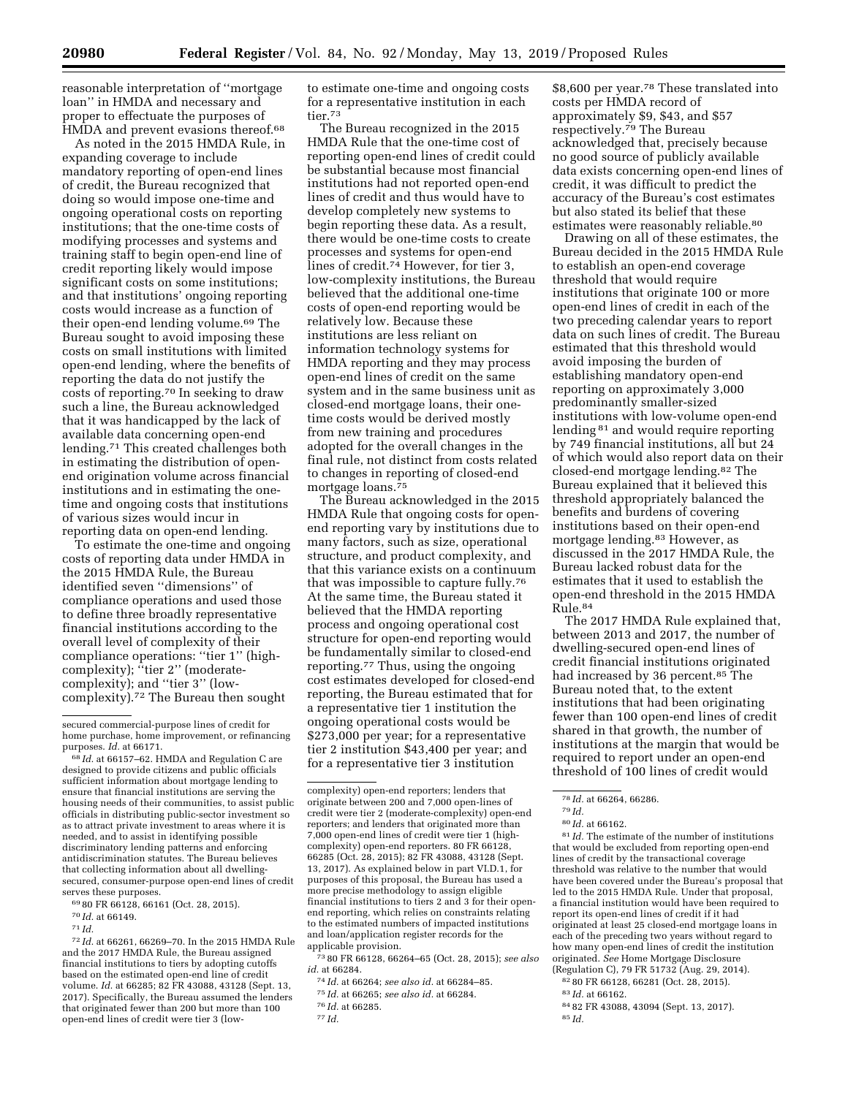reasonable interpretation of ''mortgage loan'' in HMDA and necessary and proper to effectuate the purposes of HMDA and prevent evasions thereof.<sup>68</sup>

As noted in the 2015 HMDA Rule, in expanding coverage to include mandatory reporting of open-end lines of credit, the Bureau recognized that doing so would impose one-time and ongoing operational costs on reporting institutions; that the one-time costs of modifying processes and systems and training staff to begin open-end line of credit reporting likely would impose significant costs on some institutions; and that institutions' ongoing reporting costs would increase as a function of their open-end lending volume.69 The Bureau sought to avoid imposing these costs on small institutions with limited open-end lending, where the benefits of reporting the data do not justify the costs of reporting.70 In seeking to draw such a line, the Bureau acknowledged that it was handicapped by the lack of available data concerning open-end lending.71 This created challenges both in estimating the distribution of openend origination volume across financial institutions and in estimating the onetime and ongoing costs that institutions of various sizes would incur in reporting data on open-end lending.

To estimate the one-time and ongoing costs of reporting data under HMDA in the 2015 HMDA Rule, the Bureau identified seven ''dimensions'' of compliance operations and used those to define three broadly representative financial institutions according to the overall level of complexity of their compliance operations: ''tier 1'' (highcomplexity); "tier 2" (moderatecomplexity); and ''tier 3'' (lowcomplexity).72 The Bureau then sought

72 *Id.* at 66261, 66269–70. In the 2015 HMDA Rule and the 2017 HMDA Rule, the Bureau assigned financial institutions to tiers by adopting cutoffs based on the estimated open-end line of credit volume. *Id.* at 66285; 82 FR 43088, 43128 (Sept. 13, 2017). Specifically, the Bureau assumed the lenders that originated fewer than 200 but more than 100 open-end lines of credit were tier 3 (lowto estimate one-time and ongoing costs for a representative institution in each tier.73

The Bureau recognized in the 2015 HMDA Rule that the one-time cost of reporting open-end lines of credit could be substantial because most financial institutions had not reported open-end lines of credit and thus would have to develop completely new systems to begin reporting these data. As a result, there would be one-time costs to create processes and systems for open-end lines of credit.74 However, for tier 3, low-complexity institutions, the Bureau believed that the additional one-time costs of open-end reporting would be relatively low. Because these institutions are less reliant on information technology systems for HMDA reporting and they may process open-end lines of credit on the same system and in the same business unit as closed-end mortgage loans, their onetime costs would be derived mostly from new training and procedures adopted for the overall changes in the final rule, not distinct from costs related to changes in reporting of closed-end mortgage loans.<sup>75</sup>

The Bureau acknowledged in the 2015 HMDA Rule that ongoing costs for openend reporting vary by institutions due to many factors, such as size, operational structure, and product complexity, and that this variance exists on a continuum that was impossible to capture fully.76 At the same time, the Bureau stated it believed that the HMDA reporting process and ongoing operational cost structure for open-end reporting would be fundamentally similar to closed-end reporting.77 Thus, using the ongoing cost estimates developed for closed-end reporting, the Bureau estimated that for a representative tier 1 institution the ongoing operational costs would be \$273,000 per year; for a representative tier 2 institution \$43,400 per year; and for a representative tier 3 institution

complexity) open-end reporters; lenders that originate between 200 and 7,000 open-lines of credit were tier 2 (moderate-complexity) open-end reporters; and lenders that originated more than 7,000 open-end lines of credit were tier 1 (highcomplexity) open-end reporters. 80 FR 66128, 66285 (Oct. 28, 2015); 82 FR 43088, 43128 (Sept. 13, 2017). As explained below in part VI.D.1, for purposes of this proposal, the Bureau has used a more precise methodology to assign eligible financial institutions to tiers 2 and 3 for their openend reporting, which relies on constraints relating to the estimated numbers of impacted institutions and loan/application register records for the applicable provision.

73 80 FR 66128, 66264–65 (Oct. 28, 2015); *see also id.* at 66284.

74 *Id.* at 66264; *see also id.* at 66284–85.

75 *Id.* at 66265; *see also id.* at 66284.

\$8,600 per year.78 These translated into costs per HMDA record of approximately \$9, \$43, and \$57 respectively.79 The Bureau acknowledged that, precisely because no good source of publicly available data exists concerning open-end lines of credit, it was difficult to predict the accuracy of the Bureau's cost estimates but also stated its belief that these estimates were reasonably reliable.<sup>80</sup>

Drawing on all of these estimates, the Bureau decided in the 2015 HMDA Rule to establish an open-end coverage threshold that would require institutions that originate 100 or more open-end lines of credit in each of the two preceding calendar years to report data on such lines of credit. The Bureau estimated that this threshold would avoid imposing the burden of establishing mandatory open-end reporting on approximately 3,000 predominantly smaller-sized institutions with low-volume open-end lending 81 and would require reporting by 749 financial institutions, all but 24 of which would also report data on their closed-end mortgage lending.82 The Bureau explained that it believed this threshold appropriately balanced the benefits and burdens of covering institutions based on their open-end mortgage lending.83 However, as discussed in the 2017 HMDA Rule, the Bureau lacked robust data for the estimates that it used to establish the open-end threshold in the 2015 HMDA Rule.84

The 2017 HMDA Rule explained that, between 2013 and 2017, the number of dwelling-secured open-end lines of credit financial institutions originated had increased by 36 percent.<sup>85</sup> The Bureau noted that, to the extent institutions that had been originating fewer than 100 open-end lines of credit shared in that growth, the number of institutions at the margin that would be required to report under an open-end threshold of 100 lines of credit would

81 *Id.* The estimate of the number of institutions that would be excluded from reporting open-end lines of credit by the transactional coverage threshold was relative to the number that would have been covered under the Bureau's proposal that led to the 2015 HMDA Rule. Under that proposal, a financial institution would have been required to report its open-end lines of credit if it had originated at least 25 closed-end mortgage loans in each of the preceding two years without regard to how many open-end lines of credit the institution originated. *See* Home Mortgage Disclosure (Regulation C), 79 FR 51732 (Aug. 29, 2014).

82 80 FR 66128, 66281 (Oct. 28, 2015).

- 83 *Id.* at 66162.
- 84 82 FR 43088, 43094 (Sept. 13, 2017). 85 *Id.*

secured commercial-purpose lines of credit for home purchase, home improvement, or refinancing purposes. *Id.* at 66171.

<sup>68</sup> *Id.* at 66157–62. HMDA and Regulation C are designed to provide citizens and public officials sufficient information about mortgage lending to ensure that financial institutions are serving the housing needs of their communities, to assist public officials in distributing public-sector investment so as to attract private investment to areas where it is needed, and to assist in identifying possible discriminatory lending patterns and enforcing antidiscrimination statutes. The Bureau believes that collecting information about all dwellingsecured, consumer-purpose open-end lines of credit serves these purposes.

<sup>69</sup> 80 FR 66128, 66161 (Oct. 28, 2015).

<sup>70</sup> *Id.* at 66149.

<sup>71</sup> *Id.* 

<sup>76</sup> *Id.* at 66285.

<sup>77</sup> *Id.* 

<sup>78</sup> *Id.* at 66264, 66286.

<sup>79</sup> *Id.* 

<sup>80</sup> *Id.* at 66162.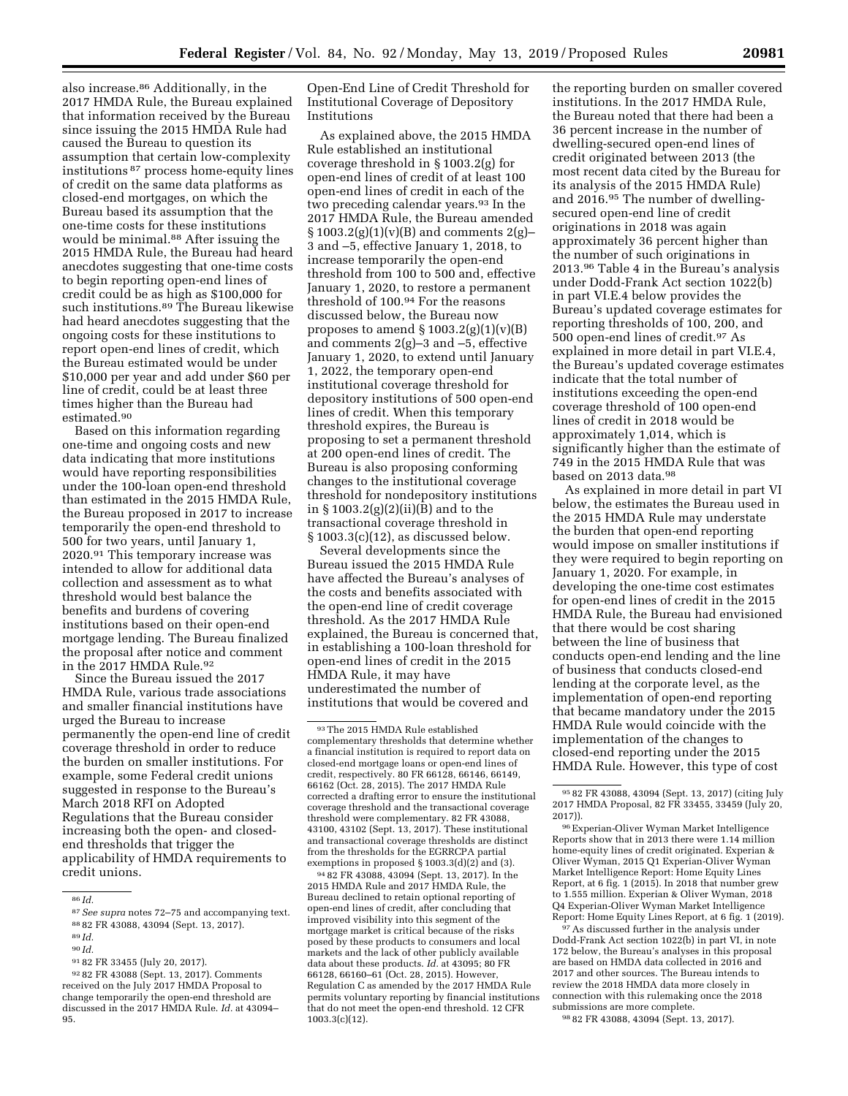also increase.86 Additionally, in the 2017 HMDA Rule, the Bureau explained that information received by the Bureau since issuing the 2015 HMDA Rule had caused the Bureau to question its assumption that certain low-complexity institutions 87 process home-equity lines of credit on the same data platforms as closed-end mortgages, on which the Bureau based its assumption that the one-time costs for these institutions would be minimal.88 After issuing the 2015 HMDA Rule, the Bureau had heard anecdotes suggesting that one-time costs to begin reporting open-end lines of credit could be as high as \$100,000 for such institutions.89 The Bureau likewise had heard anecdotes suggesting that the

ongoing costs for these institutions to report open-end lines of credit, which the Bureau estimated would be under \$10,000 per year and add under \$60 per line of credit, could be at least three times higher than the Bureau had estimated.90

Based on this information regarding one-time and ongoing costs and new data indicating that more institutions would have reporting responsibilities under the 100-loan open-end threshold than estimated in the 2015 HMDA Rule, the Bureau proposed in 2017 to increase temporarily the open-end threshold to 500 for two years, until January 1, 2020.91 This temporary increase was intended to allow for additional data collection and assessment as to what threshold would best balance the benefits and burdens of covering institutions based on their open-end mortgage lending. The Bureau finalized the proposal after notice and comment in the 2017 HMDA Rule.92

Since the Bureau issued the 2017 HMDA Rule, various trade associations and smaller financial institutions have urged the Bureau to increase permanently the open-end line of credit coverage threshold in order to reduce the burden on smaller institutions. For example, some Federal credit unions suggested in response to the Bureau's March 2018 RFI on Adopted Regulations that the Bureau consider increasing both the open- and closedend thresholds that trigger the applicability of HMDA requirements to credit unions.

91 82 FR 33455 (July 20, 2017).

92 82 FR 43088 (Sept. 13, 2017). Comments received on the July 2017 HMDA Proposal to change temporarily the open-end threshold are discussed in the 2017 HMDA Rule. *Id.* at 43094– 95.

Open-End Line of Credit Threshold for Institutional Coverage of Depository Institutions

As explained above, the 2015 HMDA Rule established an institutional coverage threshold in § 1003.2(g) for open-end lines of credit of at least 100 open-end lines of credit in each of the two preceding calendar years.<sup>93</sup> In the 2017 HMDA Rule, the Bureau amended  $\S 1003.2(g)(1)(v)(B)$  and comments 2(g)– 3 and –5, effective January 1, 2018, to increase temporarily the open-end threshold from 100 to 500 and, effective January 1, 2020, to restore a permanent threshold of 100.94 For the reasons discussed below, the Bureau now proposes to amend  $\S 1003.2(g)(1)(v)(B)$ and comments 2(g)–3 and –5, effective January 1, 2020, to extend until January 1, 2022, the temporary open-end institutional coverage threshold for depository institutions of 500 open-end lines of credit. When this temporary threshold expires, the Bureau is proposing to set a permanent threshold at 200 open-end lines of credit. The Bureau is also proposing conforming changes to the institutional coverage threshold for nondepository institutions in § 1003.2(g)(2)(ii)(B) and to the transactional coverage threshold in  $§ 1003.3(c)(12)$ , as discussed below.

Several developments since the Bureau issued the 2015 HMDA Rule have affected the Bureau's analyses of the costs and benefits associated with the open-end line of credit coverage threshold. As the 2017 HMDA Rule explained, the Bureau is concerned that, in establishing a 100-loan threshold for open-end lines of credit in the 2015 HMDA Rule, it may have underestimated the number of institutions that would be covered and

94 82 FR 43088, 43094 (Sept. 13, 2017). In the 2015 HMDA Rule and 2017 HMDA Rule, the Bureau declined to retain optional reporting of open-end lines of credit, after concluding that improved visibility into this segment of the mortgage market is critical because of the risks posed by these products to consumers and local markets and the lack of other publicly available data about these products. *Id.* at 43095; 80 FR 66128, 66160–61 (Oct. 28, 2015). However, Regulation C as amended by the 2017 HMDA Rule permits voluntary reporting by financial institutions that do not meet the open-end threshold. 12 CFR 1003.3(c)(12).

the reporting burden on smaller covered institutions. In the 2017 HMDA Rule, the Bureau noted that there had been a 36 percent increase in the number of dwelling-secured open-end lines of credit originated between 2013 (the most recent data cited by the Bureau for its analysis of the 2015 HMDA Rule) and 2016.95 The number of dwellingsecured open-end line of credit originations in 2018 was again approximately 36 percent higher than the number of such originations in 2013.96 Table 4 in the Bureau's analysis under Dodd-Frank Act section 1022(b) in part VI.E.4 below provides the Bureau's updated coverage estimates for reporting thresholds of 100, 200, and 500 open-end lines of credit.97 As explained in more detail in part VI.E.4, the Bureau's updated coverage estimates indicate that the total number of institutions exceeding the open-end coverage threshold of 100 open-end lines of credit in 2018 would be approximately 1,014, which is significantly higher than the estimate of 749 in the 2015 HMDA Rule that was based on 2013 data.98

As explained in more detail in part VI below, the estimates the Bureau used in the 2015 HMDA Rule may understate the burden that open-end reporting would impose on smaller institutions if they were required to begin reporting on January 1, 2020. For example, in developing the one-time cost estimates for open-end lines of credit in the 2015 HMDA Rule, the Bureau had envisioned that there would be cost sharing between the line of business that conducts open-end lending and the line of business that conducts closed-end lending at the corporate level, as the implementation of open-end reporting that became mandatory under the 2015 HMDA Rule would coincide with the implementation of the changes to closed-end reporting under the 2015 HMDA Rule. However, this type of cost

97As discussed further in the analysis under Dodd-Frank Act section 1022(b) in part VI, in note 172 below, the Bureau's analyses in this proposal are based on HMDA data collected in 2016 and 2017 and other sources. The Bureau intends to review the 2018 HMDA data more closely in connection with this rulemaking once the 2018 submissions are more complete.

98 82 FR 43088, 43094 (Sept. 13, 2017).

<sup>86</sup> *Id.* 

<sup>87</sup>*See supra* notes 72–75 and accompanying text.

<sup>88</sup> 82 FR 43088, 43094 (Sept. 13, 2017).

<sup>89</sup> *Id.* 

<sup>90</sup> *Id.* 

<sup>93</sup>The 2015 HMDA Rule established complementary thresholds that determine whether a financial institution is required to report data on closed-end mortgage loans or open-end lines of credit, respectively. 80 FR 66128, 66146, 66149, 66162 (Oct. 28, 2015). The 2017 HMDA Rule corrected a drafting error to ensure the institutional coverage threshold and the transactional coverage threshold were complementary. 82 FR 43088, 43100, 43102 (Sept. 13, 2017). These institutional and transactional coverage thresholds are distinct from the thresholds for the EGRRCPA partial exemptions in proposed § 1003.3(d)(2) and (3).

<sup>95</sup> 82 FR 43088, 43094 (Sept. 13, 2017) (citing July 2017 HMDA Proposal, 82 FR 33455, 33459 (July 20, 2017)).

<sup>96</sup>Experian-Oliver Wyman Market Intelligence Reports show that in 2013 there were 1.14 million home-equity lines of credit originated. Experian & Oliver Wyman, 2015 Q1 Experian-Oliver Wyman Market Intelligence Report: Home Equity Lines Report, at 6 fig. 1 (2015). In 2018 that number grew to 1.555 million. Experian & Oliver Wyman, 2018 Q4 Experian-Oliver Wyman Market Intelligence Report: Home Equity Lines Report, at 6 fig. 1 (2019).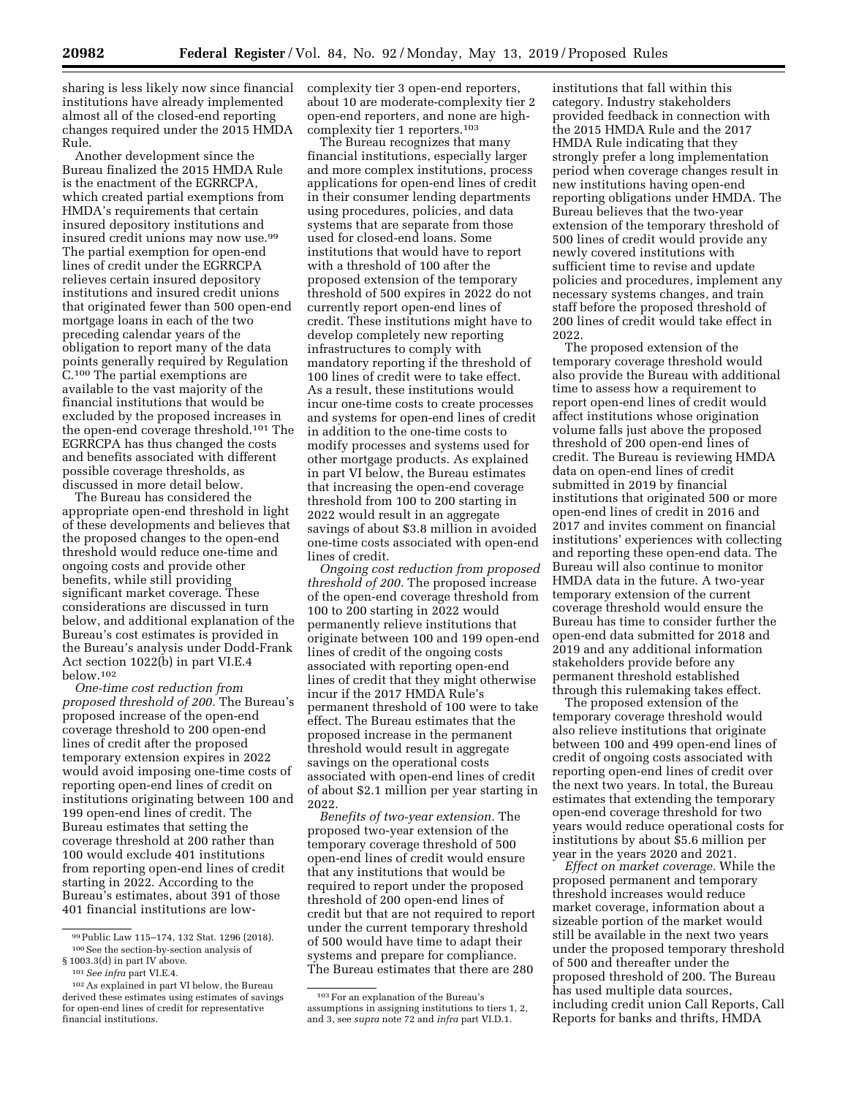sharing is less likely now since financial institutions have already implemented almost all of the closed-end reporting changes required under the 2015 HMDA Rule.

Another development since the Bureau finalized the 2015 HMDA Rule is the enactment of the EGRRCPA, which created partial exemptions from HMDA's requirements that certain insured depository institutions and insured credit unions may now use.99 The partial exemption for open-end lines of credit under the EGRRCPA relieves certain insured depository institutions and insured credit unions that originated fewer than 500 open-end mortgage loans in each of the two preceding calendar years of the obligation to report many of the data points generally required by Regulation C.100 The partial exemptions are available to the vast majority of the financial institutions that would be excluded by the proposed increases in the open-end coverage threshold.101 The EGRRCPA has thus changed the costs and benefits associated with different possible coverage thresholds, as discussed in more detail below.

The Bureau has considered the appropriate open-end threshold in light of these developments and believes that the proposed changes to the open-end threshold would reduce one-time and ongoing costs and provide other benefits, while still providing significant market coverage. These considerations are discussed in turn below, and additional explanation of the Bureau's cost estimates is provided in the Bureau's analysis under Dodd-Frank Act section 1022(b) in part VI.E.4 below.102

*One-time cost reduction from proposed threshold of 200.* The Bureau's proposed increase of the open-end coverage threshold to 200 open-end lines of credit after the proposed temporary extension expires in 2022 would avoid imposing one-time costs of reporting open-end lines of credit on institutions originating between 100 and 199 open-end lines of credit. The Bureau estimates that setting the coverage threshold at 200 rather than 100 would exclude 401 institutions from reporting open-end lines of credit starting in 2022. According to the Bureau's estimates, about 391 of those 401 financial institutions are lowcomplexity tier 3 open-end reporters, about 10 are moderate-complexity tier 2 open-end reporters, and none are highcomplexity tier 1 reporters.103

The Bureau recognizes that many financial institutions, especially larger and more complex institutions, process applications for open-end lines of credit in their consumer lending departments using procedures, policies, and data systems that are separate from those used for closed-end loans. Some institutions that would have to report with a threshold of 100 after the proposed extension of the temporary threshold of 500 expires in 2022 do not currently report open-end lines of credit. These institutions might have to develop completely new reporting infrastructures to comply with mandatory reporting if the threshold of 100 lines of credit were to take effect. As a result, these institutions would incur one-time costs to create processes and systems for open-end lines of credit in addition to the one-time costs to modify processes and systems used for other mortgage products. As explained in part VI below, the Bureau estimates that increasing the open-end coverage threshold from 100 to 200 starting in 2022 would result in an aggregate savings of about \$3.8 million in avoided one-time costs associated with open-end lines of credit.

*Ongoing cost reduction from proposed threshold of 200.* The proposed increase of the open-end coverage threshold from 100 to 200 starting in 2022 would permanently relieve institutions that originate between 100 and 199 open-end lines of credit of the ongoing costs associated with reporting open-end lines of credit that they might otherwise incur if the 2017 HMDA Rule's permanent threshold of 100 were to take effect. The Bureau estimates that the proposed increase in the permanent threshold would result in aggregate savings on the operational costs associated with open-end lines of credit of about \$2.1 million per year starting in 2022.

*Benefits of two-year extension.* The proposed two-year extension of the temporary coverage threshold of 500 open-end lines of credit would ensure that any institutions that would be required to report under the proposed threshold of 200 open-end lines of credit but that are not required to report under the current temporary threshold of 500 would have time to adapt their systems and prepare for compliance. The Bureau estimates that there are 280

institutions that fall within this category. Industry stakeholders provided feedback in connection with the 2015 HMDA Rule and the 2017 HMDA Rule indicating that they strongly prefer a long implementation period when coverage changes result in new institutions having open-end reporting obligations under HMDA. The Bureau believes that the two-year extension of the temporary threshold of 500 lines of credit would provide any newly covered institutions with sufficient time to revise and update policies and procedures, implement any necessary systems changes, and train staff before the proposed threshold of 200 lines of credit would take effect in 2022.

The proposed extension of the temporary coverage threshold would also provide the Bureau with additional time to assess how a requirement to report open-end lines of credit would affect institutions whose origination volume falls just above the proposed threshold of 200 open-end lines of credit. The Bureau is reviewing HMDA data on open-end lines of credit submitted in 2019 by financial institutions that originated 500 or more open-end lines of credit in 2016 and 2017 and invites comment on financial institutions' experiences with collecting and reporting these open-end data. The Bureau will also continue to monitor HMDA data in the future. A two-year temporary extension of the current coverage threshold would ensure the Bureau has time to consider further the open-end data submitted for 2018 and 2019 and any additional information stakeholders provide before any permanent threshold established through this rulemaking takes effect.

The proposed extension of the temporary coverage threshold would also relieve institutions that originate between 100 and 499 open-end lines of credit of ongoing costs associated with reporting open-end lines of credit over the next two years. In total, the Bureau estimates that extending the temporary open-end coverage threshold for two years would reduce operational costs for institutions by about \$5.6 million per year in the years 2020 and 2021.

*Effect on market coverage.* While the proposed permanent and temporary threshold increases would reduce market coverage, information about a sizeable portion of the market would still be available in the next two years under the proposed temporary threshold of 500 and thereafter under the proposed threshold of 200. The Bureau has used multiple data sources, including credit union Call Reports, Call Reports for banks and thrifts, HMDA

<sup>99</sup>Public Law 115–174, 132 Stat. 1296 (2018). 100See the section-by-section analysis of § 1003.3(d) in part IV above.

<sup>101</sup>*See infra* part VI.E.4.

<sup>102</sup>As explained in part VI below, the Bureau derived these estimates using estimates of savings for open-end lines of credit for representative financial institutions.

<sup>103</sup>For an explanation of the Bureau's assumptions in assigning institutions to tiers 1, 2, and 3, see *supra* note 72 and *infra* part VI.D.1.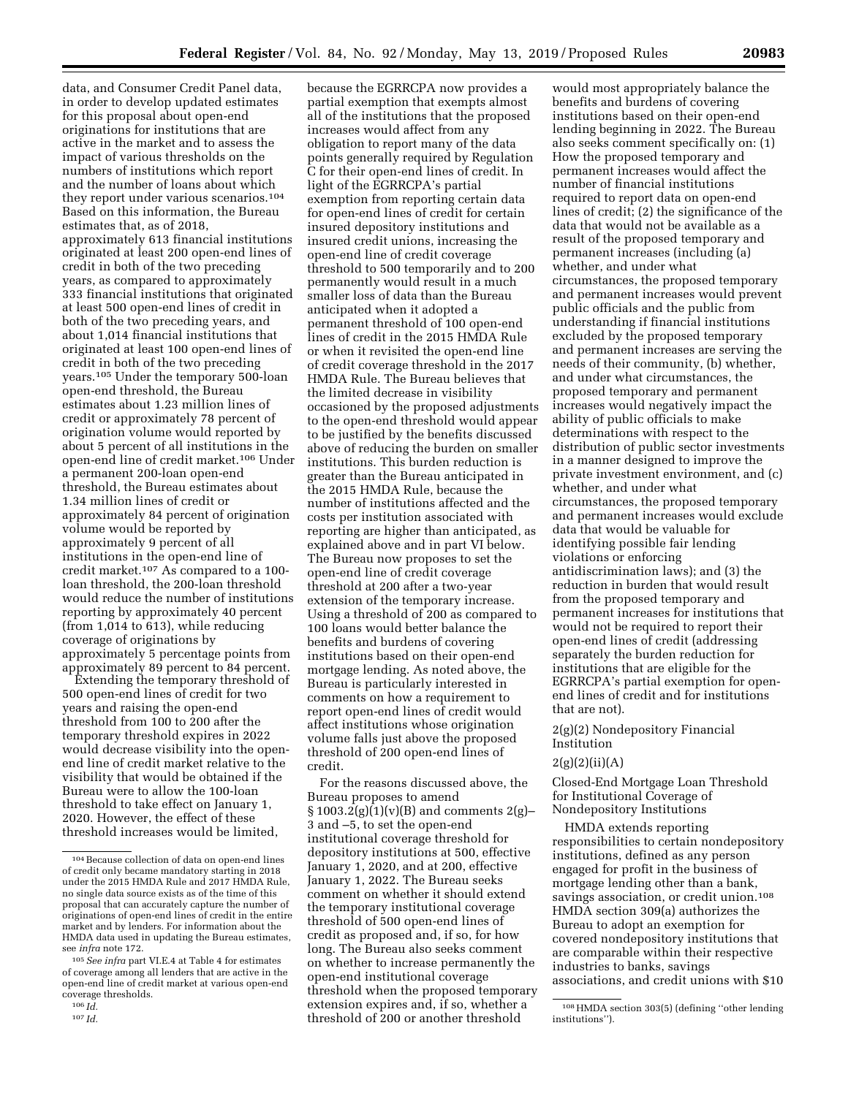data, and Consumer Credit Panel data, in order to develop updated estimates for this proposal about open-end originations for institutions that are active in the market and to assess the impact of various thresholds on the numbers of institutions which report and the number of loans about which they report under various scenarios.104 Based on this information, the Bureau estimates that, as of 2018, approximately 613 financial institutions originated at least 200 open-end lines of credit in both of the two preceding years, as compared to approximately 333 financial institutions that originated at least 500 open-end lines of credit in both of the two preceding years, and about 1,014 financial institutions that originated at least 100 open-end lines of credit in both of the two preceding years.105 Under the temporary 500-loan open-end threshold, the Bureau estimates about 1.23 million lines of credit or approximately 78 percent of origination volume would reported by about 5 percent of all institutions in the open-end line of credit market.106 Under a permanent 200-loan open-end threshold, the Bureau estimates about 1.34 million lines of credit or approximately 84 percent of origination volume would be reported by approximately 9 percent of all institutions in the open-end line of credit market.107 As compared to a 100 loan threshold, the 200-loan threshold would reduce the number of institutions reporting by approximately 40 percent (from 1,014 to 613), while reducing coverage of originations by approximately 5 percentage points from approximately 89 percent to 84 percent.

Extending the temporary threshold of 500 open-end lines of credit for two years and raising the open-end threshold from 100 to 200 after the temporary threshold expires in 2022 would decrease visibility into the openend line of credit market relative to the visibility that would be obtained if the Bureau were to allow the 100-loan threshold to take effect on January 1, 2020. However, the effect of these threshold increases would be limited,

because the EGRRCPA now provides a partial exemption that exempts almost all of the institutions that the proposed increases would affect from any obligation to report many of the data points generally required by Regulation C for their open-end lines of credit. In light of the EGRRCPA's partial exemption from reporting certain data for open-end lines of credit for certain insured depository institutions and insured credit unions, increasing the open-end line of credit coverage threshold to 500 temporarily and to 200 permanently would result in a much smaller loss of data than the Bureau anticipated when it adopted a permanent threshold of 100 open-end lines of credit in the 2015 HMDA Rule or when it revisited the open-end line of credit coverage threshold in the 2017 HMDA Rule. The Bureau believes that the limited decrease in visibility occasioned by the proposed adjustments to the open-end threshold would appear to be justified by the benefits discussed above of reducing the burden on smaller institutions. This burden reduction is greater than the Bureau anticipated in the 2015 HMDA Rule, because the number of institutions affected and the costs per institution associated with reporting are higher than anticipated, as explained above and in part VI below. The Bureau now proposes to set the open-end line of credit coverage threshold at 200 after a two-year extension of the temporary increase. Using a threshold of 200 as compared to 100 loans would better balance the benefits and burdens of covering institutions based on their open-end mortgage lending. As noted above, the Bureau is particularly interested in comments on how a requirement to report open-end lines of credit would affect institutions whose origination volume falls just above the proposed threshold of 200 open-end lines of credit.

For the reasons discussed above, the Bureau proposes to amend  $§ 1003.2(g)(1)(v)(B)$  and comments 2(g)-3 and –5, to set the open-end institutional coverage threshold for depository institutions at 500, effective January 1, 2020, and at 200, effective January 1, 2022. The Bureau seeks comment on whether it should extend the temporary institutional coverage threshold of 500 open-end lines of credit as proposed and, if so, for how long. The Bureau also seeks comment on whether to increase permanently the open-end institutional coverage threshold when the proposed temporary extension expires and, if so, whether a threshold of 200 or another threshold

would most appropriately balance the benefits and burdens of covering institutions based on their open-end lending beginning in 2022. The Bureau also seeks comment specifically on: (1) How the proposed temporary and permanent increases would affect the number of financial institutions required to report data on open-end lines of credit; (2) the significance of the data that would not be available as a result of the proposed temporary and permanent increases (including (a) whether, and under what circumstances, the proposed temporary and permanent increases would prevent public officials and the public from understanding if financial institutions excluded by the proposed temporary and permanent increases are serving the needs of their community, (b) whether, and under what circumstances, the proposed temporary and permanent increases would negatively impact the ability of public officials to make determinations with respect to the distribution of public sector investments in a manner designed to improve the private investment environment, and (c) whether, and under what circumstances, the proposed temporary and permanent increases would exclude data that would be valuable for identifying possible fair lending violations or enforcing antidiscrimination laws); and (3) the reduction in burden that would result from the proposed temporary and permanent increases for institutions that would not be required to report their open-end lines of credit (addressing separately the burden reduction for institutions that are eligible for the EGRRCPA's partial exemption for openend lines of credit and for institutions that are not).

2(g)(2) Nondepository Financial Institution

### $2(g)(2)(ii)(A)$

Closed-End Mortgage Loan Threshold for Institutional Coverage of Nondepository Institutions

HMDA extends reporting responsibilities to certain nondepository institutions, defined as any person engaged for profit in the business of mortgage lending other than a bank, savings association, or credit union.108 HMDA section 309(a) authorizes the Bureau to adopt an exemption for covered nondepository institutions that are comparable within their respective industries to banks, savings associations, and credit unions with \$10

<sup>104</sup>Because collection of data on open-end lines of credit only became mandatory starting in 2018 under the 2015 HMDA Rule and 2017 HMDA Rule, no single data source exists as of the time of this proposal that can accurately capture the number of originations of open-end lines of credit in the entire market and by lenders. For information about the HMDA data used in updating the Bureau estimates, see *infra* note 172.

<sup>105</sup>*See infra* part VI.E.4 at Table 4 for estimates of coverage among all lenders that are active in the open-end line of credit market at various open-end coverage thresholds.

<sup>106</sup> *Id.*  107 *Id.* 

<sup>108</sup>HMDA section 303(5) (defining ''other lending institutions'').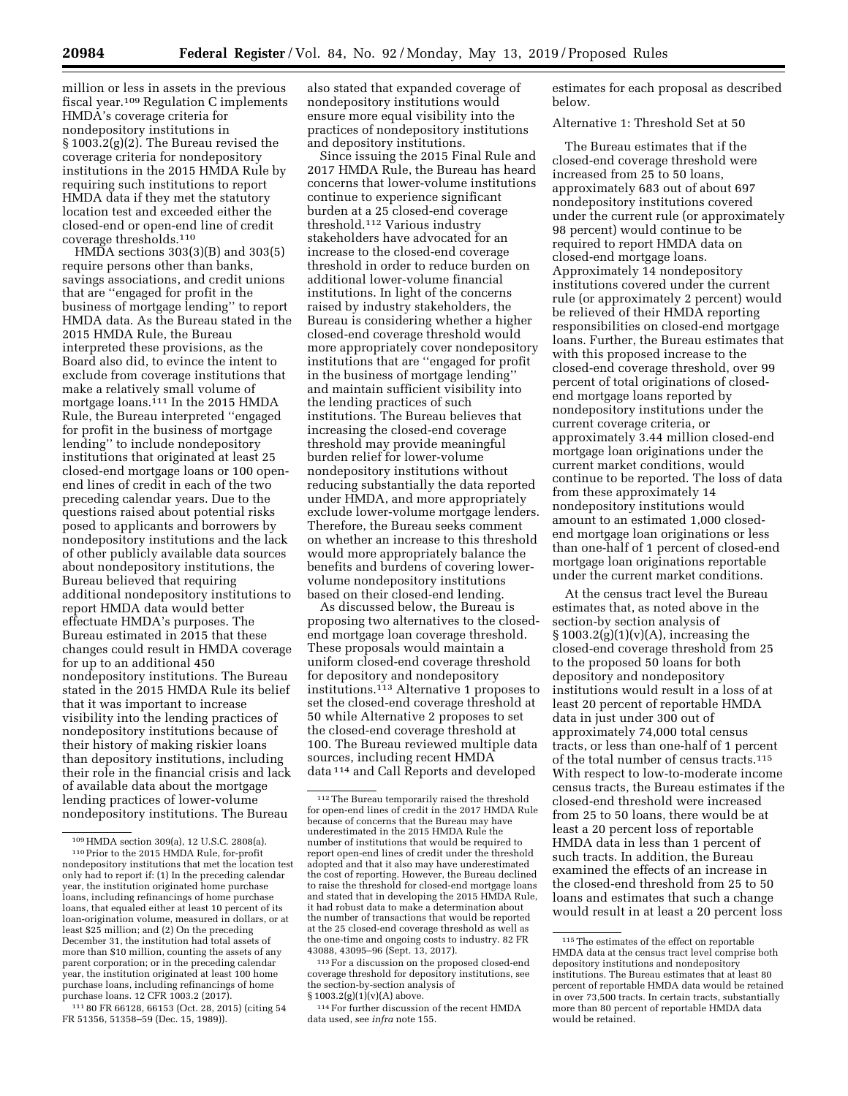million or less in assets in the previous fiscal year.109 Regulation C implements HMDA's coverage criteria for nondepository institutions in § 1003.2(g)(2). The Bureau revised the coverage criteria for nondepository institutions in the 2015 HMDA Rule by requiring such institutions to report HMDA data if they met the statutory location test and exceeded either the closed-end or open-end line of credit coverage thresholds.110

HMDA sections 303(3)(B) and 303(5) require persons other than banks, savings associations, and credit unions that are ''engaged for profit in the business of mortgage lending'' to report HMDA data. As the Bureau stated in the 2015 HMDA Rule, the Bureau interpreted these provisions, as the Board also did, to evince the intent to exclude from coverage institutions that make a relatively small volume of mortgage loans.<sup>111</sup> In the 2015 HMDA Rule, the Bureau interpreted ''engaged for profit in the business of mortgage lending'' to include nondepository institutions that originated at least 25 closed-end mortgage loans or 100 openend lines of credit in each of the two preceding calendar years. Due to the questions raised about potential risks posed to applicants and borrowers by nondepository institutions and the lack of other publicly available data sources about nondepository institutions, the Bureau believed that requiring additional nondepository institutions to report HMDA data would better effectuate HMDA's purposes. The Bureau estimated in 2015 that these changes could result in HMDA coverage for up to an additional 450 nondepository institutions. The Bureau stated in the 2015 HMDA Rule its belief that it was important to increase visibility into the lending practices of nondepository institutions because of their history of making riskier loans than depository institutions, including their role in the financial crisis and lack of available data about the mortgage lending practices of lower-volume nondepository institutions. The Bureau

111 80 FR 66128, 66153 (Oct. 28, 2015) (citing 54 FR 51356, 51358–59 (Dec. 15, 1989)).

also stated that expanded coverage of nondepository institutions would ensure more equal visibility into the practices of nondepository institutions and depository institutions.

Since issuing the 2015 Final Rule and 2017 HMDA Rule, the Bureau has heard concerns that lower-volume institutions continue to experience significant burden at a 25 closed-end coverage threshold.112 Various industry stakeholders have advocated for an increase to the closed-end coverage threshold in order to reduce burden on additional lower-volume financial institutions. In light of the concerns raised by industry stakeholders, the Bureau is considering whether a higher closed-end coverage threshold would more appropriately cover nondepository institutions that are ''engaged for profit in the business of mortgage lending'' and maintain sufficient visibility into the lending practices of such institutions. The Bureau believes that increasing the closed-end coverage threshold may provide meaningful burden relief for lower-volume nondepository institutions without reducing substantially the data reported under HMDA, and more appropriately exclude lower-volume mortgage lenders. Therefore, the Bureau seeks comment on whether an increase to this threshold would more appropriately balance the benefits and burdens of covering lowervolume nondepository institutions based on their closed-end lending.

As discussed below, the Bureau is proposing two alternatives to the closedend mortgage loan coverage threshold. These proposals would maintain a uniform closed-end coverage threshold for depository and nondepository institutions.113 Alternative 1 proposes to set the closed-end coverage threshold at 50 while Alternative 2 proposes to set the closed-end coverage threshold at 100. The Bureau reviewed multiple data sources, including recent HMDA data 114 and Call Reports and developed

113For a discussion on the proposed closed-end coverage threshold for depository institutions, see the section-by-section analysis of  $$1003.2(g)(1)(v)(A)$  above.

114For further discussion of the recent HMDA data used, see *infra* note 155.

estimates for each proposal as described below.

Alternative 1: Threshold Set at 50

The Bureau estimates that if the closed-end coverage threshold were increased from 25 to 50 loans, approximately 683 out of about 697 nondepository institutions covered under the current rule (or approximately 98 percent) would continue to be required to report HMDA data on closed-end mortgage loans. Approximately 14 nondepository institutions covered under the current rule (or approximately 2 percent) would be relieved of their HMDA reporting responsibilities on closed-end mortgage loans. Further, the Bureau estimates that with this proposed increase to the closed-end coverage threshold, over 99 percent of total originations of closedend mortgage loans reported by nondepository institutions under the current coverage criteria, or approximately 3.44 million closed-end mortgage loan originations under the current market conditions, would continue to be reported. The loss of data from these approximately 14 nondepository institutions would amount to an estimated 1,000 closedend mortgage loan originations or less than one-half of 1 percent of closed-end mortgage loan originations reportable under the current market conditions.

At the census tract level the Bureau estimates that, as noted above in the section-by section analysis of  $\S 1003.2(g)(1)(v)(A)$ , increasing the closed-end coverage threshold from 25 to the proposed 50 loans for both depository and nondepository institutions would result in a loss of at least 20 percent of reportable HMDA data in just under 300 out of approximately 74,000 total census tracts, or less than one-half of 1 percent of the total number of census tracts.115 With respect to low-to-moderate income census tracts, the Bureau estimates if the closed-end threshold were increased from 25 to 50 loans, there would be at least a 20 percent loss of reportable HMDA data in less than 1 percent of such tracts. In addition, the Bureau examined the effects of an increase in the closed-end threshold from 25 to 50 loans and estimates that such a change would result in at least a 20 percent loss

<sup>109</sup>HMDA section 309(a), 12 U.S.C. 2808(a). 110Prior to the 2015 HMDA Rule, for-profit nondepository institutions that met the location test only had to report if: (1) In the preceding calendar year, the institution originated home purchase loans, including refinancings of home purchase loans, that equaled either at least 10 percent of its loan-origination volume, measured in dollars, or at least \$25 million; and (2) On the preceding December 31, the institution had total assets of more than \$10 million, counting the assets of any parent corporation; or in the preceding calendar year, the institution originated at least 100 home purchase loans, including refinancings of home purchase loans. 12 CFR 1003.2 (2017).

<sup>112</sup>The Bureau temporarily raised the threshold for open-end lines of credit in the 2017 HMDA Rule because of concerns that the Bureau may have underestimated in the 2015 HMDA Rule the number of institutions that would be required to report open-end lines of credit under the threshold adopted and that it also may have underestimated the cost of reporting. However, the Bureau declined to raise the threshold for closed-end mortgage loans and stated that in developing the 2015 HMDA Rule, it had robust data to make a determination about the number of transactions that would be reported at the 25 closed-end coverage threshold as well as the one-time and ongoing costs to industry. 82 FR 43088, 43095–96 (Sept. 13, 2017).

<sup>115</sup>The estimates of the effect on reportable HMDA data at the census tract level comprise both depository institutions and nondepository institutions. The Bureau estimates that at least 80 percent of reportable HMDA data would be retained in over 73,500 tracts. In certain tracts, substantially more than 80 percent of reportable HMDA data would be retained.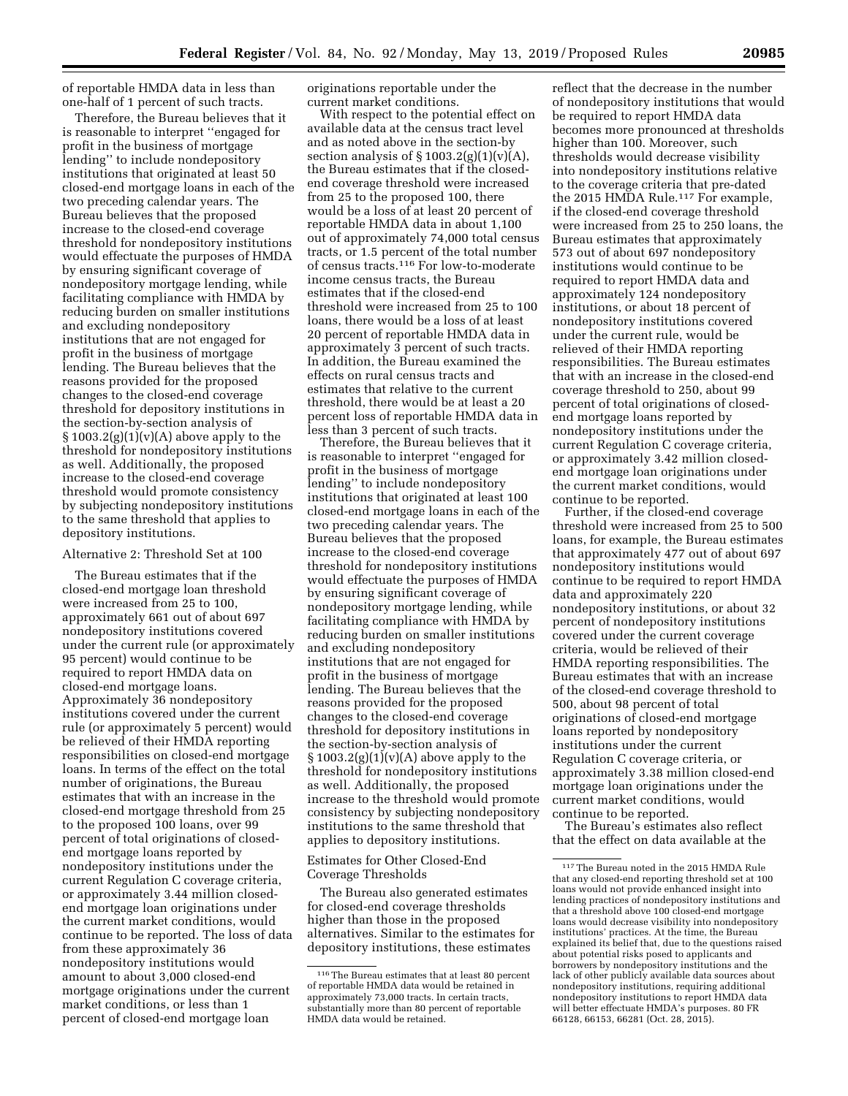of reportable HMDA data in less than one-half of 1 percent of such tracts.

Therefore, the Bureau believes that it is reasonable to interpret ''engaged for profit in the business of mortgage lending'' to include nondepository institutions that originated at least 50 closed-end mortgage loans in each of the two preceding calendar years. The Bureau believes that the proposed increase to the closed-end coverage threshold for nondepository institutions would effectuate the purposes of HMDA by ensuring significant coverage of nondepository mortgage lending, while facilitating compliance with HMDA by reducing burden on smaller institutions and excluding nondepository institutions that are not engaged for profit in the business of mortgage lending. The Bureau believes that the reasons provided for the proposed changes to the closed-end coverage threshold for depository institutions in the section-by-section analysis of  $\S 1003.2(g)(1)(v)(A)$  above apply to the threshold for nondepository institutions as well. Additionally, the proposed increase to the closed-end coverage threshold would promote consistency by subjecting nondepository institutions to the same threshold that applies to depository institutions.

#### Alternative 2: Threshold Set at 100

The Bureau estimates that if the closed-end mortgage loan threshold were increased from 25 to 100, approximately 661 out of about 697 nondepository institutions covered under the current rule (or approximately 95 percent) would continue to be required to report HMDA data on closed-end mortgage loans. Approximately 36 nondepository institutions covered under the current rule (or approximately 5 percent) would be relieved of their HMDA reporting responsibilities on closed-end mortgage loans. In terms of the effect on the total number of originations, the Bureau estimates that with an increase in the closed-end mortgage threshold from 25 to the proposed 100 loans, over 99 percent of total originations of closedend mortgage loans reported by nondepository institutions under the current Regulation C coverage criteria, or approximately 3.44 million closedend mortgage loan originations under the current market conditions, would continue to be reported. The loss of data from these approximately 36 nondepository institutions would amount to about 3,000 closed-end mortgage originations under the current market conditions, or less than 1 percent of closed-end mortgage loan

originations reportable under the current market conditions.

With respect to the potential effect on available data at the census tract level and as noted above in the section-by section analysis of  $\S 1003.2(g)(1)(v)(A)$ , the Bureau estimates that if the closedend coverage threshold were increased from 25 to the proposed 100, there would be a loss of at least 20 percent of reportable HMDA data in about 1,100 out of approximately 74,000 total census tracts, or 1.5 percent of the total number of census tracts.116 For low-to-moderate income census tracts, the Bureau estimates that if the closed-end threshold were increased from 25 to 100 loans, there would be a loss of at least 20 percent of reportable HMDA data in approximately 3 percent of such tracts. In addition, the Bureau examined the effects on rural census tracts and estimates that relative to the current threshold, there would be at least a 20 percent loss of reportable HMDA data in less than 3 percent of such tracts.

Therefore, the Bureau believes that it is reasonable to interpret ''engaged for profit in the business of mortgage lending'' to include nondepository institutions that originated at least 100 closed-end mortgage loans in each of the two preceding calendar years. The Bureau believes that the proposed increase to the closed-end coverage threshold for nondepository institutions would effectuate the purposes of HMDA by ensuring significant coverage of nondepository mortgage lending, while facilitating compliance with HMDA by reducing burden on smaller institutions and excluding nondepository institutions that are not engaged for profit in the business of mortgage lending. The Bureau believes that the reasons provided for the proposed changes to the closed-end coverage threshold for depository institutions in the section-by-section analysis of  $\S 1003.2(g)(1)(v)(A)$  above apply to the threshold for nondepository institutions as well. Additionally, the proposed increase to the threshold would promote consistency by subjecting nondepository institutions to the same threshold that applies to depository institutions.

### Estimates for Other Closed-End Coverage Thresholds

The Bureau also generated estimates for closed-end coverage thresholds higher than those in the proposed alternatives. Similar to the estimates for depository institutions, these estimates

reflect that the decrease in the number of nondepository institutions that would be required to report HMDA data becomes more pronounced at thresholds higher than 100. Moreover, such thresholds would decrease visibility into nondepository institutions relative to the coverage criteria that pre-dated the 2015 HMDA Rule.117 For example, if the closed-end coverage threshold were increased from 25 to 250 loans, the Bureau estimates that approximately 573 out of about 697 nondepository institutions would continue to be required to report HMDA data and approximately 124 nondepository institutions, or about 18 percent of nondepository institutions covered under the current rule, would be relieved of their HMDA reporting responsibilities. The Bureau estimates that with an increase in the closed-end coverage threshold to 250, about 99 percent of total originations of closedend mortgage loans reported by nondepository institutions under the current Regulation C coverage criteria, or approximately 3.42 million closedend mortgage loan originations under the current market conditions, would continue to be reported.

Further, if the closed-end coverage threshold were increased from 25 to 500 loans, for example, the Bureau estimates that approximately 477 out of about 697 nondepository institutions would continue to be required to report HMDA data and approximately 220 nondepository institutions, or about 32 percent of nondepository institutions covered under the current coverage criteria, would be relieved of their HMDA reporting responsibilities. The Bureau estimates that with an increase of the closed-end coverage threshold to 500, about 98 percent of total originations of closed-end mortgage loans reported by nondepository institutions under the current Regulation C coverage criteria, or approximately 3.38 million closed-end mortgage loan originations under the current market conditions, would continue to be reported.

The Bureau's estimates also reflect that the effect on data available at the

<sup>116</sup>The Bureau estimates that at least 80 percent of reportable HMDA data would be retained in approximately 73,000 tracts. In certain tracts, substantially more than 80 percent of reportable HMDA data would be retained.

<sup>117</sup>The Bureau noted in the 2015 HMDA Rule that any closed-end reporting threshold set at 100 loans would not provide enhanced insight into lending practices of nondepository institutions and that a threshold above 100 closed-end mortgage loans would decrease visibility into nondepository institutions' practices. At the time, the Bureau explained its belief that, due to the questions raised about potential risks posed to applicants and borrowers by nondepository institutions and the lack of other publicly available data sources about nondepository institutions, requiring additional nondepository institutions to report HMDA data will better effectuate HMDA's purposes. 80 FR 66128, 66153, 66281 (Oct. 28, 2015).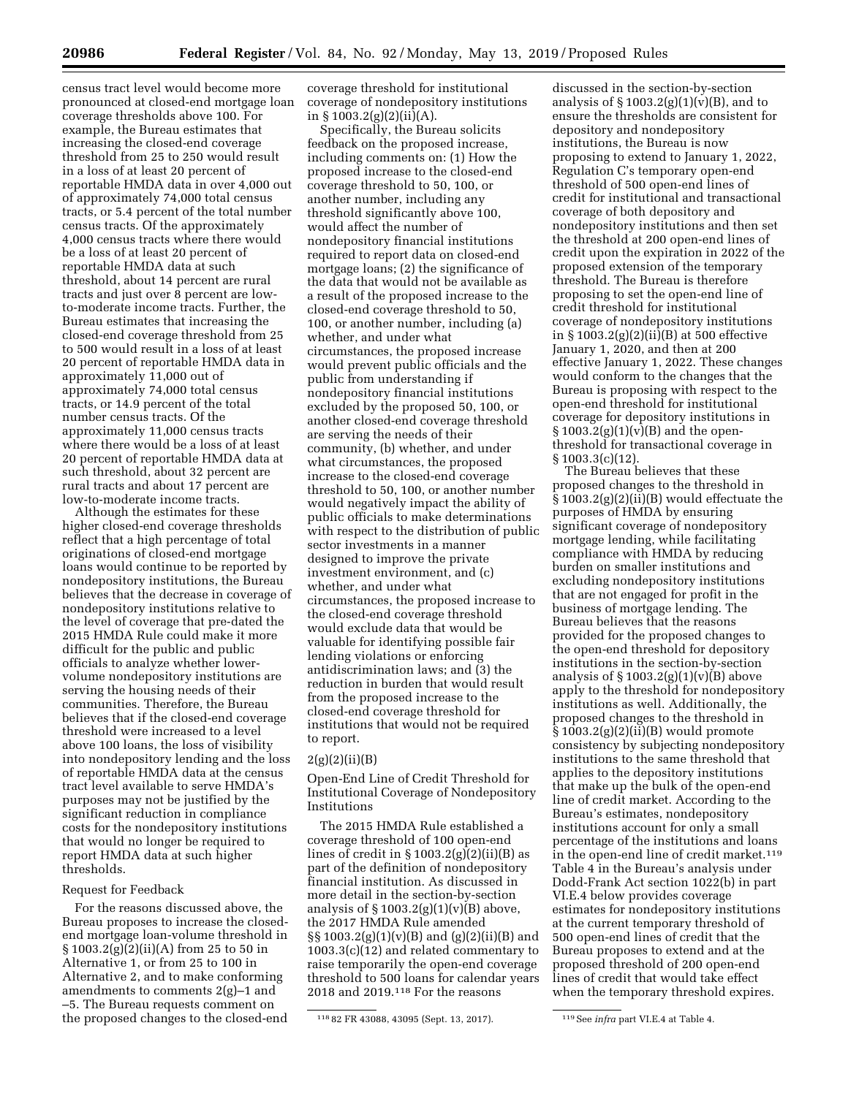census tract level would become more pronounced at closed-end mortgage loan coverage thresholds above 100. For example, the Bureau estimates that increasing the closed-end coverage threshold from 25 to 250 would result in a loss of at least 20 percent of reportable HMDA data in over 4,000 out of approximately 74,000 total census tracts, or 5.4 percent of the total number census tracts. Of the approximately 4,000 census tracts where there would be a loss of at least 20 percent of reportable HMDA data at such threshold, about 14 percent are rural tracts and just over 8 percent are lowto-moderate income tracts. Further, the Bureau estimates that increasing the closed-end coverage threshold from 25 to 500 would result in a loss of at least 20 percent of reportable HMDA data in approximately 11,000 out of approximately 74,000 total census tracts, or 14.9 percent of the total number census tracts. Of the approximately 11,000 census tracts where there would be a loss of at least 20 percent of reportable HMDA data at such threshold, about 32 percent are rural tracts and about 17 percent are low-to-moderate income tracts.

Although the estimates for these higher closed-end coverage thresholds reflect that a high percentage of total originations of closed-end mortgage loans would continue to be reported by nondepository institutions, the Bureau believes that the decrease in coverage of nondepository institutions relative to the level of coverage that pre-dated the 2015 HMDA Rule could make it more difficult for the public and public officials to analyze whether lowervolume nondepository institutions are serving the housing needs of their communities. Therefore, the Bureau believes that if the closed-end coverage threshold were increased to a level above 100 loans, the loss of visibility into nondepository lending and the loss of reportable HMDA data at the census tract level available to serve HMDA's purposes may not be justified by the significant reduction in compliance costs for the nondepository institutions that would no longer be required to report HMDA data at such higher thresholds.

### Request for Feedback

For the reasons discussed above, the Bureau proposes to increase the closedend mortgage loan-volume threshold in  $\S 1003.2(g)(2)(ii)(A)$  from 25 to 50 in Alternative 1, or from 25 to 100 in Alternative 2, and to make conforming amendments to comments 2(g)–1 and –5. The Bureau requests comment on the proposed changes to the closed-end

coverage threshold for institutional coverage of nondepository institutions in § 1003.2(g)(2)(ii)(A).

Specifically, the Bureau solicits feedback on the proposed increase, including comments on: (1) How the proposed increase to the closed-end coverage threshold to 50, 100, or another number, including any threshold significantly above 100, would affect the number of nondepository financial institutions required to report data on closed-end mortgage loans; (2) the significance of the data that would not be available as a result of the proposed increase to the closed-end coverage threshold to 50, 100, or another number, including (a) whether, and under what circumstances, the proposed increase would prevent public officials and the public from understanding if nondepository financial institutions excluded by the proposed 50, 100, or another closed-end coverage threshold are serving the needs of their community, (b) whether, and under what circumstances, the proposed increase to the closed-end coverage threshold to 50, 100, or another number would negatively impact the ability of public officials to make determinations with respect to the distribution of public sector investments in a manner designed to improve the private investment environment, and (c) whether, and under what circumstances, the proposed increase to the closed-end coverage threshold would exclude data that would be valuable for identifying possible fair lending violations or enforcing antidiscrimination laws; and (3) the reduction in burden that would result from the proposed increase to the closed-end coverage threshold for institutions that would not be required to report.

### $2(g)(2)(ii)(B)$

Open-End Line of Credit Threshold for Institutional Coverage of Nondepository Institutions

The 2015 HMDA Rule established a coverage threshold of 100 open-end lines of credit in  $\S 1003.2(g)(2)(ii)(B)$  as part of the definition of nondepository financial institution. As discussed in more detail in the section-by-section analysis of  $\S 1003.2(g)(1)(v)(B)$  above, the 2017 HMDA Rule amended §§ 1003.2(g)(1)(v)(B) and (g)(2)(ii)(B) and 1003.3(c)(12) and related commentary to raise temporarily the open-end coverage threshold to 500 loans for calendar years 2018 and 2019.118 For the reasons

discussed in the section-by-section analysis of  $\S 1003.2(g)(1)(v)(B)$ , and to ensure the thresholds are consistent for depository and nondepository institutions, the Bureau is now proposing to extend to January 1, 2022, Regulation C's temporary open-end threshold of 500 open-end lines of credit for institutional and transactional coverage of both depository and nondepository institutions and then set the threshold at 200 open-end lines of credit upon the expiration in 2022 of the proposed extension of the temporary threshold. The Bureau is therefore proposing to set the open-end line of credit threshold for institutional coverage of nondepository institutions in § 1003.2(g)(2)(ii)(B) at 500 effective January 1, 2020, and then at 200 effective January 1, 2022. These changes would conform to the changes that the Bureau is proposing with respect to the open-end threshold for institutional coverage for depository institutions in  $§ 1003.2(g)(1)(v)(B)$  and the openthreshold for transactional coverage in § 1003.3(c)(12).

The Bureau believes that these proposed changes to the threshold in § 1003.2(g)(2)(ii)(B) would effectuate the purposes of HMDA by ensuring significant coverage of nondepository mortgage lending, while facilitating compliance with HMDA by reducing burden on smaller institutions and excluding nondepository institutions that are not engaged for profit in the business of mortgage lending. The Bureau believes that the reasons provided for the proposed changes to the open-end threshold for depository institutions in the section-by-section analysis of  $\S 1003.2(g)(1)(v)(B)$  above apply to the threshold for nondepository institutions as well. Additionally, the proposed changes to the threshold in  $\S 1003.2(g)(2)(ii)(B)$  would promote consistency by subjecting nondepository institutions to the same threshold that applies to the depository institutions that make up the bulk of the open-end line of credit market. According to the Bureau's estimates, nondepository institutions account for only a small percentage of the institutions and loans in the open-end line of credit market.119 Table 4 in the Bureau's analysis under Dodd-Frank Act section 1022(b) in part VI.E.4 below provides coverage estimates for nondepository institutions at the current temporary threshold of 500 open-end lines of credit that the Bureau proposes to extend and at the proposed threshold of 200 open-end lines of credit that would take effect when the temporary threshold expires.

<sup>118</sup> 82 FR 43088, 43095 (Sept. 13, 2017). 119See *infra* part VI.E.4 at Table 4.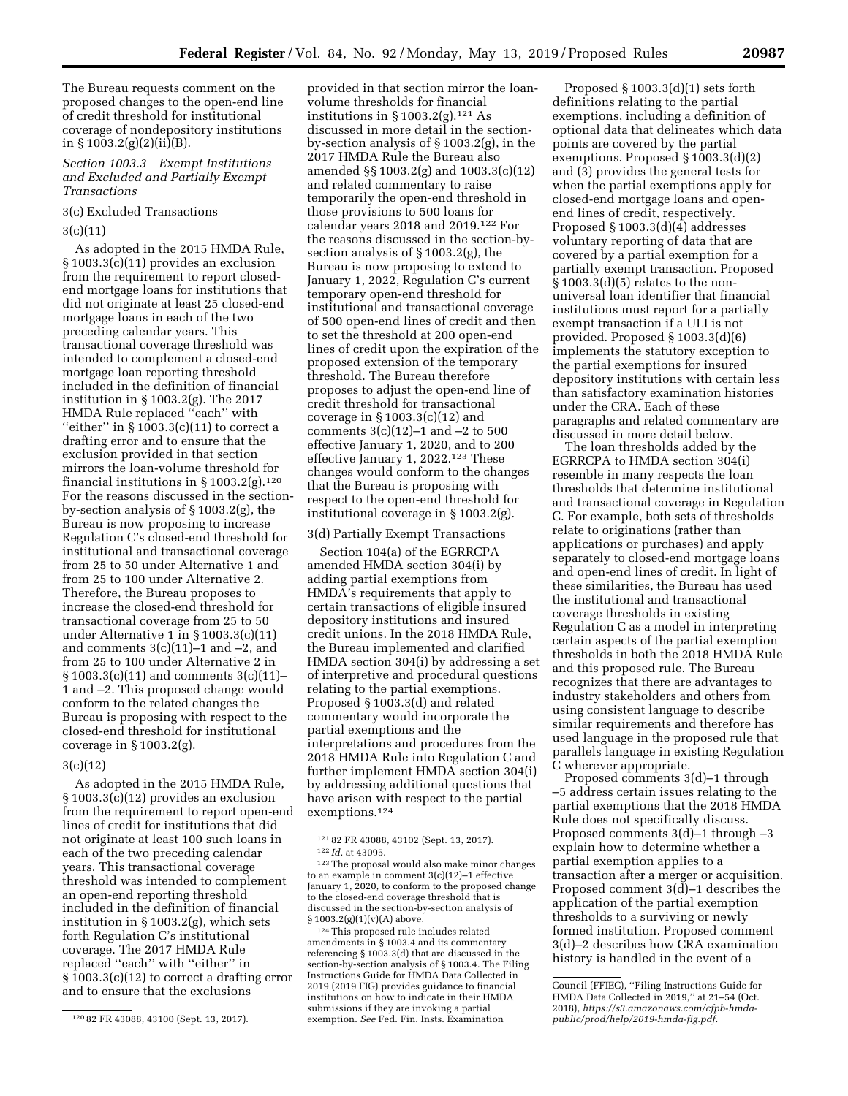The Bureau requests comment on the proposed changes to the open-end line of credit threshold for institutional coverage of nondepository institutions in § 1003.2(g)(2)(ii)(B).

### *Section 1003.3 Exempt Institutions and Excluded and Partially Exempt Transactions*

# 3(c) Excluded Transactions

### 3(c)(11)

As adopted in the 2015 HMDA Rule, § 1003.3(c)(11) provides an exclusion from the requirement to report closedend mortgage loans for institutions that did not originate at least 25 closed-end mortgage loans in each of the two preceding calendar years. This transactional coverage threshold was intended to complement a closed-end mortgage loan reporting threshold included in the definition of financial institution in § 1003.2(g). The 2017 HMDA Rule replaced ''each'' with "either" in  $\S 1003.3(c)(11)$  to correct a drafting error and to ensure that the exclusion provided in that section mirrors the loan-volume threshold for financial institutions in § 1003.2(g).<sup>120</sup> For the reasons discussed in the sectionby-section analysis of § 1003.2(g), the Bureau is now proposing to increase Regulation C's closed-end threshold for institutional and transactional coverage from 25 to 50 under Alternative 1 and from 25 to 100 under Alternative 2. Therefore, the Bureau proposes to increase the closed-end threshold for transactional coverage from 25 to 50 under Alternative 1 in § 1003.3(c)(11) and comments  $3(c)(11)-1$  and  $-2$ , and from 25 to 100 under Alternative 2 in § 1003.3(c)(11) and comments 3(c)(11)– 1 and –2. This proposed change would conform to the related changes the Bureau is proposing with respect to the closed-end threshold for institutional coverage in § 1003.2(g).

### 3(c)(12)

As adopted in the 2015 HMDA Rule, § 1003.3(c)(12) provides an exclusion from the requirement to report open-end lines of credit for institutions that did not originate at least 100 such loans in each of the two preceding calendar years. This transactional coverage threshold was intended to complement an open-end reporting threshold included in the definition of financial institution in § 1003.2(g), which sets forth Regulation C's institutional coverage. The 2017 HMDA Rule replaced ''each'' with ''either'' in § 1003.3(c)(12) to correct a drafting error and to ensure that the exclusions

provided in that section mirror the loanvolume thresholds for financial institutions in  $\S 1003.2(g)$ .<sup>121</sup> As discussed in more detail in the sectionby-section analysis of § 1003.2(g), in the 2017 HMDA Rule the Bureau also amended §§ 1003.2(g) and 1003.3(c)(12) and related commentary to raise temporarily the open-end threshold in those provisions to 500 loans for calendar years 2018 and 2019.122 For the reasons discussed in the section-bysection analysis of § 1003.2(g), the Bureau is now proposing to extend to January 1, 2022, Regulation C's current temporary open-end threshold for institutional and transactional coverage of 500 open-end lines of credit and then to set the threshold at 200 open-end lines of credit upon the expiration of the proposed extension of the temporary threshold. The Bureau therefore proposes to adjust the open-end line of credit threshold for transactional coverage in § 1003.3(c)(12) and comments 3(c)(12)–1 and –2 to 500 effective January 1, 2020, and to 200 effective January 1, 2022.123 These changes would conform to the changes that the Bureau is proposing with respect to the open-end threshold for institutional coverage in § 1003.2(g).

### 3(d) Partially Exempt Transactions

Section 104(a) of the EGRRCPA amended HMDA section 304(i) by adding partial exemptions from HMDA's requirements that apply to certain transactions of eligible insured depository institutions and insured credit unions. In the 2018 HMDA Rule, the Bureau implemented and clarified HMDA section 304(i) by addressing a set of interpretive and procedural questions relating to the partial exemptions. Proposed § 1003.3(d) and related commentary would incorporate the partial exemptions and the interpretations and procedures from the 2018 HMDA Rule into Regulation C and further implement HMDA section 304(i) by addressing additional questions that have arisen with respect to the partial exemptions.124

124This proposed rule includes related amendments in § 1003.4 and its commentary referencing § 1003.3(d) that are discussed in the section-by-section analysis of § 1003.4. The Filing Instructions Guide for HMDA Data Collected in 2019 (2019 FIG) provides guidance to financial institutions on how to indicate in their HMDA submissions if they are invoking a partial exemption. *See* Fed. Fin. Insts. Examination

Proposed § 1003.3(d)(1) sets forth definitions relating to the partial exemptions, including a definition of optional data that delineates which data points are covered by the partial exemptions. Proposed § 1003.3(d)(2) and (3) provides the general tests for when the partial exemptions apply for closed-end mortgage loans and openend lines of credit, respectively. Proposed § 1003.3(d)(4) addresses voluntary reporting of data that are covered by a partial exemption for a partially exempt transaction. Proposed § 1003.3(d)(5) relates to the nonuniversal loan identifier that financial institutions must report for a partially exempt transaction if a ULI is not provided. Proposed § 1003.3(d)(6) implements the statutory exception to the partial exemptions for insured depository institutions with certain less than satisfactory examination histories under the CRA. Each of these paragraphs and related commentary are discussed in more detail below.

The loan thresholds added by the EGRRCPA to HMDA section 304(i) resemble in many respects the loan thresholds that determine institutional and transactional coverage in Regulation C. For example, both sets of thresholds relate to originations (rather than applications or purchases) and apply separately to closed-end mortgage loans and open-end lines of credit. In light of these similarities, the Bureau has used the institutional and transactional coverage thresholds in existing Regulation C as a model in interpreting certain aspects of the partial exemption thresholds in both the 2018 HMDA Rule and this proposed rule. The Bureau recognizes that there are advantages to industry stakeholders and others from using consistent language to describe similar requirements and therefore has used language in the proposed rule that parallels language in existing Regulation C wherever appropriate.

Proposed comments 3(d)–1 through –5 address certain issues relating to the partial exemptions that the 2018 HMDA Rule does not specifically discuss. Proposed comments 3(d)–1 through –3 explain how to determine whether a partial exemption applies to a transaction after a merger or acquisition. Proposed comment  $3(d)-1$  describes the application of the partial exemption thresholds to a surviving or newly formed institution. Proposed comment 3(d)–2 describes how CRA examination history is handled in the event of a

<sup>120</sup> 82 FR 43088, 43100 (Sept. 13, 2017).

<sup>121</sup> 82 FR 43088, 43102 (Sept. 13, 2017). 122 *Id.* at 43095.

<sup>123</sup>The proposal would also make minor changes to an example in comment 3(c)(12)–1 effective January 1, 2020, to conform to the proposed change to the closed-end coverage threshold that is discussed in the section-by-section analysis of § 1003.2(g)(1)(v)(A) above.

Council (FFIEC), ''Filing Instructions Guide for HMDA Data Collected in 2019,'' at 21–54 (Oct. 2018), *[https://s3.amazonaws.com/cfpb-hmda](https://s3.amazonaws.com/cfpb-hmda-public/prod/help/2019-hmda-fig.pdf)[public/prod/help/2019-hmda-fig.pdf.](https://s3.amazonaws.com/cfpb-hmda-public/prod/help/2019-hmda-fig.pdf)*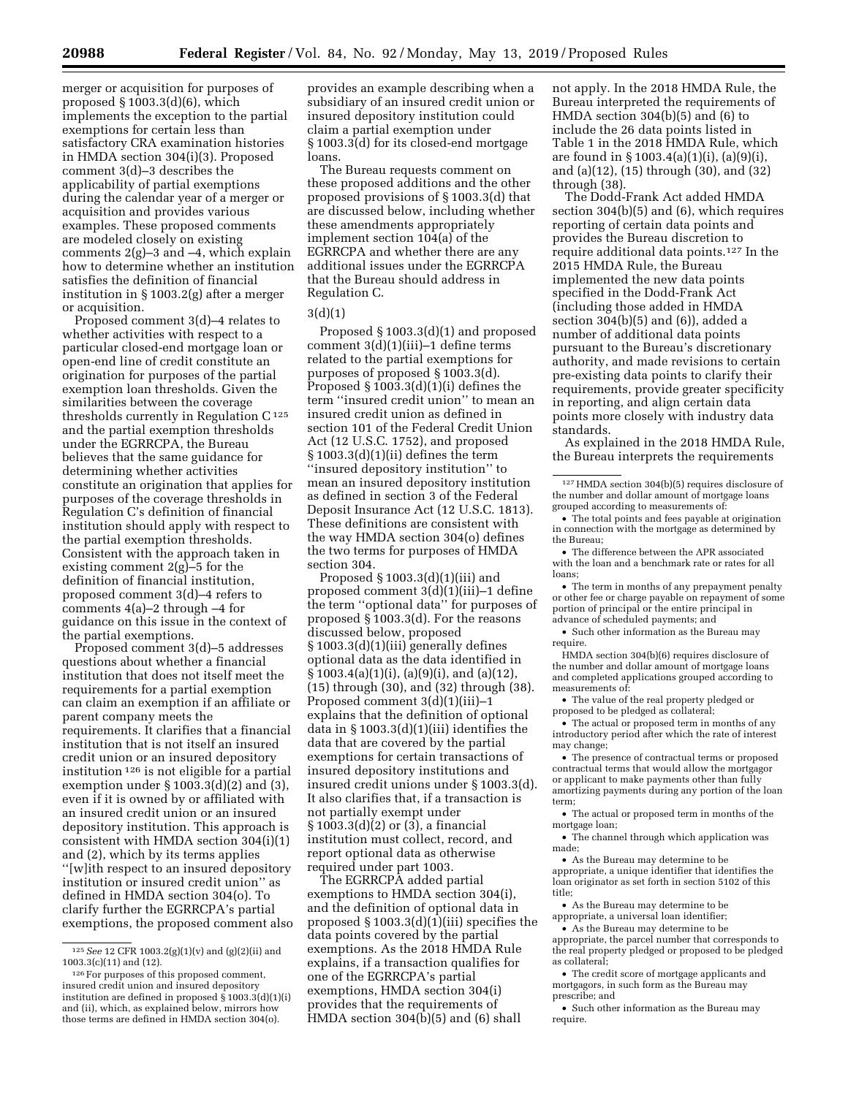merger or acquisition for purposes of proposed § 1003.3(d)(6), which implements the exception to the partial exemptions for certain less than satisfactory CRA examination histories in HMDA section 304(i)(3). Proposed comment 3(d)–3 describes the applicability of partial exemptions during the calendar year of a merger or acquisition and provides various examples. These proposed comments are modeled closely on existing comments 2(g)–3 and –4, which explain how to determine whether an institution satisfies the definition of financial institution in § 1003.2(g) after a merger or acquisition.

Proposed comment 3(d)–4 relates to whether activities with respect to a particular closed-end mortgage loan or open-end line of credit constitute an origination for purposes of the partial exemption loan thresholds. Given the similarities between the coverage thresholds currently in Regulation  $C^{125}$ and the partial exemption thresholds under the EGRRCPA, the Bureau believes that the same guidance for determining whether activities constitute an origination that applies for purposes of the coverage thresholds in Regulation C's definition of financial institution should apply with respect to the partial exemption thresholds. Consistent with the approach taken in existing comment 2(g)–5 for the definition of financial institution, proposed comment 3(d)–4 refers to comments 4(a)–2 through –4 for guidance on this issue in the context of the partial exemptions.

Proposed comment 3(d)–5 addresses questions about whether a financial institution that does not itself meet the requirements for a partial exemption can claim an exemption if an affiliate or parent company meets the requirements. It clarifies that a financial institution that is not itself an insured credit union or an insured depository institution 126 is not eligible for a partial exemption under § 1003.3(d)(2) and (3), even if it is owned by or affiliated with an insured credit union or an insured depository institution. This approach is consistent with HMDA section 304(i)(1) and (2), which by its terms applies ''[w]ith respect to an insured depository institution or insured credit union'' as defined in HMDA section 304(o). To clarify further the EGRRCPA's partial exemptions, the proposed comment also

provides an example describing when a subsidiary of an insured credit union or insured depository institution could claim a partial exemption under § 1003.3(d) for its closed-end mortgage loans.

The Bureau requests comment on these proposed additions and the other proposed provisions of § 1003.3(d) that are discussed below, including whether these amendments appropriately implement section 104(a) of the EGRRCPA and whether there are any additional issues under the EGRRCPA that the Bureau should address in Regulation C.

### 3(d)(1)

Proposed § 1003.3(d)(1) and proposed comment 3(d)(1)(iii)–1 define terms related to the partial exemptions for purposes of proposed § 1003.3(d). Proposed  $\S$  1003.3(d)(1)(i) defines the term ''insured credit union'' to mean an insured credit union as defined in section 101 of the Federal Credit Union Act (12 U.S.C. 1752), and proposed § 1003.3(d)(1)(ii) defines the term ''insured depository institution'' to mean an insured depository institution as defined in section 3 of the Federal Deposit Insurance Act (12 U.S.C. 1813). These definitions are consistent with the way HMDA section 304(o) defines the two terms for purposes of HMDA section 304.

Proposed § 1003.3(d)(1)(iii) and proposed comment 3(d)(1)(iii)–1 define the term ''optional data'' for purposes of proposed § 1003.3(d). For the reasons discussed below, proposed § 1003.3(d)(1)(iii) generally defines optional data as the data identified in § 1003.4(a)(1)(i), (a)(9)(i), and (a)(12), (15) through (30), and (32) through (38). Proposed comment 3(d)(1)(iii)–1 explains that the definition of optional data in § 1003.3(d)(1)(iii) identifies the data that are covered by the partial exemptions for certain transactions of insured depository institutions and insured credit unions under § 1003.3(d). It also clarifies that, if a transaction is not partially exempt under § 1003.3(d)(2) or (3), a financial institution must collect, record, and report optional data as otherwise required under part 1003.

The EGRRCPA added partial exemptions to HMDA section 304(i), and the definition of optional data in proposed § 1003.3(d)(1)(iii) specifies the data points covered by the partial exemptions. As the 2018 HMDA Rule explains, if a transaction qualifies for one of the EGRRCPA's partial exemptions, HMDA section 304(i) provides that the requirements of HMDA section 304(b)(5) and (6) shall

not apply. In the 2018 HMDA Rule, the Bureau interpreted the requirements of HMDA section 304(b)(5) and (6) to include the 26 data points listed in Table 1 in the 2018 HMDA Rule, which are found in § 1003.4(a)(1)(i), (a)(9)(i), and (a)(12), (15) through (30), and (32) through (38).

The Dodd-Frank Act added HMDA section 304(b)(5) and (6), which requires reporting of certain data points and provides the Bureau discretion to require additional data points.127 In the 2015 HMDA Rule, the Bureau implemented the new data points specified in the Dodd-Frank Act (including those added in HMDA section 304(b)(5) and (6)), added a number of additional data points pursuant to the Bureau's discretionary authority, and made revisions to certain pre-existing data points to clarify their requirements, provide greater specificity in reporting, and align certain data points more closely with industry data standards.

As explained in the 2018 HMDA Rule, the Bureau interprets the requirements

 $\,$  127 HMDA section 304(b)(5) requires disclosure of the number and dollar amount of mortgage loans grouped according to measurements of:

• The total points and fees payable at origination in connection with the mortgage as determined by the Bureau;

• The difference between the APR associated with the loan and a benchmark rate or rates for all loans;

• The term in months of any prepayment penalty or other fee or charge payable on repayment of some portion of principal or the entire principal in advance of scheduled payments; and

• Such other information as the Bureau may require.

HMDA section 304(b)(6) requires disclosure of the number and dollar amount of mortgage loans and completed applications grouped according to measurements of:

• The value of the real property pledged or proposed to be pledged as collateral;

• The actual or proposed term in months of any introductory period after which the rate of interest may change;

• The presence of contractual terms or proposed contractual terms that would allow the mortgagor or applicant to make payments other than fully amortizing payments during any portion of the loan term;

• The actual or proposed term in months of the mortgage loan;

• The channel through which application was made;

• As the Bureau may determine to be appropriate, a unique identifier that identifies the loan originator as set forth in section 5102 of this title;

• As the Bureau may determine to be appropriate, a universal loan identifier;

• As the Bureau may determine to be appropriate, the parcel number that corresponds to the real property pledged or proposed to be pledged as collateral;

• The credit score of mortgage applicants and mortgagors, in such form as the Bureau may prescribe; and

• Such other information as the Bureau may require.

<sup>125</sup>*See* 12 CFR 1003.2(g)(1)(v) and (g)(2)(ii) and 1003.3(c)(11) and (12).

<sup>126</sup> For purposes of this proposed comment, insured credit union and insured depository institution are defined in proposed  $\hat{\S}$  1003.3(d)(1)(i) and (ii), which, as explained below, mirrors how those terms are defined in HMDA section 304(o).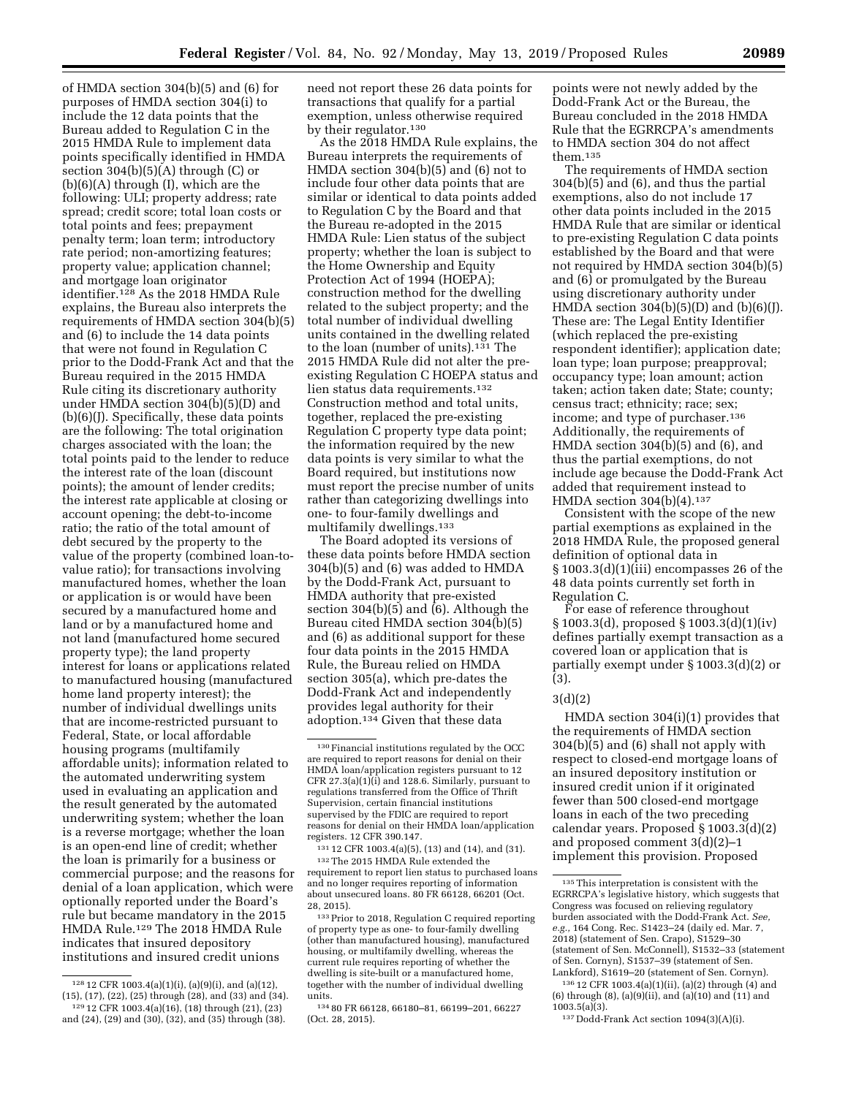of HMDA section 304(b)(5) and (6) for purposes of HMDA section 304(i) to include the 12 data points that the Bureau added to Regulation C in the 2015 HMDA Rule to implement data points specifically identified in HMDA section  $304(b)(5)(A)$  through (C) or (b)(6)(A) through (I), which are the following: ULI; property address; rate spread; credit score; total loan costs or total points and fees; prepayment penalty term; loan term; introductory rate period; non-amortizing features; property value; application channel; and mortgage loan originator identifier.128 As the 2018 HMDA Rule explains, the Bureau also interprets the requirements of HMDA section 304(b)(5) and (6) to include the 14 data points that were not found in Regulation C prior to the Dodd-Frank Act and that the Bureau required in the 2015 HMDA Rule citing its discretionary authority under HMDA section 304(b)(5)(D) and (b)(6)(J). Specifically, these data points are the following: The total origination charges associated with the loan; the total points paid to the lender to reduce the interest rate of the loan (discount points); the amount of lender credits; the interest rate applicable at closing or account opening; the debt-to-income ratio; the ratio of the total amount of debt secured by the property to the value of the property (combined loan-tovalue ratio); for transactions involving manufactured homes, whether the loan or application is or would have been secured by a manufactured home and land or by a manufactured home and not land (manufactured home secured property type); the land property interest for loans or applications related to manufactured housing (manufactured home land property interest); the number of individual dwellings units that are income-restricted pursuant to Federal, State, or local affordable housing programs (multifamily affordable units); information related to the automated underwriting system used in evaluating an application and the result generated by the automated underwriting system; whether the loan is a reverse mortgage; whether the loan is an open-end line of credit; whether the loan is primarily for a business or commercial purpose; and the reasons for denial of a loan application, which were optionally reported under the Board's rule but became mandatory in the 2015 HMDA Rule.129 The 2018 HMDA Rule indicates that insured depository institutions and insured credit unions

As the 2018 HMDA Rule explains, the Bureau interprets the requirements of HMDA section 304(b)(5) and (6) not to include four other data points that are similar or identical to data points added to Regulation C by the Board and that the Bureau re-adopted in the 2015 HMDA Rule: Lien status of the subject property; whether the loan is subject to the Home Ownership and Equity Protection Act of 1994 (HOEPA); construction method for the dwelling related to the subject property; and the total number of individual dwelling units contained in the dwelling related to the loan (number of units).131 The 2015 HMDA Rule did not alter the preexisting Regulation C HOEPA status and lien status data requirements.<sup>132</sup> Construction method and total units, together, replaced the pre-existing Regulation C property type data point; the information required by the new data points is very similar to what the Board required, but institutions now must report the precise number of units rather than categorizing dwellings into one- to four-family dwellings and multifamily dwellings.133

The Board adopted its versions of these data points before HMDA section 304(b)(5) and (6) was added to HMDA by the Dodd-Frank Act, pursuant to HMDA authority that pre-existed section 304(b)(5) and (6). Although the Bureau cited HMDA section 304(b)(5) and (6) as additional support for these four data points in the 2015 HMDA Rule, the Bureau relied on HMDA section 305(a), which pre-dates the Dodd-Frank Act and independently provides legal authority for their adoption.134 Given that these data

131 12 CFR 1003.4(a)(5), (13) and (14), and (31).

132The 2015 HMDA Rule extended the requirement to report lien status to purchased loans and no longer requires reporting of information about unsecured loans. 80 FR 66128, 66201 (Oct. 28, 2015).

133Prior to 2018, Regulation C required reporting of property type as one- to four-family dwelling (other than manufactured housing), manufactured housing, or multifamily dwelling, whereas the current rule requires reporting of whether the dwelling is site-built or a manufactured home, together with the number of individual dwelling units.

points were not newly added by the Dodd-Frank Act or the Bureau, the Bureau concluded in the 2018 HMDA Rule that the EGRRCPA's amendments to HMDA section 304 do not affect them.135

The requirements of HMDA section 304(b)(5) and (6), and thus the partial exemptions, also do not include 17 other data points included in the 2015 HMDA Rule that are similar or identical to pre-existing Regulation C data points established by the Board and that were not required by HMDA section 304(b)(5) and (6) or promulgated by the Bureau using discretionary authority under HMDA section  $304(b)(5)(D)$  and  $(b)(6)(J)$ . These are: The Legal Entity Identifier (which replaced the pre-existing respondent identifier); application date; loan type; loan purpose; preapproval; occupancy type; loan amount; action taken; action taken date; State; county; census tract; ethnicity; race; sex; income; and type of purchaser.<sup>136</sup> Additionally, the requirements of HMDA section 304(b)(5) and (6), and thus the partial exemptions, do not include age because the Dodd-Frank Act added that requirement instead to HMDA section  $304(b)(4)$ .<sup>137</sup>

Consistent with the scope of the new partial exemptions as explained in the 2018 HMDA Rule, the proposed general definition of optional data in § 1003.3(d)(1)(iii) encompasses 26 of the 48 data points currently set forth in Regulation C.

For ease of reference throughout § 1003.3(d), proposed § 1003.3(d)(1)(iv) defines partially exempt transaction as a covered loan or application that is partially exempt under § 1003.3(d)(2) or (3).

### 3(d)(2)

HMDA section 304(i)(1) provides that the requirements of HMDA section 304(b)(5) and (6) shall not apply with respect to closed-end mortgage loans of an insured depository institution or insured credit union if it originated fewer than 500 closed-end mortgage loans in each of the two preceding calendar years. Proposed § 1003.3(d)(2) and proposed comment 3(d)(2)–1 implement this provision. Proposed

136 12 CFR 1003.4(a)(1)(ii), (a)(2) through (4) and (6) through (8), (a)(9)(ii), and (a)(10) and (11) and 1003.5(a)(3).

137 Dodd-Frank Act section 1094(3)(A)(i).

<sup>128</sup> 12 CFR 1003.4(a)(1)(i), (a)(9)(i), and (a)(12), (15), (17), (22), (25) through (28), and (33) and (34). 129 12 CFR 1003.4(a)(16), (18) through (21), (23) and (24), (29) and (30), (32), and (35) through (38).

need not report these 26 data points for transactions that qualify for a partial exemption, unless otherwise required by their regulator.130

<sup>130</sup>Financial institutions regulated by the OCC are required to report reasons for denial on their HMDA loan/application registers pursuant to 12 CFR 27.3(a)(1)(i) and 128.6. Similarly, pursuant to regulations transferred from the Office of Thrift Supervision, certain financial institutions supervised by the FDIC are required to report reasons for denial on their HMDA loan/application registers. 12 CFR 390.147.

<sup>134</sup> 80 FR 66128, 66180–81, 66199–201, 66227 (Oct. 28, 2015).

<sup>135</sup>This interpretation is consistent with the EGRRCPA's legislative history, which suggests that Congress was focused on relieving regulatory burden associated with the Dodd-Frank Act. *See, e.g.,* 164 Cong. Rec. S1423–24 (daily ed. Mar. 7, 2018) (statement of Sen. Crapo), S1529–30 (statement of Sen. McConnell), S1532–33 (statement of Sen. Cornyn), S1537–39 (statement of Sen. Lankford), S1619–20 (statement of Sen. Cornyn).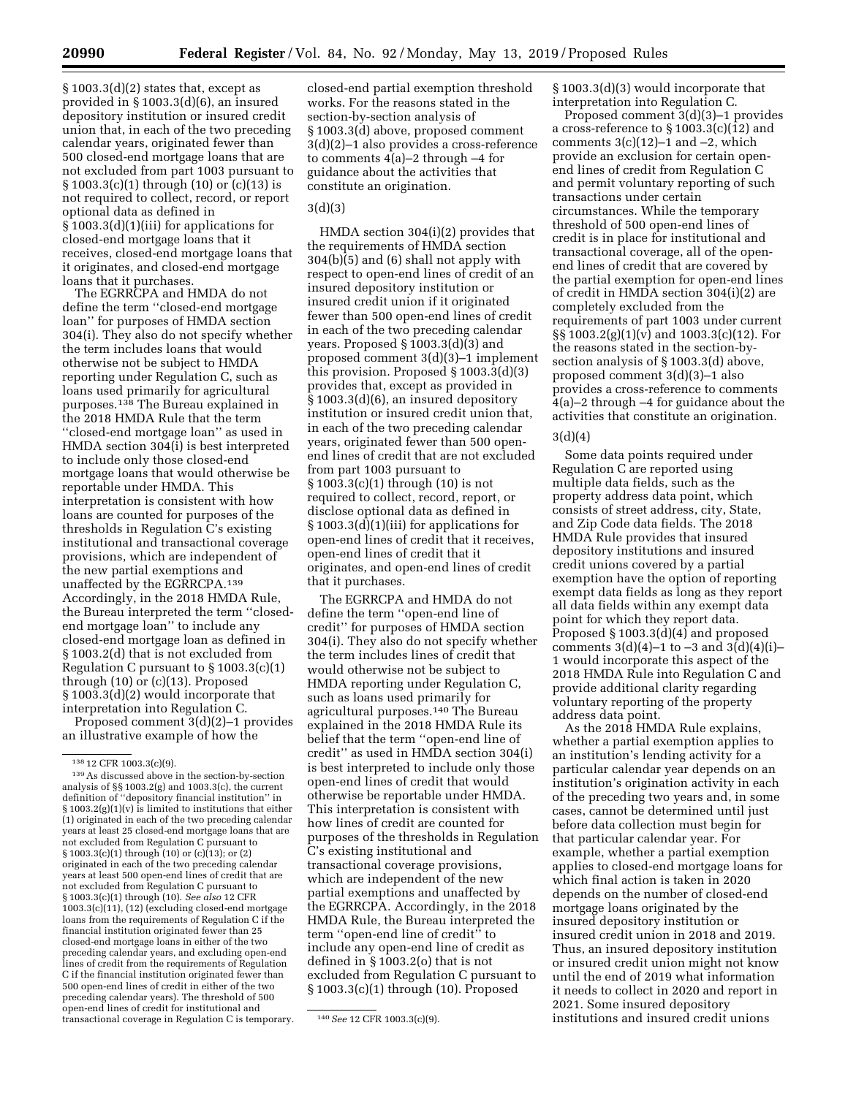$§ 1003.3(d)(2)$  states that, except as provided in § 1003.3(d)(6), an insured depository institution or insured credit union that, in each of the two preceding calendar years, originated fewer than 500 closed-end mortgage loans that are not excluded from part 1003 pursuant to § 1003.3(c)(1) through (10) or (c)(13) is not required to collect, record, or report optional data as defined in § 1003.3(d)(1)(iii) for applications for closed-end mortgage loans that it receives, closed-end mortgage loans that it originates, and closed-end mortgage loans that it purchases.

The EGRRCPA and HMDA do not define the term ''closed-end mortgage loan'' for purposes of HMDA section 304(i). They also do not specify whether the term includes loans that would otherwise not be subject to HMDA reporting under Regulation C, such as loans used primarily for agricultural purposes.138 The Bureau explained in the 2018 HMDA Rule that the term ''closed-end mortgage loan'' as used in HMDA section 304(i) is best interpreted to include only those closed-end mortgage loans that would otherwise be reportable under HMDA. This interpretation is consistent with how loans are counted for purposes of the thresholds in Regulation C's existing institutional and transactional coverage provisions, which are independent of the new partial exemptions and unaffected by the EGRRCPA.139 Accordingly, in the 2018 HMDA Rule, the Bureau interpreted the term ''closedend mortgage loan'' to include any closed-end mortgage loan as defined in § 1003.2(d) that is not excluded from Regulation C pursuant to § 1003.3(c)(1) through (10) or (c)(13). Proposed § 1003.3(d)(2) would incorporate that interpretation into Regulation C.

Proposed comment 3(d)(2)–1 provides an illustrative example of how the

closed-end partial exemption threshold works. For the reasons stated in the section-by-section analysis of § 1003.3(d) above, proposed comment 3(d)(2)–1 also provides a cross-reference to comments 4(a)–2 through –4 for guidance about the activities that constitute an origination.

### 3(d)(3)

HMDA section 304(i)(2) provides that the requirements of HMDA section 304(b)(5) and (6) shall not apply with respect to open-end lines of credit of an insured depository institution or insured credit union if it originated fewer than 500 open-end lines of credit in each of the two preceding calendar years. Proposed § 1003.3(d)(3) and proposed comment 3(d)(3)–1 implement this provision. Proposed § 1003.3(d)(3) provides that, except as provided in § 1003.3(d)(6), an insured depository institution or insured credit union that, in each of the two preceding calendar years, originated fewer than 500 openend lines of credit that are not excluded from part 1003 pursuant to § 1003.3(c)(1) through (10) is not required to collect, record, report, or disclose optional data as defined in § 1003.3(d)(1)(iii) for applications for open-end lines of credit that it receives, open-end lines of credit that it originates, and open-end lines of credit that it purchases.

The EGRRCPA and HMDA do not define the term ''open-end line of credit'' for purposes of HMDA section 304(i). They also do not specify whether the term includes lines of credit that would otherwise not be subject to HMDA reporting under Regulation C, such as loans used primarily for agricultural purposes.140 The Bureau explained in the 2018 HMDA Rule its belief that the term ''open-end line of credit'' as used in HMDA section 304(i) is best interpreted to include only those open-end lines of credit that would otherwise be reportable under HMDA. This interpretation is consistent with how lines of credit are counted for purposes of the thresholds in Regulation C's existing institutional and transactional coverage provisions, which are independent of the new partial exemptions and unaffected by the EGRRCPA. Accordingly, in the 2018 HMDA Rule, the Bureau interpreted the term ''open-end line of credit'' to include any open-end line of credit as defined in § 1003.2(o) that is not excluded from Regulation C pursuant to § 1003.3(c)(1) through (10). Proposed

§ 1003.3(d)(3) would incorporate that interpretation into Regulation C.

Proposed comment 3(d)(3)–1 provides a cross-reference to § 1003.3(c)(12) and comments  $3(c)(12)-1$  and  $-2$ , which provide an exclusion for certain openend lines of credit from Regulation C and permit voluntary reporting of such transactions under certain circumstances. While the temporary threshold of 500 open-end lines of credit is in place for institutional and transactional coverage, all of the openend lines of credit that are covered by the partial exemption for open-end lines of credit in HMDA section 304(i)(2) are completely excluded from the requirements of part 1003 under current §§ 1003.2(g)(1)(v) and 1003.3(c)(12). For the reasons stated in the section-bysection analysis of § 1003.3(d) above, proposed comment 3(d)(3)–1 also provides a cross-reference to comments 4(a)–2 through –4 for guidance about the activities that constitute an origination.

#### 3(d)(4)

Some data points required under Regulation C are reported using multiple data fields, such as the property address data point, which consists of street address, city, State, and Zip Code data fields. The 2018 HMDA Rule provides that insured depository institutions and insured credit unions covered by a partial exemption have the option of reporting exempt data fields as long as they report all data fields within any exempt data point for which they report data. Proposed § 1003.3(d)(4) and proposed comments  $3(d)(4)-1$  to  $-3$  and  $3(d)(4)(i)$ – 1 would incorporate this aspect of the 2018 HMDA Rule into Regulation C and provide additional clarity regarding voluntary reporting of the property address data point.

As the 2018 HMDA Rule explains, whether a partial exemption applies to an institution's lending activity for a particular calendar year depends on an institution's origination activity in each of the preceding two years and, in some cases, cannot be determined until just before data collection must begin for that particular calendar year. For example, whether a partial exemption applies to closed-end mortgage loans for which final action is taken in 2020 depends on the number of closed-end mortgage loans originated by the insured depository institution or insured credit union in 2018 and 2019. Thus, an insured depository institution or insured credit union might not know until the end of 2019 what information it needs to collect in 2020 and report in 2021. Some insured depository institutions and insured credit unions

<sup>138</sup> 12 CFR 1003.3(c)(9).

<sup>139</sup>As discussed above in the section-by-section analysis of §§ 1003.2(g) and 1003.3(c), the current definition of ''depository financial institution'' in § 1003.2(g)(1)(v) is limited to institutions that either (1) originated in each of the two preceding calendar years at least 25 closed-end mortgage loans that are not excluded from Regulation C pursuant to § 1003.3(c)(1) through (10) or (c)(13); or (2) originated in each of the two preceding calendar years at least 500 open-end lines of credit that are not excluded from Regulation C pursuant to § 1003.3(c)(1) through (10). *See also* 12 CFR 1003.3(c)(11), (12) (excluding closed-end mortgage loans from the requirements of Regulation C if the financial institution originated fewer than 25 closed-end mortgage loans in either of the two preceding calendar years, and excluding open-end lines of credit from the requirements of Regulation C if the financial institution originated fewer than 500 open-end lines of credit in either of the two preceding calendar years). The threshold of 500 open-end lines of credit for institutional and transactional coverage in Regulation C is temporary. 140*See* 12 CFR 1003.3(c)(9).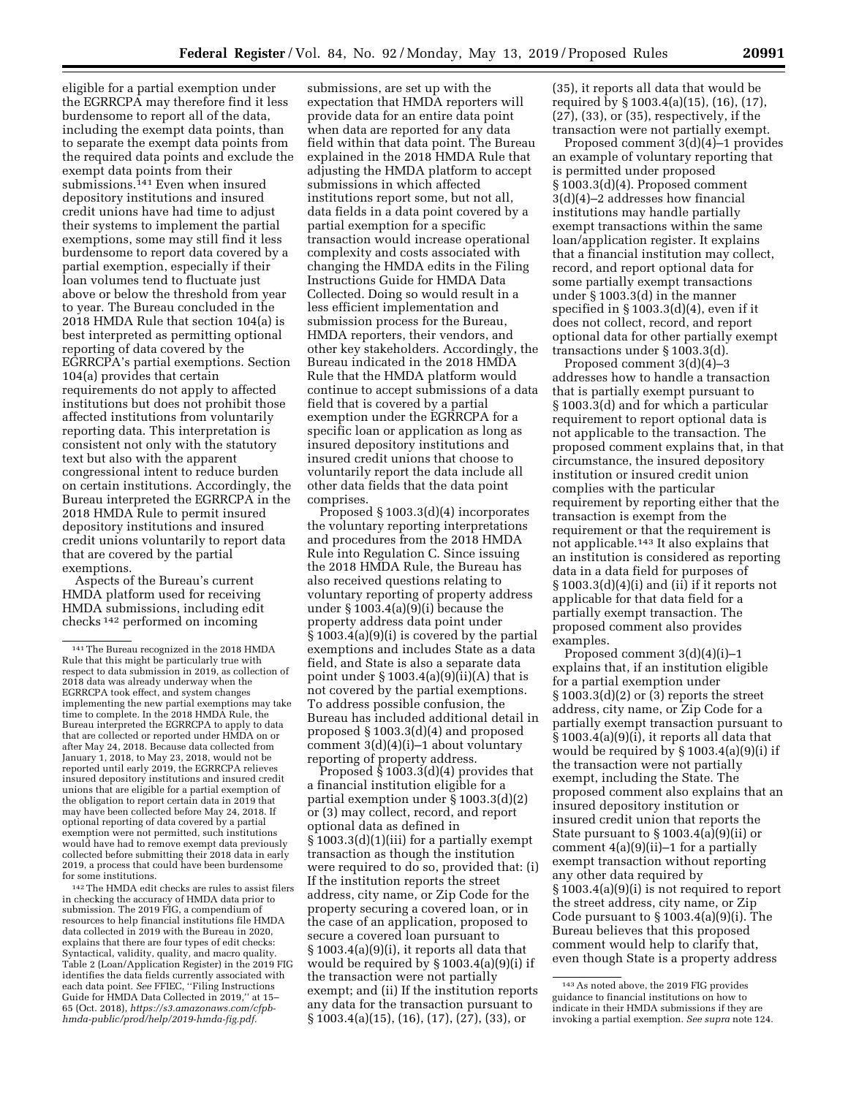eligible for a partial exemption under the EGRRCPA may therefore find it less burdensome to report all of the data, including the exempt data points, than to separate the exempt data points from the required data points and exclude the exempt data points from their submissions.141 Even when insured depository institutions and insured credit unions have had time to adjust their systems to implement the partial exemptions, some may still find it less burdensome to report data covered by a partial exemption, especially if their loan volumes tend to fluctuate just above or below the threshold from year to year. The Bureau concluded in the 2018 HMDA Rule that section 104(a) is best interpreted as permitting optional reporting of data covered by the EGRRCPA's partial exemptions. Section 104(a) provides that certain requirements do not apply to affected institutions but does not prohibit those affected institutions from voluntarily reporting data. This interpretation is consistent not only with the statutory text but also with the apparent congressional intent to reduce burden on certain institutions. Accordingly, the Bureau interpreted the EGRRCPA in the 2018 HMDA Rule to permit insured depository institutions and insured credit unions voluntarily to report data that are covered by the partial exemptions.

Aspects of the Bureau's current HMDA platform used for receiving HMDA submissions, including edit checks 142 performed on incoming

142The HMDA edit checks are rules to assist filers in checking the accuracy of HMDA data prior to submission. The 2019 FIG, a compendium of resources to help financial institutions file HMDA data collected in 2019 with the Bureau in 2020, explains that there are four types of edit checks: Syntactical, validity, quality, and macro quality. Table 2 (Loan/Application Register) in the 2019 FIG identifies the data fields currently associated with each data point. *See* FFIEC, ''Filing Instructions Guide for HMDA Data Collected in 2019,'' at 15– 65 (Oct. 2018), *[https://s3.amazonaws.com/cfpb](https://s3.amazonaws.com/cfpb-hmda-public/prod/help/2019-hmda-fig.pdf)[hmda-public/prod/help/2019-hmda-fig.pdf.](https://s3.amazonaws.com/cfpb-hmda-public/prod/help/2019-hmda-fig.pdf)* 

submissions, are set up with the expectation that HMDA reporters will provide data for an entire data point when data are reported for any data field within that data point. The Bureau explained in the 2018 HMDA Rule that adjusting the HMDA platform to accept submissions in which affected institutions report some, but not all, data fields in a data point covered by a partial exemption for a specific transaction would increase operational complexity and costs associated with changing the HMDA edits in the Filing Instructions Guide for HMDA Data Collected. Doing so would result in a less efficient implementation and submission process for the Bureau, HMDA reporters, their vendors, and other key stakeholders. Accordingly, the Bureau indicated in the 2018 HMDA Rule that the HMDA platform would continue to accept submissions of a data field that is covered by a partial exemption under the EGRRCPA for a specific loan or application as long as insured depository institutions and insured credit unions that choose to voluntarily report the data include all other data fields that the data point comprises.

Proposed § 1003.3(d)(4) incorporates the voluntary reporting interpretations and procedures from the 2018 HMDA Rule into Regulation C. Since issuing the 2018 HMDA Rule, the Bureau has also received questions relating to voluntary reporting of property address under § 1003.4(a)(9)(i) because the property address data point under § 1003.4(a)(9)(i) is covered by the partial exemptions and includes State as a data field, and State is also a separate data point under  $\S 1003.4(a)(9)(ii)(A)$  that is not covered by the partial exemptions. To address possible confusion, the Bureau has included additional detail in proposed § 1003.3(d)(4) and proposed comment  $3(d)(4)(i)-1$  about voluntary reporting of property address.

Proposed  $\hat{\S}$  1003.3(d)(4) provides that a financial institution eligible for a partial exemption under § 1003.3(d)(2) or (3) may collect, record, and report optional data as defined in § 1003.3(d)(1)(iii) for a partially exempt transaction as though the institution were required to do so, provided that: (i) If the institution reports the street address, city name, or Zip Code for the property securing a covered loan, or in the case of an application, proposed to secure a covered loan pursuant to § 1003.4(a)(9)(i), it reports all data that would be required by § 1003.4(a)(9)(i) if the transaction were not partially exempt; and (ii) If the institution reports any data for the transaction pursuant to § 1003.4(a)(15), (16), (17), (27), (33), or

(35), it reports all data that would be required by § 1003.4(a)(15), (16), (17), (27), (33), or (35), respectively, if the transaction were not partially exempt.

Proposed comment 3(d)(4)–1 provides an example of voluntary reporting that is permitted under proposed § 1003.3(d)(4). Proposed comment 3(d)(4)–2 addresses how financial institutions may handle partially exempt transactions within the same loan/application register. It explains that a financial institution may collect, record, and report optional data for some partially exempt transactions under § 1003.3(d) in the manner specified in § 1003.3(d)(4), even if it does not collect, record, and report optional data for other partially exempt transactions under § 1003.3(d).

Proposed comment 3(d)(4)–3 addresses how to handle a transaction that is partially exempt pursuant to § 1003.3(d) and for which a particular requirement to report optional data is not applicable to the transaction. The proposed comment explains that, in that circumstance, the insured depository institution or insured credit union complies with the particular requirement by reporting either that the transaction is exempt from the requirement or that the requirement is not applicable.143 It also explains that an institution is considered as reporting data in a data field for purposes of  $\S 1003.3(d)(4)(i)$  and  $(ii)$  if it reports not applicable for that data field for a partially exempt transaction. The proposed comment also provides examples.

Proposed comment 3(d)(4)(i)–1 explains that, if an institution eligible for a partial exemption under § 1003.3(d)(2) or (3) reports the street address, city name, or Zip Code for a partially exempt transaction pursuant to § 1003.4(a)(9)(i), it reports all data that would be required by § 1003.4(a)(9)(i) if the transaction were not partially exempt, including the State. The proposed comment also explains that an insured depository institution or insured credit union that reports the State pursuant to  $\S 1003.4(a)(9)(ii)$  or comment  $4(a)(9)(ii)-1$  for a partially exempt transaction without reporting any other data required by § 1003.4(a)(9)(i) is not required to report the street address, city name, or Zip Code pursuant to § 1003.4(a)(9)(i). The Bureau believes that this proposed comment would help to clarify that, even though State is a property address

<sup>141</sup>The Bureau recognized in the 2018 HMDA Rule that this might be particularly true with respect to data submission in 2019, as collection of 2018 data was already underway when the EGRRCPA took effect, and system changes implementing the new partial exemptions may take time to complete. In the 2018 HMDA Rule, the Bureau interpreted the EGRRCPA to apply to data that are collected or reported under HMDA on or after May 24, 2018. Because data collected from January 1, 2018, to May 23, 2018, would not be reported until early 2019, the EGRRCPA relieves insured depository institutions and insured credit unions that are eligible for a partial exemption of the obligation to report certain data in 2019 that may have been collected before May 24, 2018. If optional reporting of data covered by a partial exemption were not permitted, such institutions would have had to remove exempt data previously collected before submitting their 2018 data in early 2019, a process that could have been burdensome for some institutions.

<sup>143</sup>As noted above, the 2019 FIG provides guidance to financial institutions on how to indicate in their HMDA submissions if they are invoking a partial exemption. *See supra* note 124.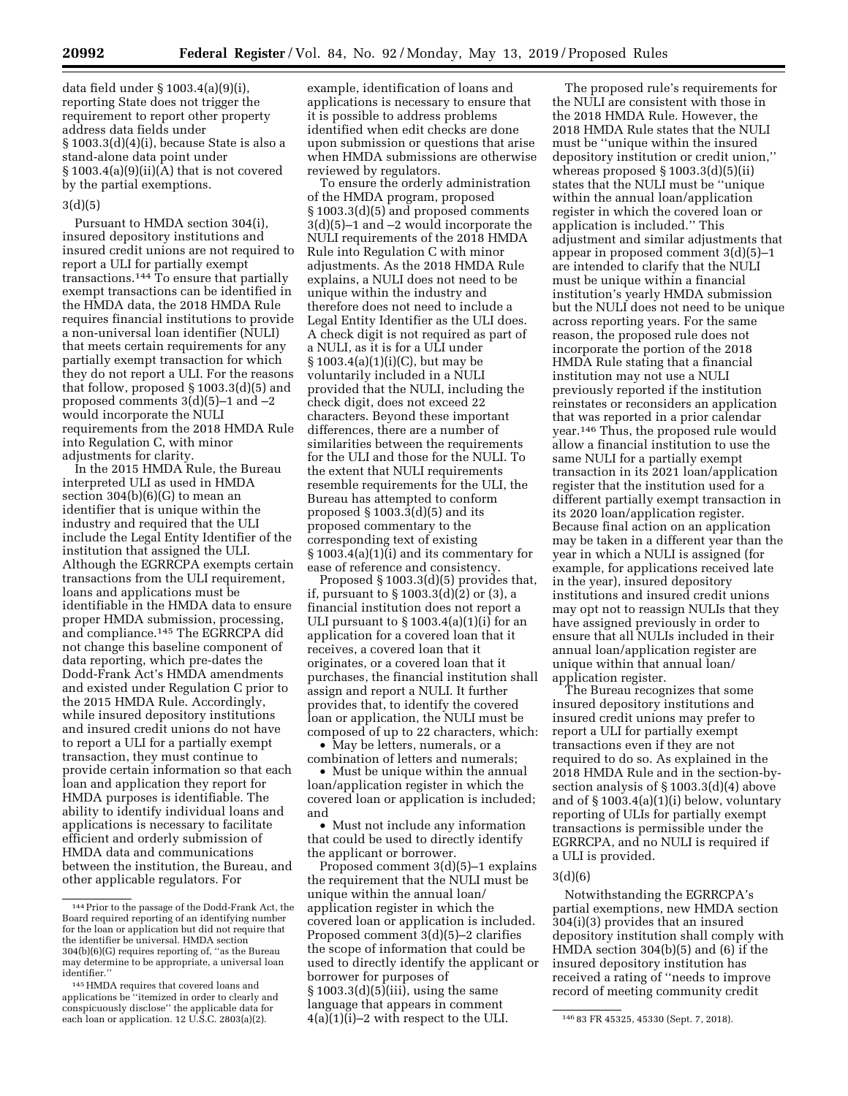data field under § 1003.4(a)(9)(i), reporting State does not trigger the requirement to report other property address data fields under § 1003.3(d)(4)(i), because State is also a stand-alone data point under  $§ 1003.4(a)(9)(ii)(A)$  that is not covered by the partial exemptions.

#### 3(d)(5)

Pursuant to HMDA section 304(i), insured depository institutions and insured credit unions are not required to report a ULI for partially exempt transactions.144 To ensure that partially exempt transactions can be identified in the HMDA data, the 2018 HMDA Rule requires financial institutions to provide a non-universal loan identifier (NULI) that meets certain requirements for any partially exempt transaction for which they do not report a ULI. For the reasons that follow, proposed § 1003.3(d)(5) and proposed comments 3(d)(5)–1 and –2 would incorporate the NULI requirements from the 2018 HMDA Rule into Regulation C, with minor adjustments for clarity.

In the 2015 HMDA Rule, the Bureau interpreted ULI as used in HMDA section  $304(b)(6)(G)$  to mean an identifier that is unique within the industry and required that the ULI include the Legal Entity Identifier of the institution that assigned the ULI. Although the EGRRCPA exempts certain transactions from the ULI requirement, loans and applications must be identifiable in the HMDA data to ensure proper HMDA submission, processing, and compliance.<sup>145</sup> The EGRRCPA did not change this baseline component of data reporting, which pre-dates the Dodd-Frank Act's HMDA amendments and existed under Regulation C prior to the 2015 HMDA Rule. Accordingly, while insured depository institutions and insured credit unions do not have to report a ULI for a partially exempt transaction, they must continue to provide certain information so that each loan and application they report for HMDA purposes is identifiable. The ability to identify individual loans and applications is necessary to facilitate efficient and orderly submission of HMDA data and communications between the institution, the Bureau, and other applicable regulators. For

example, identification of loans and applications is necessary to ensure that it is possible to address problems identified when edit checks are done upon submission or questions that arise when HMDA submissions are otherwise reviewed by regulators.

To ensure the orderly administration of the HMDA program, proposed § 1003.3(d)(5) and proposed comments 3(d)(5)–1 and –2 would incorporate the NULI requirements of the 2018 HMDA Rule into Regulation C with minor adjustments. As the 2018 HMDA Rule explains, a NULI does not need to be unique within the industry and therefore does not need to include a Legal Entity Identifier as the ULI does. A check digit is not required as part of a NULI, as it is for a ULI under § 1003.4(a)(1)(i)(C), but may be voluntarily included in a NULI provided that the NULI, including the check digit, does not exceed 22 characters. Beyond these important differences, there are a number of similarities between the requirements for the ULI and those for the NULI. To the extent that NULI requirements resemble requirements for the ULI, the Bureau has attempted to conform proposed § 1003.3(d)(5) and its proposed commentary to the corresponding text of existing § 1003.4(a)(1)(i) and its commentary for ease of reference and consistency.

Proposed § 1003.3(d)(5) provides that, if, pursuant to § 1003.3(d)(2) or (3), a financial institution does not report a ULI pursuant to  $\S 1003.4(a)(1)(i)$  for an application for a covered loan that it receives, a covered loan that it originates, or a covered loan that it purchases, the financial institution shall assign and report a NULI. It further provides that, to identify the covered loan or application, the NULI must be composed of up to 22 characters, which:

• May be letters, numerals, or a combination of letters and numerals;

• Must be unique within the annual loan/application register in which the covered loan or application is included; and

• Must not include any information that could be used to directly identify the applicant or borrower.

conspicuously disclose'' the applicable data for the diffusive of the diffusion of the ULI.<br>each loan or application. 12 U.S.C. 2803(a)(2). 4(a)(1)(i)—2 with respect to the ULI. The 83 FR 45325, 45330 (Sept. 7, 2018). Proposed comment 3(d)(5)–1 explains the requirement that the NULI must be unique within the annual loan/ application register in which the covered loan or application is included. Proposed comment 3(d)(5)–2 clarifies the scope of information that could be used to directly identify the applicant or borrower for purposes of § 1003.3(d)(5)(iii), using the same language that appears in comment  $4(a)(1)(i)-2$  with respect to the ULI.

The proposed rule's requirements for the NULI are consistent with those in the 2018 HMDA Rule. However, the 2018 HMDA Rule states that the NULI must be ''unique within the insured depository institution or credit union,'' whereas proposed  $\S 1003.3(d)(5)(ii)$ states that the NULI must be ''unique within the annual loan/application register in which the covered loan or application is included.'' This adjustment and similar adjustments that appear in proposed comment 3(d)(5)–1 are intended to clarify that the NULI must be unique within a financial institution's yearly HMDA submission but the NULI does not need to be unique across reporting years. For the same reason, the proposed rule does not incorporate the portion of the 2018 HMDA Rule stating that a financial institution may not use a NULI previously reported if the institution reinstates or reconsiders an application that was reported in a prior calendar year.146 Thus, the proposed rule would allow a financial institution to use the same NULI for a partially exempt transaction in its 2021 loan/application register that the institution used for a different partially exempt transaction in its 2020 loan/application register. Because final action on an application may be taken in a different year than the year in which a NULI is assigned (for example, for applications received late in the year), insured depository institutions and insured credit unions may opt not to reassign NULIs that they have assigned previously in order to ensure that all NULIs included in their annual loan/application register are unique within that annual loan/ application register.

The Bureau recognizes that some insured depository institutions and insured credit unions may prefer to report a ULI for partially exempt transactions even if they are not required to do so. As explained in the 2018 HMDA Rule and in the section-bysection analysis of § 1003.3(d)(4) above and of § 1003.4(a)(1)(i) below, voluntary reporting of ULIs for partially exempt transactions is permissible under the EGRRCPA, and no NULI is required if a ULI is provided.

### 3(d)(6)

Notwithstanding the EGRRCPA's partial exemptions, new HMDA section 304(i)(3) provides that an insured depository institution shall comply with HMDA section 304(b)(5) and (6) if the insured depository institution has received a rating of ''needs to improve record of meeting community credit

<sup>144</sup>Prior to the passage of the Dodd-Frank Act, the Board required reporting of an identifying number for the loan or application but did not require that the identifier be universal. HMDA section 304(b)(6)(G) requires reporting of, ''as the Bureau may determine to be appropriate, a universal loan identifier.''

<sup>145</sup>HMDA requires that covered loans and applications be ''itemized in order to clearly and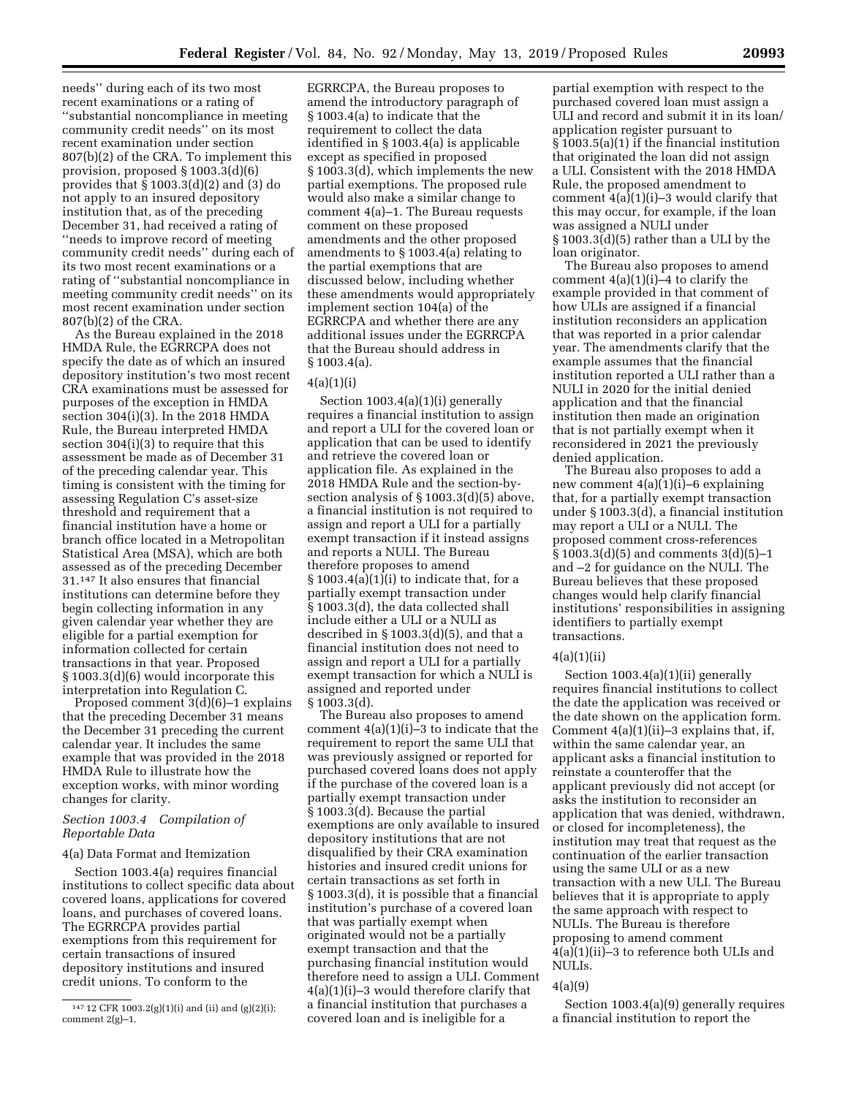needs'' during each of its two most recent examinations or a rating of ''substantial noncompliance in meeting community credit needs'' on its most recent examination under section 807(b)(2) of the CRA. To implement this provision, proposed § 1003.3(d)(6) provides that § 1003.3(d)(2) and (3) do not apply to an insured depository institution that, as of the preceding December 31, had received a rating of ''needs to improve record of meeting community credit needs'' during each of its two most recent examinations or a rating of ''substantial noncompliance in meeting community credit needs'' on its most recent examination under section 807(b)(2) of the CRA.

As the Bureau explained in the 2018 HMDA Rule, the EGRRCPA does not specify the date as of which an insured depository institution's two most recent CRA examinations must be assessed for purposes of the exception in HMDA section 304(i)(3). In the 2018 HMDA Rule, the Bureau interpreted HMDA section 304(i)(3) to require that this assessment be made as of December 31 of the preceding calendar year. This timing is consistent with the timing for assessing Regulation C's asset-size threshold and requirement that a financial institution have a home or branch office located in a Metropolitan Statistical Area (MSA), which are both assessed as of the preceding December 31.147 It also ensures that financial institutions can determine before they begin collecting information in any given calendar year whether they are eligible for a partial exemption for information collected for certain transactions in that year. Proposed § 1003.3(d)(6) would incorporate this interpretation into Regulation C.

Proposed comment 3(d)(6)–1 explains that the preceding December 31 means the December 31 preceding the current calendar year. It includes the same example that was provided in the 2018 HMDA Rule to illustrate how the exception works, with minor wording changes for clarity.

### *Section 1003.4 Compilation of Reportable Data*

#### 4(a) Data Format and Itemization

Section 1003.4(a) requires financial institutions to collect specific data about covered loans, applications for covered loans, and purchases of covered loans. The EGRRCPA provides partial exemptions from this requirement for certain transactions of insured depository institutions and insured credit unions. To conform to the

EGRRCPA, the Bureau proposes to amend the introductory paragraph of § 1003.4(a) to indicate that the requirement to collect the data identified in § 1003.4(a) is applicable except as specified in proposed § 1003.3(d), which implements the new partial exemptions. The proposed rule would also make a similar change to comment 4(a)–1. The Bureau requests comment on these proposed amendments and the other proposed amendments to § 1003.4(a) relating to the partial exemptions that are discussed below, including whether these amendments would appropriately implement section 104(a) of the EGRRCPA and whether there are any additional issues under the EGRRCPA that the Bureau should address in § 1003.4(a).

### $4(a)(1)(i)$

Section 1003.4(a)(1)(i) generally requires a financial institution to assign and report a ULI for the covered loan or application that can be used to identify and retrieve the covered loan or application file. As explained in the 2018 HMDA Rule and the section-bysection analysis of § 1003.3(d)(5) above, a financial institution is not required to assign and report a ULI for a partially exempt transaction if it instead assigns and reports a NULI. The Bureau therefore proposes to amend § 1003.4(a)(1)(i) to indicate that, for a partially exempt transaction under § 1003.3(d), the data collected shall include either a ULI or a NULI as described in § 1003.3(d)(5), and that a financial institution does not need to assign and report a ULI for a partially exempt transaction for which a NULI is assigned and reported under § 1003.3(d).

The Bureau also proposes to amend comment 4(a)(1)(i)–3 to indicate that the requirement to report the same ULI that was previously assigned or reported for purchased covered loans does not apply if the purchase of the covered loan is a partially exempt transaction under § 1003.3(d). Because the partial exemptions are only available to insured depository institutions that are not disqualified by their CRA examination histories and insured credit unions for certain transactions as set forth in § 1003.3(d), it is possible that a financial institution's purchase of a covered loan that was partially exempt when originated would not be a partially exempt transaction and that the purchasing financial institution would therefore need to assign a ULI. Comment 4(a)(1)(i)–3 would therefore clarify that a financial institution that purchases a covered loan and is ineligible for a

partial exemption with respect to the purchased covered loan must assign a ULI and record and submit it in its loan/ application register pursuant to § 1003.5(a)(1) if the financial institution that originated the loan did not assign a ULI. Consistent with the 2018 HMDA Rule, the proposed amendment to comment  $4(a)(1)(i)-3$  would clarify that this may occur, for example, if the loan was assigned a NULI under § 1003.3(d)(5) rather than a ULI by the loan originator.

The Bureau also proposes to amend comment 4(a)(1)(i)–4 to clarify the example provided in that comment of how ULIs are assigned if a financial institution reconsiders an application that was reported in a prior calendar year. The amendments clarify that the example assumes that the financial institution reported a ULI rather than a NULI in 2020 for the initial denied application and that the financial institution then made an origination that is not partially exempt when it reconsidered in 2021 the previously denied application.

The Bureau also proposes to add a new comment 4(a)(1)(i)–6 explaining that, for a partially exempt transaction under § 1003.3(d), a financial institution may report a ULI or a NULI. The proposed comment cross-references § 1003.3(d)(5) and comments 3(d)(5)–1 and –2 for guidance on the NULI. The Bureau believes that these proposed changes would help clarify financial institutions' responsibilities in assigning identifiers to partially exempt transactions.

### $4(a)(1)(ii)$

Section 1003.4(a)(1)(ii) generally requires financial institutions to collect the date the application was received or the date shown on the application form. Comment 4(a)(1)(ii)–3 explains that, if, within the same calendar year, an applicant asks a financial institution to reinstate a counteroffer that the applicant previously did not accept (or asks the institution to reconsider an application that was denied, withdrawn, or closed for incompleteness), the institution may treat that request as the continuation of the earlier transaction using the same ULI or as a new transaction with a new ULI. The Bureau believes that it is appropriate to apply the same approach with respect to NULIs. The Bureau is therefore proposing to amend comment 4(a)(1)(ii)–3 to reference both ULIs and NULIs.

### 4(a)(9)

Section 1003.4(a)(9) generally requires a financial institution to report the

<sup>147</sup> 12 CFR 1003.2(g)(1)(i) and (ii) and (g)(2)(i); comment 2(g)–1.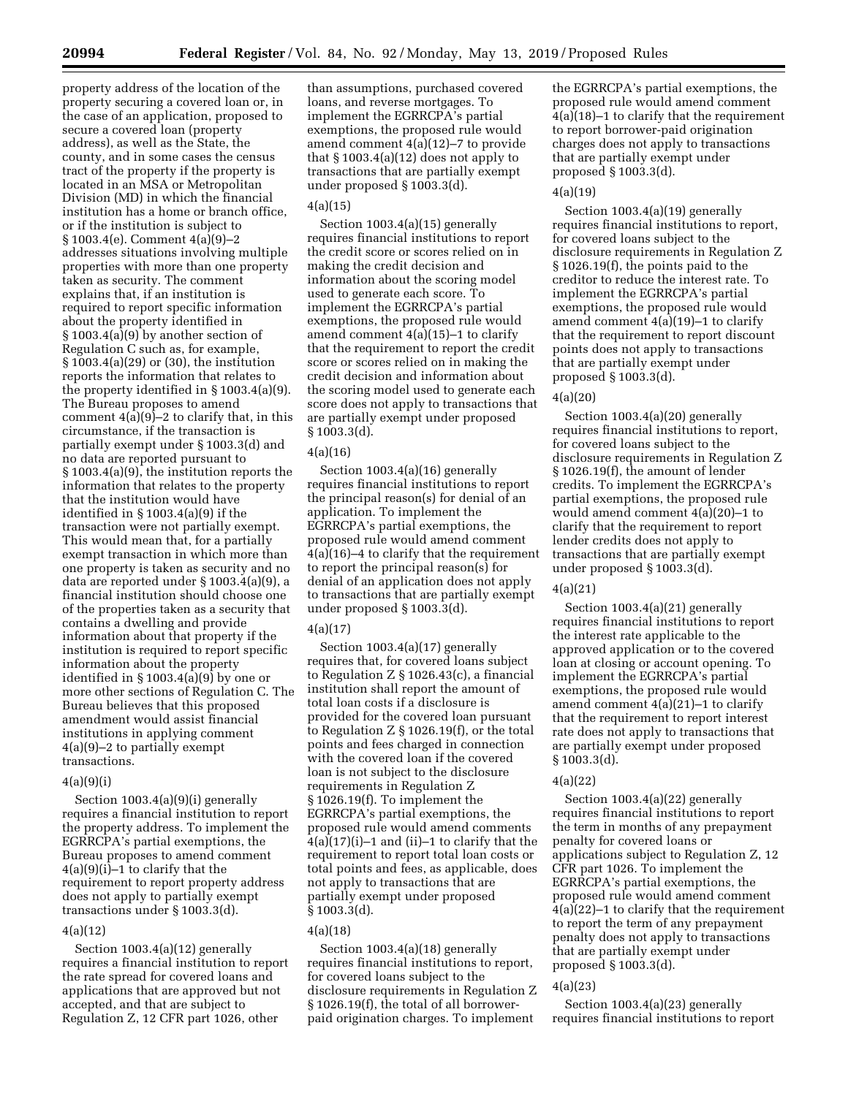property address of the location of the property securing a covered loan or, in the case of an application, proposed to secure a covered loan (property address), as well as the State, the county, and in some cases the census tract of the property if the property is located in an MSA or Metropolitan Division (MD) in which the financial institution has a home or branch office, or if the institution is subject to § 1003.4(e). Comment 4(a)(9)–2 addresses situations involving multiple properties with more than one property taken as security. The comment explains that, if an institution is required to report specific information about the property identified in § 1003.4(a)(9) by another section of Regulation C such as, for example, § 1003.4(a)(29) or (30), the institution reports the information that relates to the property identified in § 1003.4(a)(9). The Bureau proposes to amend comment  $4(a)(9)-2$  to clarify that, in this circumstance, if the transaction is partially exempt under § 1003.3(d) and no data are reported pursuant to § 1003.4(a)(9), the institution reports the information that relates to the property that the institution would have identified in § 1003.4(a)(9) if the transaction were not partially exempt. This would mean that, for a partially exempt transaction in which more than one property is taken as security and no data are reported under § 1003.4(a)(9), a financial institution should choose one of the properties taken as a security that contains a dwelling and provide information about that property if the institution is required to report specific information about the property identified in § 1003.4(a)(9) by one or more other sections of Regulation C. The Bureau believes that this proposed amendment would assist financial institutions in applying comment 4(a)(9)–2 to partially exempt transactions.

### $4(a)(9)(i)$

Section 1003.4(a)(9)(i) generally requires a financial institution to report the property address. To implement the EGRRCPA's partial exemptions, the Bureau proposes to amend comment 4(a)(9)(i)–1 to clarify that the requirement to report property address does not apply to partially exempt transactions under § 1003.3(d).

### 4(a)(12)

Section 1003.4(a)(12) generally requires a financial institution to report the rate spread for covered loans and applications that are approved but not accepted, and that are subject to Regulation Z, 12 CFR part 1026, other

than assumptions, purchased covered loans, and reverse mortgages. To implement the EGRRCPA's partial exemptions, the proposed rule would amend comment 4(a)(12)–7 to provide that  $§ 1003.4(a)(12)$  does not apply to transactions that are partially exempt under proposed § 1003.3(d).

### $4(a)(15)$

Section 1003.4(a)(15) generally requires financial institutions to report the credit score or scores relied on in making the credit decision and information about the scoring model used to generate each score. To implement the EGRRCPA's partial exemptions, the proposed rule would amend comment 4(a)(15)–1 to clarify that the requirement to report the credit score or scores relied on in making the credit decision and information about the scoring model used to generate each score does not apply to transactions that are partially exempt under proposed § 1003.3(d).

### 4(a)(16)

Section 1003.4(a)(16) generally requires financial institutions to report the principal reason(s) for denial of an application. To implement the EGRRCPA's partial exemptions, the proposed rule would amend comment 4(a)(16)–4 to clarify that the requirement to report the principal reason(s) for denial of an application does not apply to transactions that are partially exempt under proposed § 1003.3(d).

### 4(a)(17)

Section 1003.4(a)(17) generally requires that, for covered loans subject to Regulation Z § 1026.43(c), a financial institution shall report the amount of total loan costs if a disclosure is provided for the covered loan pursuant to Regulation Z § 1026.19(f), or the total points and fees charged in connection with the covered loan if the covered loan is not subject to the disclosure requirements in Regulation Z § 1026.19(f). To implement the EGRRCPA's partial exemptions, the proposed rule would amend comments 4(a)(17)(i)–1 and (ii)–1 to clarify that the requirement to report total loan costs or total points and fees, as applicable, does not apply to transactions that are partially exempt under proposed § 1003.3(d).

### 4(a)(18)

Section 1003.4(a)(18) generally requires financial institutions to report, for covered loans subject to the disclosure requirements in Regulation Z § 1026.19(f), the total of all borrowerpaid origination charges. To implement

the EGRRCPA's partial exemptions, the proposed rule would amend comment 4(a)(18)–1 to clarify that the requirement to report borrower-paid origination charges does not apply to transactions that are partially exempt under proposed § 1003.3(d).

### 4(a)(19)

Section 1003.4(a)(19) generally requires financial institutions to report, for covered loans subject to the disclosure requirements in Regulation Z § 1026.19(f), the points paid to the creditor to reduce the interest rate. To implement the EGRRCPA's partial exemptions, the proposed rule would amend comment 4(a)(19)–1 to clarify that the requirement to report discount points does not apply to transactions that are partially exempt under proposed § 1003.3(d).

#### 4(a)(20)

Section 1003.4(a)(20) generally requires financial institutions to report, for covered loans subject to the disclosure requirements in Regulation Z § 1026.19(f), the amount of lender credits. To implement the EGRRCPA's partial exemptions, the proposed rule would amend comment 4(a)(20)–1 to clarify that the requirement to report lender credits does not apply to transactions that are partially exempt under proposed § 1003.3(d).

#### 4(a)(21)

Section 1003.4(a)(21) generally requires financial institutions to report the interest rate applicable to the approved application or to the covered loan at closing or account opening. To implement the EGRRCPA's partial exemptions, the proposed rule would amend comment  $4(a)(21)$ –1 to clarify that the requirement to report interest rate does not apply to transactions that are partially exempt under proposed § 1003.3(d).

### 4(a)(22)

Section 1003.4(a)(22) generally requires financial institutions to report the term in months of any prepayment penalty for covered loans or applications subject to Regulation Z, 12 CFR part 1026. To implement the EGRRCPA's partial exemptions, the proposed rule would amend comment 4(a)(22)–1 to clarify that the requirement to report the term of any prepayment penalty does not apply to transactions that are partially exempt under proposed § 1003.3(d).

### 4(a)(23)

Section 1003.4(a)(23) generally requires financial institutions to report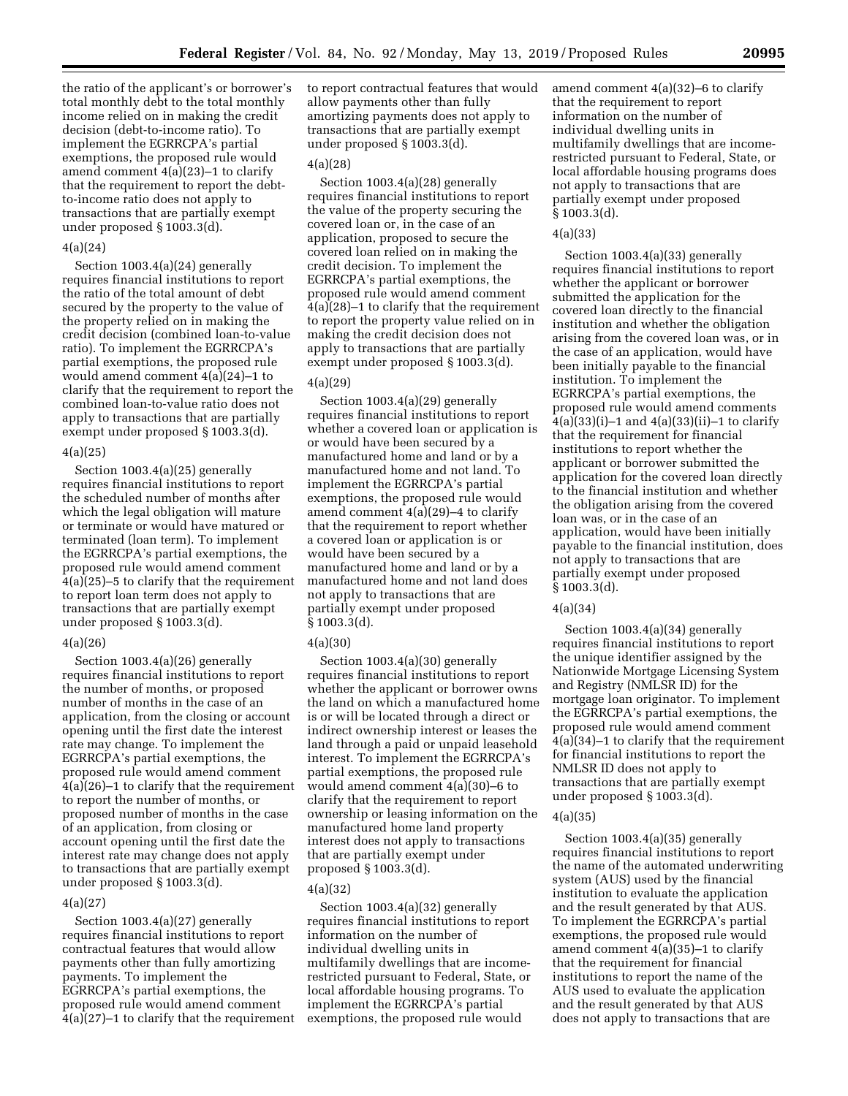the ratio of the applicant's or borrower's total monthly debt to the total monthly income relied on in making the credit decision (debt-to-income ratio). To implement the EGRRCPA's partial exemptions, the proposed rule would amend comment 4(a)(23)–1 to clarify that the requirement to report the debtto-income ratio does not apply to transactions that are partially exempt under proposed § 1003.3(d).

#### 4(a)(24)

Section 1003.4(a)(24) generally requires financial institutions to report the ratio of the total amount of debt secured by the property to the value of the property relied on in making the credit decision (combined loan-to-value ratio). To implement the EGRRCPA's partial exemptions, the proposed rule would amend comment 4(a)(24)–1 to clarify that the requirement to report the combined loan-to-value ratio does not apply to transactions that are partially exempt under proposed § 1003.3(d).

### 4(a)(25)

Section 1003.4(a)(25) generally requires financial institutions to report the scheduled number of months after which the legal obligation will mature or terminate or would have matured or terminated (loan term). To implement the EGRRCPA's partial exemptions, the proposed rule would amend comment  $4(a)(25)$ –5 to clarify that the requirement to report loan term does not apply to transactions that are partially exempt under proposed § 1003.3(d).

### 4(a)(26)

Section 1003.4(a)(26) generally requires financial institutions to report the number of months, or proposed number of months in the case of an application, from the closing or account opening until the first date the interest rate may change. To implement the EGRRCPA's partial exemptions, the proposed rule would amend comment 4(a)(26)–1 to clarify that the requirement to report the number of months, or proposed number of months in the case of an application, from closing or account opening until the first date the interest rate may change does not apply to transactions that are partially exempt under proposed § 1003.3(d).

### 4(a)(27)

Section 1003.4(a)(27) generally requires financial institutions to report contractual features that would allow payments other than fully amortizing payments. To implement the EGRRCPA's partial exemptions, the proposed rule would amend comment 4(a)(27)–1 to clarify that the requirement to report contractual features that would allow payments other than fully amortizing payments does not apply to transactions that are partially exempt under proposed § 1003.3(d).

#### 4(a)(28)

Section 1003.4(a)(28) generally requires financial institutions to report the value of the property securing the covered loan or, in the case of an application, proposed to secure the covered loan relied on in making the credit decision. To implement the EGRRCPA's partial exemptions, the proposed rule would amend comment 4(a)(28)–1 to clarify that the requirement to report the property value relied on in making the credit decision does not apply to transactions that are partially exempt under proposed § 1003.3(d).

### 4(a)(29)

Section 1003.4(a)(29) generally requires financial institutions to report whether a covered loan or application is or would have been secured by a manufactured home and land or by a manufactured home and not land. To implement the EGRRCPA's partial exemptions, the proposed rule would amend comment 4(a)(29)–4 to clarify that the requirement to report whether a covered loan or application is or would have been secured by a manufactured home and land or by a manufactured home and not land does not apply to transactions that are partially exempt under proposed § 1003.3(d).

#### 4(a)(30)

Section 1003.4(a)(30) generally requires financial institutions to report whether the applicant or borrower owns the land on which a manufactured home is or will be located through a direct or indirect ownership interest or leases the land through a paid or unpaid leasehold interest. To implement the EGRRCPA's partial exemptions, the proposed rule would amend comment 4(a)(30)–6 to clarify that the requirement to report ownership or leasing information on the manufactured home land property interest does not apply to transactions that are partially exempt under proposed § 1003.3(d).

#### 4(a)(32)

Section 1003.4(a)(32) generally requires financial institutions to report information on the number of individual dwelling units in multifamily dwellings that are incomerestricted pursuant to Federal, State, or local affordable housing programs. To implement the EGRRCPA's partial exemptions, the proposed rule would

amend comment 4(a)(32)–6 to clarify that the requirement to report information on the number of individual dwelling units in multifamily dwellings that are incomerestricted pursuant to Federal, State, or local affordable housing programs does not apply to transactions that are partially exempt under proposed § 1003.3(d).

### 4(a)(33)

Section 1003.4(a)(33) generally requires financial institutions to report whether the applicant or borrower submitted the application for the covered loan directly to the financial institution and whether the obligation arising from the covered loan was, or in the case of an application, would have been initially payable to the financial institution. To implement the EGRRCPA's partial exemptions, the proposed rule would amend comments 4(a)(33)(i)–1 and 4(a)(33)(ii)–1 to clarify that the requirement for financial institutions to report whether the applicant or borrower submitted the application for the covered loan directly to the financial institution and whether the obligation arising from the covered loan was, or in the case of an application, would have been initially payable to the financial institution, does not apply to transactions that are partially exempt under proposed § 1003.3(d).

#### 4(a)(34)

Section 1003.4(a)(34) generally requires financial institutions to report the unique identifier assigned by the Nationwide Mortgage Licensing System and Registry (NMLSR ID) for the mortgage loan originator. To implement the EGRRCPA's partial exemptions, the proposed rule would amend comment 4(a)(34)–1 to clarify that the requirement for financial institutions to report the NMLSR ID does not apply to transactions that are partially exempt under proposed § 1003.3(d).

### 4(a)(35)

Section 1003.4(a)(35) generally requires financial institutions to report the name of the automated underwriting system (AUS) used by the financial institution to evaluate the application and the result generated by that AUS. To implement the EGRRCPA's partial exemptions, the proposed rule would amend comment 4(a)(35)–1 to clarify that the requirement for financial institutions to report the name of the AUS used to evaluate the application and the result generated by that AUS does not apply to transactions that are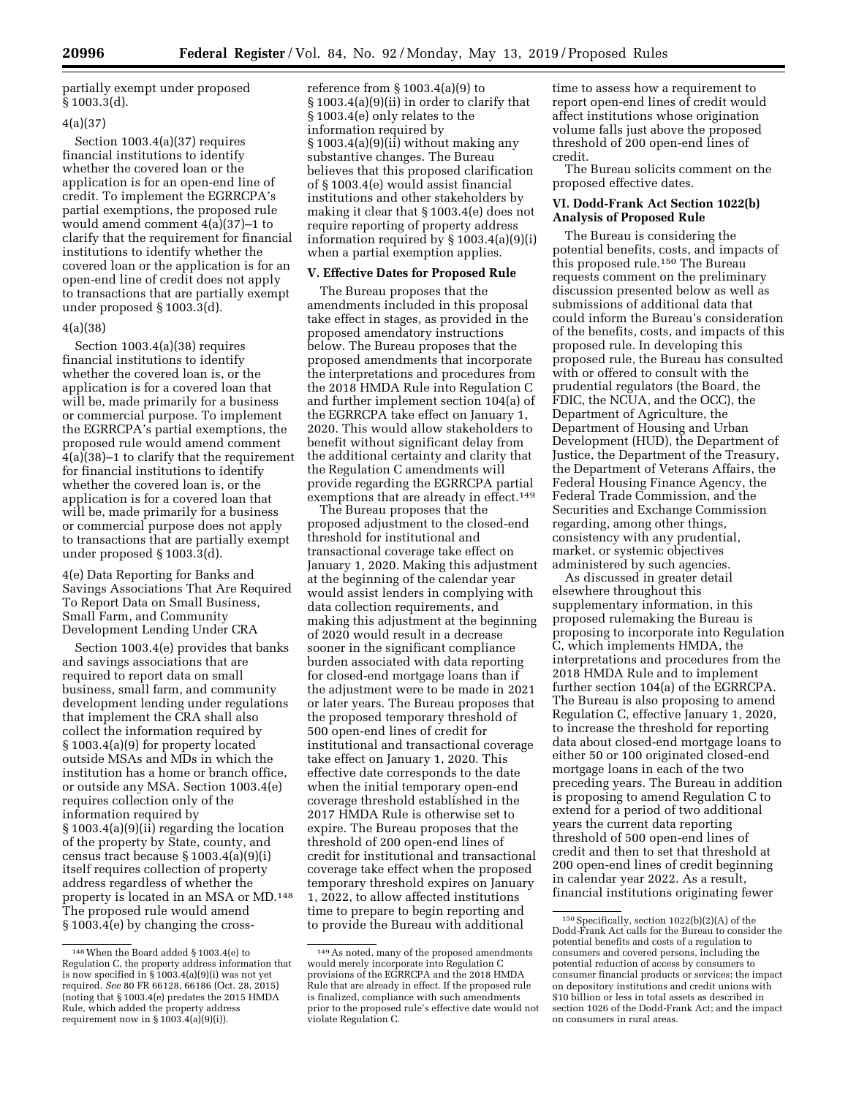partially exempt under proposed § 1003.3(d).

### 4(a)(37)

Section 1003.4(a)(37) requires financial institutions to identify whether the covered loan or the application is for an open-end line of credit. To implement the EGRRCPA's partial exemptions, the proposed rule would amend comment 4(a)(37)–1 to clarify that the requirement for financial institutions to identify whether the covered loan or the application is for an open-end line of credit does not apply to transactions that are partially exempt under proposed § 1003.3(d).

### 4(a)(38)

Section 1003.4(a)(38) requires financial institutions to identify whether the covered loan is, or the application is for a covered loan that will be, made primarily for a business or commercial purpose. To implement the EGRRCPA's partial exemptions, the proposed rule would amend comment 4(a)(38)–1 to clarify that the requirement for financial institutions to identify whether the covered loan is, or the application is for a covered loan that will be, made primarily for a business or commercial purpose does not apply to transactions that are partially exempt under proposed § 1003.3(d).

4(e) Data Reporting for Banks and Savings Associations That Are Required To Report Data on Small Business, Small Farm, and Community Development Lending Under CRA

Section 1003.4(e) provides that banks and savings associations that are required to report data on small business, small farm, and community development lending under regulations that implement the CRA shall also collect the information required by § 1003.4(a)(9) for property located outside MSAs and MDs in which the institution has a home or branch office, or outside any MSA. Section 1003.4(e) requires collection only of the information required by § 1003.4(a)(9)(ii) regarding the location of the property by State, county, and census tract because § 1003.4(a)(9)(i) itself requires collection of property address regardless of whether the property is located in an MSA or MD.148 The proposed rule would amend § 1003.4(e) by changing the cross-

reference from § 1003.4(a)(9) to § 1003.4(a)(9)(ii) in order to clarify that § 1003.4(e) only relates to the information required by  $§ 1003.4(a)(9)(ii)$  without making any substantive changes. The Bureau believes that this proposed clarification of § 1003.4(e) would assist financial institutions and other stakeholders by making it clear that § 1003.4(e) does not require reporting of property address information required by § 1003.4(a)(9)(i) when a partial exemption applies.

### **V. Effective Dates for Proposed Rule**

The Bureau proposes that the amendments included in this proposal take effect in stages, as provided in the proposed amendatory instructions below. The Bureau proposes that the proposed amendments that incorporate the interpretations and procedures from the 2018 HMDA Rule into Regulation C and further implement section 104(a) of the EGRRCPA take effect on January 1, 2020. This would allow stakeholders to benefit without significant delay from the additional certainty and clarity that the Regulation C amendments will provide regarding the EGRRCPA partial exemptions that are already in effect.<sup>149</sup>

The Bureau proposes that the proposed adjustment to the closed-end threshold for institutional and transactional coverage take effect on January 1, 2020. Making this adjustment at the beginning of the calendar year would assist lenders in complying with data collection requirements, and making this adjustment at the beginning of 2020 would result in a decrease sooner in the significant compliance burden associated with data reporting for closed-end mortgage loans than if the adjustment were to be made in 2021 or later years. The Bureau proposes that the proposed temporary threshold of 500 open-end lines of credit for institutional and transactional coverage take effect on January 1, 2020. This effective date corresponds to the date when the initial temporary open-end coverage threshold established in the 2017 HMDA Rule is otherwise set to expire. The Bureau proposes that the threshold of 200 open-end lines of credit for institutional and transactional coverage take effect when the proposed temporary threshold expires on January 1, 2022, to allow affected institutions time to prepare to begin reporting and to provide the Bureau with additional

time to assess how a requirement to report open-end lines of credit would affect institutions whose origination volume falls just above the proposed threshold of 200 open-end lines of credit.

The Bureau solicits comment on the proposed effective dates.

### **VI. Dodd-Frank Act Section 1022(b) Analysis of Proposed Rule**

The Bureau is considering the potential benefits, costs, and impacts of this proposed rule.150 The Bureau requests comment on the preliminary discussion presented below as well as submissions of additional data that could inform the Bureau's consideration of the benefits, costs, and impacts of this proposed rule. In developing this proposed rule, the Bureau has consulted with or offered to consult with the prudential regulators (the Board, the FDIC, the NCUA, and the OCC), the Department of Agriculture, the Department of Housing and Urban Development (HUD), the Department of Justice, the Department of the Treasury, the Department of Veterans Affairs, the Federal Housing Finance Agency, the Federal Trade Commission, and the Securities and Exchange Commission regarding, among other things, consistency with any prudential, market, or systemic objectives administered by such agencies.

As discussed in greater detail elsewhere throughout this supplementary information, in this proposed rulemaking the Bureau is proposing to incorporate into Regulation C, which implements HMDA, the interpretations and procedures from the 2018 HMDA Rule and to implement further section 104(a) of the EGRRCPA. The Bureau is also proposing to amend Regulation C, effective January 1, 2020, to increase the threshold for reporting data about closed-end mortgage loans to either 50 or 100 originated closed-end mortgage loans in each of the two preceding years. The Bureau in addition is proposing to amend Regulation C to extend for a period of two additional years the current data reporting threshold of 500 open-end lines of credit and then to set that threshold at 200 open-end lines of credit beginning in calendar year 2022. As a result, financial institutions originating fewer

<sup>148</sup>When the Board added § 1003.4(e) to Regulation C, the property address information that is now specified in § 1003.4(a)(9)(i) was not yet required. *See* 80 FR 66128, 66186 (Oct. 28, 2015) (noting that § 1003.4(e) predates the 2015 HMDA Rule, which added the property address requirement now in  $\S 1003.4(a)(9)(i)$ .

<sup>149</sup>As noted, many of the proposed amendments would merely incorporate into Regulation C provisions of the EGRRCPA and the 2018 HMDA Rule that are already in effect. If the proposed rule is finalized, compliance with such amendments prior to the proposed rule's effective date would not violate Regulation C.

<sup>150</sup>Specifically, section 1022(b)(2)(A) of the Dodd-Frank Act calls for the Bureau to consider the potential benefits and costs of a regulation to consumers and covered persons, including the potential reduction of access by consumers to consumer financial products or services; the impact on depository institutions and credit unions with \$10 billion or less in total assets as described in section 1026 of the Dodd-Frank Act; and the impact on consumers in rural areas.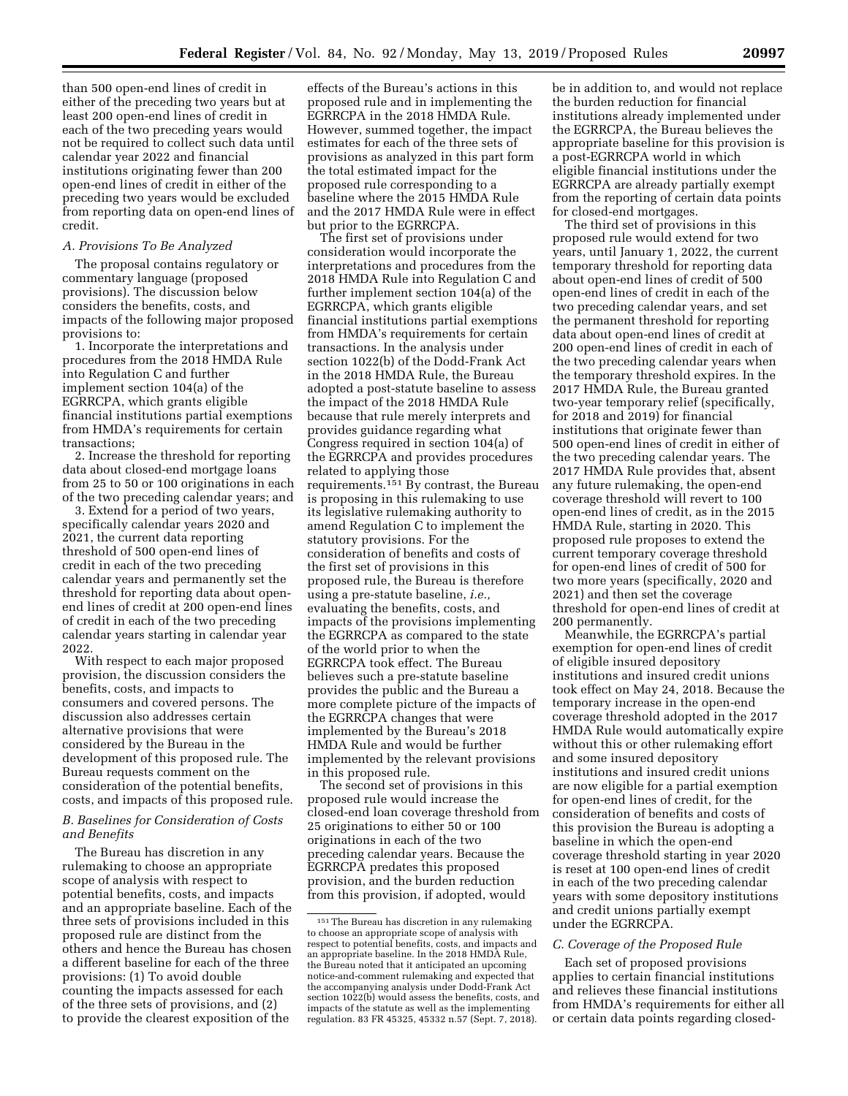than 500 open-end lines of credit in either of the preceding two years but at least 200 open-end lines of credit in each of the two preceding years would not be required to collect such data until calendar year 2022 and financial institutions originating fewer than 200 open-end lines of credit in either of the preceding two years would be excluded from reporting data on open-end lines of

### *A. Provisions To Be Analyzed*

credit.

The proposal contains regulatory or commentary language (proposed provisions). The discussion below considers the benefits, costs, and impacts of the following major proposed provisions to:

1. Incorporate the interpretations and procedures from the 2018 HMDA Rule into Regulation C and further implement section 104(a) of the EGRRCPA, which grants eligible financial institutions partial exemptions from HMDA's requirements for certain transactions;

2. Increase the threshold for reporting data about closed-end mortgage loans from 25 to 50 or 100 originations in each of the two preceding calendar years; and

3. Extend for a period of two years, specifically calendar years 2020 and 2021, the current data reporting threshold of 500 open-end lines of credit in each of the two preceding calendar years and permanently set the threshold for reporting data about openend lines of credit at 200 open-end lines of credit in each of the two preceding calendar years starting in calendar year 2022.

With respect to each major proposed provision, the discussion considers the benefits, costs, and impacts to consumers and covered persons. The discussion also addresses certain alternative provisions that were considered by the Bureau in the development of this proposed rule. The Bureau requests comment on the consideration of the potential benefits, costs, and impacts of this proposed rule.

### *B. Baselines for Consideration of Costs and Benefits*

The Bureau has discretion in any rulemaking to choose an appropriate scope of analysis with respect to potential benefits, costs, and impacts and an appropriate baseline. Each of the three sets of provisions included in this proposed rule are distinct from the others and hence the Bureau has chosen a different baseline for each of the three provisions: (1) To avoid double counting the impacts assessed for each of the three sets of provisions, and (2) to provide the clearest exposition of the

effects of the Bureau's actions in this proposed rule and in implementing the EGRRCPA in the 2018 HMDA Rule. However, summed together, the impact estimates for each of the three sets of provisions as analyzed in this part form the total estimated impact for the proposed rule corresponding to a baseline where the 2015 HMDA Rule and the 2017 HMDA Rule were in effect but prior to the EGRRCPA.

The first set of provisions under consideration would incorporate the interpretations and procedures from the 2018 HMDA Rule into Regulation C and further implement section 104(a) of the EGRRCPA, which grants eligible financial institutions partial exemptions from HMDA's requirements for certain transactions. In the analysis under section 1022(b) of the Dodd-Frank Act in the 2018 HMDA Rule, the Bureau adopted a post-statute baseline to assess the impact of the 2018 HMDA Rule because that rule merely interprets and provides guidance regarding what Congress required in section 104(a) of the EGRRCPA and provides procedures related to applying those requirements.151 By contrast, the Bureau is proposing in this rulemaking to use its legislative rulemaking authority to amend Regulation C to implement the statutory provisions. For the consideration of benefits and costs of the first set of provisions in this proposed rule, the Bureau is therefore using a pre-statute baseline, *i.e.,*  evaluating the benefits, costs, and impacts of the provisions implementing the EGRRCPA as compared to the state of the world prior to when the EGRRCPA took effect. The Bureau believes such a pre-statute baseline provides the public and the Bureau a more complete picture of the impacts of the EGRRCPA changes that were implemented by the Bureau's 2018 HMDA Rule and would be further implemented by the relevant provisions in this proposed rule.

The second set of provisions in this proposed rule would increase the closed-end loan coverage threshold from 25 originations to either 50 or 100 originations in each of the two preceding calendar years. Because the EGRRCPA predates this proposed provision, and the burden reduction from this provision, if adopted, would

be in addition to, and would not replace the burden reduction for financial institutions already implemented under the EGRRCPA, the Bureau believes the appropriate baseline for this provision is a post-EGRRCPA world in which eligible financial institutions under the EGRRCPA are already partially exempt from the reporting of certain data points for closed-end mortgages.

The third set of provisions in this proposed rule would extend for two years, until January 1, 2022, the current temporary threshold for reporting data about open-end lines of credit of 500 open-end lines of credit in each of the two preceding calendar years, and set the permanent threshold for reporting data about open-end lines of credit at 200 open-end lines of credit in each of the two preceding calendar years when the temporary threshold expires. In the 2017 HMDA Rule, the Bureau granted two-year temporary relief (specifically, for 2018 and 2019) for financial institutions that originate fewer than 500 open-end lines of credit in either of the two preceding calendar years. The 2017 HMDA Rule provides that, absent any future rulemaking, the open-end coverage threshold will revert to 100 open-end lines of credit, as in the 2015 HMDA Rule, starting in 2020. This proposed rule proposes to extend the current temporary coverage threshold for open-end lines of credit of 500 for two more years (specifically, 2020 and 2021) and then set the coverage threshold for open-end lines of credit at 200 permanently.

Meanwhile, the EGRRCPA's partial exemption for open-end lines of credit of eligible insured depository institutions and insured credit unions took effect on May 24, 2018. Because the temporary increase in the open-end coverage threshold adopted in the 2017 HMDA Rule would automatically expire without this or other rulemaking effort and some insured depository institutions and insured credit unions are now eligible for a partial exemption for open-end lines of credit, for the consideration of benefits and costs of this provision the Bureau is adopting a baseline in which the open-end coverage threshold starting in year 2020 is reset at 100 open-end lines of credit in each of the two preceding calendar years with some depository institutions and credit unions partially exempt under the EGRRCPA.

### *C. Coverage of the Proposed Rule*

Each set of proposed provisions applies to certain financial institutions and relieves these financial institutions from HMDA's requirements for either all or certain data points regarding closed-

<sup>151</sup>The Bureau has discretion in any rulemaking to choose an appropriate scope of analysis with respect to potential benefits, costs, and impacts and an appropriate baseline. In the 2018 HMDA Rule, the Bureau noted that it anticipated an upcoming notice-and-comment rulemaking and expected that the accompanying analysis under Dodd-Frank Act section 1022(b) would assess the benefits, costs, and impacts of the statute as well as the implementing regulation. 83 FR 45325, 45332 n.57 (Sept. 7, 2018).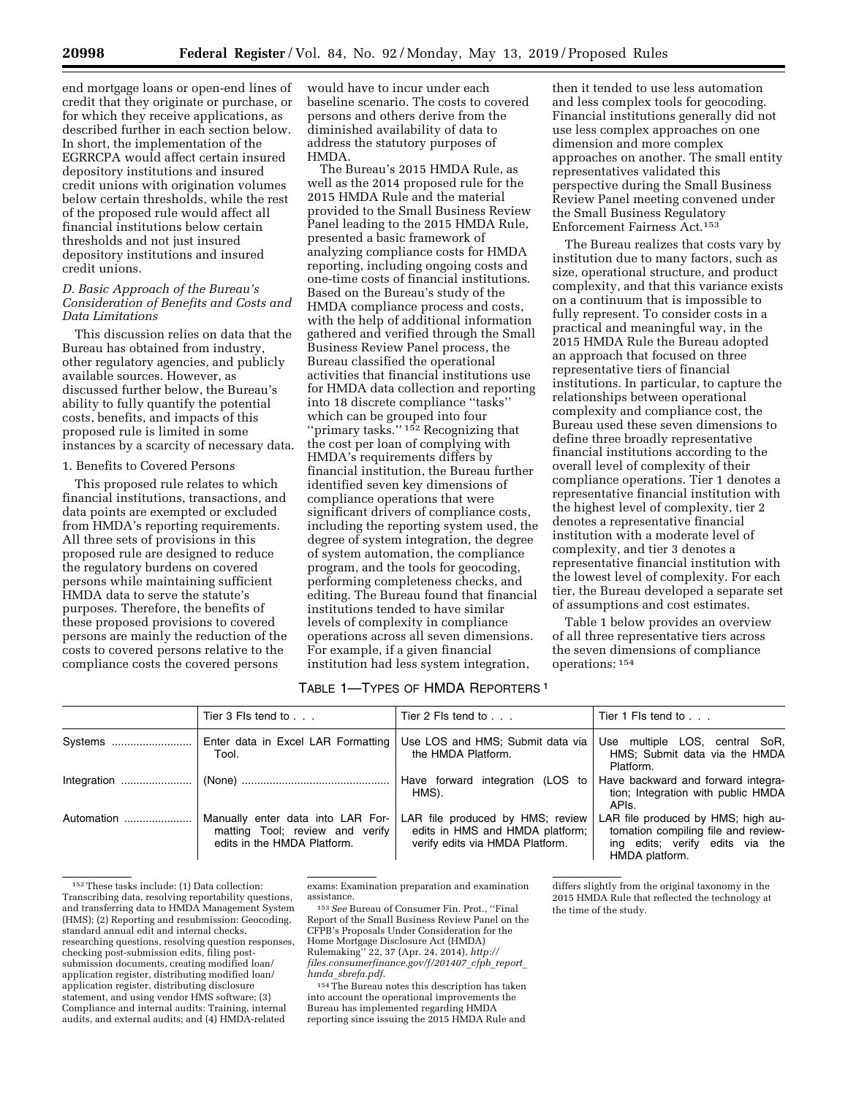end mortgage loans or open-end lines of credit that they originate or purchase, or for which they receive applications, as described further in each section below. In short, the implementation of the EGRRCPA would affect certain insured depository institutions and insured credit unions with origination volumes below certain thresholds, while the rest of the proposed rule would affect all financial institutions below certain thresholds and not just insured depository institutions and insured credit unions.

### *D. Basic Approach of the Bureau's Consideration of Benefits and Costs and Data Limitations*

This discussion relies on data that the Bureau has obtained from industry, other regulatory agencies, and publicly available sources. However, as discussed further below, the Bureau's ability to fully quantify the potential costs, benefits, and impacts of this proposed rule is limited in some instances by a scarcity of necessary data.

### 1. Benefits to Covered Persons

This proposed rule relates to which financial institutions, transactions, and data points are exempted or excluded from HMDA's reporting requirements. All three sets of provisions in this proposed rule are designed to reduce the regulatory burdens on covered persons while maintaining sufficient HMDA data to serve the statute's purposes. Therefore, the benefits of these proposed provisions to covered persons are mainly the reduction of the costs to covered persons relative to the compliance costs the covered persons

would have to incur under each baseline scenario. The costs to covered persons and others derive from the diminished availability of data to address the statutory purposes of **HMDA** 

The Bureau's 2015 HMDA Rule, as well as the 2014 proposed rule for the 2015 HMDA Rule and the material provided to the Small Business Review Panel leading to the 2015 HMDA Rule, presented a basic framework of analyzing compliance costs for HMDA reporting, including ongoing costs and one-time costs of financial institutions. Based on the Bureau's study of the HMDA compliance process and costs, with the help of additional information gathered and verified through the Small Business Review Panel process, the Bureau classified the operational activities that financial institutions use for HMDA data collection and reporting into 18 discrete compliance ''tasks'' which can be grouped into four ''primary tasks.'' 152 Recognizing that the cost per loan of complying with HMDA's requirements differs by financial institution, the Bureau further identified seven key dimensions of compliance operations that were significant drivers of compliance costs, including the reporting system used, the degree of system integration, the degree of system automation, the compliance program, and the tools for geocoding, performing completeness checks, and editing. The Bureau found that financial institutions tended to have similar levels of complexity in compliance operations across all seven dimensions. For example, if a given financial institution had less system integration,

then it tended to use less automation and less complex tools for geocoding. Financial institutions generally did not use less complex approaches on one dimension and more complex approaches on another. The small entity representatives validated this perspective during the Small Business Review Panel meeting convened under the Small Business Regulatory Enforcement Fairness Act.153

The Bureau realizes that costs vary by institution due to many factors, such as size, operational structure, and product complexity, and that this variance exists on a continuum that is impossible to fully represent. To consider costs in a practical and meaningful way, in the 2015 HMDA Rule the Bureau adopted an approach that focused on three representative tiers of financial institutions. In particular, to capture the relationships between operational complexity and compliance cost, the Bureau used these seven dimensions to define three broadly representative financial institutions according to the overall level of complexity of their compliance operations. Tier 1 denotes a representative financial institution with the highest level of complexity, tier 2 denotes a representative financial institution with a moderate level of complexity, and tier 3 denotes a representative financial institution with the lowest level of complexity. For each tier, the Bureau developed a separate set of assumptions and cost estimates.

Table 1 below provides an overview of all three representative tiers across the seven dimensions of compliance operations: 154

## TABLE 1—TYPES OF HMDA REPORTERS 1

|            | Tier $3$ FIs tend to $\ldots$                                                                       | Tier 2 Fls tend to $\ldots$                                                                            | Tier 1 Fls tend to                                                                                                             |
|------------|-----------------------------------------------------------------------------------------------------|--------------------------------------------------------------------------------------------------------|--------------------------------------------------------------------------------------------------------------------------------|
| Systems    | Enter data in Excel LAR Formatting<br>Tool.                                                         | Use LOS and HMS; Submit data via<br>the HMDA Platform.                                                 | Use multiple LOS, central SoR,<br>HMS; Submit data via the HMDA<br>Platform.                                                   |
|            |                                                                                                     | Have forward integration (LOS to<br>HMS).                                                              | Have backward and forward integra-<br>tion; Integration with public HMDA<br>APIs.                                              |
| Automation | Manually enter data into LAR For-<br>matting Tool; review and verify<br>edits in the HMDA Platform. | LAR file produced by HMS; review<br>edits in HMS and HMDA platform;<br>verify edits via HMDA Platform. | LAR file produced by HMS; high au-<br>tomation compiling file and review-<br>ing edits; verify edits via the<br>HMDA platform. |

<sup>152</sup>These tasks include: (1) Data collection: Transcribing data, resolving reportability questions, and transferring data to HMDA Management System (HMS); (2) Reporting and resubmission: Geocoding, standard annual edit and internal checks, researching questions, resolving question responses, checking post-submission edits, filing postsubmission documents, creating modified loan/ application register, distributing modified loan/ application register, distributing disclosure statement, and using vendor HMS software; (3) Compliance and internal audits: Training, internal audits, and external audits; and (4) HMDA-related

exams: Examination preparation and examination

<sup>153</sup> See Bureau of Consumer Fin. Prot., "Final Report of the Small Business Review Panel on the CFPB's Proposals Under Consideration for the Home Mortgage Disclosure Act (HMDA) Rulemaking'' 22, 37 (Apr. 24, 2014), *[http://](http://files.consumerfinance.gov/f/201407_cfpb_report_hmda_sbrefa.pdf) [files.consumerfinance.gov/f/201407](http://files.consumerfinance.gov/f/201407_cfpb_report_hmda_sbrefa.pdf)*\_*cfpb*\_*report*\_ *hmda*\_*[sbrefa.pdf.](http://files.consumerfinance.gov/f/201407_cfpb_report_hmda_sbrefa.pdf)* 

154The Bureau notes this description has taken into account the operational improvements the Bureau has implemented regarding HMDA reporting since issuing the 2015 HMDA Rule and

differs slightly from the original taxonomy in the 2015 HMDA Rule that reflected the technology at the time of the study.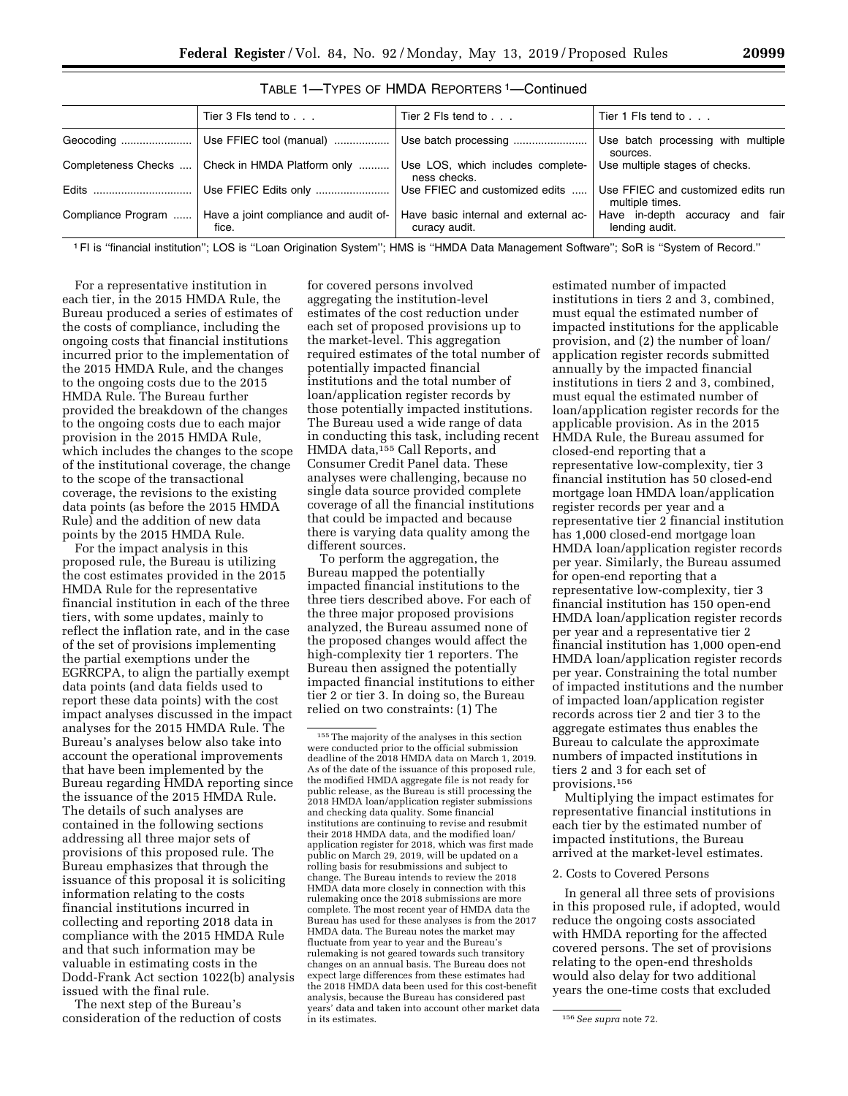|                    | Tier $3$ Fls tend to $\ldots$                      | Tier 2 Fls tend to $\ldots$                           | Tier 1 Fls tend to                                    |  |  |
|--------------------|----------------------------------------------------|-------------------------------------------------------|-------------------------------------------------------|--|--|
|                    |                                                    |                                                       | Use batch processing with multiple<br>sources.        |  |  |
|                    | Completeness Checks    Check in HMDA Platform only | Use LOS, which includes complete-<br>ness checks.     | Use multiple stages of checks.                        |  |  |
|                    | Use FFIEC Edits only                               | Use FFIEC and customized edits<br>.                   | Use FFIEC and customized edits run<br>multiple times. |  |  |
| Compliance Program | Have a joint compliance and audit of-<br>fice.     | Have basic internal and external ac-<br>curacy audit. | Have in-depth accuracy and fair<br>lending audit.     |  |  |

### TABLE 1—TYPES OF HMDA REPORTERS 1—Continued

1FI is ''financial institution''; LOS is ''Loan Origination System''; HMS is ''HMDA Data Management Software''; SoR is ''System of Record.''

For a representative institution in each tier, in the 2015 HMDA Rule, the Bureau produced a series of estimates of the costs of compliance, including the ongoing costs that financial institutions incurred prior to the implementation of the 2015 HMDA Rule, and the changes to the ongoing costs due to the 2015 HMDA Rule. The Bureau further provided the breakdown of the changes to the ongoing costs due to each major provision in the 2015 HMDA Rule, which includes the changes to the scope of the institutional coverage, the change to the scope of the transactional coverage, the revisions to the existing data points (as before the 2015 HMDA Rule) and the addition of new data points by the 2015 HMDA Rule.

For the impact analysis in this proposed rule, the Bureau is utilizing the cost estimates provided in the 2015 HMDA Rule for the representative financial institution in each of the three tiers, with some updates, mainly to reflect the inflation rate, and in the case of the set of provisions implementing the partial exemptions under the EGRRCPA, to align the partially exempt data points (and data fields used to report these data points) with the cost impact analyses discussed in the impact analyses for the 2015 HMDA Rule. The Bureau's analyses below also take into account the operational improvements that have been implemented by the Bureau regarding HMDA reporting since the issuance of the 2015 HMDA Rule. The details of such analyses are contained in the following sections addressing all three major sets of provisions of this proposed rule. The Bureau emphasizes that through the issuance of this proposal it is soliciting information relating to the costs financial institutions incurred in collecting and reporting 2018 data in compliance with the 2015 HMDA Rule and that such information may be valuable in estimating costs in the Dodd-Frank Act section 1022(b) analysis issued with the final rule.

The next step of the Bureau's consideration of the reduction of costs

for covered persons involved aggregating the institution-level estimates of the cost reduction under each set of proposed provisions up to the market-level. This aggregation required estimates of the total number of potentially impacted financial institutions and the total number of loan/application register records by those potentially impacted institutions. The Bureau used a wide range of data in conducting this task, including recent HMDA data,<sup>155</sup> Call Reports, and Consumer Credit Panel data. These analyses were challenging, because no single data source provided complete coverage of all the financial institutions that could be impacted and because there is varying data quality among the different sources.

To perform the aggregation, the Bureau mapped the potentially impacted financial institutions to the three tiers described above. For each of the three major proposed provisions analyzed, the Bureau assumed none of the proposed changes would affect the high-complexity tier 1 reporters. The Bureau then assigned the potentially impacted financial institutions to either tier 2 or tier 3. In doing so, the Bureau relied on two constraints: (1) The

estimated number of impacted institutions in tiers 2 and 3, combined, must equal the estimated number of impacted institutions for the applicable provision, and (2) the number of loan/ application register records submitted annually by the impacted financial institutions in tiers 2 and 3, combined, must equal the estimated number of loan/application register records for the applicable provision. As in the 2015 HMDA Rule, the Bureau assumed for closed-end reporting that a representative low-complexity, tier 3 financial institution has 50 closed-end mortgage loan HMDA loan/application register records per year and a representative tier 2 financial institution has 1,000 closed-end mortgage loan HMDA loan/application register records per year. Similarly, the Bureau assumed for open-end reporting that a representative low-complexity, tier 3 financial institution has 150 open-end HMDA loan/application register records per year and a representative tier 2 financial institution has 1,000 open-end HMDA loan/application register records per year. Constraining the total number of impacted institutions and the number of impacted loan/application register records across tier 2 and tier 3 to the aggregate estimates thus enables the Bureau to calculate the approximate numbers of impacted institutions in tiers 2 and 3 for each set of provisions.156

Multiplying the impact estimates for representative financial institutions in each tier by the estimated number of impacted institutions, the Bureau arrived at the market-level estimates.

### 2. Costs to Covered Persons

In general all three sets of provisions in this proposed rule, if adopted, would reduce the ongoing costs associated with HMDA reporting for the affected covered persons. The set of provisions relating to the open-end thresholds would also delay for two additional years the one-time costs that excluded

<sup>155</sup>The majority of the analyses in this section were conducted prior to the official submission deadline of the 2018 HMDA data on March 1, 2019. As of the date of the issuance of this proposed rule, the modified HMDA aggregate file is not ready for public release, as the Bureau is still processing the 2018 HMDA loan/application register submissions and checking data quality. Some financial institutions are continuing to revise and resubmit their 2018 HMDA data, and the modified loan/ application register for 2018, which was first made public on March 29, 2019, will be updated on a rolling basis for resubmissions and subject to change. The Bureau intends to review the 2018 HMDA data more closely in connection with this rulemaking once the 2018 submissions are more complete. The most recent year of HMDA data the Bureau has used for these analyses is from the 2017 HMDA data. The Bureau notes the market may fluctuate from year to year and the Bureau's rulemaking is not geared towards such transitory changes on an annual basis. The Bureau does not expect large differences from these estimates had the 2018 HMDA data been used for this cost-benefit analysis, because the Bureau has considered past years' data and taken into account other market data

<sup>156</sup> See supra note 72.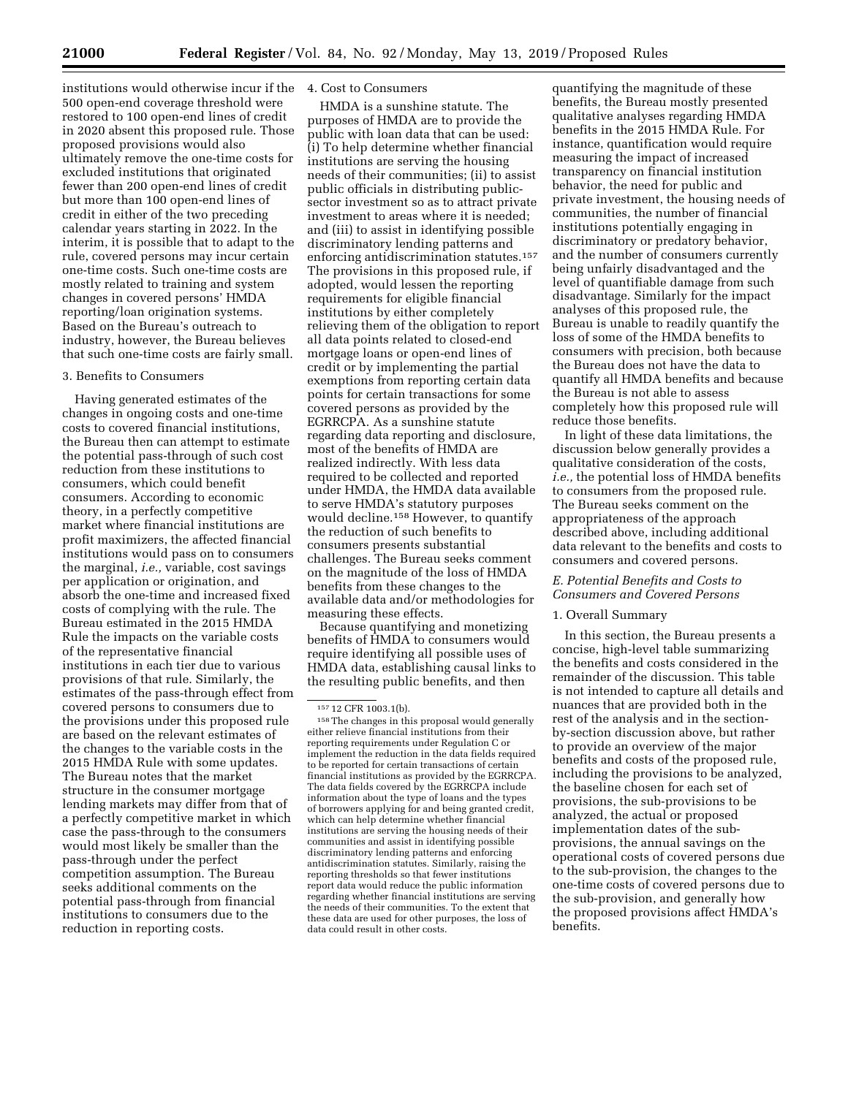institutions would otherwise incur if the 4. Cost to Consumers 500 open-end coverage threshold were restored to 100 open-end lines of credit in 2020 absent this proposed rule. Those proposed provisions would also ultimately remove the one-time costs for excluded institutions that originated fewer than 200 open-end lines of credit but more than 100 open-end lines of credit in either of the two preceding calendar years starting in 2022. In the interim, it is possible that to adapt to the rule, covered persons may incur certain one-time costs. Such one-time costs are mostly related to training and system changes in covered persons' HMDA reporting/loan origination systems. Based on the Bureau's outreach to industry, however, the Bureau believes that such one-time costs are fairly small.

### 3. Benefits to Consumers

Having generated estimates of the changes in ongoing costs and one-time costs to covered financial institutions, the Bureau then can attempt to estimate the potential pass-through of such cost reduction from these institutions to consumers, which could benefit consumers. According to economic theory, in a perfectly competitive market where financial institutions are profit maximizers, the affected financial institutions would pass on to consumers the marginal, *i.e.,* variable, cost savings per application or origination, and absorb the one-time and increased fixed costs of complying with the rule. The Bureau estimated in the 2015 HMDA Rule the impacts on the variable costs of the representative financial institutions in each tier due to various provisions of that rule. Similarly, the estimates of the pass-through effect from covered persons to consumers due to the provisions under this proposed rule are based on the relevant estimates of the changes to the variable costs in the 2015 HMDA Rule with some updates. The Bureau notes that the market structure in the consumer mortgage lending markets may differ from that of a perfectly competitive market in which case the pass-through to the consumers would most likely be smaller than the pass-through under the perfect competition assumption. The Bureau seeks additional comments on the potential pass-through from financial institutions to consumers due to the reduction in reporting costs.

HMDA is a sunshine statute. The purposes of HMDA are to provide the public with loan data that can be used: (i) To help determine whether financial institutions are serving the housing needs of their communities; (ii) to assist public officials in distributing publicsector investment so as to attract private investment to areas where it is needed; and (iii) to assist in identifying possible discriminatory lending patterns and enforcing antidiscrimination statutes.157 The provisions in this proposed rule, if adopted, would lessen the reporting requirements for eligible financial institutions by either completely relieving them of the obligation to report all data points related to closed-end mortgage loans or open-end lines of credit or by implementing the partial exemptions from reporting certain data points for certain transactions for some covered persons as provided by the EGRRCPA. As a sunshine statute regarding data reporting and disclosure, most of the benefits of HMDA are realized indirectly. With less data required to be collected and reported under HMDA, the HMDA data available to serve HMDA's statutory purposes would decline.158 However, to quantify the reduction of such benefits to consumers presents substantial challenges. The Bureau seeks comment on the magnitude of the loss of HMDA benefits from these changes to the available data and/or methodologies for measuring these effects.

Because quantifying and monetizing benefits of HMDA to consumers would require identifying all possible uses of HMDA data, establishing causal links to the resulting public benefits, and then

quantifying the magnitude of these benefits, the Bureau mostly presented qualitative analyses regarding HMDA benefits in the 2015 HMDA Rule. For instance, quantification would require measuring the impact of increased transparency on financial institution behavior, the need for public and private investment, the housing needs of communities, the number of financial institutions potentially engaging in discriminatory or predatory behavior, and the number of consumers currently being unfairly disadvantaged and the level of quantifiable damage from such disadvantage. Similarly for the impact analyses of this proposed rule, the Bureau is unable to readily quantify the loss of some of the HMDA benefits to consumers with precision, both because the Bureau does not have the data to quantify all HMDA benefits and because the Bureau is not able to assess completely how this proposed rule will reduce those benefits.

In light of these data limitations, the discussion below generally provides a qualitative consideration of the costs, *i.e.,* the potential loss of HMDA benefits to consumers from the proposed rule. The Bureau seeks comment on the appropriateness of the approach described above, including additional data relevant to the benefits and costs to consumers and covered persons.

### *E. Potential Benefits and Costs to Consumers and Covered Persons*

### 1. Overall Summary

In this section, the Bureau presents a concise, high-level table summarizing the benefits and costs considered in the remainder of the discussion. This table is not intended to capture all details and nuances that are provided both in the rest of the analysis and in the sectionby-section discussion above, but rather to provide an overview of the major benefits and costs of the proposed rule, including the provisions to be analyzed, the baseline chosen for each set of provisions, the sub-provisions to be analyzed, the actual or proposed implementation dates of the subprovisions, the annual savings on the operational costs of covered persons due to the sub-provision, the changes to the one-time costs of covered persons due to the sub-provision, and generally how the proposed provisions affect HMDA's benefits.

<sup>157</sup> 12 CFR 1003.1(b).

<sup>158</sup>The changes in this proposal would generally either relieve financial institutions from their reporting requirements under Regulation C or implement the reduction in the data fields required to be reported for certain transactions of certain financial institutions as provided by the EGRRCPA. The data fields covered by the EGRRCPA include information about the type of loans and the types of borrowers applying for and being granted credit, which can help determine whether financial institutions are serving the housing needs of their communities and assist in identifying possible discriminatory lending patterns and enforcing antidiscrimination statutes. Similarly, raising the reporting thresholds so that fewer institutions report data would reduce the public information regarding whether financial institutions are serving the needs of their communities. To the extent that these data are used for other purposes, the loss of data could result in other costs.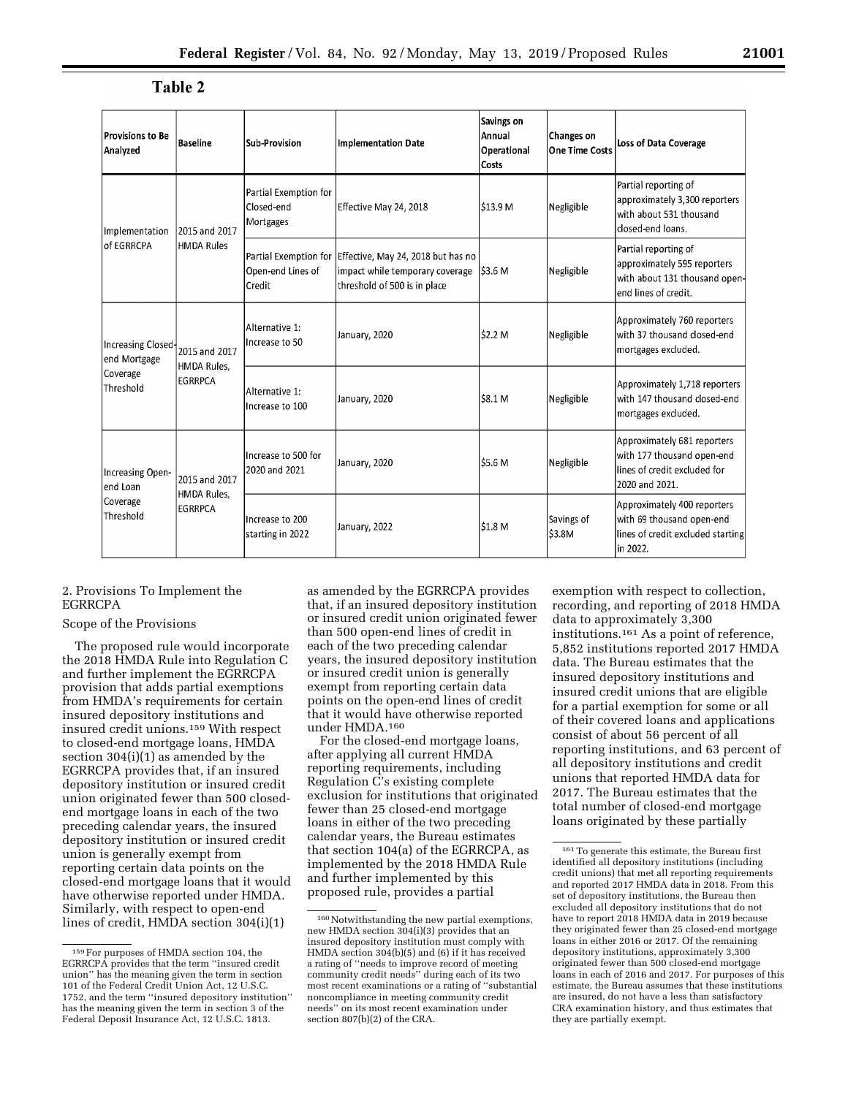### Table 2

| <b>Provisions to Be</b><br>Analyzed                         | Baseline                                       | Sub-Provision                                        | <b>Implementation Date</b>                                                                            | Savings on<br>Annual<br>Operational<br>Costs | Changes on<br><b>One Time Costs</b> | <b>Loss of Data Coverage</b>                                                                                 |
|-------------------------------------------------------------|------------------------------------------------|------------------------------------------------------|-------------------------------------------------------------------------------------------------------|----------------------------------------------|-------------------------------------|--------------------------------------------------------------------------------------------------------------|
| Implementation<br>of EGRRCPA                                | 2015 and 2017<br>HMDA Rules                    | Partial Exemption for<br>Closed-end<br>Mortgages     | Effective May 24, 2018                                                                                | \$13.9 M                                     | Negligible                          | Partial reporting of<br>approximately 3,300 reporters<br>with about 531 thousand<br>closed-end loans.        |
|                                                             |                                                | Partial Exemption for<br>Open-end Lines of<br>Credit | Effective, May 24, 2018 but has no<br>impact while temporary coverage<br>threshold of 500 is in place | <b>S3.6 M</b>                                | Negligible                          | Partial reporting of<br>approximately 595 reporters<br>with about 131 thousand open-<br>end lines of credit. |
| Increasing Closed-<br>end Mortgage<br>Coverage<br>Threshold | 2015 and 2017<br>HMDA Rules,<br><b>EGRRPCA</b> | Alternative 1:<br>Increase to 50                     | January, 2020                                                                                         | \$2.2 M                                      | Negligible                          | Approximately 760 reporters<br>with 37 thousand closed-end<br>mortgages excluded.                            |
|                                                             |                                                | Alternative 1:<br>Increase to 100                    | January, 2020                                                                                         | \$8.1 M                                      | Negligible                          | Approximately 1,718 reporters<br>with 147 thousand closed-end<br>mortgages excluded.                         |
| Increasing Open-<br>end Loan<br>Coverage<br>Threshold       | 2015 and 2017<br>HMDA Rules,<br><b>EGRRPCA</b> | Increase to 500 for<br>2020 and 2021                 | January, 2020                                                                                         | \$5.6 M                                      | Negligible                          | Approximately 681 reporters<br>with 177 thousand open-end<br>lines of credit excluded for<br>2020 and 2021.  |
|                                                             |                                                | Increase to 200<br>starting in 2022                  | January, 2022                                                                                         | \$1.8 M                                      | Savings of<br>\$3.8M                | Approximately 400 reporters<br>with 69 thousand open-end<br>lines of credit excluded starting<br>in 2022.    |

### 2. Provisions To Implement the EGRRCPA

### Scope of the Provisions

The proposed rule would incorporate the 2018 HMDA Rule into Regulation C and further implement the EGRRCPA provision that adds partial exemptions from HMDA's requirements for certain insured depository institutions and insured credit unions.159 With respect to closed-end mortgage loans, HMDA section 304(i)(1) as amended by the EGRRCPA provides that, if an insured depository institution or insured credit union originated fewer than 500 closedend mortgage loans in each of the two preceding calendar years, the insured depository institution or insured credit union is generally exempt from reporting certain data points on the closed-end mortgage loans that it would have otherwise reported under HMDA. Similarly, with respect to open-end lines of credit, HMDA section 304(i)(1)

as amended by the EGRRCPA provides that, if an insured depository institution or insured credit union originated fewer than 500 open-end lines of credit in each of the two preceding calendar years, the insured depository institution or insured credit union is generally exempt from reporting certain data points on the open-end lines of credit that it would have otherwise reported under HMDA.160

For the closed-end mortgage loans, after applying all current HMDA reporting requirements, including Regulation C's existing complete exclusion for institutions that originated fewer than 25 closed-end mortgage loans in either of the two preceding calendar years, the Bureau estimates that section 104(a) of the EGRRCPA, as implemented by the 2018 HMDA Rule and further implemented by this proposed rule, provides a partial

exemption with respect to collection, recording, and reporting of 2018 HMDA data to approximately 3,300 institutions.161 As a point of reference, 5,852 institutions reported 2017 HMDA data. The Bureau estimates that the insured depository institutions and insured credit unions that are eligible for a partial exemption for some or all of their covered loans and applications consist of about 56 percent of all reporting institutions, and 63 percent of all depository institutions and credit unions that reported HMDA data for 2017. The Bureau estimates that the total number of closed-end mortgage loans originated by these partially

<sup>159</sup>For purposes of HMDA section 104, the EGRRCPA provides that the term ''insured credit union'' has the meaning given the term in section 101 of the Federal Credit Union Act, 12 U.S.C. 1752, and the term ''insured depository institution'' has the meaning given the term in section 3 of the Federal Deposit Insurance Act, 12 U.S.C. 1813.

<sup>160</sup> Notwithstanding the new partial exemptions, new HMDA section 304(i)(3) provides that an insured depository institution must comply with HMDA section 304(b)(5) and (6) if it has received a rating of ''needs to improve record of meeting community credit needs'' during each of its two most recent examinations or a rating of ''substantial noncompliance in meeting community credit needs'' on its most recent examination under section 807(b)(2) of the CRA.

<sup>161</sup>To generate this estimate, the Bureau first identified all depository institutions (including credit unions) that met all reporting requirements and reported 2017 HMDA data in 2018. From this set of depository institutions, the Bureau then excluded all depository institutions that do not have to report 2018 HMDA data in 2019 because they originated fewer than 25 closed-end mortgage loans in either 2016 or 2017. Of the remaining depository institutions, approximately 3,300 originated fewer than 500 closed-end mortgage loans in each of 2016 and 2017. For purposes of this estimate, the Bureau assumes that these institutions are insured, do not have a less than satisfactory CRA examination history, and thus estimates that they are partially exempt.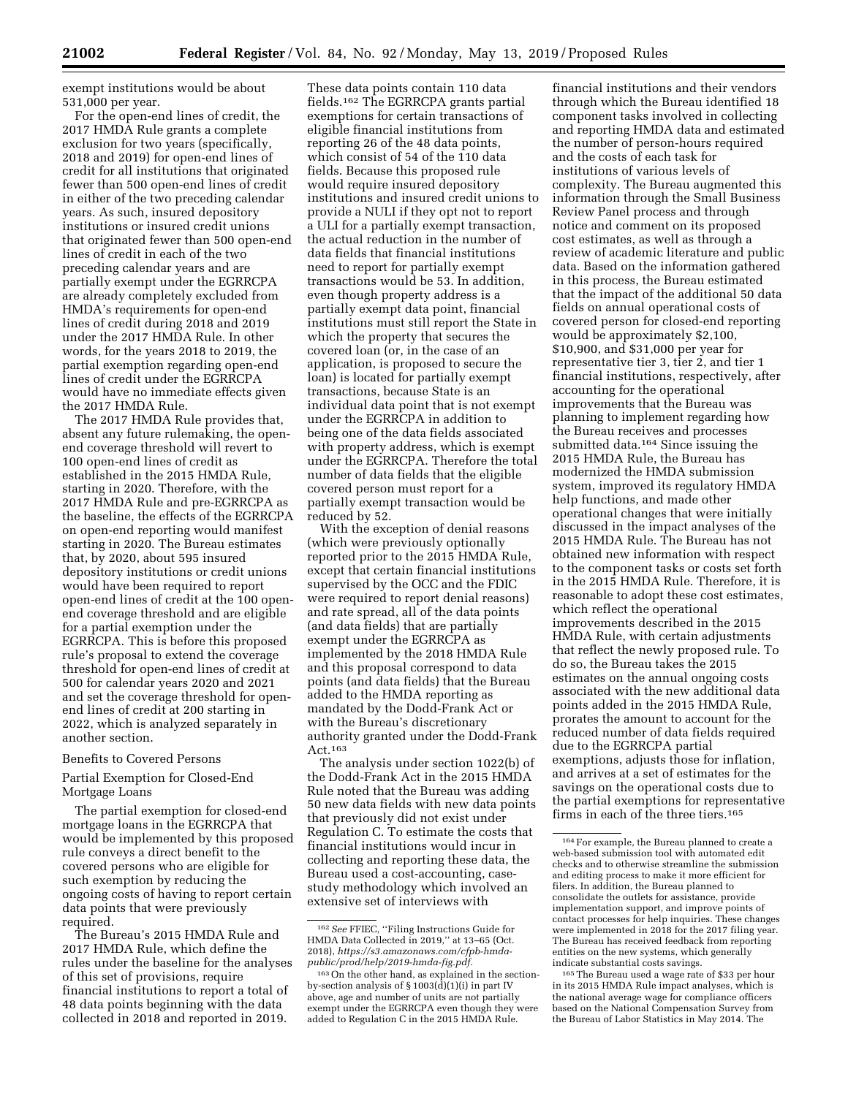exempt institutions would be about 531,000 per year.

For the open-end lines of credit, the 2017 HMDA Rule grants a complete exclusion for two years (specifically, 2018 and 2019) for open-end lines of credit for all institutions that originated fewer than 500 open-end lines of credit in either of the two preceding calendar years. As such, insured depository institutions or insured credit unions that originated fewer than 500 open-end lines of credit in each of the two preceding calendar years and are partially exempt under the EGRRCPA are already completely excluded from HMDA's requirements for open-end lines of credit during 2018 and 2019 under the 2017 HMDA Rule. In other words, for the years 2018 to 2019, the partial exemption regarding open-end lines of credit under the EGRRCPA would have no immediate effects given the 2017 HMDA Rule.

The 2017 HMDA Rule provides that, absent any future rulemaking, the openend coverage threshold will revert to 100 open-end lines of credit as established in the 2015 HMDA Rule, starting in 2020. Therefore, with the 2017 HMDA Rule and pre-EGRRCPA as the baseline, the effects of the EGRRCPA on open-end reporting would manifest starting in 2020. The Bureau estimates that, by 2020, about 595 insured depository institutions or credit unions would have been required to report open-end lines of credit at the 100 openend coverage threshold and are eligible for a partial exemption under the EGRRCPA. This is before this proposed rule's proposal to extend the coverage threshold for open-end lines of credit at 500 for calendar years 2020 and 2021 and set the coverage threshold for openend lines of credit at 200 starting in 2022, which is analyzed separately in another section.

### Benefits to Covered Persons

### Partial Exemption for Closed-End Mortgage Loans

The partial exemption for closed-end mortgage loans in the EGRRCPA that would be implemented by this proposed rule conveys a direct benefit to the covered persons who are eligible for such exemption by reducing the ongoing costs of having to report certain data points that were previously required.

The Bureau's 2015 HMDA Rule and 2017 HMDA Rule, which define the rules under the baseline for the analyses of this set of provisions, require financial institutions to report a total of 48 data points beginning with the data collected in 2018 and reported in 2019.

These data points contain 110 data fields.162 The EGRRCPA grants partial exemptions for certain transactions of eligible financial institutions from reporting 26 of the 48 data points, which consist of 54 of the 110 data fields. Because this proposed rule would require insured depository institutions and insured credit unions to provide a NULI if they opt not to report a ULI for a partially exempt transaction, the actual reduction in the number of data fields that financial institutions need to report for partially exempt transactions would be 53. In addition, even though property address is a partially exempt data point, financial institutions must still report the State in which the property that secures the covered loan (or, in the case of an application, is proposed to secure the loan) is located for partially exempt transactions, because State is an individual data point that is not exempt under the EGRRCPA in addition to being one of the data fields associated with property address, which is exempt under the EGRRCPA. Therefore the total number of data fields that the eligible covered person must report for a partially exempt transaction would be reduced by 52.

With the exception of denial reasons (which were previously optionally reported prior to the 2015 HMDA Rule, except that certain financial institutions supervised by the OCC and the FDIC were required to report denial reasons) and rate spread, all of the data points (and data fields) that are partially exempt under the EGRRCPA as implemented by the 2018 HMDA Rule and this proposal correspond to data points (and data fields) that the Bureau added to the HMDA reporting as mandated by the Dodd-Frank Act or with the Bureau's discretionary authority granted under the Dodd-Frank Act.163

The analysis under section 1022(b) of the Dodd-Frank Act in the 2015 HMDA Rule noted that the Bureau was adding 50 new data fields with new data points that previously did not exist under Regulation C. To estimate the costs that financial institutions would incur in collecting and reporting these data, the Bureau used a cost-accounting, casestudy methodology which involved an extensive set of interviews with

financial institutions and their vendors through which the Bureau identified 18 component tasks involved in collecting and reporting HMDA data and estimated the number of person-hours required and the costs of each task for institutions of various levels of complexity. The Bureau augmented this information through the Small Business Review Panel process and through notice and comment on its proposed cost estimates, as well as through a review of academic literature and public data. Based on the information gathered in this process, the Bureau estimated that the impact of the additional 50 data fields on annual operational costs of covered person for closed-end reporting would be approximately \$2,100, \$10,900, and \$31,000 per year for representative tier 3, tier 2, and tier 1 financial institutions, respectively, after accounting for the operational improvements that the Bureau was planning to implement regarding how the Bureau receives and processes submitted data.164 Since issuing the 2015 HMDA Rule, the Bureau has modernized the HMDA submission system, improved its regulatory HMDA help functions, and made other operational changes that were initially discussed in the impact analyses of the 2015 HMDA Rule. The Bureau has not obtained new information with respect to the component tasks or costs set forth in the 2015 HMDA Rule. Therefore, it is reasonable to adopt these cost estimates, which reflect the operational improvements described in the 2015 HMDA Rule, with certain adjustments that reflect the newly proposed rule. To do so, the Bureau takes the 2015 estimates on the annual ongoing costs associated with the new additional data points added in the 2015 HMDA Rule, prorates the amount to account for the reduced number of data fields required due to the EGRRCPA partial exemptions, adjusts those for inflation, and arrives at a set of estimates for the savings on the operational costs due to the partial exemptions for representative firms in each of the three tiers.165

165The Bureau used a wage rate of \$33 per hour in its 2015 HMDA Rule impact analyses, which is the national average wage for compliance officers based on the National Compensation Survey from the Bureau of Labor Statistics in May 2014. The

<sup>162</sup>*See* FFIEC, ''Filing Instructions Guide for HMDA Data Collected in 2019,'' at 13–65 (Oct. 2018), *[https://s3.amazonaws.com/cfpb-hmda](https://s3.amazonaws.com/cfpb-hmda-public/prod/help/2019-hmda-fig.pdf)[public/prod/help/2019-hmda-fig.pdf.](https://s3.amazonaws.com/cfpb-hmda-public/prod/help/2019-hmda-fig.pdf)* 

<sup>163</sup>On the other hand, as explained in the sectionby-section analysis of  $\S 1003(\tilde{d})(1)(i)$  in part IV above, age and number of units are not partially exempt under the EGRRCPA even though they were added to Regulation C in the 2015 HMDA Rule.

<sup>164</sup>For example, the Bureau planned to create a web-based submission tool with automated edit checks and to otherwise streamline the submission and editing process to make it more efficient for filers. In addition, the Bureau planned to consolidate the outlets for assistance, provide implementation support, and improve points of contact processes for help inquiries. These changes were implemented in 2018 for the 2017 filing year. The Bureau has received feedback from reporting entities on the new systems, which generally indicate substantial costs savings.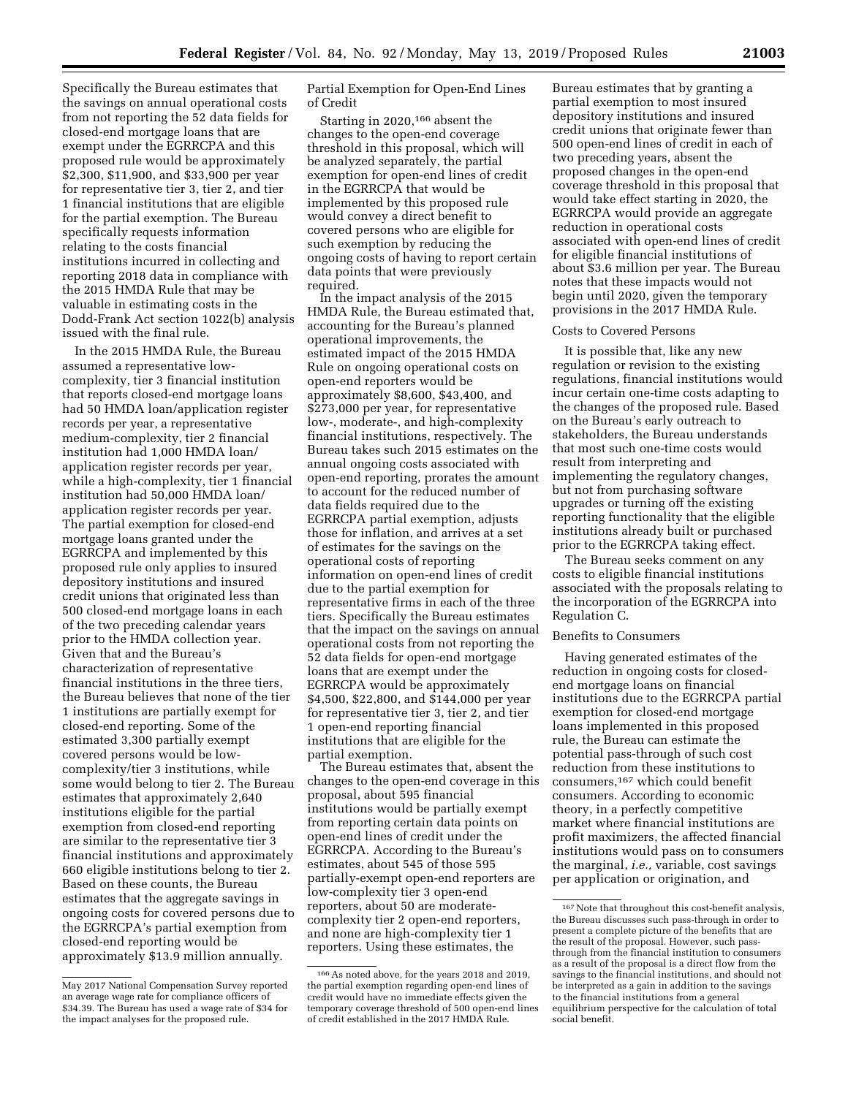Specifically the Bureau estimates that the savings on annual operational costs from not reporting the 52 data fields for closed-end mortgage loans that are exempt under the EGRRCPA and this proposed rule would be approximately \$2,300, \$11,900, and \$33,900 per year for representative tier 3, tier 2, and tier 1 financial institutions that are eligible for the partial exemption. The Bureau specifically requests information relating to the costs financial institutions incurred in collecting and reporting 2018 data in compliance with the 2015 HMDA Rule that may be valuable in estimating costs in the Dodd-Frank Act section 1022(b) analysis issued with the final rule.

In the 2015 HMDA Rule, the Bureau assumed a representative lowcomplexity, tier 3 financial institution that reports closed-end mortgage loans had 50 HMDA loan/application register records per year, a representative medium-complexity, tier 2 financial institution had 1,000 HMDA loan/ application register records per year, while a high-complexity, tier 1 financial institution had 50,000 HMDA loan/ application register records per year. The partial exemption for closed-end mortgage loans granted under the EGRRCPA and implemented by this proposed rule only applies to insured depository institutions and insured credit unions that originated less than 500 closed-end mortgage loans in each of the two preceding calendar years prior to the HMDA collection year. Given that and the Bureau's characterization of representative financial institutions in the three tiers, the Bureau believes that none of the tier 1 institutions are partially exempt for closed-end reporting. Some of the estimated 3,300 partially exempt covered persons would be lowcomplexity/tier 3 institutions, while some would belong to tier 2. The Bureau estimates that approximately 2,640 institutions eligible for the partial exemption from closed-end reporting are similar to the representative tier 3 financial institutions and approximately 660 eligible institutions belong to tier 2. Based on these counts, the Bureau estimates that the aggregate savings in ongoing costs for covered persons due to the EGRRCPA's partial exemption from closed-end reporting would be approximately \$13.9 million annually.

Partial Exemption for Open-End Lines of Credit

Starting in 2020,166 absent the changes to the open-end coverage threshold in this proposal, which will be analyzed separately, the partial exemption for open-end lines of credit in the EGRRCPA that would be implemented by this proposed rule would convey a direct benefit to covered persons who are eligible for such exemption by reducing the ongoing costs of having to report certain data points that were previously required.

In the impact analysis of the 2015 HMDA Rule, the Bureau estimated that, accounting for the Bureau's planned operational improvements, the estimated impact of the 2015 HMDA Rule on ongoing operational costs on open-end reporters would be approximately \$8,600, \$43,400, and \$273,000 per year, for representative low-, moderate-, and high-complexity financial institutions, respectively. The Bureau takes such 2015 estimates on the annual ongoing costs associated with open-end reporting, prorates the amount to account for the reduced number of data fields required due to the EGRRCPA partial exemption, adjusts those for inflation, and arrives at a set of estimates for the savings on the operational costs of reporting information on open-end lines of credit due to the partial exemption for representative firms in each of the three tiers. Specifically the Bureau estimates that the impact on the savings on annual operational costs from not reporting the 52 data fields for open-end mortgage loans that are exempt under the EGRRCPA would be approximately \$4,500, \$22,800, and \$144,000 per year for representative tier 3, tier 2, and tier 1 open-end reporting financial institutions that are eligible for the partial exemption.

The Bureau estimates that, absent the changes to the open-end coverage in this proposal, about 595 financial institutions would be partially exempt from reporting certain data points on open-end lines of credit under the EGRRCPA. According to the Bureau's estimates, about 545 of those 595 partially-exempt open-end reporters are low-complexity tier 3 open-end reporters, about 50 are moderatecomplexity tier 2 open-end reporters, and none are high-complexity tier 1 reporters. Using these estimates, the

Bureau estimates that by granting a partial exemption to most insured depository institutions and insured credit unions that originate fewer than 500 open-end lines of credit in each of two preceding years, absent the proposed changes in the open-end coverage threshold in this proposal that would take effect starting in 2020, the EGRRCPA would provide an aggregate reduction in operational costs associated with open-end lines of credit for eligible financial institutions of about \$3.6 million per year. The Bureau notes that these impacts would not begin until 2020, given the temporary provisions in the 2017 HMDA Rule.

#### Costs to Covered Persons

It is possible that, like any new regulation or revision to the existing regulations, financial institutions would incur certain one-time costs adapting to the changes of the proposed rule. Based on the Bureau's early outreach to stakeholders, the Bureau understands that most such one-time costs would result from interpreting and implementing the regulatory changes, but not from purchasing software upgrades or turning off the existing reporting functionality that the eligible institutions already built or purchased prior to the EGRRCPA taking effect.

The Bureau seeks comment on any costs to eligible financial institutions associated with the proposals relating to the incorporation of the EGRRCPA into Regulation C.

### Benefits to Consumers

Having generated estimates of the reduction in ongoing costs for closedend mortgage loans on financial institutions due to the EGRRCPA partial exemption for closed-end mortgage loans implemented in this proposed rule, the Bureau can estimate the potential pass-through of such cost reduction from these institutions to consumers,167 which could benefit consumers. According to economic theory, in a perfectly competitive market where financial institutions are profit maximizers, the affected financial institutions would pass on to consumers the marginal, *i.e.,* variable, cost savings per application or origination, and

May 2017 National Compensation Survey reported an average wage rate for compliance officers of \$34.39. The Bureau has used a wage rate of \$34 for the impact analyses for the proposed rule.

<sup>166</sup>As noted above, for the years 2018 and 2019, the partial exemption regarding open-end lines of credit would have no immediate effects given the temporary coverage threshold of 500 open-end lines of credit established in the 2017 HMDA Rule.

<sup>167</sup> Note that throughout this cost-benefit analysis, the Bureau discusses such pass-through in order to present a complete picture of the benefits that are the result of the proposal. However, such passthrough from the financial institution to consumers as a result of the proposal is a direct flow from the savings to the financial institutions, and should not be interpreted as a gain in addition to the savings to the financial institutions from a general equilibrium perspective for the calculation of total social benefit.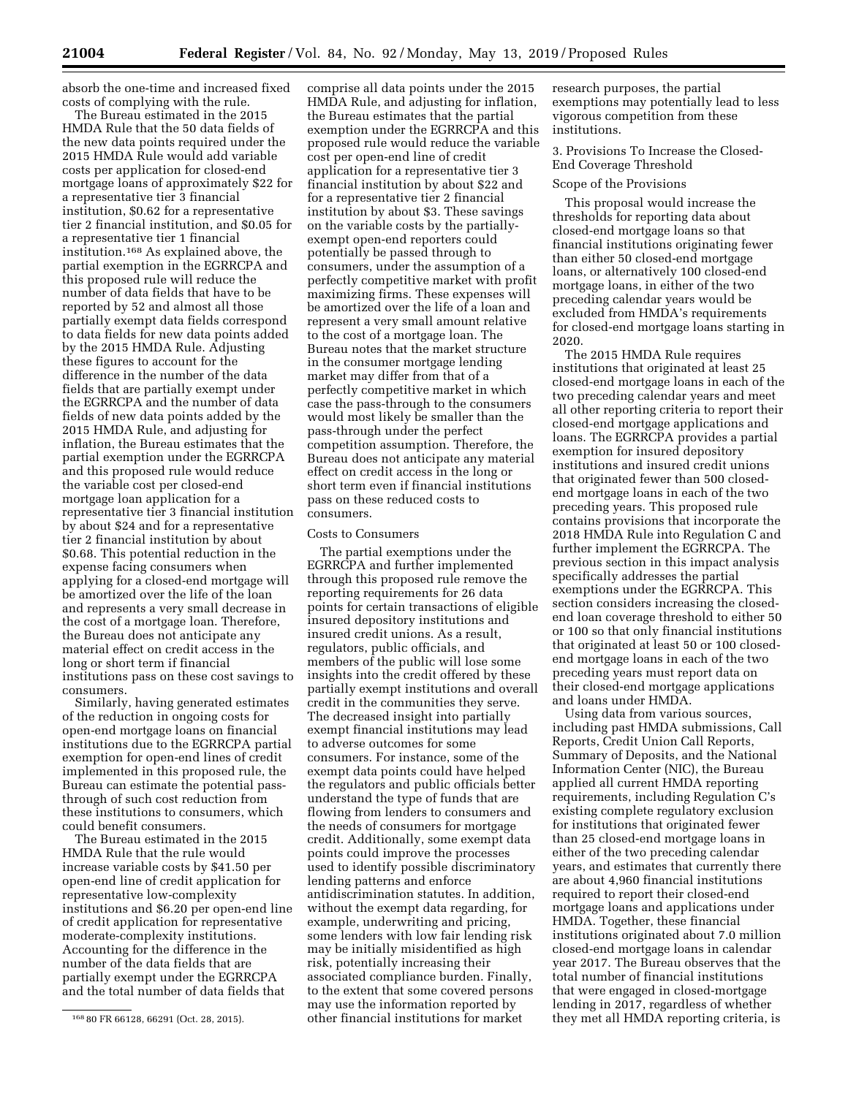absorb the one-time and increased fixed costs of complying with the rule.

The Bureau estimated in the 2015 HMDA Rule that the 50 data fields of the new data points required under the 2015 HMDA Rule would add variable costs per application for closed-end mortgage loans of approximately \$22 for a representative tier 3 financial institution, \$0.62 for a representative tier 2 financial institution, and \$0.05 for a representative tier 1 financial institution.168 As explained above, the partial exemption in the EGRRCPA and this proposed rule will reduce the number of data fields that have to be reported by 52 and almost all those partially exempt data fields correspond to data fields for new data points added by the 2015 HMDA Rule. Adjusting these figures to account for the difference in the number of the data fields that are partially exempt under the EGRRCPA and the number of data fields of new data points added by the 2015 HMDA Rule, and adjusting for inflation, the Bureau estimates that the partial exemption under the EGRRCPA and this proposed rule would reduce the variable cost per closed-end mortgage loan application for a representative tier 3 financial institution by about \$24 and for a representative tier 2 financial institution by about \$0.68. This potential reduction in the expense facing consumers when applying for a closed-end mortgage will be amortized over the life of the loan and represents a very small decrease in the cost of a mortgage loan. Therefore, the Bureau does not anticipate any material effect on credit access in the long or short term if financial institutions pass on these cost savings to consumers.

Similarly, having generated estimates of the reduction in ongoing costs for open-end mortgage loans on financial institutions due to the EGRRCPA partial exemption for open-end lines of credit implemented in this proposed rule, the Bureau can estimate the potential passthrough of such cost reduction from these institutions to consumers, which could benefit consumers.

The Bureau estimated in the 2015 HMDA Rule that the rule would increase variable costs by \$41.50 per open-end line of credit application for representative low-complexity institutions and \$6.20 per open-end line of credit application for representative moderate-complexity institutions. Accounting for the difference in the number of the data fields that are partially exempt under the EGRRCPA and the total number of data fields that

comprise all data points under the 2015 HMDA Rule, and adjusting for inflation, the Bureau estimates that the partial exemption under the EGRRCPA and this proposed rule would reduce the variable cost per open-end line of credit application for a representative tier 3 financial institution by about \$22 and for a representative tier 2 financial institution by about \$3. These savings on the variable costs by the partiallyexempt open-end reporters could potentially be passed through to consumers, under the assumption of a perfectly competitive market with profit maximizing firms. These expenses will be amortized over the life of a loan and represent a very small amount relative to the cost of a mortgage loan. The Bureau notes that the market structure in the consumer mortgage lending market may differ from that of a perfectly competitive market in which case the pass-through to the consumers would most likely be smaller than the pass-through under the perfect competition assumption. Therefore, the Bureau does not anticipate any material effect on credit access in the long or short term even if financial institutions pass on these reduced costs to consumers.

### Costs to Consumers

The partial exemptions under the EGRRCPA and further implemented through this proposed rule remove the reporting requirements for 26 data points for certain transactions of eligible insured depository institutions and insured credit unions. As a result, regulators, public officials, and members of the public will lose some insights into the credit offered by these partially exempt institutions and overall credit in the communities they serve. The decreased insight into partially exempt financial institutions may lead to adverse outcomes for some consumers. For instance, some of the exempt data points could have helped the regulators and public officials better understand the type of funds that are flowing from lenders to consumers and the needs of consumers for mortgage credit. Additionally, some exempt data points could improve the processes used to identify possible discriminatory lending patterns and enforce antidiscrimination statutes. In addition, without the exempt data regarding, for example, underwriting and pricing, some lenders with low fair lending risk may be initially misidentified as high risk, potentially increasing their associated compliance burden. Finally, to the extent that some covered persons may use the information reported by other financial institutions for market

research purposes, the partial exemptions may potentially lead to less vigorous competition from these institutions.

3. Provisions To Increase the Closed-End Coverage Threshold

### Scope of the Provisions

This proposal would increase the thresholds for reporting data about closed-end mortgage loans so that financial institutions originating fewer than either 50 closed-end mortgage loans, or alternatively 100 closed-end mortgage loans, in either of the two preceding calendar years would be excluded from HMDA's requirements for closed-end mortgage loans starting in 2020.

The 2015 HMDA Rule requires institutions that originated at least 25 closed-end mortgage loans in each of the two preceding calendar years and meet all other reporting criteria to report their closed-end mortgage applications and loans. The EGRRCPA provides a partial exemption for insured depository institutions and insured credit unions that originated fewer than 500 closedend mortgage loans in each of the two preceding years. This proposed rule contains provisions that incorporate the 2018 HMDA Rule into Regulation C and further implement the EGRRCPA. The previous section in this impact analysis specifically addresses the partial exemptions under the EGRRCPA. This section considers increasing the closedend loan coverage threshold to either 50 or 100 so that only financial institutions that originated at least 50 or 100 closedend mortgage loans in each of the two preceding years must report data on their closed-end mortgage applications and loans under HMDA.

Using data from various sources, including past HMDA submissions, Call Reports, Credit Union Call Reports, Summary of Deposits, and the National Information Center (NIC), the Bureau applied all current HMDA reporting requirements, including Regulation C's existing complete regulatory exclusion for institutions that originated fewer than 25 closed-end mortgage loans in either of the two preceding calendar years, and estimates that currently there are about 4,960 financial institutions required to report their closed-end mortgage loans and applications under HMDA. Together, these financial institutions originated about 7.0 million closed-end mortgage loans in calendar year 2017. The Bureau observes that the total number of financial institutions that were engaged in closed-mortgage lending in 2017, regardless of whether they met all HMDA reporting criteria, is

<sup>168</sup> 80 FR 66128, 66291 (Oct. 28, 2015).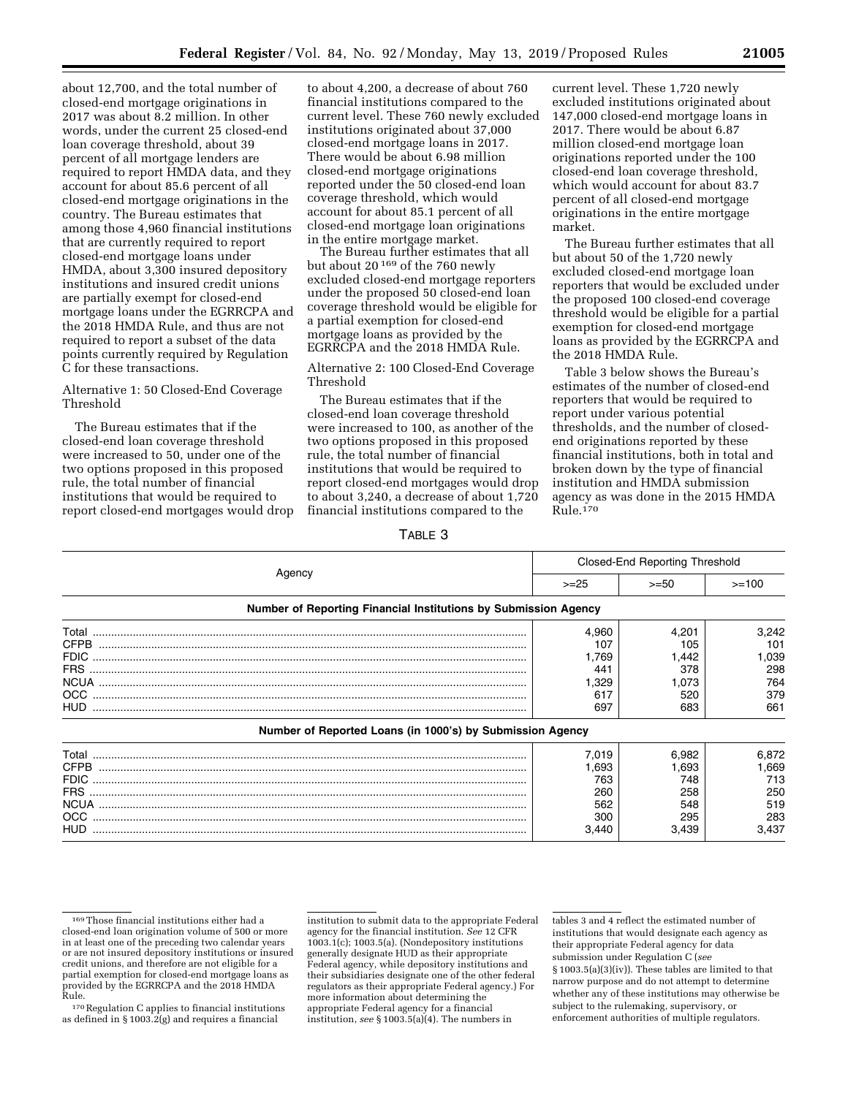about 12,700, and the total number of closed-end mortgage originations in 2017 was about 8.2 million. In other words, under the current 25 closed-end loan coverage threshold, about 39 percent of all mortgage lenders are required to report HMDA data, and they account for about 85.6 percent of all closed-end mortgage originations in the country. The Bureau estimates that among those 4,960 financial institutions that are currently required to report closed-end mortgage loans under HMDA, about 3,300 insured depository institutions and insured credit unions are partially exempt for closed-end mortgage loans under the EGRRCPA and the 2018 HMDA Rule, and thus are not required to report a subset of the data points currently required by Regulation C for these transactions.

### Alternative 1: 50 Closed-End Coverage Threshold

The Bureau estimates that if the closed-end loan coverage threshold were increased to 50, under one of the two options proposed in this proposed rule, the total number of financial institutions that would be required to report closed-end mortgages would drop

to about 4,200, a decrease of about 760 financial institutions compared to the current level. These 760 newly excluded institutions originated about 37,000 closed-end mortgage loans in 2017. There would be about 6.98 million closed-end mortgage originations reported under the 50 closed-end loan coverage threshold, which would account for about 85.1 percent of all closed-end mortgage loan originations in the entire mortgage market.

The Bureau further estimates that all but about 20 169 of the 760 newly excluded closed-end mortgage reporters under the proposed 50 closed-end loan coverage threshold would be eligible for a partial exemption for closed-end mortgage loans as provided by the EGRRCPA and the 2018 HMDA Rule.

Alternative 2: 100 Closed-End Coverage Threshold

The Bureau estimates that if the closed-end loan coverage threshold were increased to 100, as another of the two options proposed in this proposed rule, the total number of financial institutions that would be required to report closed-end mortgages would drop to about 3,240, a decrease of about 1,720 financial institutions compared to the

current level. These 1,720 newly excluded institutions originated about 147,000 closed-end mortgage loans in 2017. There would be about 6.87 million closed-end mortgage loan originations reported under the 100 closed-end loan coverage threshold, which would account for about 83.7 percent of all closed-end mortgage originations in the entire mortgage market.

The Bureau further estimates that all but about 50 of the 1,720 newly excluded closed-end mortgage loan reporters that would be excluded under the proposed 100 closed-end coverage threshold would be eligible for a partial exemption for closed-end mortgage loans as provided by the EGRRCPA and the 2018 HMDA Rule.

Table 3 below shows the Bureau's estimates of the number of closed-end reporters that would be required to report under various potential thresholds, and the number of closedend originations reported by these financial institutions, both in total and broken down by the type of financial institution and HMDA submission agency as was done in the 2015 HMDA Rule.170

TABLE 3

|                                                                 | <b>Closed-End Reporting Threshold</b> |        |         |
|-----------------------------------------------------------------|---------------------------------------|--------|---------|
| Agency                                                          | $>=25$                                | $>=50$ | $>=100$ |
| Number of Reporting Financial Institutions by Submission Agency |                                       |        |         |
|                                                                 | 4.960                                 | 4.201  | 3.242   |
| <b>CFPB</b>                                                     | 107                                   | 105    | 101     |
| <b>FDIC</b>                                                     | 1.769                                 | 1.442  | 1,039   |
| FRS.                                                            | 441                                   | 378    | 298     |
|                                                                 | I.329                                 | 1,073  | 764     |
| OCC.                                                            | 617                                   | 520    | 379     |
| HUD                                                             | 697                                   | 683    | 661     |
| Number of Reported Loans (in 1000's) by Submission Agency       |                                       |        |         |
| Total                                                           | 7.019                                 | 6,982  | 6,872   |
| <b>CFPB</b>                                                     | 1,693                                 | 1,693  | l,669   |
|                                                                 | 763                                   | 748    | 713     |

FRS .............................................................................................................................................. 260 258 250

OCC ............................................................................................................................................. 300 295 283

NCUA ........................................................................................................................................... 562 548 519

HUD ............................................................................................................................................. 3,440 3,439 3,437

institution to submit data to the appropriate Federal agency for the financial institution. *See* 12 CFR 1003.1(c); 1003.5(a). (Nondepository institutions generally designate HUD as their appropriate Federal agency, while depository institutions and their subsidiaries designate one of the other federal regulators as their appropriate Federal agency.) For more information about determining the appropriate Federal agency for a financial institution, *see* § 1003.5(a)(4). The numbers in

tables 3 and 4 reflect the estimated number of institutions that would designate each agency as their appropriate Federal agency for data submission under Regulation C (*see*  § 1003.5(a)(3)(iv)). These tables are limited to that narrow purpose and do not attempt to determine whether any of these institutions may otherwise be subject to the rulemaking, supervisory, or enforcement authorities of multiple regulators.

<sup>169</sup>Those financial institutions either had a closed-end loan origination volume of 500 or more in at least one of the preceding two calendar years or are not insured depository institutions or insured credit unions, and therefore are not eligible for a partial exemption for closed-end mortgage loans as provided by the EGRRCPA and the 2018 HMDA<br>Rule.

<sup>&</sup>lt;sup>170</sup> Regulation C applies to financial institutions as defined in  $\S 1003.2(g)$  and requires a financial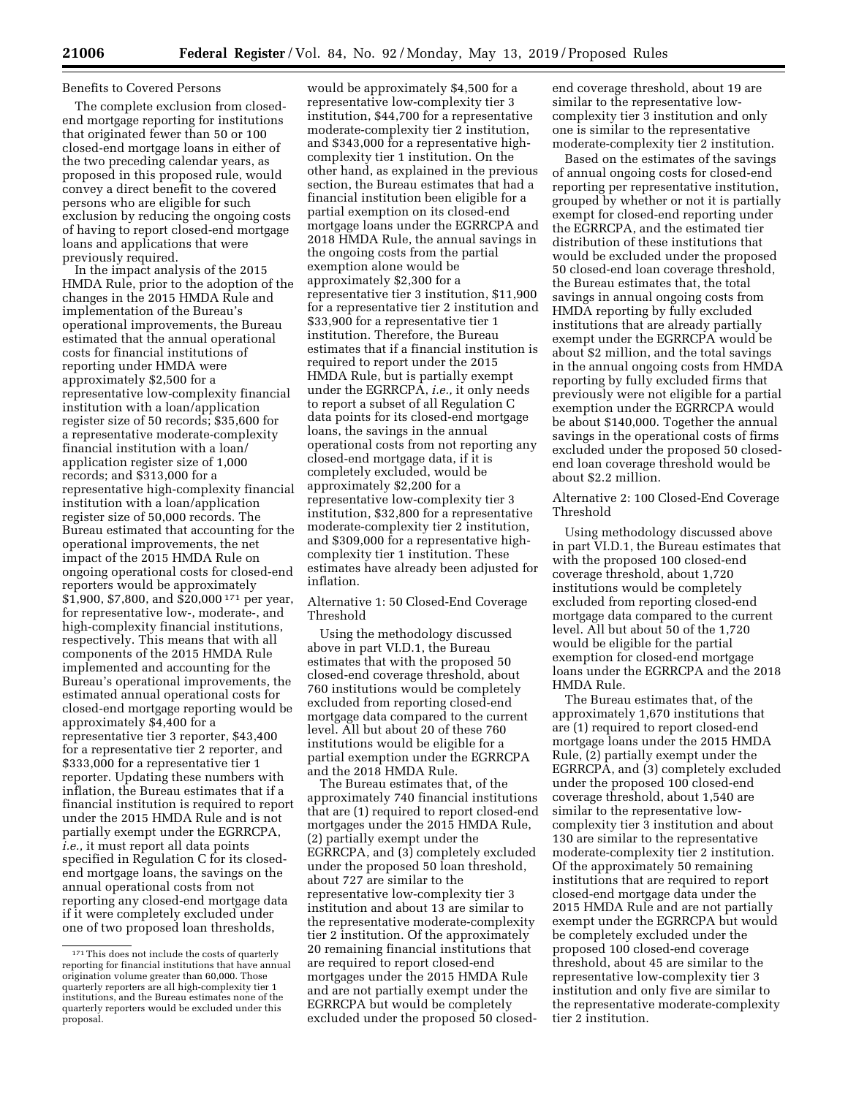### Benefits to Covered Persons

The complete exclusion from closedend mortgage reporting for institutions that originated fewer than 50 or 100 closed-end mortgage loans in either of the two preceding calendar years, as proposed in this proposed rule, would convey a direct benefit to the covered persons who are eligible for such exclusion by reducing the ongoing costs of having to report closed-end mortgage loans and applications that were previously required.

In the impact analysis of the 2015 HMDA Rule, prior to the adoption of the changes in the 2015 HMDA Rule and implementation of the Bureau's operational improvements, the Bureau estimated that the annual operational costs for financial institutions of reporting under HMDA were approximately \$2,500 for a representative low-complexity financial institution with a loan/application register size of 50 records; \$35,600 for a representative moderate-complexity financial institution with a loan/ application register size of 1,000 records; and \$313,000 for a representative high-complexity financial institution with a loan/application register size of 50,000 records. The Bureau estimated that accounting for the operational improvements, the net impact of the 2015 HMDA Rule on ongoing operational costs for closed-end reporters would be approximately \$1,900, \$7,800, and \$20,000 171 per year, for representative low-, moderate-, and high-complexity financial institutions, respectively. This means that with all components of the 2015 HMDA Rule implemented and accounting for the Bureau's operational improvements, the estimated annual operational costs for closed-end mortgage reporting would be approximately \$4,400 for a representative tier 3 reporter, \$43,400 for a representative tier 2 reporter, and \$333,000 for a representative tier 1 reporter. Updating these numbers with inflation, the Bureau estimates that if a financial institution is required to report under the 2015 HMDA Rule and is not partially exempt under the EGRRCPA, *i.e.,* it must report all data points specified in Regulation C for its closedend mortgage loans, the savings on the annual operational costs from not reporting any closed-end mortgage data if it were completely excluded under one of two proposed loan thresholds,

would be approximately \$4,500 for a representative low-complexity tier 3 institution, \$44,700 for a representative moderate-complexity tier 2 institution, and \$343,000 for a representative highcomplexity tier 1 institution. On the other hand, as explained in the previous section, the Bureau estimates that had a financial institution been eligible for a partial exemption on its closed-end mortgage loans under the EGRRCPA and 2018 HMDA Rule, the annual savings in the ongoing costs from the partial exemption alone would be approximately \$2,300 for a representative tier 3 institution, \$11,900 for a representative tier 2 institution and \$33,900 for a representative tier 1 institution. Therefore, the Bureau estimates that if a financial institution is required to report under the 2015 HMDA Rule, but is partially exempt under the EGRRCPA, *i.e.,* it only needs to report a subset of all Regulation C data points for its closed-end mortgage loans, the savings in the annual operational costs from not reporting any closed-end mortgage data, if it is completely excluded, would be approximately \$2,200 for a representative low-complexity tier 3 institution, \$32,800 for a representative moderate-complexity tier 2 institution, and \$309,000 for a representative highcomplexity tier 1 institution. These estimates have already been adjusted for inflation.

Alternative 1: 50 Closed-End Coverage Threshold

Using the methodology discussed above in part VI.D.1, the Bureau estimates that with the proposed 50 closed-end coverage threshold, about 760 institutions would be completely excluded from reporting closed-end mortgage data compared to the current level. All but about 20 of these 760 institutions would be eligible for a partial exemption under the EGRRCPA and the 2018 HMDA Rule.

The Bureau estimates that, of the approximately 740 financial institutions that are (1) required to report closed-end mortgages under the 2015 HMDA Rule, (2) partially exempt under the EGRRCPA, and (3) completely excluded under the proposed 50 loan threshold, about 727 are similar to the representative low-complexity tier 3 institution and about 13 are similar to the representative moderate-complexity tier 2 institution. Of the approximately 20 remaining financial institutions that are required to report closed-end mortgages under the 2015 HMDA Rule and are not partially exempt under the EGRRCPA but would be completely excluded under the proposed 50 closed-

end coverage threshold, about 19 are similar to the representative lowcomplexity tier 3 institution and only one is similar to the representative moderate-complexity tier 2 institution.

Based on the estimates of the savings of annual ongoing costs for closed-end reporting per representative institution, grouped by whether or not it is partially exempt for closed-end reporting under the EGRRCPA, and the estimated tier distribution of these institutions that would be excluded under the proposed 50 closed-end loan coverage threshold, the Bureau estimates that, the total savings in annual ongoing costs from HMDA reporting by fully excluded institutions that are already partially exempt under the EGRRCPA would be about \$2 million, and the total savings in the annual ongoing costs from HMDA reporting by fully excluded firms that previously were not eligible for a partial exemption under the EGRRCPA would be about \$140,000. Together the annual savings in the operational costs of firms excluded under the proposed 50 closedend loan coverage threshold would be about \$2.2 million.

Alternative 2: 100 Closed-End Coverage Threshold

Using methodology discussed above in part VI.D.1, the Bureau estimates that with the proposed 100 closed-end coverage threshold, about 1,720 institutions would be completely excluded from reporting closed-end mortgage data compared to the current level. All but about 50 of the 1,720 would be eligible for the partial exemption for closed-end mortgage loans under the EGRRCPA and the 2018 HMDA Rule.

The Bureau estimates that, of the approximately 1,670 institutions that are (1) required to report closed-end mortgage loans under the 2015 HMDA Rule, (2) partially exempt under the EGRRCPA, and (3) completely excluded under the proposed 100 closed-end coverage threshold, about 1,540 are similar to the representative lowcomplexity tier 3 institution and about 130 are similar to the representative moderate-complexity tier 2 institution. Of the approximately 50 remaining institutions that are required to report closed-end mortgage data under the 2015 HMDA Rule and are not partially exempt under the EGRRCPA but would be completely excluded under the proposed 100 closed-end coverage threshold, about 45 are similar to the representative low-complexity tier 3 institution and only five are similar to the representative moderate-complexity tier 2 institution.

<sup>171</sup>This does not include the costs of quarterly reporting for financial institutions that have annual origination volume greater than 60,000. Those quarterly reporters are all high-complexity tier 1 institutions, and the Bureau estimates none of the quarterly reporters would be excluded under this proposal.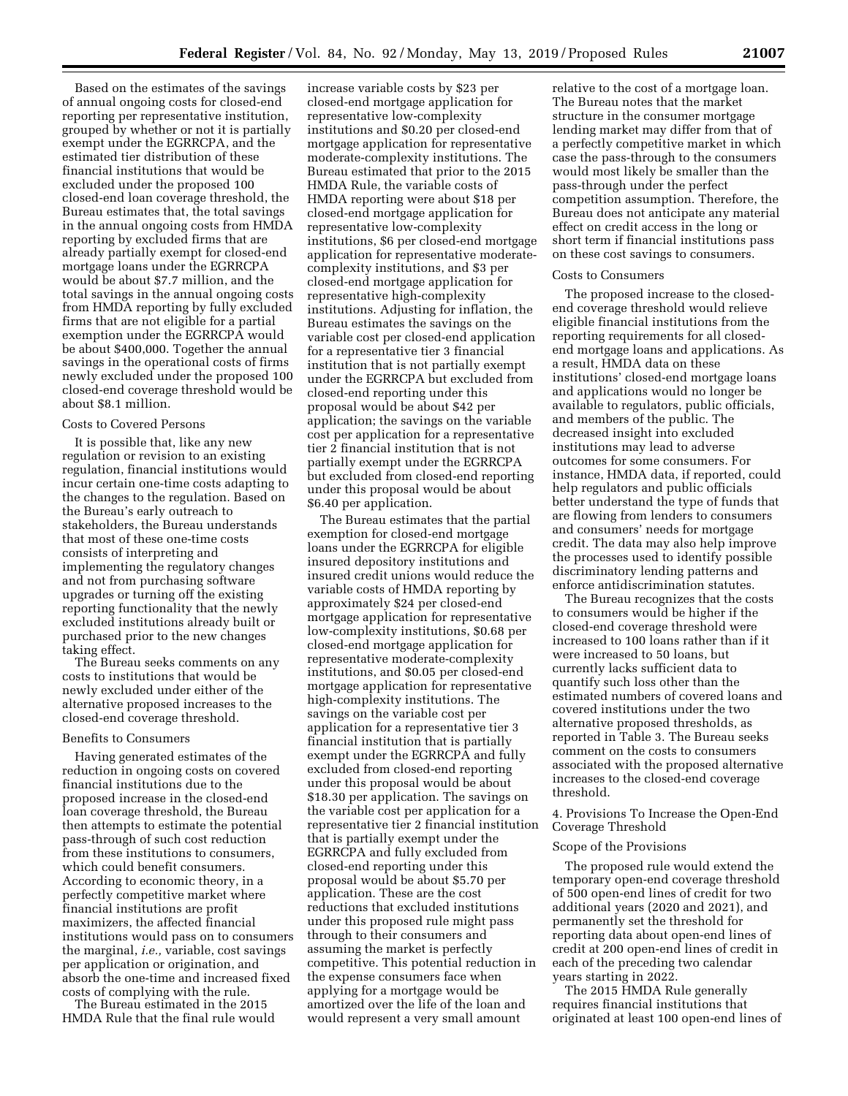Based on the estimates of the savings of annual ongoing costs for closed-end reporting per representative institution, grouped by whether or not it is partially exempt under the EGRRCPA, and the estimated tier distribution of these financial institutions that would be excluded under the proposed 100 closed-end loan coverage threshold, the Bureau estimates that, the total savings in the annual ongoing costs from HMDA reporting by excluded firms that are already partially exempt for closed-end mortgage loans under the EGRRCPA would be about \$7.7 million, and the total savings in the annual ongoing costs from HMDA reporting by fully excluded firms that are not eligible for a partial exemption under the EGRRCPA would be about \$400,000. Together the annual savings in the operational costs of firms newly excluded under the proposed 100 closed-end coverage threshold would be about \$8.1 million.

### Costs to Covered Persons

It is possible that, like any new regulation or revision to an existing regulation, financial institutions would incur certain one-time costs adapting to the changes to the regulation. Based on the Bureau's early outreach to stakeholders, the Bureau understands that most of these one-time costs consists of interpreting and implementing the regulatory changes and not from purchasing software upgrades or turning off the existing reporting functionality that the newly excluded institutions already built or purchased prior to the new changes taking effect.

The Bureau seeks comments on any costs to institutions that would be newly excluded under either of the alternative proposed increases to the closed-end coverage threshold.

### Benefits to Consumers

Having generated estimates of the reduction in ongoing costs on covered financial institutions due to the proposed increase in the closed-end loan coverage threshold, the Bureau then attempts to estimate the potential pass-through of such cost reduction from these institutions to consumers, which could benefit consumers. According to economic theory, in a perfectly competitive market where financial institutions are profit maximizers, the affected financial institutions would pass on to consumers the marginal, *i.e.,* variable, cost savings per application or origination, and absorb the one-time and increased fixed costs of complying with the rule.

The Bureau estimated in the 2015 HMDA Rule that the final rule would

increase variable costs by \$23 per closed-end mortgage application for representative low-complexity institutions and \$0.20 per closed-end mortgage application for representative moderate-complexity institutions. The Bureau estimated that prior to the 2015 HMDA Rule, the variable costs of HMDA reporting were about \$18 per closed-end mortgage application for representative low-complexity institutions, \$6 per closed-end mortgage application for representative moderatecomplexity institutions, and \$3 per closed-end mortgage application for representative high-complexity institutions. Adjusting for inflation, the Bureau estimates the savings on the variable cost per closed-end application for a representative tier 3 financial institution that is not partially exempt under the EGRRCPA but excluded from closed-end reporting under this proposal would be about \$42 per application; the savings on the variable cost per application for a representative tier 2 financial institution that is not partially exempt under the EGRRCPA but excluded from closed-end reporting under this proposal would be about \$6.40 per application.

The Bureau estimates that the partial exemption for closed-end mortgage loans under the EGRRCPA for eligible insured depository institutions and insured credit unions would reduce the variable costs of HMDA reporting by approximately \$24 per closed-end mortgage application for representative low-complexity institutions, \$0.68 per closed-end mortgage application for representative moderate-complexity institutions, and \$0.05 per closed-end mortgage application for representative high-complexity institutions. The savings on the variable cost per application for a representative tier 3 financial institution that is partially exempt under the EGRRCPA and fully excluded from closed-end reporting under this proposal would be about \$18.30 per application. The savings on the variable cost per application for a representative tier 2 financial institution that is partially exempt under the EGRRCPA and fully excluded from closed-end reporting under this proposal would be about \$5.70 per application. These are the cost reductions that excluded institutions under this proposed rule might pass through to their consumers and assuming the market is perfectly competitive. This potential reduction in the expense consumers face when applying for a mortgage would be amortized over the life of the loan and would represent a very small amount

relative to the cost of a mortgage loan. The Bureau notes that the market structure in the consumer mortgage lending market may differ from that of a perfectly competitive market in which case the pass-through to the consumers would most likely be smaller than the pass-through under the perfect competition assumption. Therefore, the Bureau does not anticipate any material effect on credit access in the long or short term if financial institutions pass on these cost savings to consumers.

#### Costs to Consumers

The proposed increase to the closedend coverage threshold would relieve eligible financial institutions from the reporting requirements for all closedend mortgage loans and applications. As a result, HMDA data on these institutions' closed-end mortgage loans and applications would no longer be available to regulators, public officials, and members of the public. The decreased insight into excluded institutions may lead to adverse outcomes for some consumers. For instance, HMDA data, if reported, could help regulators and public officials better understand the type of funds that are flowing from lenders to consumers and consumers' needs for mortgage credit. The data may also help improve the processes used to identify possible discriminatory lending patterns and enforce antidiscrimination statutes.

The Bureau recognizes that the costs to consumers would be higher if the closed-end coverage threshold were increased to 100 loans rather than if it were increased to 50 loans, but currently lacks sufficient data to quantify such loss other than the estimated numbers of covered loans and covered institutions under the two alternative proposed thresholds, as reported in Table 3. The Bureau seeks comment on the costs to consumers associated with the proposed alternative increases to the closed-end coverage threshold.

4. Provisions To Increase the Open-End Coverage Threshold

### Scope of the Provisions

The proposed rule would extend the temporary open-end coverage threshold of 500 open-end lines of credit for two additional years (2020 and 2021), and permanently set the threshold for reporting data about open-end lines of credit at 200 open-end lines of credit in each of the preceding two calendar years starting in 2022.

The 2015 HMDA Rule generally requires financial institutions that originated at least 100 open-end lines of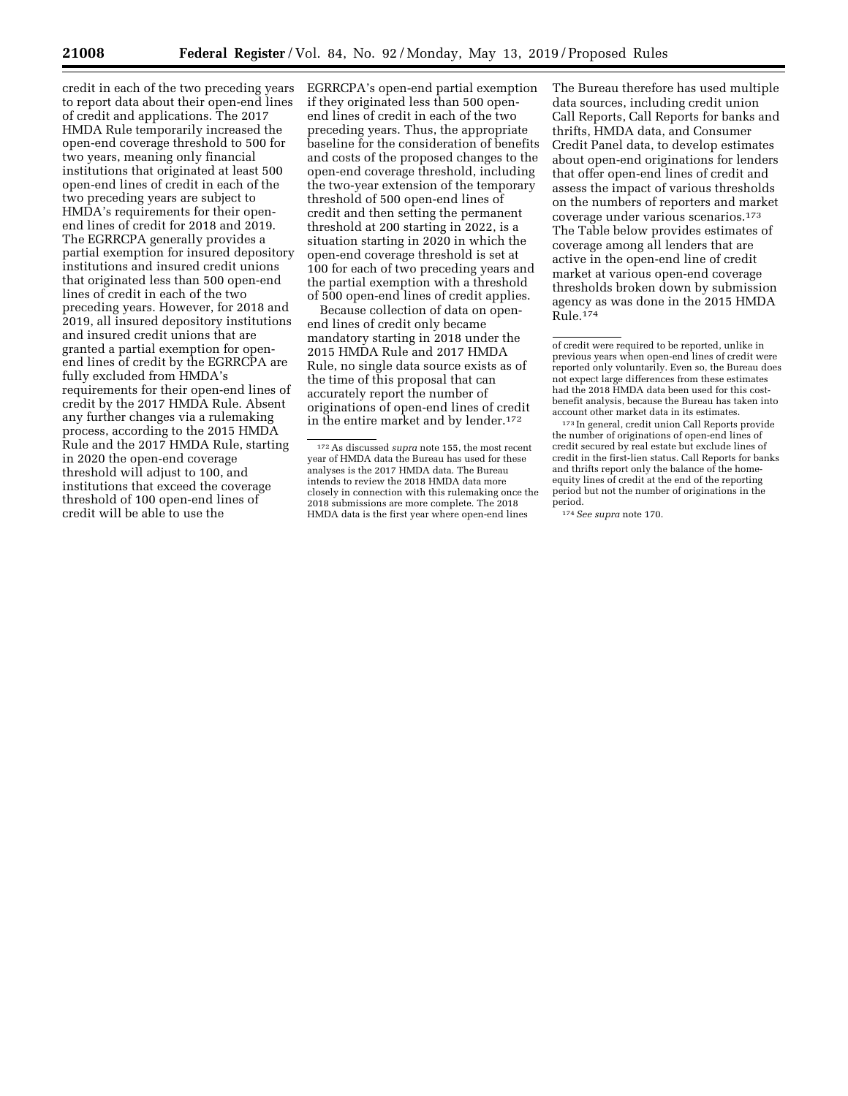credit in each of the two preceding years to report data about their open-end lines of credit and applications. The 2017 HMDA Rule temporarily increased the open-end coverage threshold to 500 for two years, meaning only financial institutions that originated at least 500 open-end lines of credit in each of the two preceding years are subject to HMDA's requirements for their openend lines of credit for 2018 and 2019. The EGRRCPA generally provides a partial exemption for insured depository institutions and insured credit unions that originated less than 500 open-end lines of credit in each of the two preceding years. However, for 2018 and 2019, all insured depository institutions and insured credit unions that are granted a partial exemption for openend lines of credit by the EGRRCPA are fully excluded from HMDA's requirements for their open-end lines of credit by the 2017 HMDA Rule. Absent any further changes via a rulemaking process, according to the 2015 HMDA Rule and the 2017 HMDA Rule, starting in 2020 the open-end coverage threshold will adjust to 100, and institutions that exceed the coverage threshold of 100 open-end lines of credit will be able to use the

EGRRCPA's open-end partial exemption if they originated less than 500 openend lines of credit in each of the two preceding years. Thus, the appropriate baseline for the consideration of benefits and costs of the proposed changes to the open-end coverage threshold, including the two-year extension of the temporary threshold of 500 open-end lines of credit and then setting the permanent threshold at 200 starting in 2022, is a situation starting in 2020 in which the open-end coverage threshold is set at 100 for each of two preceding years and the partial exemption with a threshold of 500 open-end lines of credit applies.

Because collection of data on openend lines of credit only became mandatory starting in 2018 under the 2015 HMDA Rule and 2017 HMDA Rule, no single data source exists as of the time of this proposal that can accurately report the number of originations of open-end lines of credit in the entire market and by lender.172

The Bureau therefore has used multiple data sources, including credit union Call Reports, Call Reports for banks and thrifts, HMDA data, and Consumer Credit Panel data, to develop estimates about open-end originations for lenders that offer open-end lines of credit and assess the impact of various thresholds on the numbers of reporters and market coverage under various scenarios.173 The Table below provides estimates of coverage among all lenders that are active in the open-end line of credit market at various open-end coverage thresholds broken down by submission agency as was done in the 2015 HMDA  $\widetilde{\mathrm{Rule}}$ .  $174$ 

<sup>172</sup>As discussed *supra* note 155, the most recent year of HMDA data the Bureau has used for these analyses is the 2017 HMDA data. The Bureau intends to review the 2018 HMDA data more closely in connection with this rulemaking once the 2018 submissions are more complete. The 2018 HMDA data is the first year where open-end lines

of credit were required to be reported, unlike in previous years when open-end lines of credit were reported only voluntarily. Even so, the Bureau does not expect large differences from these estimates had the 2018 HMDA data been used for this costbenefit analysis, because the Bureau has taken into account other market data in its estimates.

<sup>173</sup> In general, credit union Call Reports provide the number of originations of open-end lines of credit secured by real estate but exclude lines of credit in the first-lien status. Call Reports for banks and thrifts report only the balance of the homeequity lines of credit at the end of the reporting period but not the number of originations in the period.

<sup>174</sup>*See supra* note 170.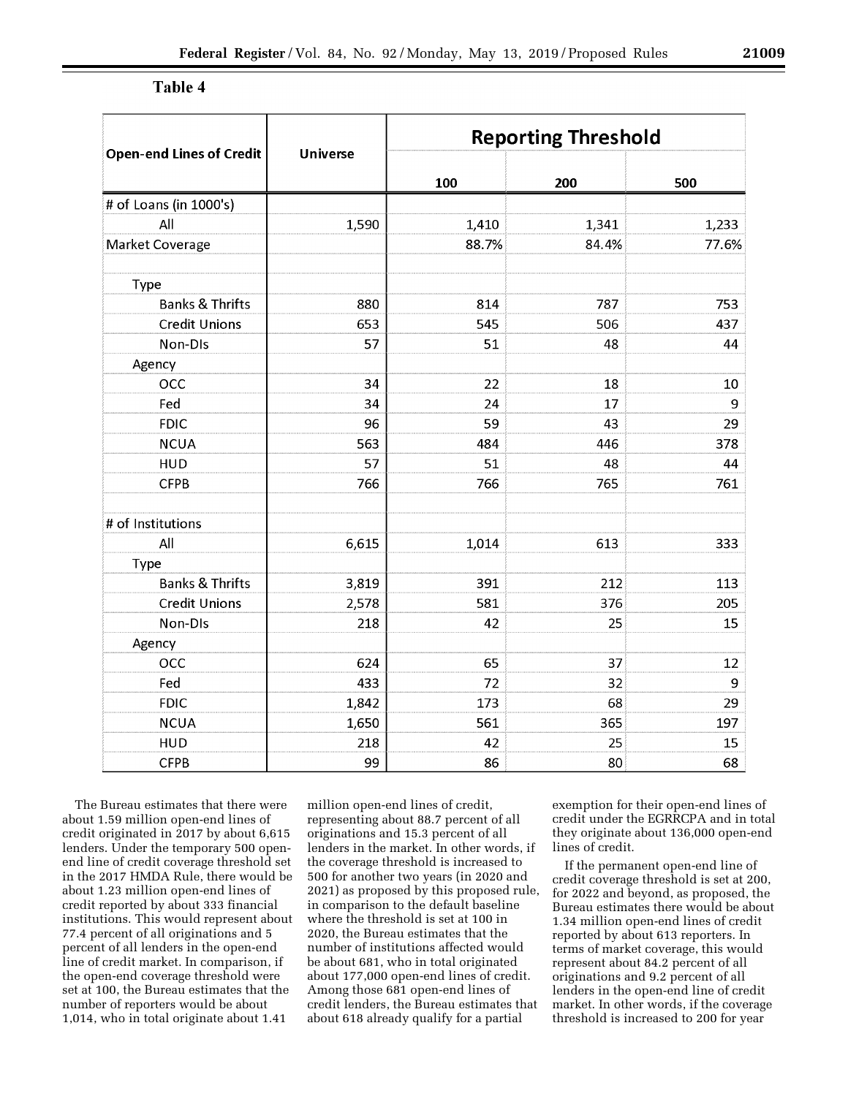| <b>Open-end Lines of Credit</b> | <b>Universe</b> | <b>Reporting Threshold</b> |       |       |  |
|---------------------------------|-----------------|----------------------------|-------|-------|--|
|                                 |                 | 100                        | 200   | 500   |  |
| # of Loans (in 1000's)          |                 |                            |       |       |  |
| All                             | 1,590           | 1,410                      | 1,341 | 1,233 |  |
| Market Coverage                 |                 | 88.7%                      | 84.4% | 77.6% |  |
| Type                            |                 |                            |       |       |  |
| <b>Banks &amp; Thrifts</b>      | 880             | 814                        | 787   | 753   |  |
| <b>Credit Unions</b>            | 653             | 545                        | 506   | 437   |  |
| Non-Dis                         | 57              | 51                         | 48    | 44    |  |
| Agency                          |                 |                            |       |       |  |
| <b>OCC</b>                      | 34              | 22                         | 18    | 10    |  |
| Fed                             | 34              | 24                         | 17    | 9     |  |
| <b>FDIC</b>                     | 96              | 59                         | 43    | 29    |  |
| <b>NCUA</b>                     | 563             | 484                        | 446   | 378   |  |
| <b>HUD</b>                      | 57              | 51                         | 48    | 44    |  |
| <b>CFPB</b>                     | 766             | 766                        | 765   | 761   |  |
| # of Institutions               |                 |                            |       |       |  |
| All                             | 6,615           | 1,014                      | 613   | 333   |  |
| Type                            |                 |                            |       |       |  |
| <b>Banks &amp; Thrifts</b>      | 3,819           | 391                        | 212   | 113   |  |
| <b>Credit Unions</b>            | 2,578           | 581                        | 376   | 205   |  |
| Non-DIs                         | 218             | 42                         | 25    | 15    |  |
| Agency                          |                 |                            |       |       |  |
| <b>OCC</b>                      | 624             | 65                         | 37    | 12    |  |
| Fed                             | 433             | 72                         | 32    | 9     |  |
| <b>FDIC</b><br>1,842            |                 | 173                        | 68    | 29    |  |
| <b>NCUA</b>                     | 1,650           | 561                        | 365   | 197   |  |
| <b>HUD</b>                      | 218             | 42                         | 25    | 15    |  |
| <b>CFPB</b>                     | 99              | 86                         | 80    | 68    |  |

### Table 4

The Bureau estimates that there were about 1.59 million open-end lines of credit originated in 2017 by about 6,615 lenders. Under the temporary 500 openend line of credit coverage threshold set in the 2017 HMDA Rule, there would be about 1.23 million open-end lines of credit reported by about 333 financial institutions. This would represent about 77.4 percent of all originations and 5 percent of all lenders in the open-end line of credit market. In comparison, if the open-end coverage threshold were set at 100, the Bureau estimates that the number of reporters would be about 1,014, who in total originate about 1.41

million open-end lines of credit, representing about 88.7 percent of all originations and 15.3 percent of all lenders in the market. In other words, if the coverage threshold is increased to 500 for another two years (in 2020 and 2021) as proposed by this proposed rule, in comparison to the default baseline where the threshold is set at 100 in 2020, the Bureau estimates that the number of institutions affected would be about 681, who in total originated about 177,000 open-end lines of credit. Among those 681 open-end lines of credit lenders, the Bureau estimates that about 618 already qualify for a partial

exemption for their open-end lines of credit under the EGRRCPA and in total they originate about 136,000 open-end lines of credit.

If the permanent open-end line of credit coverage threshold is set at 200, for 2022 and beyond, as proposed, the Bureau estimates there would be about 1.34 million open-end lines of credit reported by about 613 reporters. In terms of market coverage, this would represent about 84.2 percent of all originations and 9.2 percent of all lenders in the open-end line of credit market. In other words, if the coverage threshold is increased to 200 for year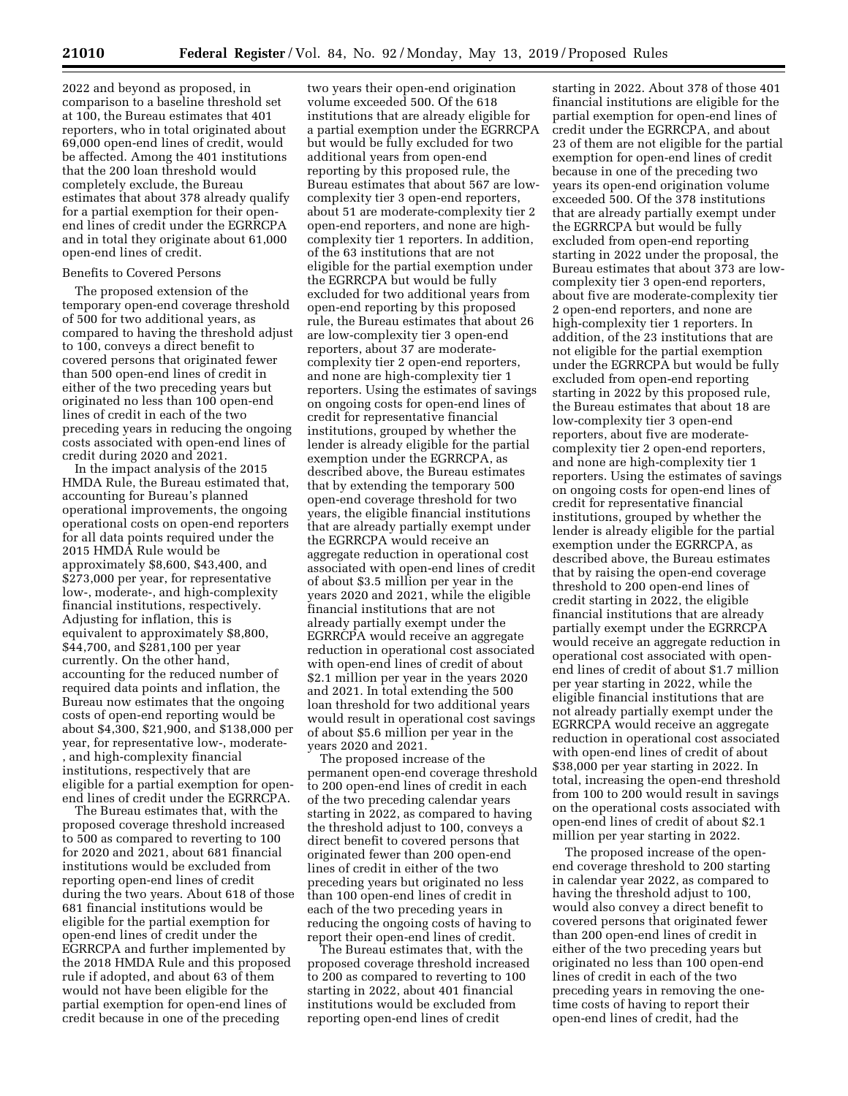2022 and beyond as proposed, in comparison to a baseline threshold set at 100, the Bureau estimates that 401 reporters, who in total originated about 69,000 open-end lines of credit, would be affected. Among the 401 institutions that the 200 loan threshold would completely exclude, the Bureau estimates that about 378 already qualify for a partial exemption for their openend lines of credit under the EGRRCPA and in total they originate about 61,000 open-end lines of credit.

### Benefits to Covered Persons

The proposed extension of the temporary open-end coverage threshold of 500 for two additional years, as compared to having the threshold adjust to 100, conveys a direct benefit to covered persons that originated fewer than 500 open-end lines of credit in either of the two preceding years but originated no less than 100 open-end lines of credit in each of the two preceding years in reducing the ongoing costs associated with open-end lines of credit during 2020 and 2021.

In the impact analysis of the 2015 HMDA Rule, the Bureau estimated that, accounting for Bureau's planned operational improvements, the ongoing operational costs on open-end reporters for all data points required under the 2015 HMDA Rule would be approximately \$8,600, \$43,400, and \$273,000 per year, for representative low-, moderate-, and high-complexity financial institutions, respectively. Adjusting for inflation, this is equivalent to approximately \$8,800, \$44,700, and \$281,100 per year currently. On the other hand, accounting for the reduced number of required data points and inflation, the Bureau now estimates that the ongoing costs of open-end reporting would be about \$4,300, \$21,900, and \$138,000 per year, for representative low-, moderate- , and high-complexity financial institutions, respectively that are eligible for a partial exemption for openend lines of credit under the EGRRCPA.

The Bureau estimates that, with the proposed coverage threshold increased to 500 as compared to reverting to 100 for 2020 and 2021, about 681 financial institutions would be excluded from reporting open-end lines of credit during the two years. About 618 of those 681 financial institutions would be eligible for the partial exemption for open-end lines of credit under the EGRRCPA and further implemented by the 2018 HMDA Rule and this proposed rule if adopted, and about 63 of them would not have been eligible for the partial exemption for open-end lines of credit because in one of the preceding

two years their open-end origination volume exceeded 500. Of the 618 institutions that are already eligible for a partial exemption under the EGRRCPA but would be fully excluded for two additional years from open-end reporting by this proposed rule, the Bureau estimates that about 567 are lowcomplexity tier 3 open-end reporters, about 51 are moderate-complexity tier 2 open-end reporters, and none are highcomplexity tier 1 reporters. In addition, of the 63 institutions that are not eligible for the partial exemption under the EGRRCPA but would be fully excluded for two additional years from open-end reporting by this proposed rule, the Bureau estimates that about 26 are low-complexity tier 3 open-end reporters, about 37 are moderatecomplexity tier 2 open-end reporters, and none are high-complexity tier 1 reporters. Using the estimates of savings on ongoing costs for open-end lines of credit for representative financial institutions, grouped by whether the lender is already eligible for the partial exemption under the EGRRCPA, as described above, the Bureau estimates that by extending the temporary 500 open-end coverage threshold for two years, the eligible financial institutions that are already partially exempt under the EGRRCPA would receive an aggregate reduction in operational cost associated with open-end lines of credit of about \$3.5 million per year in the years 2020 and 2021, while the eligible financial institutions that are not already partially exempt under the EGRRCPA would receive an aggregate reduction in operational cost associated with open-end lines of credit of about \$2.1 million per year in the years 2020 and 2021. In total extending the 500 loan threshold for two additional years would result in operational cost savings of about \$5.6 million per year in the years 2020 and 2021.

The proposed increase of the permanent open-end coverage threshold to 200 open-end lines of credit in each of the two preceding calendar years starting in 2022, as compared to having the threshold adjust to 100, conveys a direct benefit to covered persons that originated fewer than 200 open-end lines of credit in either of the two preceding years but originated no less than 100 open-end lines of credit in each of the two preceding years in reducing the ongoing costs of having to report their open-end lines of credit.

The Bureau estimates that, with the proposed coverage threshold increased to 200 as compared to reverting to 100 starting in 2022, about 401 financial institutions would be excluded from reporting open-end lines of credit

starting in 2022. About 378 of those 401 financial institutions are eligible for the partial exemption for open-end lines of credit under the EGRRCPA, and about 23 of them are not eligible for the partial exemption for open-end lines of credit because in one of the preceding two years its open-end origination volume exceeded 500. Of the 378 institutions that are already partially exempt under the EGRRCPA but would be fully excluded from open-end reporting starting in 2022 under the proposal, the Bureau estimates that about 373 are lowcomplexity tier 3 open-end reporters, about five are moderate-complexity tier 2 open-end reporters, and none are high-complexity tier 1 reporters. In addition, of the 23 institutions that are not eligible for the partial exemption under the EGRRCPA but would be fully excluded from open-end reporting starting in 2022 by this proposed rule, the Bureau estimates that about 18 are low-complexity tier 3 open-end reporters, about five are moderatecomplexity tier 2 open-end reporters, and none are high-complexity tier 1 reporters. Using the estimates of savings on ongoing costs for open-end lines of credit for representative financial institutions, grouped by whether the lender is already eligible for the partial exemption under the EGRRCPA, as described above, the Bureau estimates that by raising the open-end coverage threshold to 200 open-end lines of credit starting in 2022, the eligible financial institutions that are already partially exempt under the EGRRCPA would receive an aggregate reduction in operational cost associated with openend lines of credit of about \$1.7 million per year starting in 2022, while the eligible financial institutions that are not already partially exempt under the EGRRCPA would receive an aggregate reduction in operational cost associated with open-end lines of credit of about \$38,000 per year starting in 2022. In total, increasing the open-end threshold from 100 to 200 would result in savings on the operational costs associated with open-end lines of credit of about \$2.1 million per year starting in 2022.

The proposed increase of the openend coverage threshold to 200 starting in calendar year 2022, as compared to having the threshold adjust to 100, would also convey a direct benefit to covered persons that originated fewer than 200 open-end lines of credit in either of the two preceding years but originated no less than 100 open-end lines of credit in each of the two preceding years in removing the onetime costs of having to report their open-end lines of credit, had the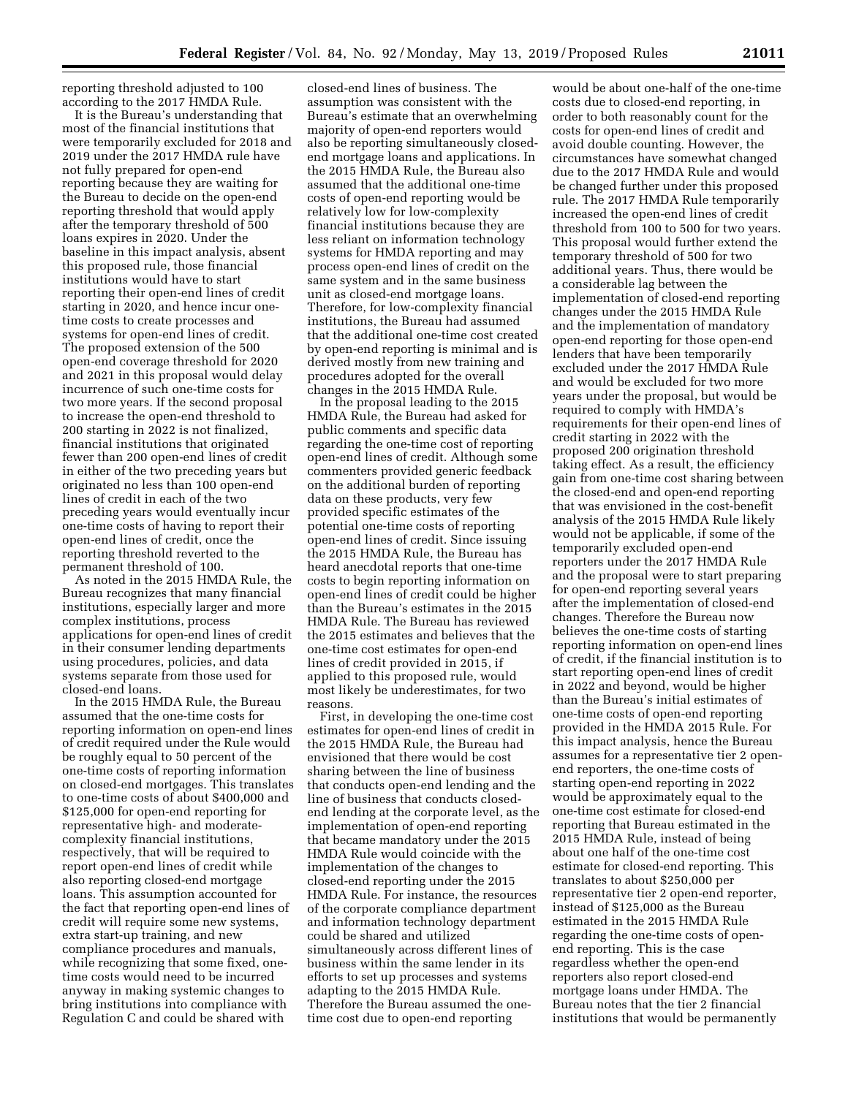reporting threshold adjusted to 100 according to the 2017 HMDA Rule.

It is the Bureau's understanding that most of the financial institutions that were temporarily excluded for 2018 and 2019 under the 2017 HMDA rule have not fully prepared for open-end reporting because they are waiting for the Bureau to decide on the open-end reporting threshold that would apply after the temporary threshold of 500 loans expires in 2020. Under the baseline in this impact analysis, absent this proposed rule, those financial institutions would have to start reporting their open-end lines of credit starting in 2020, and hence incur onetime costs to create processes and systems for open-end lines of credit. The proposed extension of the 500 open-end coverage threshold for 2020 and 2021 in this proposal would delay incurrence of such one-time costs for two more years. If the second proposal to increase the open-end threshold to 200 starting in 2022 is not finalized, financial institutions that originated fewer than 200 open-end lines of credit in either of the two preceding years but originated no less than 100 open-end lines of credit in each of the two preceding years would eventually incur one-time costs of having to report their open-end lines of credit, once the reporting threshold reverted to the permanent threshold of 100.

As noted in the 2015 HMDA Rule, the Bureau recognizes that many financial institutions, especially larger and more complex institutions, process applications for open-end lines of credit in their consumer lending departments using procedures, policies, and data systems separate from those used for closed-end loans.

In the 2015 HMDA Rule, the Bureau assumed that the one-time costs for reporting information on open-end lines of credit required under the Rule would be roughly equal to 50 percent of the one-time costs of reporting information on closed-end mortgages. This translates to one-time costs of about \$400,000 and \$125,000 for open-end reporting for representative high- and moderatecomplexity financial institutions, respectively, that will be required to report open-end lines of credit while also reporting closed-end mortgage loans. This assumption accounted for the fact that reporting open-end lines of credit will require some new systems, extra start-up training, and new compliance procedures and manuals, while recognizing that some fixed, onetime costs would need to be incurred anyway in making systemic changes to bring institutions into compliance with Regulation C and could be shared with

closed-end lines of business. The assumption was consistent with the Bureau's estimate that an overwhelming majority of open-end reporters would also be reporting simultaneously closedend mortgage loans and applications. In the 2015 HMDA Rule, the Bureau also assumed that the additional one-time costs of open-end reporting would be relatively low for low-complexity financial institutions because they are less reliant on information technology systems for HMDA reporting and may process open-end lines of credit on the same system and in the same business unit as closed-end mortgage loans. Therefore, for low-complexity financial institutions, the Bureau had assumed that the additional one-time cost created by open-end reporting is minimal and is derived mostly from new training and procedures adopted for the overall changes in the 2015 HMDA Rule.

In the proposal leading to the 2015 HMDA Rule, the Bureau had asked for public comments and specific data regarding the one-time cost of reporting open-end lines of credit. Although some commenters provided generic feedback on the additional burden of reporting data on these products, very few provided specific estimates of the potential one-time costs of reporting open-end lines of credit. Since issuing the 2015 HMDA Rule, the Bureau has heard anecdotal reports that one-time costs to begin reporting information on open-end lines of credit could be higher than the Bureau's estimates in the 2015 HMDA Rule. The Bureau has reviewed the 2015 estimates and believes that the one-time cost estimates for open-end lines of credit provided in 2015, if applied to this proposed rule, would most likely be underestimates, for two reasons.

First, in developing the one-time cost estimates for open-end lines of credit in the 2015 HMDA Rule, the Bureau had envisioned that there would be cost sharing between the line of business that conducts open-end lending and the line of business that conducts closedend lending at the corporate level, as the implementation of open-end reporting that became mandatory under the 2015 HMDA Rule would coincide with the implementation of the changes to closed-end reporting under the 2015 HMDA Rule. For instance, the resources of the corporate compliance department and information technology department could be shared and utilized simultaneously across different lines of business within the same lender in its efforts to set up processes and systems adapting to the 2015 HMDA Rule. Therefore the Bureau assumed the onetime cost due to open-end reporting

would be about one-half of the one-time costs due to closed-end reporting, in order to both reasonably count for the costs for open-end lines of credit and avoid double counting. However, the circumstances have somewhat changed due to the 2017 HMDA Rule and would be changed further under this proposed rule. The 2017 HMDA Rule temporarily increased the open-end lines of credit threshold from 100 to 500 for two years. This proposal would further extend the temporary threshold of 500 for two additional years. Thus, there would be a considerable lag between the implementation of closed-end reporting changes under the 2015 HMDA Rule and the implementation of mandatory open-end reporting for those open-end lenders that have been temporarily excluded under the 2017 HMDA Rule and would be excluded for two more years under the proposal, but would be required to comply with HMDA's requirements for their open-end lines of credit starting in 2022 with the proposed 200 origination threshold taking effect. As a result, the efficiency gain from one-time cost sharing between the closed-end and open-end reporting that was envisioned in the cost-benefit analysis of the 2015 HMDA Rule likely would not be applicable, if some of the temporarily excluded open-end reporters under the 2017 HMDA Rule and the proposal were to start preparing for open-end reporting several years after the implementation of closed-end changes. Therefore the Bureau now believes the one-time costs of starting reporting information on open-end lines of credit, if the financial institution is to start reporting open-end lines of credit in 2022 and beyond, would be higher than the Bureau's initial estimates of one-time costs of open-end reporting provided in the HMDA 2015 Rule. For this impact analysis, hence the Bureau assumes for a representative tier 2 openend reporters, the one-time costs of starting open-end reporting in 2022 would be approximately equal to the one-time cost estimate for closed-end reporting that Bureau estimated in the 2015 HMDA Rule, instead of being about one half of the one-time cost estimate for closed-end reporting. This translates to about \$250,000 per representative tier 2 open-end reporter, instead of \$125,000 as the Bureau estimated in the 2015 HMDA Rule regarding the one-time costs of openend reporting. This is the case regardless whether the open-end reporters also report closed-end mortgage loans under HMDA. The Bureau notes that the tier 2 financial institutions that would be permanently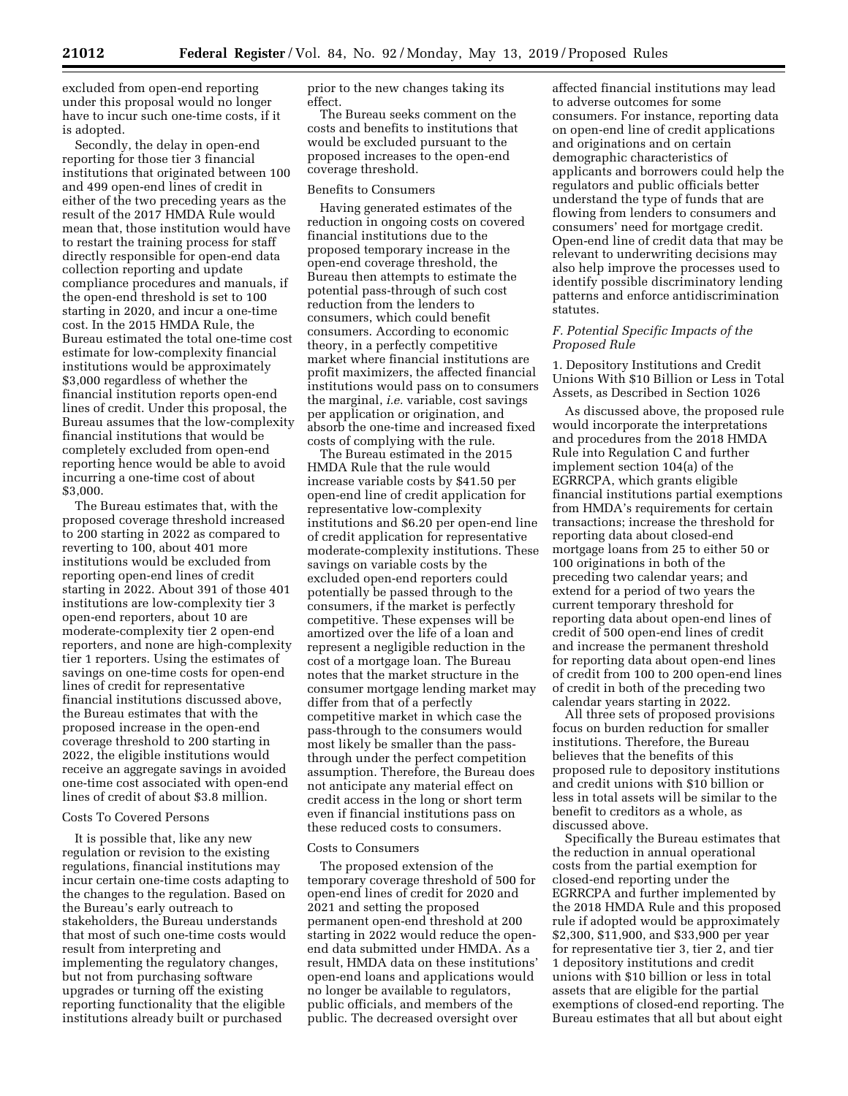excluded from open-end reporting under this proposal would no longer have to incur such one-time costs, if it is adopted.

Secondly, the delay in open-end reporting for those tier 3 financial institutions that originated between 100 and 499 open-end lines of credit in either of the two preceding years as the result of the 2017 HMDA Rule would mean that, those institution would have to restart the training process for staff directly responsible for open-end data collection reporting and update compliance procedures and manuals, if the open-end threshold is set to 100 starting in 2020, and incur a one-time cost. In the 2015 HMDA Rule, the Bureau estimated the total one-time cost estimate for low-complexity financial institutions would be approximately \$3,000 regardless of whether the financial institution reports open-end lines of credit. Under this proposal, the Bureau assumes that the low-complexity financial institutions that would be completely excluded from open-end reporting hence would be able to avoid incurring a one-time cost of about \$3,000.

The Bureau estimates that, with the proposed coverage threshold increased to 200 starting in 2022 as compared to reverting to 100, about 401 more institutions would be excluded from reporting open-end lines of credit starting in 2022. About 391 of those 401 institutions are low-complexity tier 3 open-end reporters, about 10 are moderate-complexity tier 2 open-end reporters, and none are high-complexity tier 1 reporters. Using the estimates of savings on one-time costs for open-end lines of credit for representative financial institutions discussed above, the Bureau estimates that with the proposed increase in the open-end coverage threshold to 200 starting in 2022, the eligible institutions would receive an aggregate savings in avoided one-time cost associated with open-end lines of credit of about \$3.8 million.

### Costs To Covered Persons

It is possible that, like any new regulation or revision to the existing regulations, financial institutions may incur certain one-time costs adapting to the changes to the regulation. Based on the Bureau's early outreach to stakeholders, the Bureau understands that most of such one-time costs would result from interpreting and implementing the regulatory changes, but not from purchasing software upgrades or turning off the existing reporting functionality that the eligible institutions already built or purchased

prior to the new changes taking its effect.

The Bureau seeks comment on the costs and benefits to institutions that would be excluded pursuant to the proposed increases to the open-end coverage threshold.

### Benefits to Consumers

Having generated estimates of the reduction in ongoing costs on covered financial institutions due to the proposed temporary increase in the open-end coverage threshold, the Bureau then attempts to estimate the potential pass-through of such cost reduction from the lenders to consumers, which could benefit consumers. According to economic theory, in a perfectly competitive market where financial institutions are profit maximizers, the affected financial institutions would pass on to consumers the marginal, *i.e.* variable, cost savings per application or origination, and absorb the one-time and increased fixed costs of complying with the rule.

The Bureau estimated in the 2015 HMDA Rule that the rule would increase variable costs by \$41.50 per open-end line of credit application for representative low-complexity institutions and \$6.20 per open-end line of credit application for representative moderate-complexity institutions. These savings on variable costs by the excluded open-end reporters could potentially be passed through to the consumers, if the market is perfectly competitive. These expenses will be amortized over the life of a loan and represent a negligible reduction in the cost of a mortgage loan. The Bureau notes that the market structure in the consumer mortgage lending market may differ from that of a perfectly competitive market in which case the pass-through to the consumers would most likely be smaller than the passthrough under the perfect competition assumption. Therefore, the Bureau does not anticipate any material effect on credit access in the long or short term even if financial institutions pass on these reduced costs to consumers.

#### Costs to Consumers

The proposed extension of the temporary coverage threshold of 500 for open-end lines of credit for 2020 and 2021 and setting the proposed permanent open-end threshold at 200 starting in 2022 would reduce the openend data submitted under HMDA. As a result, HMDA data on these institutions' open-end loans and applications would no longer be available to regulators, public officials, and members of the public. The decreased oversight over

affected financial institutions may lead to adverse outcomes for some consumers. For instance, reporting data on open-end line of credit applications and originations and on certain demographic characteristics of applicants and borrowers could help the regulators and public officials better understand the type of funds that are flowing from lenders to consumers and consumers' need for mortgage credit. Open-end line of credit data that may be relevant to underwriting decisions may also help improve the processes used to identify possible discriminatory lending patterns and enforce antidiscrimination statutes.

### *F. Potential Specific Impacts of the Proposed Rule*

1. Depository Institutions and Credit Unions With \$10 Billion or Less in Total Assets, as Described in Section 1026

As discussed above, the proposed rule would incorporate the interpretations and procedures from the 2018 HMDA Rule into Regulation C and further implement section 104(a) of the EGRRCPA, which grants eligible financial institutions partial exemptions from HMDA's requirements for certain transactions; increase the threshold for reporting data about closed-end mortgage loans from 25 to either 50 or 100 originations in both of the preceding two calendar years; and extend for a period of two years the current temporary threshold for reporting data about open-end lines of credit of 500 open-end lines of credit and increase the permanent threshold for reporting data about open-end lines of credit from 100 to 200 open-end lines of credit in both of the preceding two calendar years starting in 2022.

All three sets of proposed provisions focus on burden reduction for smaller institutions. Therefore, the Bureau believes that the benefits of this proposed rule to depository institutions and credit unions with \$10 billion or less in total assets will be similar to the benefit to creditors as a whole, as discussed above.

Specifically the Bureau estimates that the reduction in annual operational costs from the partial exemption for closed-end reporting under the EGRRCPA and further implemented by the 2018 HMDA Rule and this proposed rule if adopted would be approximately \$2,300, \$11,900, and \$33,900 per year for representative tier 3, tier 2, and tier 1 depository institutions and credit unions with \$10 billion or less in total assets that are eligible for the partial exemptions of closed-end reporting. The Bureau estimates that all but about eight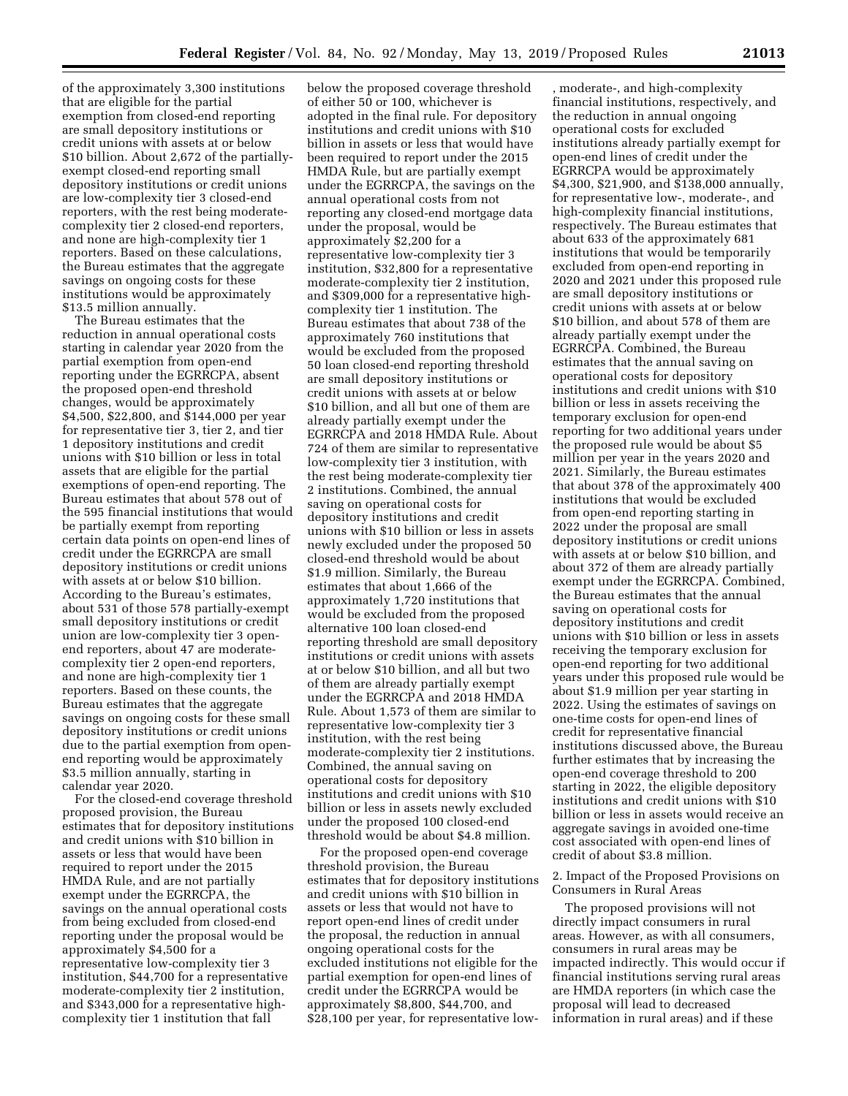of the approximately 3,300 institutions that are eligible for the partial exemption from closed-end reporting are small depository institutions or credit unions with assets at or below \$10 billion. About 2,672 of the partiallyexempt closed-end reporting small depository institutions or credit unions are low-complexity tier 3 closed-end reporters, with the rest being moderatecomplexity tier 2 closed-end reporters, and none are high-complexity tier 1 reporters. Based on these calculations, the Bureau estimates that the aggregate savings on ongoing costs for these institutions would be approximately \$13.5 million annually.

The Bureau estimates that the reduction in annual operational costs starting in calendar year 2020 from the partial exemption from open-end reporting under the EGRRCPA, absent the proposed open-end threshold changes, would be approximately \$4,500, \$22,800, and \$144,000 per year for representative tier 3, tier 2, and tier 1 depository institutions and credit unions with \$10 billion or less in total assets that are eligible for the partial exemptions of open-end reporting. The Bureau estimates that about 578 out of the 595 financial institutions that would be partially exempt from reporting certain data points on open-end lines of credit under the EGRRCPA are small depository institutions or credit unions with assets at or below \$10 billion. According to the Bureau's estimates, about 531 of those 578 partially-exempt small depository institutions or credit union are low-complexity tier 3 openend reporters, about 47 are moderatecomplexity tier 2 open-end reporters, and none are high-complexity tier 1 reporters. Based on these counts, the Bureau estimates that the aggregate savings on ongoing costs for these small depository institutions or credit unions due to the partial exemption from openend reporting would be approximately \$3.5 million annually, starting in calendar year 2020.

For the closed-end coverage threshold proposed provision, the Bureau estimates that for depository institutions and credit unions with \$10 billion in assets or less that would have been required to report under the 2015 HMDA Rule, and are not partially exempt under the EGRRCPA, the savings on the annual operational costs from being excluded from closed-end reporting under the proposal would be approximately \$4,500 for a representative low-complexity tier 3 institution, \$44,700 for a representative moderate-complexity tier 2 institution, and \$343,000 for a representative highcomplexity tier 1 institution that fall

below the proposed coverage threshold of either 50 or 100, whichever is adopted in the final rule. For depository institutions and credit unions with \$10 billion in assets or less that would have been required to report under the 2015 HMDA Rule, but are partially exempt under the EGRRCPA, the savings on the annual operational costs from not reporting any closed-end mortgage data under the proposal, would be approximately \$2,200 for a representative low-complexity tier 3 institution, \$32,800 for a representative moderate-complexity tier 2 institution, and \$309,000 for a representative highcomplexity tier 1 institution. The Bureau estimates that about 738 of the approximately 760 institutions that would be excluded from the proposed 50 loan closed-end reporting threshold are small depository institutions or credit unions with assets at or below \$10 billion, and all but one of them are already partially exempt under the EGRRCPA and 2018 HMDA Rule. About 724 of them are similar to representative low-complexity tier 3 institution, with the rest being moderate-complexity tier 2 institutions. Combined, the annual saving on operational costs for depository institutions and credit unions with \$10 billion or less in assets newly excluded under the proposed 50 closed-end threshold would be about \$1.9 million. Similarly, the Bureau estimates that about 1,666 of the approximately 1,720 institutions that would be excluded from the proposed alternative 100 loan closed-end reporting threshold are small depository institutions or credit unions with assets at or below \$10 billion, and all but two of them are already partially exempt under the EGRRCPA and 2018 HMDA Rule. About 1,573 of them are similar to representative low-complexity tier 3 institution, with the rest being moderate-complexity tier 2 institutions. Combined, the annual saving on operational costs for depository institutions and credit unions with \$10 billion or less in assets newly excluded under the proposed 100 closed-end threshold would be about \$4.8 million.

For the proposed open-end coverage threshold provision, the Bureau estimates that for depository institutions and credit unions with \$10 billion in assets or less that would not have to report open-end lines of credit under the proposal, the reduction in annual ongoing operational costs for the excluded institutions not eligible for the partial exemption for open-end lines of credit under the EGRRCPA would be approximately \$8,800, \$44,700, and \$28,100 per year, for representative low-

, moderate-, and high-complexity financial institutions, respectively, and the reduction in annual ongoing operational costs for excluded institutions already partially exempt for open-end lines of credit under the EGRRCPA would be approximately \$4,300, \$21,900, and \$138,000 annually, for representative low-, moderate-, and high-complexity financial institutions, respectively. The Bureau estimates that about 633 of the approximately 681 institutions that would be temporarily excluded from open-end reporting in 2020 and 2021 under this proposed rule are small depository institutions or credit unions with assets at or below \$10 billion, and about 578 of them are already partially exempt under the EGRRCPA. Combined, the Bureau estimates that the annual saving on operational costs for depository institutions and credit unions with \$10 billion or less in assets receiving the temporary exclusion for open-end reporting for two additional years under the proposed rule would be about \$5 million per year in the years 2020 and 2021. Similarly, the Bureau estimates that about 378 of the approximately 400 institutions that would be excluded from open-end reporting starting in 2022 under the proposal are small depository institutions or credit unions with assets at or below \$10 billion, and about 372 of them are already partially exempt under the EGRRCPA. Combined, the Bureau estimates that the annual saving on operational costs for depository institutions and credit unions with \$10 billion or less in assets receiving the temporary exclusion for open-end reporting for two additional years under this proposed rule would be about \$1.9 million per year starting in 2022. Using the estimates of savings on one-time costs for open-end lines of credit for representative financial institutions discussed above, the Bureau further estimates that by increasing the open-end coverage threshold to 200 starting in 2022, the eligible depository institutions and credit unions with \$10 billion or less in assets would receive an aggregate savings in avoided one-time cost associated with open-end lines of credit of about \$3.8 million.

2. Impact of the Proposed Provisions on Consumers in Rural Areas

The proposed provisions will not directly impact consumers in rural areas. However, as with all consumers, consumers in rural areas may be impacted indirectly. This would occur if financial institutions serving rural areas are HMDA reporters (in which case the proposal will lead to decreased information in rural areas) and if these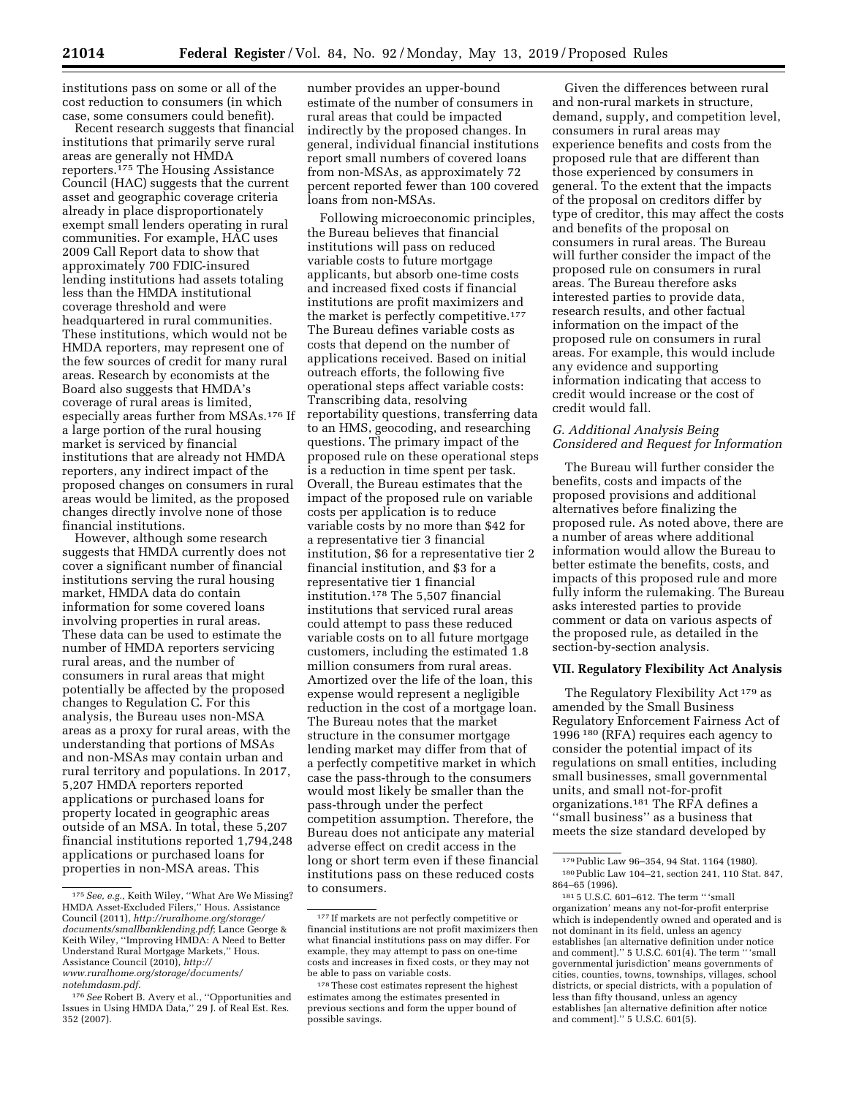institutions pass on some or all of the cost reduction to consumers (in which case, some consumers could benefit).

Recent research suggests that financial institutions that primarily serve rural areas are generally not HMDA reporters.175 The Housing Assistance Council (HAC) suggests that the current asset and geographic coverage criteria already in place disproportionately exempt small lenders operating in rural communities. For example, HAC uses 2009 Call Report data to show that approximately 700 FDIC-insured lending institutions had assets totaling less than the HMDA institutional coverage threshold and were headquartered in rural communities. These institutions, which would not be HMDA reporters, may represent one of the few sources of credit for many rural areas. Research by economists at the Board also suggests that HMDA's coverage of rural areas is limited, especially areas further from MSAs.176 If a large portion of the rural housing market is serviced by financial institutions that are already not HMDA reporters, any indirect impact of the proposed changes on consumers in rural areas would be limited, as the proposed changes directly involve none of those financial institutions.

However, although some research suggests that HMDA currently does not cover a significant number of financial institutions serving the rural housing market, HMDA data do contain information for some covered loans involving properties in rural areas. These data can be used to estimate the number of HMDA reporters servicing rural areas, and the number of consumers in rural areas that might potentially be affected by the proposed changes to Regulation C. For this analysis, the Bureau uses non-MSA areas as a proxy for rural areas, with the understanding that portions of MSAs and non-MSAs may contain urban and rural territory and populations. In 2017, 5,207 HMDA reporters reported applications or purchased loans for property located in geographic areas outside of an MSA. In total, these 5,207 financial institutions reported 1,794,248 applications or purchased loans for properties in non-MSA areas. This

number provides an upper-bound estimate of the number of consumers in rural areas that could be impacted indirectly by the proposed changes. In general, individual financial institutions report small numbers of covered loans from non-MSAs, as approximately 72 percent reported fewer than 100 covered loans from non-MSAs.

Following microeconomic principles, the Bureau believes that financial institutions will pass on reduced variable costs to future mortgage applicants, but absorb one-time costs and increased fixed costs if financial institutions are profit maximizers and the market is perfectly competitive.177 The Bureau defines variable costs as costs that depend on the number of applications received. Based on initial outreach efforts, the following five operational steps affect variable costs: Transcribing data, resolving reportability questions, transferring data to an HMS, geocoding, and researching questions. The primary impact of the proposed rule on these operational steps is a reduction in time spent per task. Overall, the Bureau estimates that the impact of the proposed rule on variable costs per application is to reduce variable costs by no more than \$42 for a representative tier 3 financial institution, \$6 for a representative tier 2 financial institution, and \$3 for a representative tier 1 financial institution.178 The 5,507 financial institutions that serviced rural areas could attempt to pass these reduced variable costs on to all future mortgage customers, including the estimated 1.8 million consumers from rural areas. Amortized over the life of the loan, this expense would represent a negligible reduction in the cost of a mortgage loan. The Bureau notes that the market structure in the consumer mortgage lending market may differ from that of a perfectly competitive market in which case the pass-through to the consumers would most likely be smaller than the pass-through under the perfect competition assumption. Therefore, the Bureau does not anticipate any material adverse effect on credit access in the long or short term even if these financial institutions pass on these reduced costs to consumers.

Given the differences between rural and non-rural markets in structure, demand, supply, and competition level, consumers in rural areas may experience benefits and costs from the proposed rule that are different than those experienced by consumers in general. To the extent that the impacts of the proposal on creditors differ by type of creditor, this may affect the costs and benefits of the proposal on consumers in rural areas. The Bureau will further consider the impact of the proposed rule on consumers in rural areas. The Bureau therefore asks interested parties to provide data, research results, and other factual information on the impact of the proposed rule on consumers in rural areas. For example, this would include any evidence and supporting information indicating that access to credit would increase or the cost of credit would fall.

### *G. Additional Analysis Being Considered and Request for Information*

The Bureau will further consider the benefits, costs and impacts of the proposed provisions and additional alternatives before finalizing the proposed rule. As noted above, there are a number of areas where additional information would allow the Bureau to better estimate the benefits, costs, and impacts of this proposed rule and more fully inform the rulemaking. The Bureau asks interested parties to provide comment or data on various aspects of the proposed rule, as detailed in the section-by-section analysis.

### **VII. Regulatory Flexibility Act Analysis**

The Regulatory Flexibility Act 179 as amended by the Small Business Regulatory Enforcement Fairness Act of 1996 180 (RFA) requires each agency to consider the potential impact of its regulations on small entities, including small businesses, small governmental units, and small not-for-profit organizations.181 The RFA defines a ''small business'' as a business that meets the size standard developed by

<sup>175</sup>*See, e.g.,* Keith Wiley, ''What Are We Missing? HMDA Asset-Excluded Filers,'' Hous. Assistance Council (2011), *[http://ruralhome.org/storage/](http://ruralhome.org/storage/documents/smallbanklending.pdf) [documents/smallbanklending.pdf](http://ruralhome.org/storage/documents/smallbanklending.pdf)*; Lance George & Keith Wiley, ''Improving HMDA: A Need to Better Understand Rural Mortgage Markets,'' Hous. Assistance Council (2010), *[http://](http://www.ruralhome.org/storage/documents/notehmdasm.pdf) [www.ruralhome.org/storage/documents/](http://www.ruralhome.org/storage/documents/notehmdasm.pdf) [notehmdasm.pdf.](http://www.ruralhome.org/storage/documents/notehmdasm.pdf)* 

<sup>176</sup>*See* Robert B. Avery et al., ''Opportunities and Issues in Using HMDA Data,'' 29 J. of Real Est. Res. 352 (2007).

<sup>177</sup> If markets are not perfectly competitive or financial institutions are not profit maximizers then what financial institutions pass on may differ. For example, they may attempt to pass on one-time costs and increases in fixed costs, or they may not be able to pass on variable costs.

<sup>178</sup>These cost estimates represent the highest estimates among the estimates presented in previous sections and form the upper bound of possible savings.

<sup>179</sup>Public Law 96–354, 94 Stat. 1164 (1980). 180Public Law 104–21, section 241, 110 Stat. 847, 864–65 (1996).

<sup>181</sup> 5 U.S.C. 601–612. The term '' 'small organization' means any not-for-profit enterprise which is independently owned and operated and is not dominant in its field, unless an agency establishes [an alternative definition under notice and comment].'' 5 U.S.C. 601(4). The term '' 'small governmental jurisdiction' means governments of cities, counties, towns, townships, villages, school districts, or special districts, with a population of less than fifty thousand, unless an agency establishes [an alternative definition after notice and comment].'' 5 U.S.C. 601(5).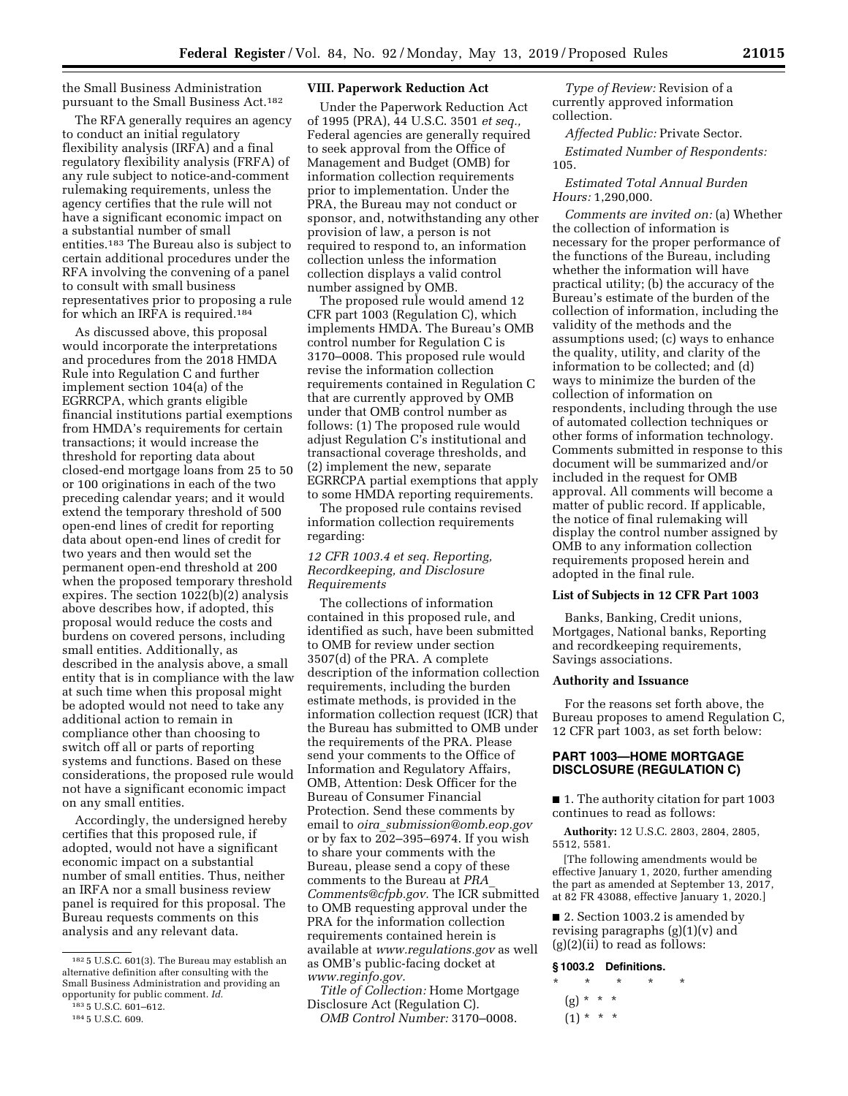the Small Business Administration pursuant to the Small Business Act.182

The RFA generally requires an agency to conduct an initial regulatory flexibility analysis (IRFA) and a final regulatory flexibility analysis (FRFA) of any rule subject to notice-and-comment rulemaking requirements, unless the agency certifies that the rule will not have a significant economic impact on a substantial number of small entities.183 The Bureau also is subject to certain additional procedures under the RFA involving the convening of a panel to consult with small business representatives prior to proposing a rule for which an IRFA is required.184

As discussed above, this proposal would incorporate the interpretations and procedures from the 2018 HMDA Rule into Regulation C and further implement section 104(a) of the EGRRCPA, which grants eligible financial institutions partial exemptions from HMDA's requirements for certain transactions; it would increase the threshold for reporting data about closed-end mortgage loans from 25 to 50 or 100 originations in each of the two preceding calendar years; and it would extend the temporary threshold of 500 open-end lines of credit for reporting data about open-end lines of credit for two years and then would set the permanent open-end threshold at 200 when the proposed temporary threshold expires. The section 1022(b)(2) analysis above describes how, if adopted, this proposal would reduce the costs and burdens on covered persons, including small entities. Additionally, as described in the analysis above, a small entity that is in compliance with the law at such time when this proposal might be adopted would not need to take any additional action to remain in compliance other than choosing to switch off all or parts of reporting systems and functions. Based on these considerations, the proposed rule would not have a significant economic impact on any small entities.

Accordingly, the undersigned hereby certifies that this proposed rule, if adopted, would not have a significant economic impact on a substantial number of small entities. Thus, neither an IRFA nor a small business review panel is required for this proposal. The Bureau requests comments on this analysis and any relevant data.

184 5 U.S.C. 609.

### **VIII. Paperwork Reduction Act**

Under the Paperwork Reduction Act of 1995 (PRA), 44 U.S.C. 3501 *et seq.,*  Federal agencies are generally required to seek approval from the Office of Management and Budget (OMB) for information collection requirements prior to implementation. Under the PRA, the Bureau may not conduct or sponsor, and, notwithstanding any other provision of law, a person is not required to respond to, an information collection unless the information collection displays a valid control number assigned by OMB.

The proposed rule would amend 12 CFR part 1003 (Regulation C), which implements HMDA. The Bureau's OMB control number for Regulation C is 3170–0008. This proposed rule would revise the information collection requirements contained in Regulation C that are currently approved by OMB under that OMB control number as follows: (1) The proposed rule would adjust Regulation C's institutional and transactional coverage thresholds, and (2) implement the new, separate EGRRCPA partial exemptions that apply to some HMDA reporting requirements.

The proposed rule contains revised information collection requirements regarding:

### *12 CFR 1003.4 et seq. Reporting, Recordkeeping, and Disclosure Requirements*

The collections of information contained in this proposed rule, and identified as such, have been submitted to OMB for review under section 3507(d) of the PRA. A complete description of the information collection requirements, including the burden estimate methods, is provided in the information collection request (ICR) that the Bureau has submitted to OMB under the requirements of the PRA. Please send your comments to the Office of Information and Regulatory Affairs, OMB, Attention: Desk Officer for the Bureau of Consumer Financial Protection. Send these comments by email to *oira*\_*[submission@omb.eop.gov](mailto:oira_submission@omb.eop.gov)*  or by fax to 202–395–6974. If you wish to share your comments with the Bureau, please send a copy of these comments to the Bureau at *[PRA](mailto:PRA_Comments@cfpb.gov)*\_ *[Comments@cfpb.gov.](mailto:PRA_Comments@cfpb.gov)* The ICR submitted to OMB requesting approval under the PRA for the information collection requirements contained herein is available at *[www.regulations.gov](http://www.regulations.gov)* as well as OMB's public-facing docket at *[www.reginfo.gov.](http://www.reginfo.gov)* 

*Title of Collection:* Home Mortgage Disclosure Act (Regulation C). *OMB Control Number:* 3170–0008.

*Type of Review:* Revision of a currently approved information collection.

*Affected Public:* Private Sector. *Estimated Number of Respondents:*  105.

### *Estimated Total Annual Burden Hours:* 1,290,000.

*Comments are invited on:* (a) Whether the collection of information is necessary for the proper performance of the functions of the Bureau, including whether the information will have practical utility; (b) the accuracy of the Bureau's estimate of the burden of the collection of information, including the validity of the methods and the assumptions used; (c) ways to enhance the quality, utility, and clarity of the information to be collected; and (d) ways to minimize the burden of the collection of information on respondents, including through the use of automated collection techniques or other forms of information technology. Comments submitted in response to this document will be summarized and/or included in the request for OMB approval. All comments will become a matter of public record. If applicable, the notice of final rulemaking will display the control number assigned by OMB to any information collection requirements proposed herein and adopted in the final rule.

### **List of Subjects in 12 CFR Part 1003**

Banks, Banking, Credit unions, Mortgages, National banks, Reporting and recordkeeping requirements, Savings associations.

### **Authority and Issuance**

For the reasons set forth above, the Bureau proposes to amend Regulation C, 12 CFR part 1003, as set forth below:

### **PART 1003—HOME MORTGAGE DISCLOSURE (REGULATION C)**

■ 1. The authority citation for part 1003 continues to read as follows:

**Authority:** 12 U.S.C. 2803, 2804, 2805, 5512, 5581.

[The following amendments would be effective January 1, 2020, further amending the part as amended at September 13, 2017, at 82 FR 43088, effective January 1, 2020.]

■ 2. Section 1003.2 is amended by revising paragraphs  $(g)(1)(v)$  and (g)(2)(ii) to read as follows:

### **§ 1003.2 Definitions.**

- \* \* \* \* \*
	- $(g) * * * *$
	- $(1) * * * *$

<sup>182</sup> 5 U.S.C. 601(3). The Bureau may establish an alternative definition after consulting with the Small Business Administration and providing an opportunity for public comment. *Id.* 

<sup>183</sup> 5 U.S.C. 601–612.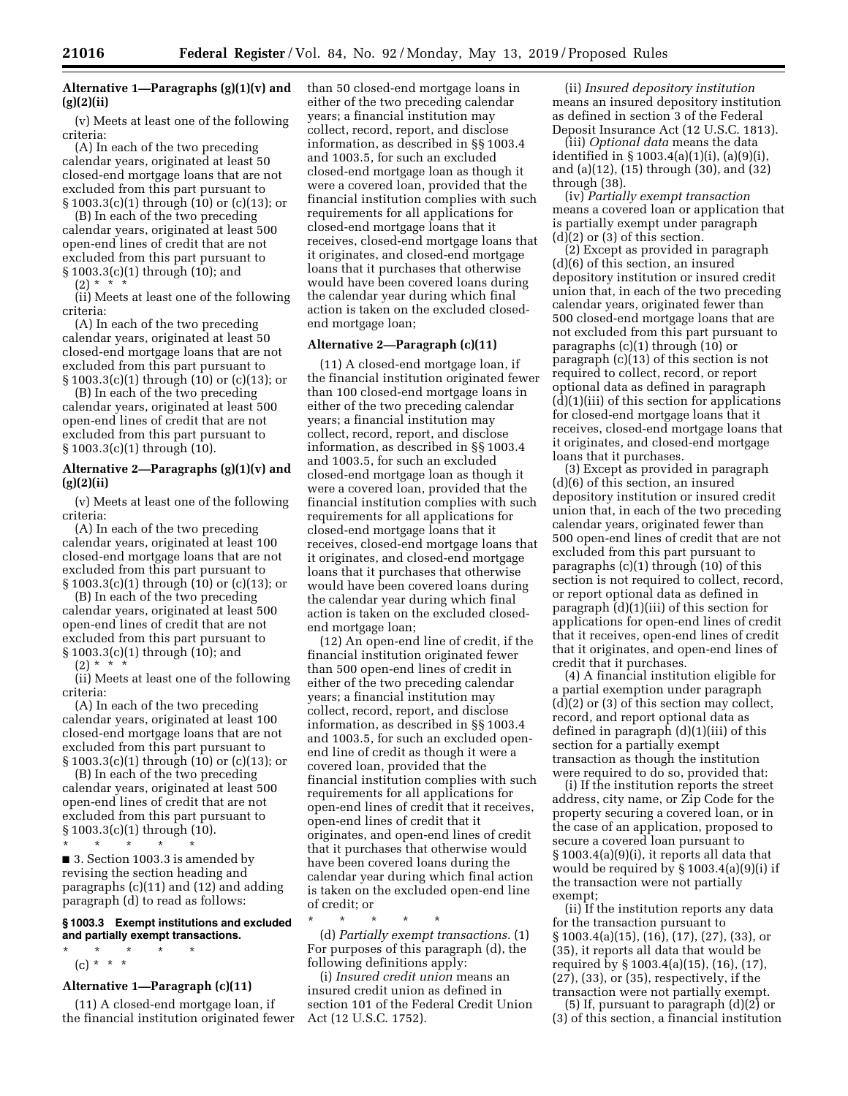## **Alternative 1—Paragraphs (g)(1)(v) and (g)(2)(ii)**

(v) Meets at least one of the following criteria:

(A) In each of the two preceding calendar years, originated at least 50 closed-end mortgage loans that are not excluded from this part pursuant to § 1003.3(c)(1) through (10) or (c)(13); or

(B) In each of the two preceding calendar years, originated at least 500 open-end lines of credit that are not excluded from this part pursuant to § 1003.3(c)(1) through (10); and

 $(2) *$ 

(ii) Meets at least one of the following criteria:

(A) In each of the two preceding calendar years, originated at least 50 closed-end mortgage loans that are not excluded from this part pursuant to § 1003.3(c)(1) through (10) or (c)(13); or

(B) In each of the two preceding calendar years, originated at least 500 open-end lines of credit that are not excluded from this part pursuant to § 1003.3(c)(1) through (10).

### **Alternative 2—Paragraphs (g)(1)(v) and (g)(2)(ii)**

(v) Meets at least one of the following criteria:

(A) In each of the two preceding calendar years, originated at least 100 closed-end mortgage loans that are not excluded from this part pursuant to § 1003.3(c)(1) through (10) or (c)(13); or

(B) In each of the two preceding calendar years, originated at least 500 open-end lines of credit that are not excluded from this part pursuant to § 1003.3(c)(1) through (10); and

 $(2) *$ 

(ii) Meets at least one of the following criteria:

(A) In each of the two preceding calendar years, originated at least 100 closed-end mortgage loans that are not excluded from this part pursuant to § 1003.3(c)(1) through (10) or (c)(13); or

(B) In each of the two preceding calendar years, originated at least 500 open-end lines of credit that are not excluded from this part pursuant to § 1003.3(c)(1) through (10).

\* \* \* \* \*

■ 3. Section 1003.3 is amended by revising the section heading and paragraphs (c)(11) and (12) and adding paragraph (d) to read as follows:

### **§ 1003.3 Exempt institutions and excluded and partially exempt transactions.**

\* \* \* \* \* (c) \* \* \*

### **Alternative 1—Paragraph (c)(11)**

(11) A closed-end mortgage loan, if the financial institution originated fewer than 50 closed-end mortgage loans in either of the two preceding calendar years; a financial institution may collect, record, report, and disclose information, as described in §§ 1003.4 and 1003.5, for such an excluded closed-end mortgage loan as though it were a covered loan, provided that the financial institution complies with such requirements for all applications for closed-end mortgage loans that it receives, closed-end mortgage loans that it originates, and closed-end mortgage loans that it purchases that otherwise would have been covered loans during the calendar year during which final action is taken on the excluded closedend mortgage loan;

### **Alternative 2—Paragraph (c)(11)**

(11) A closed-end mortgage loan, if the financial institution originated fewer than 100 closed-end mortgage loans in either of the two preceding calendar years; a financial institution may collect, record, report, and disclose information, as described in §§ 1003.4 and 1003.5, for such an excluded closed-end mortgage loan as though it were a covered loan, provided that the financial institution complies with such requirements for all applications for closed-end mortgage loans that it receives, closed-end mortgage loans that it originates, and closed-end mortgage loans that it purchases that otherwise would have been covered loans during the calendar year during which final action is taken on the excluded closedend mortgage loan;

(12) An open-end line of credit, if the financial institution originated fewer than 500 open-end lines of credit in either of the two preceding calendar years; a financial institution may collect, record, report, and disclose information, as described in §§ 1003.4 and 1003.5, for such an excluded openend line of credit as though it were a covered loan, provided that the financial institution complies with such requirements for all applications for open-end lines of credit that it receives, open-end lines of credit that it originates, and open-end lines of credit that it purchases that otherwise would have been covered loans during the calendar year during which final action is taken on the excluded open-end line of credit; or

\* \* \* \* \* (d) *Partially exempt transactions.* (1) For purposes of this paragraph (d), the following definitions apply:

(i) *Insured credit union* means an insured credit union as defined in section 101 of the Federal Credit Union Act (12 U.S.C. 1752).

(ii) *Insured depository institution*  means an insured depository institution as defined in section 3 of the Federal Deposit Insurance Act (12 U.S.C. 1813).

(iii) *Optional data* means the data identified in § 1003.4(a)(1)(i), (a)(9)(i), and (a)(12), (15) through (30), and (32) through (38).

(iv) *Partially exempt transaction*  means a covered loan or application that is partially exempt under paragraph  $(d)(2)$  or  $(3)$  of this section.

(2) Except as provided in paragraph (d)(6) of this section, an insured depository institution or insured credit union that, in each of the two preceding calendar years, originated fewer than 500 closed-end mortgage loans that are not excluded from this part pursuant to paragraphs (c)(1) through (10) or paragraph (c)(13) of this section is not required to collect, record, or report optional data as defined in paragraph (d)(1)(iii) of this section for applications for closed-end mortgage loans that it receives, closed-end mortgage loans that it originates, and closed-end mortgage loans that it purchases.

(3) Except as provided in paragraph (d)(6) of this section, an insured depository institution or insured credit union that, in each of the two preceding calendar years, originated fewer than 500 open-end lines of credit that are not excluded from this part pursuant to paragraphs (c)(1) through (10) of this section is not required to collect, record, or report optional data as defined in paragraph (d)(1)(iii) of this section for applications for open-end lines of credit that it receives, open-end lines of credit that it originates, and open-end lines of credit that it purchases.

(4) A financial institution eligible for a partial exemption under paragraph (d)(2) or (3) of this section may collect, record, and report optional data as defined in paragraph (d)(1)(iii) of this section for a partially exempt transaction as though the institution were required to do so, provided that:

(i) If the institution reports the street address, city name, or Zip Code for the property securing a covered loan, or in the case of an application, proposed to secure a covered loan pursuant to § 1003.4(a)(9)(i), it reports all data that would be required by § 1003.4(a)(9)(i) if the transaction were not partially exempt;

(ii) If the institution reports any data for the transaction pursuant to § 1003.4(a)(15), (16), (17), (27), (33), or (35), it reports all data that would be required by § 1003.4(a)(15), (16), (17), (27), (33), or (35), respectively, if the transaction were not partially exempt.

(5) If, pursuant to paragraph (d)(2) or (3) of this section, a financial institution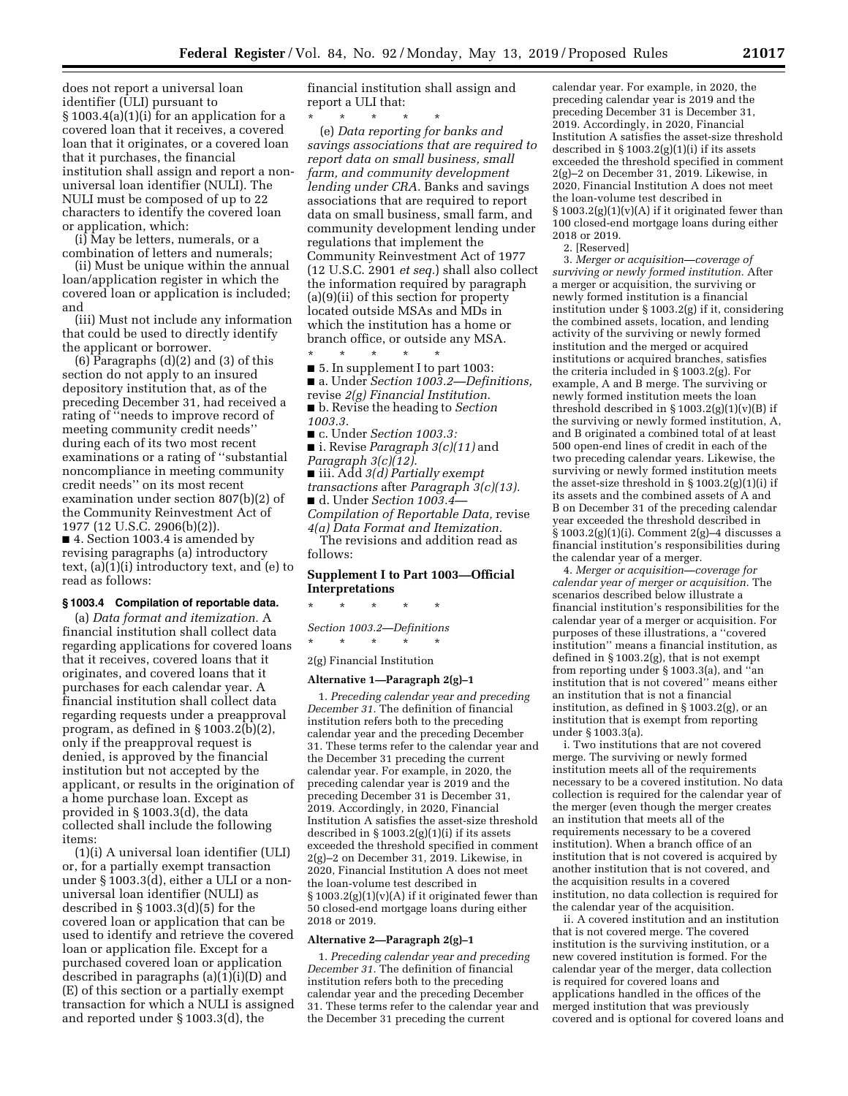does not report a universal loan identifier (ULI) pursuant to § 1003.4(a)(1)(i) for an application for a covered loan that it receives, a covered loan that it originates, or a covered loan that it purchases, the financial institution shall assign and report a nonuniversal loan identifier (NULI). The NULI must be composed of up to 22 characters to identify the covered loan or application, which:

(i) May be letters, numerals, or a combination of letters and numerals;

(ii) Must be unique within the annual loan/application register in which the covered loan or application is included; and

(iii) Must not include any information that could be used to directly identify the applicant or borrower.

 $(6)$  Paragraphs  $(d)(2)$  and  $(3)$  of this section do not apply to an insured depository institution that, as of the preceding December 31, had received a rating of ''needs to improve record of meeting community credit needs'' during each of its two most recent examinations or a rating of ''substantial noncompliance in meeting community credit needs'' on its most recent examination under section 807(b)(2) of the Community Reinvestment Act of 1977 (12 U.S.C. 2906(b)(2)). ■ 4. Section 1003.4 is amended by revising paragraphs (a) introductory text, (a)(1)(i) introductory text, and (e) to read as follows:

### **§ 1003.4 Compilation of reportable data.**

(a) *Data format and itemization.* A financial institution shall collect data regarding applications for covered loans that it receives, covered loans that it originates, and covered loans that it purchases for each calendar year. A financial institution shall collect data regarding requests under a preapproval program, as defined in § 1003.2(b)(2), only if the preapproval request is denied, is approved by the financial institution but not accepted by the applicant, or results in the origination of a home purchase loan. Except as provided in § 1003.3(d), the data collected shall include the following items:

(1)(i) A universal loan identifier (ULI) or, for a partially exempt transaction under § 1003.3(d), either a ULI or a nonuniversal loan identifier (NULI) as described in § 1003.3(d)(5) for the covered loan or application that can be used to identify and retrieve the covered loan or application file. Except for a purchased covered loan or application described in paragraphs (a)(1)(i)(D) and (E) of this section or a partially exempt transaction for which a NULI is assigned and reported under § 1003.3(d), the

financial institution shall assign and report a ULI that:

\* \* \* \* \* (e) *Data reporting for banks and savings associations that are required to report data on small business, small farm, and community development lending under CRA.* Banks and savings associations that are required to report data on small business, small farm, and community development lending under regulations that implement the Community Reinvestment Act of 1977 (12 U.S.C. 2901 *et seq.*) shall also collect the information required by paragraph (a)(9)(ii) of this section for property located outside MSAs and MDs in which the institution has a home or branch office, or outside any MSA.

\* \* \* \* \* ■ 5. In supplement I to part 1003:

■ a. Under *Section 1003.2—Definitions,*  revise *2(g) Financial Institution.* 

■ b. Revise the heading to *Section 1003.3.*  ■ c. Under *Section 1003.3:* 

■ i. Revise *Paragraph 3(c)(11)* and *Paragraph 3(c)(12).* 

■ iii. Add *3(d) Partially exempt transactions* after *Paragraph 3(c)(13).*  ■ d. Under *Section 1003.4—* 

*Compilation of Reportable Data,* revise *4(a) Data Format and Itemization.* 

The revisions and addition read as follows:

### **Supplement I to Part 1003—Official Interpretations**

\* \* \* \* \*

*Section 1003.2—Definitions* 

\* \* \* \* \* 2(g) Financial Institution

# **Alternative 1—Paragraph 2(g)–1**

1. *Preceding calendar year and preceding December 31.* The definition of financial institution refers both to the preceding calendar year and the preceding December 31. These terms refer to the calendar year and the December 31 preceding the current calendar year. For example, in 2020, the preceding calendar year is 2019 and the preceding December 31 is December 31, 2019. Accordingly, in 2020, Financial Institution A satisfies the asset-size threshold described in  $\S 1003.2(g)(1)(i)$  if its assets exceeded the threshold specified in comment 2(g)–2 on December 31, 2019. Likewise, in 2020, Financial Institution A does not meet the loan-volume test described in § 1003.2(g)(1)(v)(A) if it originated fewer than 50 closed-end mortgage loans during either 2018 or 2019.

#### **Alternative 2—Paragraph 2(g)–1**

1. *Preceding calendar year and preceding December 31.* The definition of financial institution refers both to the preceding calendar year and the preceding December 31. These terms refer to the calendar year and the December 31 preceding the current

calendar year. For example, in 2020, the preceding calendar year is 2019 and the preceding December 31 is December 31, 2019. Accordingly, in 2020, Financial Institution A satisfies the asset-size threshold described in  $\S 1003.2(g)(1)(i)$  if its assets exceeded the threshold specified in comment 2(g)–2 on December 31, 2019. Likewise, in 2020, Financial Institution A does not meet the loan-volume test described in § 1003.2(g)(1)(v)(A) if it originated fewer than 100 closed-end mortgage loans during either 2018 or 2019.

2. [Reserved]

3. *Merger or acquisition—coverage of surviving or newly formed institution.* After a merger or acquisition, the surviving or newly formed institution is a financial institution under § 1003.2(g) if it, considering the combined assets, location, and lending activity of the surviving or newly formed institution and the merged or acquired institutions or acquired branches, satisfies the criteria included in § 1003.2(g). For example, A and B merge. The surviving or newly formed institution meets the loan threshold described in  $\S 1003.2(g)(1)(v)(B)$  if the surviving or newly formed institution, A, and B originated a combined total of at least 500 open-end lines of credit in each of the two preceding calendar years. Likewise, the surviving or newly formed institution meets the asset-size threshold in  $\S 1003.2(g)(1)(i)$  if its assets and the combined assets of A and B on December 31 of the preceding calendar year exceeded the threshold described in § 1003.2(g)(1)(i). Comment 2(g)–4 discusses a financial institution's responsibilities during the calendar year of a merger.

4. *Merger or acquisition—coverage for calendar year of merger or acquisition.* The scenarios described below illustrate a financial institution's responsibilities for the calendar year of a merger or acquisition. For purposes of these illustrations, a ''covered institution'' means a financial institution, as defined in § 1003.2(g), that is not exempt from reporting under § 1003.3(a), and ''an institution that is not covered'' means either an institution that is not a financial institution, as defined in § 1003.2(g), or an institution that is exempt from reporting under § 1003.3(a).

i. Two institutions that are not covered merge. The surviving or newly formed institution meets all of the requirements necessary to be a covered institution. No data collection is required for the calendar year of the merger (even though the merger creates an institution that meets all of the requirements necessary to be a covered institution). When a branch office of an institution that is not covered is acquired by another institution that is not covered, and the acquisition results in a covered institution, no data collection is required for the calendar year of the acquisition.

ii. A covered institution and an institution that is not covered merge. The covered institution is the surviving institution, or a new covered institution is formed. For the calendar year of the merger, data collection is required for covered loans and applications handled in the offices of the merged institution that was previously covered and is optional for covered loans and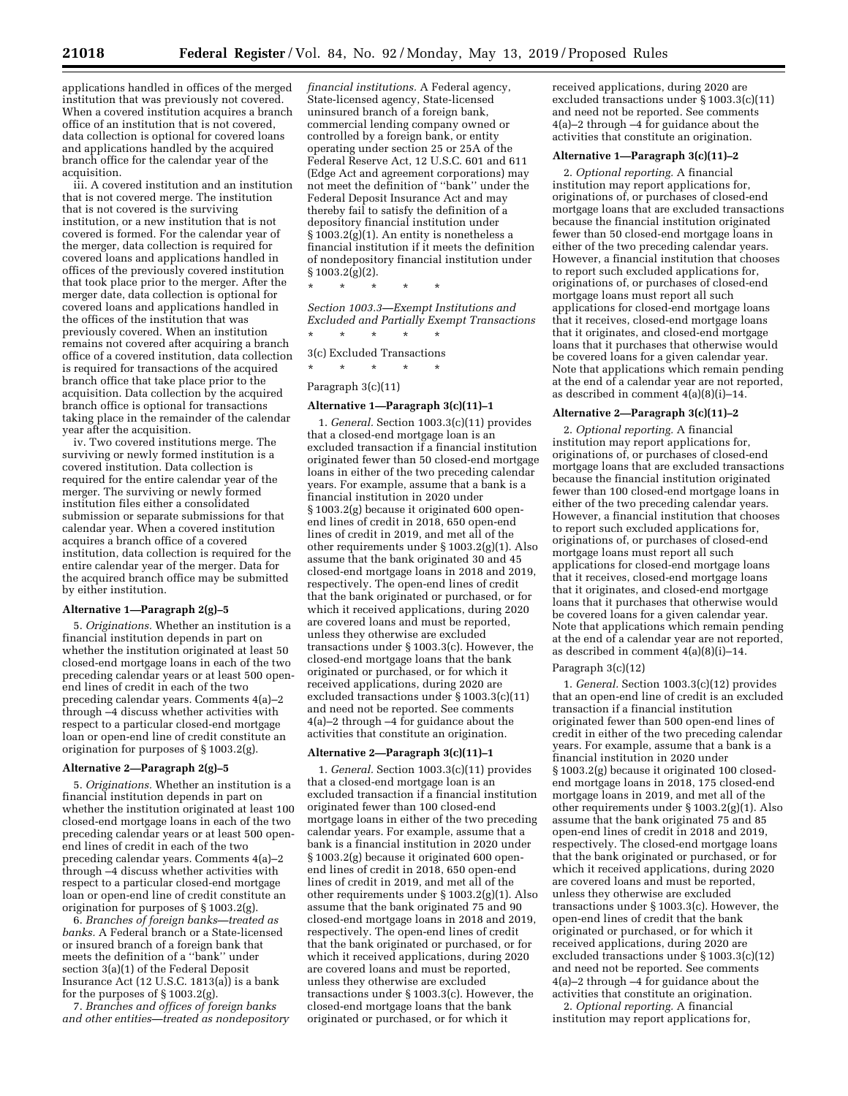applications handled in offices of the merged institution that was previously not covered. When a covered institution acquires a branch office of an institution that is not covered, data collection is optional for covered loans and applications handled by the acquired branch office for the calendar year of the acquisition.

iii. A covered institution and an institution that is not covered merge. The institution that is not covered is the surviving institution, or a new institution that is not covered is formed. For the calendar year of the merger, data collection is required for covered loans and applications handled in offices of the previously covered institution that took place prior to the merger. After the merger date, data collection is optional for covered loans and applications handled in the offices of the institution that was previously covered. When an institution remains not covered after acquiring a branch office of a covered institution, data collection is required for transactions of the acquired branch office that take place prior to the acquisition. Data collection by the acquired branch office is optional for transactions taking place in the remainder of the calendar year after the acquisition.

iv. Two covered institutions merge. The surviving or newly formed institution is a covered institution. Data collection is required for the entire calendar year of the merger. The surviving or newly formed institution files either a consolidated submission or separate submissions for that calendar year. When a covered institution acquires a branch office of a covered institution, data collection is required for the entire calendar year of the merger. Data for the acquired branch office may be submitted by either institution.

### **Alternative 1—Paragraph 2(g)–5**

5. *Originations.* Whether an institution is a financial institution depends in part on whether the institution originated at least 50 closed-end mortgage loans in each of the two preceding calendar years or at least 500 openend lines of credit in each of the two preceding calendar years. Comments 4(a)–2 through –4 discuss whether activities with respect to a particular closed-end mortgage loan or open-end line of credit constitute an origination for purposes of § 1003.2(g).

#### **Alternative 2—Paragraph 2(g)–5**

5. *Originations.* Whether an institution is a financial institution depends in part on whether the institution originated at least 100 closed-end mortgage loans in each of the two preceding calendar years or at least 500 openend lines of credit in each of the two preceding calendar years. Comments 4(a)–2 through –4 discuss whether activities with respect to a particular closed-end mortgage loan or open-end line of credit constitute an origination for purposes of § 1003.2(g).

6. *Branches of foreign banks—treated as banks.* A Federal branch or a State-licensed or insured branch of a foreign bank that meets the definition of a ''bank'' under section 3(a)(1) of the Federal Deposit Insurance Act  $(12 \text{ U.S.C. } 1813(a))$  is a bank for the purposes of § 1003.2(g).

7. *Branches and offices of foreign banks and other entities—treated as nondepository* 

*financial institutions.* A Federal agency, State-licensed agency, State-licensed uninsured branch of a foreign bank, commercial lending company owned or controlled by a foreign bank, or entity operating under section 25 or 25A of the Federal Reserve Act, 12 U.S.C. 601 and 611 (Edge Act and agreement corporations) may not meet the definition of ''bank'' under the Federal Deposit Insurance Act and may thereby fail to satisfy the definition of a depository financial institution under § 1003.2(g)(1). An entity is nonetheless a financial institution if it meets the definition of nondepository financial institution under § 1003.2(g)(2).

\* \* \* \* \*

*Section 1003.3—Exempt Institutions and Excluded and Partially Exempt Transactions*  \* \* \* \* \*

3(c) Excluded Transactions

\* \* \* \* \*

### Paragraph 3(c)(11)

#### **Alternative 1—Paragraph 3(c)(11)–1**

1. *General.* Section 1003.3(c)(11) provides that a closed-end mortgage loan is an excluded transaction if a financial institution originated fewer than 50 closed-end mortgage loans in either of the two preceding calendar years. For example, assume that a bank is a financial institution in 2020 under § 1003.2(g) because it originated 600 openend lines of credit in 2018, 650 open-end lines of credit in 2019, and met all of the other requirements under § 1003.2(g)(1). Also assume that the bank originated 30 and 45 closed-end mortgage loans in 2018 and 2019, respectively. The open-end lines of credit that the bank originated or purchased, or for which it received applications, during 2020 are covered loans and must be reported, unless they otherwise are excluded transactions under § 1003.3(c). However, the closed-end mortgage loans that the bank originated or purchased, or for which it received applications, during 2020 are excluded transactions under § 1003.3(c)(11) and need not be reported. See comments 4(a)–2 through –4 for guidance about the activities that constitute an origination.

### **Alternative 2—Paragraph 3(c)(11)–1**

1. *General.* Section 1003.3(c)(11) provides that a closed-end mortgage loan is an excluded transaction if a financial institution originated fewer than 100 closed-end mortgage loans in either of the two preceding calendar years. For example, assume that a bank is a financial institution in 2020 under § 1003.2(g) because it originated 600 openend lines of credit in 2018, 650 open-end lines of credit in 2019, and met all of the other requirements under § 1003.2(g)(1). Also assume that the bank originated 75 and 90 closed-end mortgage loans in 2018 and 2019, respectively. The open-end lines of credit that the bank originated or purchased, or for which it received applications, during 2020 are covered loans and must be reported, unless they otherwise are excluded transactions under § 1003.3(c). However, the closed-end mortgage loans that the bank originated or purchased, or for which it

received applications, during 2020 are excluded transactions under § 1003.3(c)(11) and need not be reported. See comments 4(a)–2 through –4 for guidance about the activities that constitute an origination.

### **Alternative 1—Paragraph 3(c)(11)–2**

2. *Optional reporting.* A financial institution may report applications for, originations of, or purchases of closed-end mortgage loans that are excluded transactions because the financial institution originated fewer than 50 closed-end mortgage loans in either of the two preceding calendar years. However, a financial institution that chooses to report such excluded applications for, originations of, or purchases of closed-end mortgage loans must report all such applications for closed-end mortgage loans that it receives, closed-end mortgage loans that it originates, and closed-end mortgage loans that it purchases that otherwise would be covered loans for a given calendar year. Note that applications which remain pending at the end of a calendar year are not reported, as described in comment 4(a)(8)(i)–14.

#### **Alternative 2—Paragraph 3(c)(11)–2**

2. *Optional reporting.* A financial institution may report applications for, originations of, or purchases of closed-end mortgage loans that are excluded transactions because the financial institution originated fewer than 100 closed-end mortgage loans in either of the two preceding calendar years. However, a financial institution that chooses to report such excluded applications for, originations of, or purchases of closed-end mortgage loans must report all such applications for closed-end mortgage loans that it receives, closed-end mortgage loans that it originates, and closed-end mortgage loans that it purchases that otherwise would be covered loans for a given calendar year. Note that applications which remain pending at the end of a calendar year are not reported, as described in comment 4(a)(8)(i)–14.

### Paragraph 3(c)(12)

1. *General.* Section 1003.3(c)(12) provides that an open-end line of credit is an excluded transaction if a financial institution originated fewer than 500 open-end lines of credit in either of the two preceding calendar years. For example, assume that a bank is a financial institution in 2020 under § 1003.2(g) because it originated 100 closedend mortgage loans in 2018, 175 closed-end mortgage loans in 2019, and met all of the other requirements under § 1003.2(g)(1). Also assume that the bank originated 75 and 85 open-end lines of credit in 2018 and 2019, respectively. The closed-end mortgage loans that the bank originated or purchased, or for which it received applications, during 2020 are covered loans and must be reported, unless they otherwise are excluded transactions under § 1003.3(c). However, the open-end lines of credit that the bank originated or purchased, or for which it received applications, during 2020 are excluded transactions under § 1003.3(c)(12) and need not be reported. See comments 4(a)–2 through –4 for guidance about the activities that constitute an origination.

2. *Optional reporting.* A financial institution may report applications for,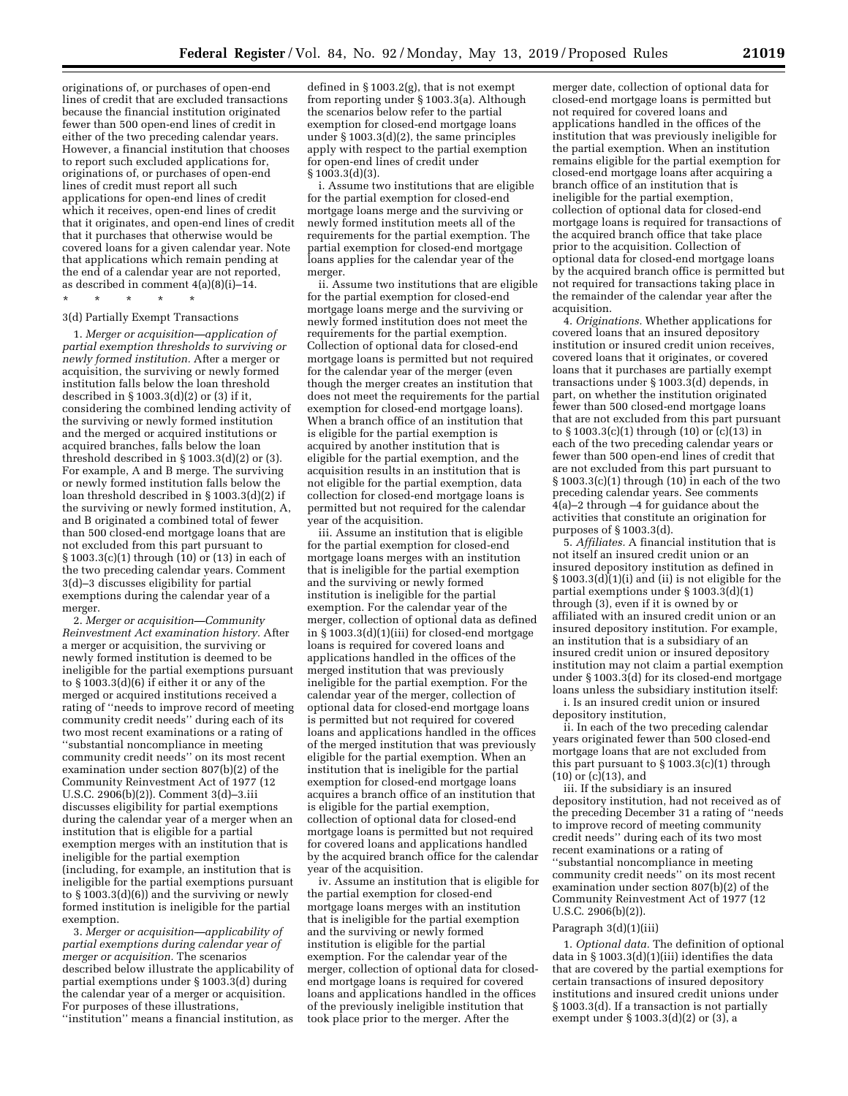originations of, or purchases of open-end lines of credit that are excluded transactions because the financial institution originated fewer than 500 open-end lines of credit in either of the two preceding calendar years. However, a financial institution that chooses to report such excluded applications for, originations of, or purchases of open-end lines of credit must report all such applications for open-end lines of credit which it receives, open-end lines of credit that it originates, and open-end lines of credit that it purchases that otherwise would be covered loans for a given calendar year. Note that applications which remain pending at the end of a calendar year are not reported, as described in comment 4(a)(8)(i)–14.

### \* \* \* \* \* 3(d) Partially Exempt Transactions

1. *Merger or acquisition—application of partial exemption thresholds to surviving or newly formed institution.* After a merger or acquisition, the surviving or newly formed institution falls below the loan threshold described in § 1003.3(d)(2) or (3) if it, considering the combined lending activity of the surviving or newly formed institution and the merged or acquired institutions or acquired branches, falls below the loan threshold described in  $\S 1003.3(d)(2)$  or (3). For example, A and B merge. The surviving or newly formed institution falls below the loan threshold described in § 1003.3(d)(2) if the surviving or newly formed institution, A, and B originated a combined total of fewer than 500 closed-end mortgage loans that are not excluded from this part pursuant to § 1003.3(c)(1) through (10) or (13) in each of the two preceding calendar years. Comment 3(d)–3 discusses eligibility for partial exemptions during the calendar year of a merger.

2. *Merger or acquisition—Community Reinvestment Act examination history.* After a merger or acquisition, the surviving or newly formed institution is deemed to be ineligible for the partial exemptions pursuant to  $\S$  1003.3(d)(6) if either it or any of the merged or acquired institutions received a rating of ''needs to improve record of meeting community credit needs'' during each of its two most recent examinations or a rating of ''substantial noncompliance in meeting community credit needs'' on its most recent examination under section 807(b)(2) of the Community Reinvestment Act of 1977 (12 U.S.C. 2906(b)(2)). Comment 3(d)–3.iii discusses eligibility for partial exemptions during the calendar year of a merger when an institution that is eligible for a partial exemption merges with an institution that is ineligible for the partial exemption (including, for example, an institution that is ineligible for the partial exemptions pursuant to § 1003.3(d)(6)) and the surviving or newly formed institution is ineligible for the partial exemption.

3. *Merger or acquisition—applicability of partial exemptions during calendar year of merger or acquisition.* The scenarios described below illustrate the applicability of partial exemptions under § 1003.3(d) during the calendar year of a merger or acquisition. For purposes of these illustrations, ''institution'' means a financial institution, as

defined in § 1003.2(g), that is not exempt from reporting under § 1003.3(a). Although the scenarios below refer to the partial exemption for closed-end mortgage loans under § 1003.3(d)(2), the same principles apply with respect to the partial exemption for open-end lines of credit under § 1003.3(d)(3).

i. Assume two institutions that are eligible for the partial exemption for closed-end mortgage loans merge and the surviving or newly formed institution meets all of the requirements for the partial exemption. The partial exemption for closed-end mortgage loans applies for the calendar year of the merger.

ii. Assume two institutions that are eligible for the partial exemption for closed-end mortgage loans merge and the surviving or newly formed institution does not meet the requirements for the partial exemption. Collection of optional data for closed-end mortgage loans is permitted but not required for the calendar year of the merger (even though the merger creates an institution that does not meet the requirements for the partial exemption for closed-end mortgage loans). When a branch office of an institution that is eligible for the partial exemption is acquired by another institution that is eligible for the partial exemption, and the acquisition results in an institution that is not eligible for the partial exemption, data collection for closed-end mortgage loans is permitted but not required for the calendar year of the acquisition.

iii. Assume an institution that is eligible for the partial exemption for closed-end mortgage loans merges with an institution that is ineligible for the partial exemption and the surviving or newly formed institution is ineligible for the partial exemption. For the calendar year of the merger, collection of optional data as defined in § 1003.3(d)(1)(iii) for closed-end mortgage loans is required for covered loans and applications handled in the offices of the merged institution that was previously ineligible for the partial exemption. For the calendar year of the merger, collection of optional data for closed-end mortgage loans is permitted but not required for covered loans and applications handled in the offices of the merged institution that was previously eligible for the partial exemption. When an institution that is ineligible for the partial exemption for closed-end mortgage loans acquires a branch office of an institution that is eligible for the partial exemption, collection of optional data for closed-end mortgage loans is permitted but not required for covered loans and applications handled by the acquired branch office for the calendar year of the acquisition.

iv. Assume an institution that is eligible for the partial exemption for closed-end mortgage loans merges with an institution that is ineligible for the partial exemption and the surviving or newly formed institution is eligible for the partial exemption. For the calendar year of the merger, collection of optional data for closedend mortgage loans is required for covered loans and applications handled in the offices of the previously ineligible institution that took place prior to the merger. After the

merger date, collection of optional data for closed-end mortgage loans is permitted but not required for covered loans and applications handled in the offices of the institution that was previously ineligible for the partial exemption. When an institution remains eligible for the partial exemption for closed-end mortgage loans after acquiring a branch office of an institution that is ineligible for the partial exemption, collection of optional data for closed-end mortgage loans is required for transactions of the acquired branch office that take place prior to the acquisition. Collection of optional data for closed-end mortgage loans by the acquired branch office is permitted but not required for transactions taking place in the remainder of the calendar year after the acquisition.

4. *Originations.* Whether applications for covered loans that an insured depository institution or insured credit union receives, covered loans that it originates, or covered loans that it purchases are partially exempt transactions under § 1003.3(d) depends, in part, on whether the institution originated fewer than 500 closed-end mortgage loans that are not excluded from this part pursuant to  $\S 1003.3(c)(1)$  through  $(10)$  or  $(c)(13)$  in each of the two preceding calendar years or fewer than 500 open-end lines of credit that are not excluded from this part pursuant to § 1003.3(c)(1) through (10) in each of the two preceding calendar years. See comments 4(a)–2 through –4 for guidance about the activities that constitute an origination for purposes of § 1003.3(d).

5. *Affiliates.* A financial institution that is not itself an insured credit union or an insured depository institution as defined in § 1003.3(d)(1)(i) and (ii) is not eligible for the partial exemptions under § 1003.3(d)(1) through (3), even if it is owned by or affiliated with an insured credit union or an insured depository institution. For example, an institution that is a subsidiary of an insured credit union or insured depository institution may not claim a partial exemption under § 1003.3(d) for its closed-end mortgage loans unless the subsidiary institution itself:

i. Is an insured credit union or insured depository institution,

ii. In each of the two preceding calendar years originated fewer than 500 closed-end mortgage loans that are not excluded from this part pursuant to § 1003.3(c)(1) through  $(10)$  or  $(c)(13)$ , and

iii. If the subsidiary is an insured depository institution, had not received as of the preceding December 31 a rating of ''needs to improve record of meeting community credit needs'' during each of its two most recent examinations or a rating of ''substantial noncompliance in meeting community credit needs'' on its most recent examination under section 807(b)(2) of the Community Reinvestment Act of 1977 (12 U.S.C. 2906(b)(2)).

#### Paragraph 3(d)(1)(iii)

1. *Optional data.* The definition of optional data in § 1003.3(d)(1)(iii) identifies the data that are covered by the partial exemptions for certain transactions of insured depository institutions and insured credit unions under § 1003.3(d). If a transaction is not partially exempt under § 1003.3(d)(2) or (3), a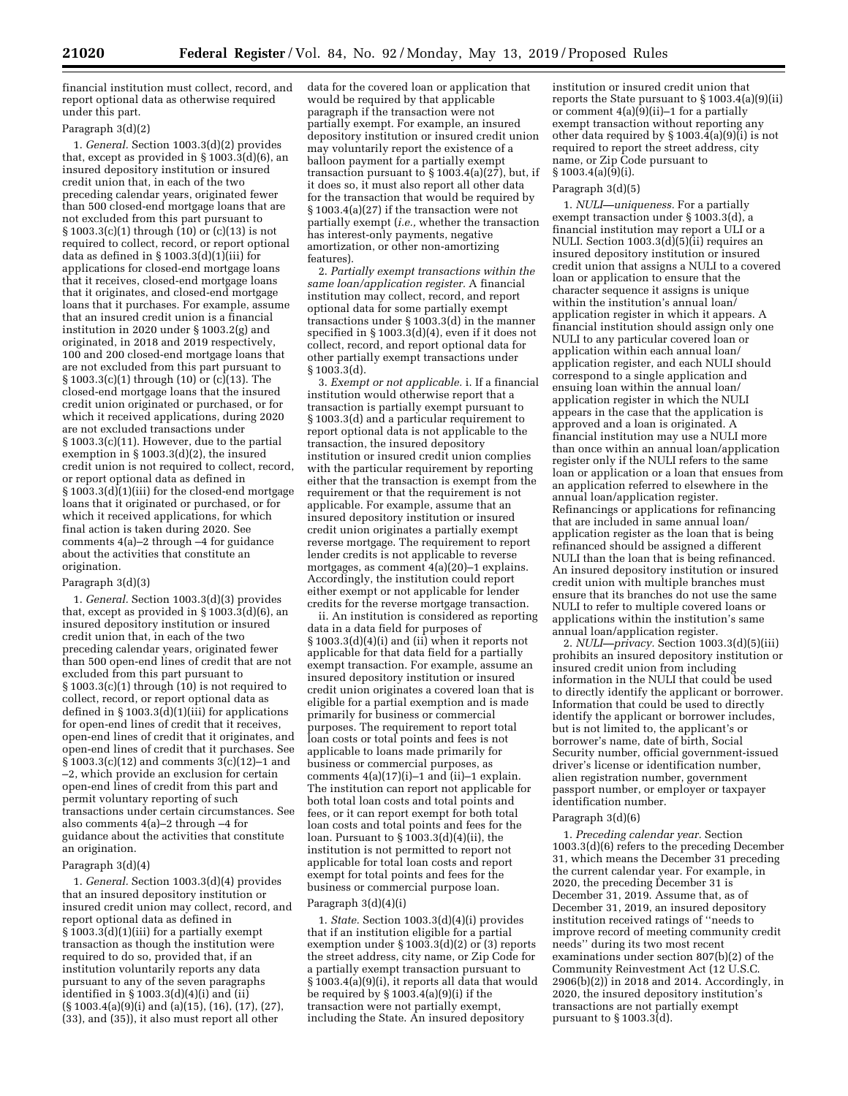financial institution must collect, record, and report optional data as otherwise required under this part.

### Paragraph 3(d)(2)

1. *General.* Section 1003.3(d)(2) provides that, except as provided in  $\S 1003.\overline{3}$ (d)(6), an insured depository institution or insured credit union that, in each of the two preceding calendar years, originated fewer than 500 closed-end mortgage loans that are not excluded from this part pursuant to  $\S 1003.3(c)(1)$  through  $(10)$  or  $(c)(13)$  is not required to collect, record, or report optional data as defined in § 1003.3(d)(1)(iii) for applications for closed-end mortgage loans that it receives, closed-end mortgage loans that it originates, and closed-end mortgage loans that it purchases. For example, assume that an insured credit union is a financial institution in 2020 under § 1003.2(g) and originated, in 2018 and 2019 respectively, 100 and 200 closed-end mortgage loans that are not excluded from this part pursuant to  $§ 1003.3(c)(1)$  through (10) or (c)(13). The closed-end mortgage loans that the insured credit union originated or purchased, or for which it received applications, during 2020 are not excluded transactions under § 1003.3(c)(11). However, due to the partial exemption in § 1003.3(d)(2), the insured credit union is not required to collect, record, or report optional data as defined in § 1003.3(d)(1)(iii) for the closed-end mortgage loans that it originated or purchased, or for which it received applications, for which final action is taken during 2020. See comments 4(a)–2 through –4 for guidance about the activities that constitute an origination.

#### Paragraph 3(d)(3)

1. *General.* Section 1003.3(d)(3) provides that, except as provided in § 1003.3(d)(6), an insured depository institution or insured credit union that, in each of the two preceding calendar years, originated fewer than 500 open-end lines of credit that are not excluded from this part pursuant to  $§ 1003.3(c)(1)$  through (10) is not required to collect, record, or report optional data as defined in § 1003.3(d)(1)(iii) for applications for open-end lines of credit that it receives, open-end lines of credit that it originates, and open-end lines of credit that it purchases. See § 1003.3(c)(12) and comments 3(c)(12)–1 and –2, which provide an exclusion for certain open-end lines of credit from this part and permit voluntary reporting of such transactions under certain circumstances. See also comments 4(a)–2 through –4 for guidance about the activities that constitute an origination.

### Paragraph 3(d)(4)

1. *General.* Section 1003.3(d)(4) provides that an insured depository institution or insured credit union may collect, record, and report optional data as defined in  $\frac{1}{2}$  1003.3(d)(1)(iii) for a partially exempt transaction as though the institution were required to do so, provided that, if an institution voluntarily reports any data pursuant to any of the seven paragraphs identified in § 1003.3(d)(4)(i) and (ii) (§ 1003.4(a)(9)(i) and (a)(15), (16), (17), (27), (33), and (35)), it also must report all other

data for the covered loan or application that would be required by that applicable paragraph if the transaction were not partially exempt. For example, an insured depository institution or insured credit union may voluntarily report the existence of a balloon payment for a partially exempt transaction pursuant to § 1003.4(a)(27), but, if it does so, it must also report all other data for the transaction that would be required by § 1003.4(a)(27) if the transaction were not partially exempt (*i.e.,* whether the transaction has interest-only payments, negative amortization, or other non-amortizing features).

2. *Partially exempt transactions within the same loan/application register.* A financial institution may collect, record, and report optional data for some partially exempt transactions under § 1003.3(d) in the manner specified in § 1003.3(d)(4), even if it does not collect, record, and report optional data for other partially exempt transactions under § 1003.3(d).

3. *Exempt or not applicable.* i. If a financial institution would otherwise report that a transaction is partially exempt pursuant to § 1003.3(d) and a particular requirement to report optional data is not applicable to the transaction, the insured depository institution or insured credit union complies with the particular requirement by reporting either that the transaction is exempt from the requirement or that the requirement is not applicable. For example, assume that an insured depository institution or insured credit union originates a partially exempt reverse mortgage. The requirement to report lender credits is not applicable to reverse mortgages, as comment 4(a)(20)–1 explains. Accordingly, the institution could report either exempt or not applicable for lender credits for the reverse mortgage transaction.

ii. An institution is considered as reporting data in a data field for purposes of § 1003.3(d)(4)(i) and (ii) when it reports not applicable for that data field for a partially exempt transaction. For example, assume an insured depository institution or insured credit union originates a covered loan that is eligible for a partial exemption and is made primarily for business or commercial purposes. The requirement to report total loan costs or total points and fees is not applicable to loans made primarily for business or commercial purposes, as comments  $4(a)(17)(i)-1$  and  $(ii)-1$  explain. The institution can report not applicable for both total loan costs and total points and fees, or it can report exempt for both total loan costs and total points and fees for the loan. Pursuant to § 1003.3(d)(4)(ii), the institution is not permitted to report not applicable for total loan costs and report exempt for total points and fees for the business or commercial purpose loan.

### Paragraph 3(d)(4)(i)

1. *State.* Section 1003.3(d)(4)(i) provides that if an institution eligible for a partial exemption under § 1003.3(d)(2) or (3) reports the street address, city name, or Zip Code for a partially exempt transaction pursuant to § 1003.4(a)(9)(i), it reports all data that would be required by  $\S 1003.4(a)(9)(i)$  if the transaction were not partially exempt, including the State. An insured depository

institution or insured credit union that reports the State pursuant to § 1003.4(a)(9)(ii) or comment  $4(a)(9)(ii)-1$  for a partially exempt transaction without reporting any other data required by  $\S 1003.\overline{4(a)(9)(i)}$  is not required to report the street address, city name, or Zip Code pursuant to  $§ 1003.4(a)(9)(i).$ 

#### Paragraph 3(d)(5)

1. *NULI—uniqueness.* For a partially exempt transaction under § 1003.3(d), a financial institution may report a ULI or a NULI. Section  $1003.3(d)(5)(ii)$  requires an insured depository institution or insured credit union that assigns a NULI to a covered loan or application to ensure that the character sequence it assigns is unique within the institution's annual loan/ application register in which it appears. A financial institution should assign only one NULI to any particular covered loan or application within each annual loan/ application register, and each NULI should correspond to a single application and ensuing loan within the annual loan/ application register in which the NULI appears in the case that the application is approved and a loan is originated. A financial institution may use a NULI more than once within an annual loan/application register only if the NULI refers to the same loan or application or a loan that ensues from an application referred to elsewhere in the annual loan/application register. Refinancings or applications for refinancing that are included in same annual loan/ application register as the loan that is being refinanced should be assigned a different NULI than the loan that is being refinanced. An insured depository institution or insured credit union with multiple branches must ensure that its branches do not use the same NULI to refer to multiple covered loans or applications within the institution's same annual loan/application register.

2. *NULI—privacy.* Section 1003.3(d)(5)(iii) prohibits an insured depository institution or insured credit union from including information in the NULI that could be used to directly identify the applicant or borrower. Information that could be used to directly identify the applicant or borrower includes, but is not limited to, the applicant's or borrower's name, date of birth, Social Security number, official government-issued driver's license or identification number, alien registration number, government passport number, or employer or taxpayer identification number.

#### Paragraph 3(d)(6)

1. *Preceding calendar year.* Section 1003.3(d)(6) refers to the preceding December 31, which means the December 31 preceding the current calendar year. For example, in 2020, the preceding December 31 is December 31, 2019. Assume that, as of December 31, 2019, an insured depository institution received ratings of ''needs to improve record of meeting community credit needs'' during its two most recent examinations under section 807(b)(2) of the Community Reinvestment Act (12 U.S.C. 2906(b)(2)) in 2018 and 2014. Accordingly, in 2020, the insured depository institution's transactions are not partially exempt pursuant to  $\S 1003.3(d)$ .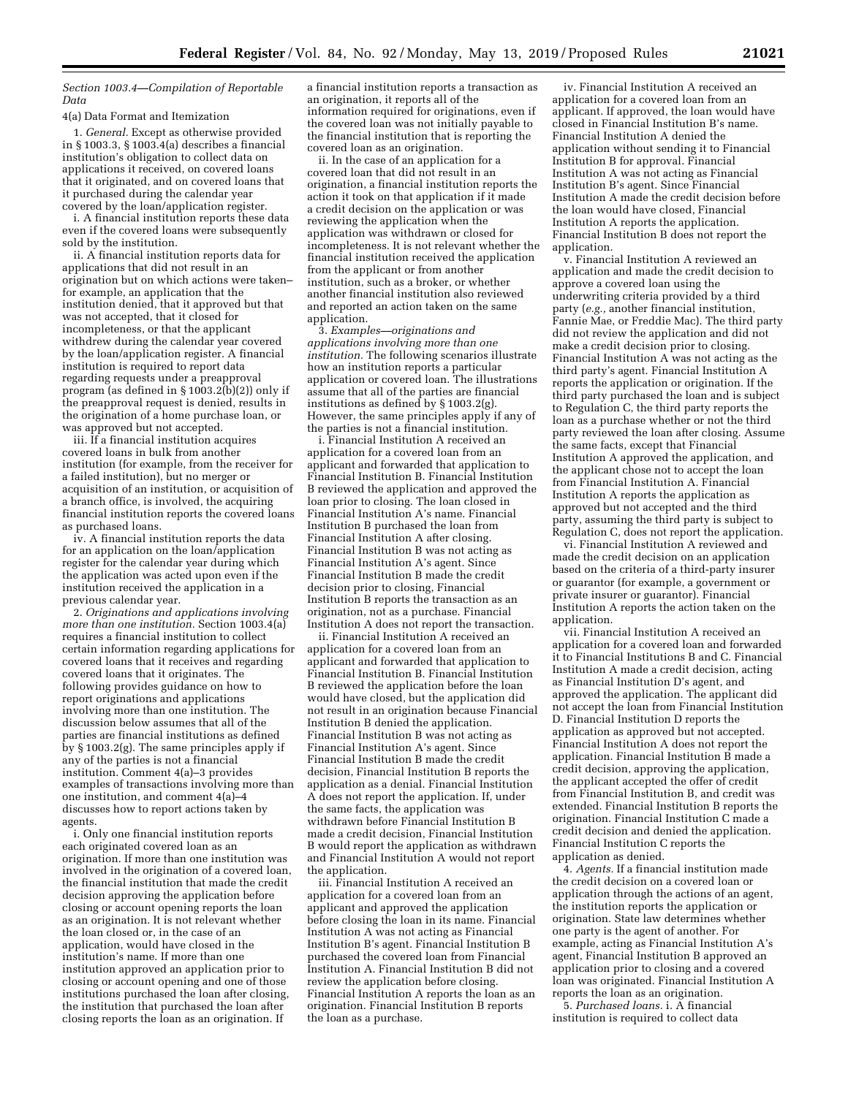### *Section 1003.4—Compilation of Reportable Data*

4(a) Data Format and Itemization

1. *General.* Except as otherwise provided in § 1003.3, § 1003.4(a) describes a financial institution's obligation to collect data on applications it received, on covered loans that it originated, and on covered loans that it purchased during the calendar year covered by the loan/application register.

i. A financial institution reports these data even if the covered loans were subsequently sold by the institution.

ii. A financial institution reports data for applications that did not result in an origination but on which actions were taken– for example, an application that the institution denied, that it approved but that was not accepted, that it closed for incompleteness, or that the applicant withdrew during the calendar year covered by the loan/application register. A financial institution is required to report data regarding requests under a preapproval program (as defined in  $\S 1003.2(b)(2)$ ) only if the preapproval request is denied, results in the origination of a home purchase loan, or was approved but not accepted.

iii. If a financial institution acquires covered loans in bulk from another institution (for example, from the receiver for a failed institution), but no merger or acquisition of an institution, or acquisition of a branch office, is involved, the acquiring financial institution reports the covered loans as purchased loans.

iv. A financial institution reports the data for an application on the loan/application register for the calendar year during which the application was acted upon even if the institution received the application in a previous calendar year.

2. *Originations and applications involving more than one institution.* Section 1003.4(a) requires a financial institution to collect certain information regarding applications for covered loans that it receives and regarding covered loans that it originates. The following provides guidance on how to report originations and applications involving more than one institution. The discussion below assumes that all of the parties are financial institutions as defined by § 1003.2(g). The same principles apply if any of the parties is not a financial institution. Comment 4(a)–3 provides examples of transactions involving more than one institution, and comment 4(a)–4 discusses how to report actions taken by agents.

i. Only one financial institution reports each originated covered loan as an origination. If more than one institution was involved in the origination of a covered loan, the financial institution that made the credit decision approving the application before closing or account opening reports the loan as an origination. It is not relevant whether the loan closed or, in the case of an application, would have closed in the institution's name. If more than one institution approved an application prior to closing or account opening and one of those institutions purchased the loan after closing, the institution that purchased the loan after closing reports the loan as an origination. If

a financial institution reports a transaction as an origination, it reports all of the information required for originations, even if the covered loan was not initially payable to the financial institution that is reporting the covered loan as an origination.

ii. In the case of an application for a covered loan that did not result in an origination, a financial institution reports the action it took on that application if it made a credit decision on the application or was reviewing the application when the application was withdrawn or closed for incompleteness. It is not relevant whether the financial institution received the application from the applicant or from another institution, such as a broker, or whether another financial institution also reviewed and reported an action taken on the same application.

3. *Examples—originations and applications involving more than one institution.* The following scenarios illustrate how an institution reports a particular application or covered loan. The illustrations assume that all of the parties are financial institutions as defined by § 1003.2(g). However, the same principles apply if any of the parties is not a financial institution.

i. Financial Institution A received an application for a covered loan from an applicant and forwarded that application to Financial Institution B. Financial Institution B reviewed the application and approved the loan prior to closing. The loan closed in Financial Institution A's name. Financial Institution B purchased the loan from Financial Institution A after closing. Financial Institution B was not acting as Financial Institution A's agent. Since Financial Institution B made the credit decision prior to closing, Financial Institution B reports the transaction as an origination, not as a purchase. Financial Institution A does not report the transaction.

ii. Financial Institution A received an application for a covered loan from an applicant and forwarded that application to Financial Institution B. Financial Institution B reviewed the application before the loan would have closed, but the application did not result in an origination because Financial Institution B denied the application. Financial Institution B was not acting as Financial Institution A's agent. Since Financial Institution B made the credit decision, Financial Institution B reports the application as a denial. Financial Institution  $\hat{A}$  does not report the application. If, under the same facts, the application was withdrawn before Financial Institution B made a credit decision, Financial Institution B would report the application as withdrawn and Financial Institution A would not report the application.

iii. Financial Institution A received an application for a covered loan from an applicant and approved the application before closing the loan in its name. Financial Institution A was not acting as Financial Institution B's agent. Financial Institution B purchased the covered loan from Financial Institution A. Financial Institution B did not review the application before closing. Financial Institution A reports the loan as an origination. Financial Institution B reports the loan as a purchase.

iv. Financial Institution A received an application for a covered loan from an applicant. If approved, the loan would have closed in Financial Institution B's name. Financial Institution A denied the application without sending it to Financial Institution B for approval. Financial Institution A was not acting as Financial Institution B's agent. Since Financial Institution A made the credit decision before the loan would have closed, Financial Institution A reports the application. Financial Institution B does not report the application.

v. Financial Institution A reviewed an application and made the credit decision to approve a covered loan using the underwriting criteria provided by a third party (*e.g.,* another financial institution, Fannie Mae, or Freddie Mac). The third party did not review the application and did not make a credit decision prior to closing. Financial Institution A was not acting as the third party's agent. Financial Institution A reports the application or origination. If the third party purchased the loan and is subject to Regulation C, the third party reports the loan as a purchase whether or not the third party reviewed the loan after closing. Assume the same facts, except that Financial Institution A approved the application, and the applicant chose not to accept the loan from Financial Institution A. Financial Institution A reports the application as approved but not accepted and the third party, assuming the third party is subject to Regulation C, does not report the application.

vi. Financial Institution A reviewed and made the credit decision on an application based on the criteria of a third-party insurer or guarantor (for example, a government or private insurer or guarantor). Financial Institution A reports the action taken on the application.

vii. Financial Institution A received an application for a covered loan and forwarded it to Financial Institutions B and C. Financial Institution A made a credit decision, acting as Financial Institution D's agent, and approved the application. The applicant did not accept the loan from Financial Institution D. Financial Institution D reports the application as approved but not accepted. Financial Institution A does not report the application. Financial Institution  $\tilde{B}$  made a credit decision, approving the application, the applicant accepted the offer of credit from Financial Institution B, and credit was extended. Financial Institution B reports the origination. Financial Institution C made a credit decision and denied the application. Financial Institution C reports the application as denied.

4. *Agents.* If a financial institution made the credit decision on a covered loan or application through the actions of an agent, the institution reports the application or origination. State law determines whether one party is the agent of another. For example, acting as Financial Institution A's agent, Financial Institution B approved an application prior to closing and a covered loan was originated. Financial Institution A reports the loan as an origination.

5. *Purchased loans.* i. A financial institution is required to collect data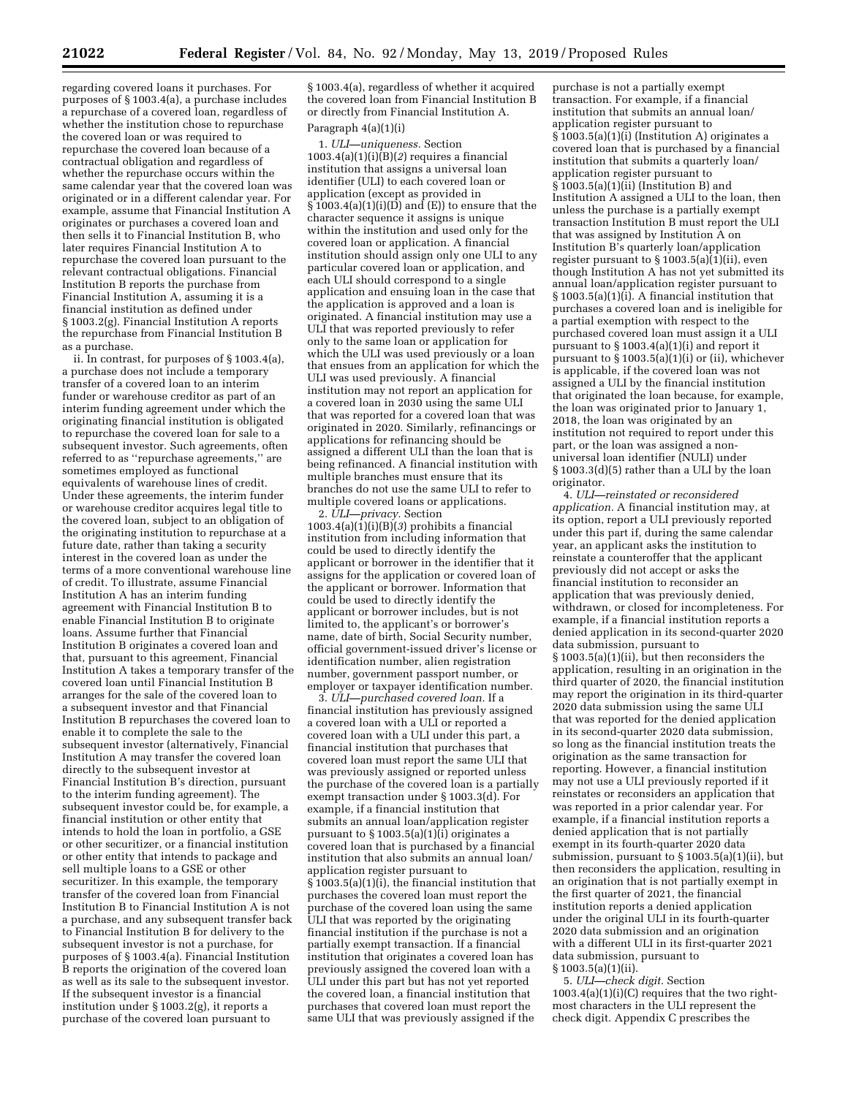regarding covered loans it purchases. For purposes of § 1003.4(a), a purchase includes a repurchase of a covered loan, regardless of whether the institution chose to repurchase the covered loan or was required to repurchase the covered loan because of a contractual obligation and regardless of whether the repurchase occurs within the same calendar year that the covered loan was originated or in a different calendar year. For example, assume that Financial Institution A originates or purchases a covered loan and then sells it to Financial Institution B, who later requires Financial Institution A to repurchase the covered loan pursuant to the relevant contractual obligations. Financial Institution B reports the purchase from Financial Institution A, assuming it is a financial institution as defined under § 1003.2(g). Financial Institution A reports the repurchase from Financial Institution B as a purchase.

ii. In contrast, for purposes of § 1003.4(a), a purchase does not include a temporary transfer of a covered loan to an interim funder or warehouse creditor as part of an interim funding agreement under which the originating financial institution is obligated to repurchase the covered loan for sale to a subsequent investor. Such agreements, often referred to as ''repurchase agreements,'' are sometimes employed as functional equivalents of warehouse lines of credit. Under these agreements, the interim funder or warehouse creditor acquires legal title to the covered loan, subject to an obligation of the originating institution to repurchase at a future date, rather than taking a security interest in the covered loan as under the terms of a more conventional warehouse line of credit. To illustrate, assume Financial Institution A has an interim funding agreement with Financial Institution B to enable Financial Institution B to originate loans. Assume further that Financial Institution B originates a covered loan and that, pursuant to this agreement, Financial Institution A takes a temporary transfer of the covered loan until Financial Institution B arranges for the sale of the covered loan to a subsequent investor and that Financial Institution B repurchases the covered loan to enable it to complete the sale to the subsequent investor (alternatively, Financial Institution A may transfer the covered loan directly to the subsequent investor at Financial Institution B's direction, pursuant to the interim funding agreement). The subsequent investor could be, for example, a financial institution or other entity that intends to hold the loan in portfolio, a GSE or other securitizer, or a financial institution or other entity that intends to package and sell multiple loans to a GSE or other securitizer. In this example, the temporary transfer of the covered loan from Financial Institution B to Financial Institution A is not a purchase, and any subsequent transfer back to Financial Institution B for delivery to the subsequent investor is not a purchase, for purposes of § 1003.4(a). Financial Institution B reports the origination of the covered loan as well as its sale to the subsequent investor. If the subsequent investor is a financial institution under § 1003.2(g), it reports a purchase of the covered loan pursuant to

§ 1003.4(a), regardless of whether it acquired the covered loan from Financial Institution B or directly from Financial Institution A.

### Paragraph 4(a)(1)(i)

1. *ULI—uniqueness.* Section  $1003.4(a)(1)(i)\overline{(B)}(2)$  requires a financial institution that assigns a universal loan identifier (ULI) to each covered loan or application (except as provided in  $\widehat{\S}$ 1003.4(a)(1)(i)(D) and (E)) to ensure that the character sequence it assigns is unique within the institution and used only for the covered loan or application. A financial institution should assign only one ULI to any particular covered loan or application, and each ULI should correspond to a single application and ensuing loan in the case that the application is approved and a loan is originated. A financial institution may use a ULI that was reported previously to refer only to the same loan or application for which the ULI was used previously or a loan that ensues from an application for which the ULI was used previously. A financial institution may not report an application for a covered loan in 2030 using the same ULI that was reported for a covered loan that was originated in 2020. Similarly, refinancings or applications for refinancing should be assigned a different ULI than the loan that is being refinanced. A financial institution with multiple branches must ensure that its branches do not use the same ULI to refer to multiple covered loans or applications.

2. *ULI—privacy.* Section  $1003.4(a)(1)(i)(B)(3)$  prohibits a financial institution from including information that could be used to directly identify the applicant or borrower in the identifier that it assigns for the application or covered loan of the applicant or borrower. Information that could be used to directly identify the applicant or borrower includes, but is not limited to, the applicant's or borrower's name, date of birth, Social Security number, official government-issued driver's license or identification number, alien registration number, government passport number, or employer or taxpayer identification number.

3. *ULI—purchased covered loan.* If a financial institution has previously assigned a covered loan with a ULI or reported a covered loan with a ULI under this part, a financial institution that purchases that covered loan must report the same ULI that was previously assigned or reported unless the purchase of the covered loan is a partially exempt transaction under § 1003.3(d). For example, if a financial institution that submits an annual loan/application register pursuant to § 1003.5(a)(1)(i) originates a covered loan that is purchased by a financial institution that also submits an annual loan/ application register pursuant to § 1003.5(a)(1)(i), the financial institution that purchases the covered loan must report the purchase of the covered loan using the same ULI that was reported by the originating financial institution if the purchase is not a partially exempt transaction. If a financial institution that originates a covered loan has previously assigned the covered loan with a ULI under this part but has not yet reported the covered loan, a financial institution that purchases that covered loan must report the same ULI that was previously assigned if the

purchase is not a partially exempt transaction. For example, if a financial institution that submits an annual loan/ application register pursuant to § 1003.5(a)(1)(i) (Institution A) originates a covered loan that is purchased by a financial institution that submits a quarterly loan/ application register pursuant to § 1003.5(a)(1)(ii) (Institution B) and Institution A assigned a ULI to the loan, then unless the purchase is a partially exempt transaction Institution B must report the ULI that was assigned by Institution A on Institution B's quarterly loan/application register pursuant to  $\S 1003.5(a)\overline{(1)}$ (ii), even though Institution A has not yet submitted its annual loan/application register pursuant to  $\S 1003.5(a)(1)(i)$ . A financial institution that purchases a covered loan and is ineligible for a partial exemption with respect to the purchased covered loan must assign it a ULI pursuant to § 1003.4(a)(1)(i) and report it pursuant to § 1003.5(a)(1)(i) or (ii), whichever is applicable, if the covered loan was not assigned a ULI by the financial institution that originated the loan because, for example, the loan was originated prior to January 1, 2018, the loan was originated by an institution not required to report under this part, or the loan was assigned a nonuniversal loan identifier (NULI) under § 1003.3(d)(5) rather than a ULI by the loan originator.

4. *ULI—reinstated or reconsidered application.* A financial institution may, at its option, report a ULI previously reported under this part if, during the same calendar year, an applicant asks the institution to reinstate a counteroffer that the applicant previously did not accept or asks the financial institution to reconsider an application that was previously denied, withdrawn, or closed for incompleteness. For example, if a financial institution reports a denied application in its second-quarter 2020 data submission, pursuant to § 1003.5(a)(1)(ii), but then reconsiders the application, resulting in an origination in the third quarter of 2020, the financial institution may report the origination in its third-quarter 2020 data submission using the same ULI that was reported for the denied application in its second-quarter 2020 data submission, so long as the financial institution treats the origination as the same transaction for reporting. However, a financial institution may not use a ULI previously reported if it reinstates or reconsiders an application that was reported in a prior calendar year. For example, if a financial institution reports a denied application that is not partially exempt in its fourth-quarter 2020 data submission, pursuant to § 1003.5(a)(1)(ii), but then reconsiders the application, resulting in an origination that is not partially exempt in the first quarter of 2021, the financial institution reports a denied application under the original ULI in its fourth-quarter 2020 data submission and an origination with a different ULI in its first-quarter 2021 data submission, pursuant to § 1003.5(a)(1)(ii).

5. *ULI—check digit.* Section  $1003.4(a)(1)(i)(C)$  requires that the two rightmost characters in the ULI represent the check digit. Appendix C prescribes the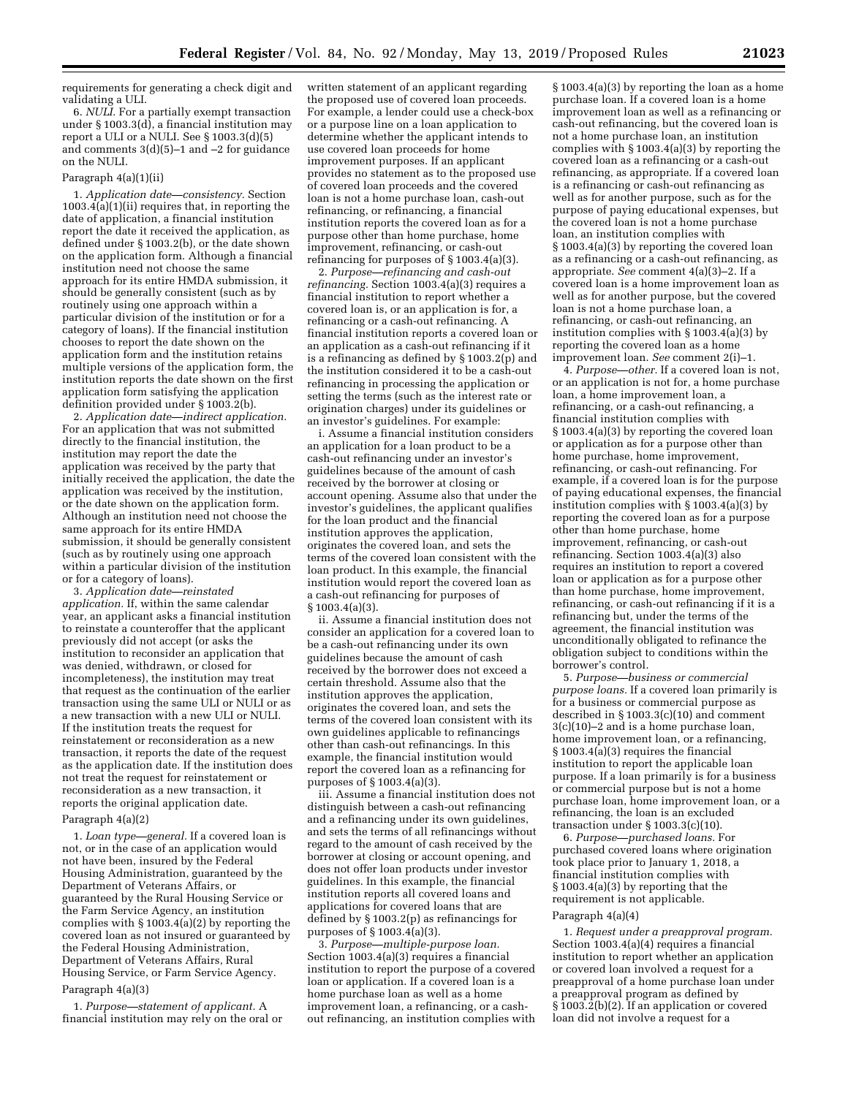requirements for generating a check digit and validating a ULI.

6. *NULI.* For a partially exempt transaction under § 1003.3(d), a financial institution may report a ULI or a NULI. See § 1003.3(d)(5) and comments 3(d)(5)–1 and –2 for guidance on the NULI.

### Paragraph 4(a)(1)(ii)

1. *Application date—consistency.* Section 1003.4(a)(1)(ii) requires that, in reporting the date of application, a financial institution report the date it received the application, as defined under § 1003.2(b), or the date shown on the application form. Although a financial institution need not choose the same approach for its entire HMDA submission, it should be generally consistent (such as by routinely using one approach within a particular division of the institution or for a category of loans). If the financial institution chooses to report the date shown on the application form and the institution retains multiple versions of the application form, the institution reports the date shown on the first application form satisfying the application definition provided under § 1003.2(b).

2. *Application date—indirect application.*  For an application that was not submitted directly to the financial institution, the institution may report the date the application was received by the party that initially received the application, the date the application was received by the institution, or the date shown on the application form. Although an institution need not choose the same approach for its entire HMDA submission, it should be generally consistent (such as by routinely using one approach within a particular division of the institution or for a category of loans).

3. *Application date—reinstated application.* If, within the same calendar year, an applicant asks a financial institution to reinstate a counteroffer that the applicant previously did not accept (or asks the institution to reconsider an application that was denied, withdrawn, or closed for incompleteness), the institution may treat that request as the continuation of the earlier transaction using the same ULI or NULI or as a new transaction with a new ULI or NULI. If the institution treats the request for reinstatement or reconsideration as a new transaction, it reports the date of the request as the application date. If the institution does not treat the request for reinstatement or reconsideration as a new transaction, it reports the original application date.

#### Paragraph 4(a)(2)

1. *Loan type—general.* If a covered loan is not, or in the case of an application would not have been, insured by the Federal Housing Administration, guaranteed by the Department of Veterans Affairs, or guaranteed by the Rural Housing Service or the Farm Service Agency, an institution complies with § 1003.4(a)(2) by reporting the covered loan as not insured or guaranteed by the Federal Housing Administration, Department of Veterans Affairs, Rural Housing Service, or Farm Service Agency.

### Paragraph 4(a)(3)

1. *Purpose—statement of applicant.* A financial institution may rely on the oral or written statement of an applicant regarding the proposed use of covered loan proceeds. For example, a lender could use a check-box or a purpose line on a loan application to determine whether the applicant intends to use covered loan proceeds for home improvement purposes. If an applicant provides no statement as to the proposed use of covered loan proceeds and the covered loan is not a home purchase loan, cash-out refinancing, or refinancing, a financial institution reports the covered loan as for a purpose other than home purchase, home improvement, refinancing, or cash-out refinancing for purposes of § 1003.4(a)(3).

2. *Purpose—refinancing and cash-out refinancing.* Section 1003.4(a)(3) requires a financial institution to report whether a covered loan is, or an application is for, a refinancing or a cash-out refinancing. A financial institution reports a covered loan or an application as a cash-out refinancing if it is a refinancing as defined by § 1003.2(p) and the institution considered it to be a cash-out refinancing in processing the application or setting the terms (such as the interest rate or origination charges) under its guidelines or an investor's guidelines. For example:

i. Assume a financial institution considers an application for a loan product to be a cash-out refinancing under an investor's guidelines because of the amount of cash received by the borrower at closing or account opening. Assume also that under the investor's guidelines, the applicant qualifies for the loan product and the financial institution approves the application, originates the covered loan, and sets the terms of the covered loan consistent with the loan product. In this example, the financial institution would report the covered loan as a cash-out refinancing for purposes of § 1003.4(a)(3).

ii. Assume a financial institution does not consider an application for a covered loan to be a cash-out refinancing under its own guidelines because the amount of cash received by the borrower does not exceed a certain threshold. Assume also that the institution approves the application, originates the covered loan, and sets the terms of the covered loan consistent with its own guidelines applicable to refinancings other than cash-out refinancings. In this example, the financial institution would report the covered loan as a refinancing for purposes of § 1003.4(a)(3).

iii. Assume a financial institution does not distinguish between a cash-out refinancing and a refinancing under its own guidelines, and sets the terms of all refinancings without regard to the amount of cash received by the borrower at closing or account opening, and does not offer loan products under investor guidelines. In this example, the financial institution reports all covered loans and applications for covered loans that are defined by § 1003.2(p) as refinancings for purposes of § 1003.4(a)(3).

3. *Purpose—multiple-purpose loan.*  Section 1003.4(a)(3) requires a financial institution to report the purpose of a covered loan or application. If a covered loan is a home purchase loan as well as a home improvement loan, a refinancing, or a cashout refinancing, an institution complies with

§ 1003.4(a)(3) by reporting the loan as a home purchase loan. If a covered loan is a home improvement loan as well as a refinancing or cash-out refinancing, but the covered loan is not a home purchase loan, an institution complies with § 1003.4(a)(3) by reporting the covered loan as a refinancing or a cash-out refinancing, as appropriate. If a covered loan is a refinancing or cash-out refinancing as well as for another purpose, such as for the purpose of paying educational expenses, but the covered loan is not a home purchase loan, an institution complies with § 1003.4(a)(3) by reporting the covered loan as a refinancing or a cash-out refinancing, as appropriate. *See* comment 4(a)(3)–2. If a covered loan is a home improvement loan as well as for another purpose, but the covered loan is not a home purchase loan, a refinancing, or cash-out refinancing, an institution complies with § 1003.4(a)(3) by reporting the covered loan as a home improvement loan. *See* comment 2(i)–1.

4. *Purpose—other.* If a covered loan is not, or an application is not for, a home purchase loan, a home improvement loan, a refinancing, or a cash-out refinancing, a financial institution complies with § 1003.4(a)(3) by reporting the covered loan or application as for a purpose other than home purchase, home improvement, refinancing, or cash-out refinancing. For example, if a covered loan is for the purpose of paying educational expenses, the financial institution complies with § 1003.4(a)(3) by reporting the covered loan as for a purpose other than home purchase, home improvement, refinancing, or cash-out refinancing. Section 1003.4(a)(3) also requires an institution to report a covered loan or application as for a purpose other than home purchase, home improvement, refinancing, or cash-out refinancing if it is a refinancing but, under the terms of the agreement, the financial institution was unconditionally obligated to refinance the obligation subject to conditions within the borrower's control.

5. *Purpose—business or commercial purpose loans.* If a covered loan primarily is for a business or commercial purpose as described in § 1003.3(c)(10) and comment 3(c)(10)–2 and is a home purchase loan, home improvement loan, or a refinancing, § 1003.4(a)(3) requires the financial institution to report the applicable loan purpose. If a loan primarily is for a business or commercial purpose but is not a home purchase loan, home improvement loan, or a refinancing, the loan is an excluded transaction under § 1003.3(c)(10).

6. *Purpose—purchased loans.* For purchased covered loans where origination took place prior to January 1, 2018, a financial institution complies with § 1003.4(a)(3) by reporting that the requirement is not applicable.

### Paragraph 4(a)(4)

1. *Request under a preapproval program.*  Section 1003.4(a)(4) requires a financial institution to report whether an application or covered loan involved a request for a preapproval of a home purchase loan under a preapproval program as defined by § 1003.2(b)(2). If an application or covered loan did not involve a request for a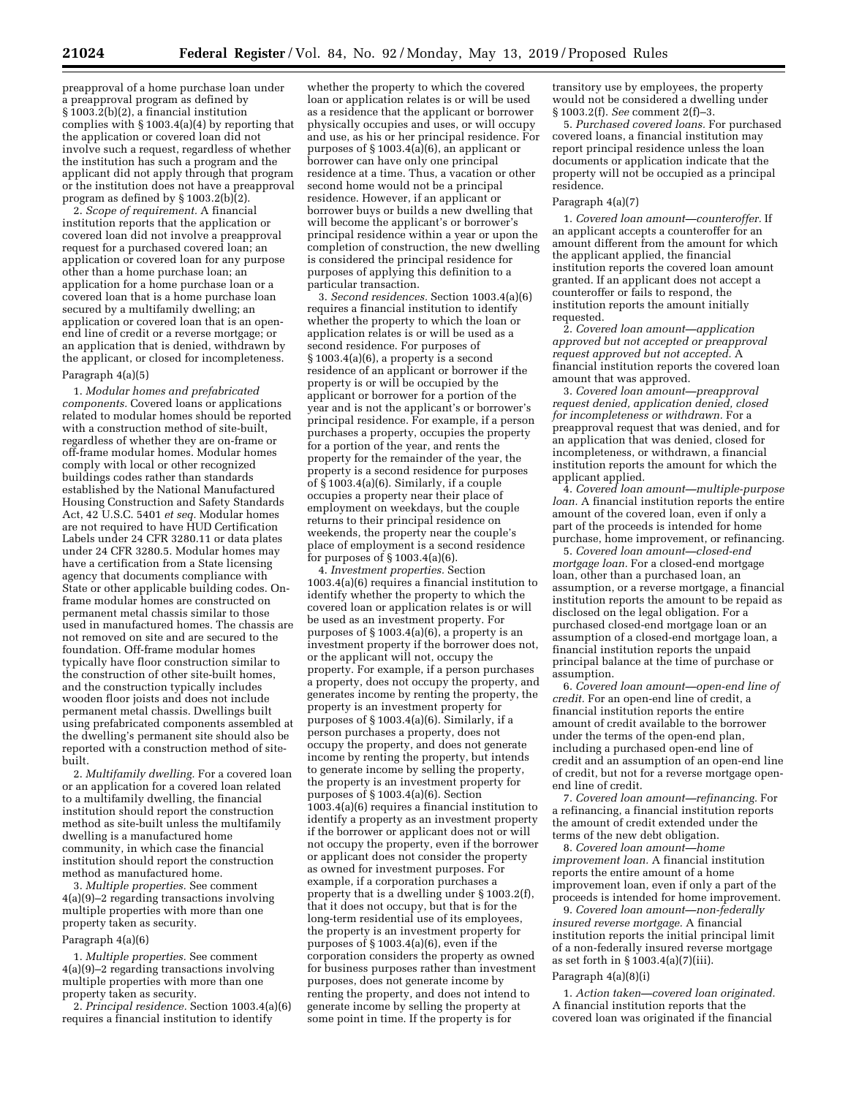preapproval of a home purchase loan under a preapproval program as defined by § 1003.2(b)(2), a financial institution complies with § 1003.4(a)(4) by reporting that the application or covered loan did not involve such a request, regardless of whether the institution has such a program and the applicant did not apply through that program or the institution does not have a preapproval program as defined by § 1003.2(b)(2).

2. *Scope of requirement.* A financial institution reports that the application or covered loan did not involve a preapproval request for a purchased covered loan; an application or covered loan for any purpose other than a home purchase loan; an application for a home purchase loan or a covered loan that is a home purchase loan secured by a multifamily dwelling; an application or covered loan that is an openend line of credit or a reverse mortgage; or an application that is denied, withdrawn by the applicant, or closed for incompleteness.

### Paragraph 4(a)(5)

1. *Modular homes and prefabricated components.* Covered loans or applications related to modular homes should be reported with a construction method of site-built, regardless of whether they are on-frame or off-frame modular homes. Modular homes comply with local or other recognized buildings codes rather than standards established by the National Manufactured Housing Construction and Safety Standards Act, 42 U.S.C. 5401 *et seq.* Modular homes are not required to have HUD Certification Labels under 24 CFR 3280.11 or data plates under 24 CFR 3280.5. Modular homes may have a certification from a State licensing agency that documents compliance with State or other applicable building codes. Onframe modular homes are constructed on permanent metal chassis similar to those used in manufactured homes. The chassis are not removed on site and are secured to the foundation. Off-frame modular homes typically have floor construction similar to the construction of other site-built homes, and the construction typically includes wooden floor joists and does not include permanent metal chassis. Dwellings built using prefabricated components assembled at the dwelling's permanent site should also be reported with a construction method of sitebuilt.

2. *Multifamily dwelling.* For a covered loan or an application for a covered loan related to a multifamily dwelling, the financial institution should report the construction method as site-built unless the multifamily dwelling is a manufactured home community, in which case the financial institution should report the construction method as manufactured home.

3. *Multiple properties.* See comment 4(a)(9)–2 regarding transactions involving multiple properties with more than one property taken as security.

### Paragraph 4(a)(6)

1. *Multiple properties.* See comment 4(a)(9)–2 regarding transactions involving multiple properties with more than one property taken as security.

2. *Principal residence.* Section 1003.4(a)(6) requires a financial institution to identify

whether the property to which the covered loan or application relates is or will be used as a residence that the applicant or borrower physically occupies and uses, or will occupy and use, as his or her principal residence. For purposes of § 1003.4(a)(6), an applicant or borrower can have only one principal residence at a time. Thus, a vacation or other second home would not be a principal residence. However, if an applicant or borrower buys or builds a new dwelling that will become the applicant's or borrower's principal residence within a year or upon the completion of construction, the new dwelling is considered the principal residence for purposes of applying this definition to a particular transaction.

3. *Second residences.* Section 1003.4(a)(6) requires a financial institution to identify whether the property to which the loan or application relates is or will be used as a second residence. For purposes of § 1003.4(a)(6), a property is a second residence of an applicant or borrower if the property is or will be occupied by the applicant or borrower for a portion of the year and is not the applicant's or borrower's principal residence. For example, if a person purchases a property, occupies the property for a portion of the year, and rents the property for the remainder of the year, the property is a second residence for purposes of § 1003.4(a)(6). Similarly, if a couple occupies a property near their place of employment on weekdays, but the couple returns to their principal residence on weekends, the property near the couple's place of employment is a second residence for purposes of § 1003.4(a)(6).

4. *Investment properties.* Section 1003.4(a)(6) requires a financial institution to identify whether the property to which the covered loan or application relates is or will be used as an investment property. For purposes of  $\S 1003.4(a)(6)$ , a property is an investment property if the borrower does not, or the applicant will not, occupy the property. For example, if a person purchases a property, does not occupy the property, and generates income by renting the property, the property is an investment property for purposes of § 1003.4(a)(6). Similarly, if a person purchases a property, does not occupy the property, and does not generate income by renting the property, but intends to generate income by selling the property, the property is an investment property for purposes of § 1003.4(a)(6). Section 1003.4(a)(6) requires a financial institution to identify a property as an investment property if the borrower or applicant does not or will not occupy the property, even if the borrower or applicant does not consider the property as owned for investment purposes. For example, if a corporation purchases a property that is a dwelling under § 1003.2(f), that it does not occupy, but that is for the long-term residential use of its employees, the property is an investment property for purposes of § 1003.4(a)(6), even if the corporation considers the property as owned for business purposes rather than investment purposes, does not generate income by renting the property, and does not intend to generate income by selling the property at some point in time. If the property is for

transitory use by employees, the property would not be considered a dwelling under § 1003.2(f). *See* comment 2(f)–3.

5. *Purchased covered loans.* For purchased covered loans, a financial institution may report principal residence unless the loan documents or application indicate that the property will not be occupied as a principal residence.

### Paragraph 4(a)(7)

1. *Covered loan amount—counteroffer.* If an applicant accepts a counteroffer for an amount different from the amount for which the applicant applied, the financial institution reports the covered loan amount granted. If an applicant does not accept a counteroffer or fails to respond, the institution reports the amount initially requested.

2. *Covered loan amount—application approved but not accepted or preapproval request approved but not accepted.* A financial institution reports the covered loan amount that was approved.

3. *Covered loan amount—preapproval request denied, application denied, closed for incompleteness or withdrawn.* For a preapproval request that was denied, and for an application that was denied, closed for incompleteness, or withdrawn, a financial institution reports the amount for which the applicant applied.

4. *Covered loan amount—multiple-purpose loan.* A financial institution reports the entire amount of the covered loan, even if only a part of the proceeds is intended for home purchase, home improvement, or refinancing.

5. *Covered loan amount—closed-end mortgage loan.* For a closed-end mortgage loan, other than a purchased loan, an assumption, or a reverse mortgage, a financial institution reports the amount to be repaid as disclosed on the legal obligation. For a purchased closed-end mortgage loan or an assumption of a closed-end mortgage loan, a financial institution reports the unpaid principal balance at the time of purchase or assumption.

6. *Covered loan amount—open-end line of credit.* For an open-end line of credit, a financial institution reports the entire amount of credit available to the borrower under the terms of the open-end plan, including a purchased open-end line of credit and an assumption of an open-end line of credit, but not for a reverse mortgage openend line of credit.

7. *Covered loan amount—refinancing.* For a refinancing, a financial institution reports the amount of credit extended under the terms of the new debt obligation.

8. *Covered loan amount—home improvement loan.* A financial institution reports the entire amount of a home improvement loan, even if only a part of the proceeds is intended for home improvement.

9. *Covered loan amount—non-federally insured reverse mortgage.* A financial institution reports the initial principal limit of a non-federally insured reverse mortgage as set forth in § 1003.4(a)(7)(iii).

### Paragraph 4(a)(8)(i)

1. *Action taken—covered loan originated.*  A financial institution reports that the covered loan was originated if the financial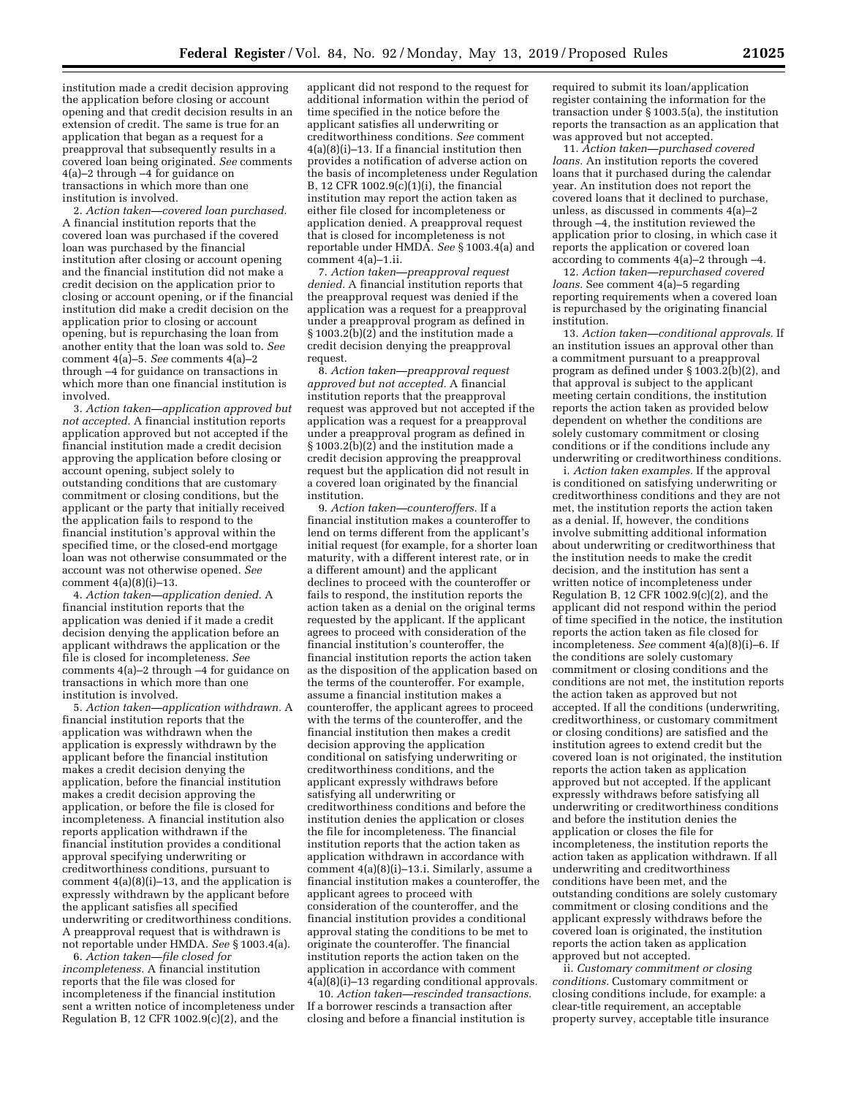institution made a credit decision approving the application before closing or account opening and that credit decision results in an extension of credit. The same is true for an application that began as a request for a preapproval that subsequently results in a covered loan being originated. *See* comments 4(a)–2 through –4 for guidance on transactions in which more than one institution is involved.

2. *Action taken—covered loan purchased.*  A financial institution reports that the covered loan was purchased if the covered loan was purchased by the financial institution after closing or account opening and the financial institution did not make a credit decision on the application prior to closing or account opening, or if the financial institution did make a credit decision on the application prior to closing or account opening, but is repurchasing the loan from another entity that the loan was sold to. *See*  comment 4(a)–5. *See* comments 4(a)–2 through –4 for guidance on transactions in which more than one financial institution is involved.

3. *Action taken—application approved but not accepted.* A financial institution reports application approved but not accepted if the financial institution made a credit decision approving the application before closing or account opening, subject solely to outstanding conditions that are customary commitment or closing conditions, but the applicant or the party that initially received the application fails to respond to the financial institution's approval within the specified time, or the closed-end mortgage loan was not otherwise consummated or the account was not otherwise opened. *See*  comment 4(a)(8)(i)–13.

4. *Action taken—application denied.* A financial institution reports that the application was denied if it made a credit decision denying the application before an applicant withdraws the application or the file is closed for incompleteness. *See*  comments 4(a)–2 through –4 for guidance on transactions in which more than one institution is involved.

5. *Action taken—application withdrawn.* A financial institution reports that the application was withdrawn when the application is expressly withdrawn by the applicant before the financial institution makes a credit decision denying the application, before the financial institution makes a credit decision approving the application, or before the file is closed for incompleteness. A financial institution also reports application withdrawn if the financial institution provides a conditional approval specifying underwriting or creditworthiness conditions, pursuant to comment 4(a)(8)(i)–13, and the application is expressly withdrawn by the applicant before the applicant satisfies all specified underwriting or creditworthiness conditions. A preapproval request that is withdrawn is not reportable under HMDA. *See* § 1003.4(a).

6. *Action taken—file closed for incompleteness.* A financial institution reports that the file was closed for incompleteness if the financial institution sent a written notice of incompleteness under Regulation B, 12 CFR 1002.9 $(c)(2)$ , and the

applicant did not respond to the request for additional information within the period of time specified in the notice before the applicant satisfies all underwriting or creditworthiness conditions. *See* comment 4(a)(8)(i)–13. If a financial institution then provides a notification of adverse action on the basis of incompleteness under Regulation B, 12 CFR 1002.9 $(c)(1)(i)$ , the financial institution may report the action taken as either file closed for incompleteness or application denied. A preapproval request that is closed for incompleteness is not reportable under HMDA. *See* § 1003.4(a) and comment 4(a)–1.ii.

7. *Action taken—preapproval request denied.* A financial institution reports that the preapproval request was denied if the application was a request for a preapproval under a preapproval program as defined in § 1003.2(b)(2) and the institution made a credit decision denying the preapproval request.

8. *Action taken—preapproval request approved but not accepted.* A financial institution reports that the preapproval request was approved but not accepted if the application was a request for a preapproval under a preapproval program as defined in § 1003.2(b)(2) and the institution made a credit decision approving the preapproval request but the application did not result in a covered loan originated by the financial institution.

9. *Action taken—counteroffers.* If a financial institution makes a counteroffer to lend on terms different from the applicant's initial request (for example, for a shorter loan maturity, with a different interest rate, or in a different amount) and the applicant declines to proceed with the counteroffer or fails to respond, the institution reports the action taken as a denial on the original terms requested by the applicant. If the applicant agrees to proceed with consideration of the financial institution's counteroffer, the financial institution reports the action taken as the disposition of the application based on the terms of the counteroffer. For example, assume a financial institution makes a counteroffer, the applicant agrees to proceed with the terms of the counteroffer, and the financial institution then makes a credit decision approving the application conditional on satisfying underwriting or creditworthiness conditions, and the applicant expressly withdraws before satisfying all underwriting or creditworthiness conditions and before the institution denies the application or closes the file for incompleteness. The financial institution reports that the action taken as application withdrawn in accordance with comment 4(a)(8)(i)–13.i. Similarly, assume a financial institution makes a counteroffer, the applicant agrees to proceed with consideration of the counteroffer, and the financial institution provides a conditional approval stating the conditions to be met to originate the counteroffer. The financial institution reports the action taken on the application in accordance with comment 4(a)(8)(i)–13 regarding conditional approvals.

10. *Action taken—rescinded transactions.*  If a borrower rescinds a transaction after closing and before a financial institution is

required to submit its loan/application register containing the information for the transaction under § 1003.5(a), the institution reports the transaction as an application that was approved but not accepted.

11. *Action taken—purchased covered loans.* An institution reports the covered loans that it purchased during the calendar year. An institution does not report the covered loans that it declined to purchase, unless, as discussed in comments 4(a)–2 through –4, the institution reviewed the application prior to closing, in which case it reports the application or covered loan according to comments 4(a)–2 through –4.

12. *Action taken—repurchased covered loans.* See comment 4(a)–5 regarding reporting requirements when a covered loan is repurchased by the originating financial institution.

13. *Action taken—conditional approvals.* If an institution issues an approval other than a commitment pursuant to a preapproval program as defined under § 1003.2(b)(2), and that approval is subject to the applicant meeting certain conditions, the institution reports the action taken as provided below dependent on whether the conditions are solely customary commitment or closing conditions or if the conditions include any underwriting or creditworthiness conditions.

i. *Action taken examples.* If the approval is conditioned on satisfying underwriting or creditworthiness conditions and they are not met, the institution reports the action taken as a denial. If, however, the conditions involve submitting additional information about underwriting or creditworthiness that the institution needs to make the credit decision, and the institution has sent a written notice of incompleteness under Regulation B, 12 CFR  $1002.9(c)(2)$ , and the applicant did not respond within the period of time specified in the notice, the institution reports the action taken as file closed for incompleteness. *See* comment 4(a)(8)(i)–6. If the conditions are solely customary commitment or closing conditions and the conditions are not met, the institution reports the action taken as approved but not accepted. If all the conditions (underwriting, creditworthiness, or customary commitment or closing conditions) are satisfied and the institution agrees to extend credit but the covered loan is not originated, the institution reports the action taken as application approved but not accepted. If the applicant expressly withdraws before satisfying all underwriting or creditworthiness conditions and before the institution denies the application or closes the file for incompleteness, the institution reports the action taken as application withdrawn. If all underwriting and creditworthiness conditions have been met, and the outstanding conditions are solely customary commitment or closing conditions and the applicant expressly withdraws before the covered loan is originated, the institution reports the action taken as application approved but not accepted.

ii. *Customary commitment or closing conditions.* Customary commitment or closing conditions include, for example: a clear-title requirement, an acceptable property survey, acceptable title insurance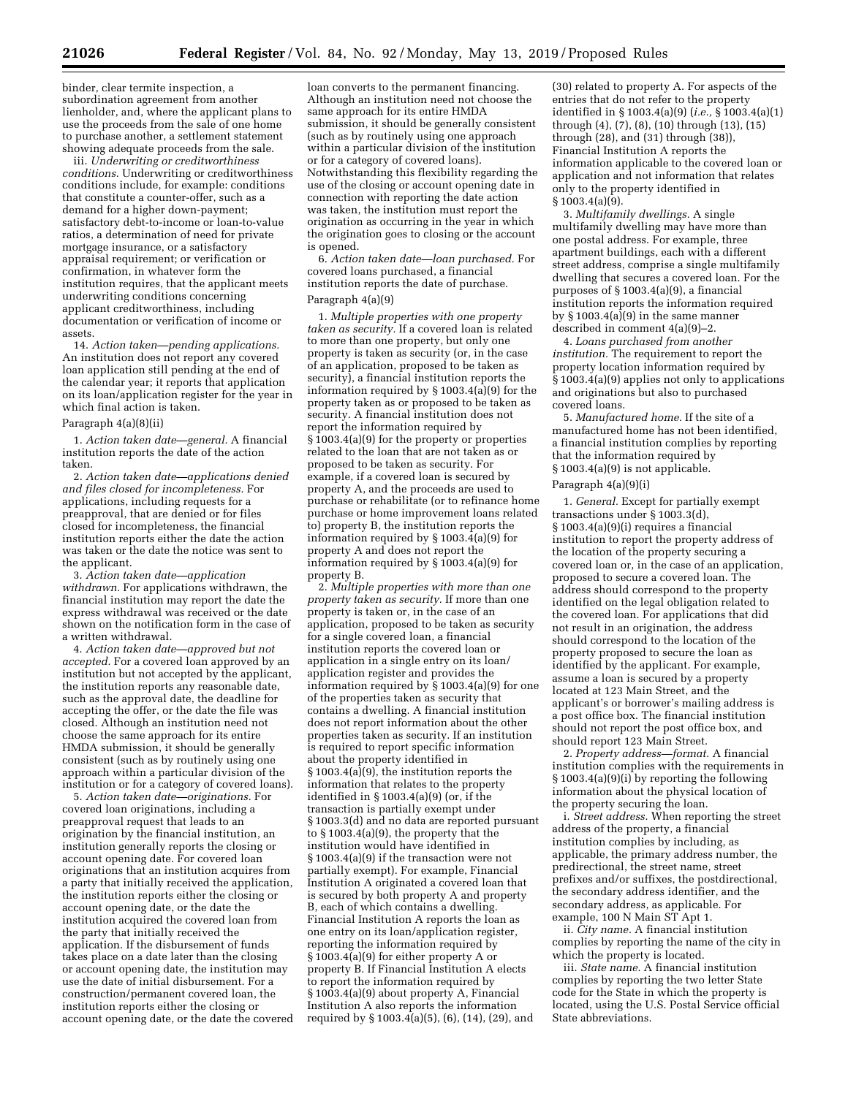binder, clear termite inspection, a subordination agreement from another lienholder, and, where the applicant plans to use the proceeds from the sale of one home to purchase another, a settlement statement showing adequate proceeds from the sale.

iii. *Underwriting or creditworthiness conditions.* Underwriting or creditworthiness conditions include, for example: conditions that constitute a counter-offer, such as a demand for a higher down-payment; satisfactory debt-to-income or loan-to-value ratios, a determination of need for private mortgage insurance, or a satisfactory appraisal requirement; or verification or confirmation, in whatever form the institution requires, that the applicant meets underwriting conditions concerning applicant creditworthiness, including documentation or verification of income or assets.

14. *Action taken—pending applications.*  An institution does not report any covered loan application still pending at the end of the calendar year; it reports that application on its loan/application register for the year in which final action is taken.

### Paragraph 4(a)(8)(ii)

1. *Action taken date—general.* A financial institution reports the date of the action taken.

2. *Action taken date—applications denied and files closed for incompleteness.* For applications, including requests for a preapproval, that are denied or for files closed for incompleteness, the financial institution reports either the date the action was taken or the date the notice was sent to the applicant.

3. *Action taken date—application withdrawn.* For applications withdrawn, the financial institution may report the date the express withdrawal was received or the date shown on the notification form in the case of a written withdrawal.

4. *Action taken date—approved but not accepted.* For a covered loan approved by an institution but not accepted by the applicant, the institution reports any reasonable date, such as the approval date, the deadline for accepting the offer, or the date the file was closed. Although an institution need not choose the same approach for its entire HMDA submission, it should be generally consistent (such as by routinely using one approach within a particular division of the institution or for a category of covered loans).

5. *Action taken date—originations.* For covered loan originations, including a preapproval request that leads to an origination by the financial institution, an institution generally reports the closing or account opening date. For covered loan originations that an institution acquires from a party that initially received the application, the institution reports either the closing or account opening date, or the date the institution acquired the covered loan from the party that initially received the application. If the disbursement of funds takes place on a date later than the closing or account opening date, the institution may use the date of initial disbursement. For a construction/permanent covered loan, the institution reports either the closing or account opening date, or the date the covered

loan converts to the permanent financing. Although an institution need not choose the same approach for its entire HMDA submission, it should be generally consistent (such as by routinely using one approach within a particular division of the institution or for a category of covered loans). Notwithstanding this flexibility regarding the use of the closing or account opening date in connection with reporting the date action was taken, the institution must report the origination as occurring in the year in which the origination goes to closing or the account is opened.

6. *Action taken date—loan purchased.* For covered loans purchased, a financial institution reports the date of purchase. Paragraph 4(a)(9)

1. *Multiple properties with one property taken as security.* If a covered loan is related to more than one property, but only one property is taken as security (or, in the case of an application, proposed to be taken as security), a financial institution reports the information required by § 1003.4(a)(9) for the property taken as or proposed to be taken as security. A financial institution does not report the information required by § 1003.4(a)(9) for the property or properties related to the loan that are not taken as or proposed to be taken as security. For example, if a covered loan is secured by property A, and the proceeds are used to purchase or rehabilitate (or to refinance home purchase or home improvement loans related to) property B, the institution reports the information required by  $\S 1003.\overline{4}$ (a)(9) for property A and does not report the information required by § 1003.4(a)(9) for property B.

2. *Multiple properties with more than one property taken as security.* If more than one property is taken or, in the case of an application, proposed to be taken as security for a single covered loan, a financial institution reports the covered loan or application in a single entry on its loan/ application register and provides the information required by § 1003.4(a)(9) for one of the properties taken as security that contains a dwelling. A financial institution does not report information about the other properties taken as security. If an institution is required to report specific information about the property identified in § 1003.4(a)(9), the institution reports the information that relates to the property identified in  $\S 1003.4(a)(9)$  (or, if the transaction is partially exempt under § 1003.3(d) and no data are reported pursuant to § 1003.4(a)(9), the property that the institution would have identified in § 1003.4(a)(9) if the transaction were not partially exempt). For example, Financial Institution A originated a covered loan that is secured by both property A and property B, each of which contains a dwelling. Financial Institution A reports the loan as one entry on its loan/application register, reporting the information required by § 1003.4(a)(9) for either property A or property B. If Financial Institution A elects to report the information required by § 1003.4(a)(9) about property A, Financial Institution A also reports the information required by  $\S 1003.4(a)(5)$ ,  $(6)$ ,  $(14)$ ,  $(29)$ , and

(30) related to property A. For aspects of the entries that do not refer to the property identified in § 1003.4(a)(9) (*i.e.,* § 1003.4(a)(1) through (4), (7), (8), (10) through (13), (15) through (28), and (31) through (38)), Financial Institution A reports the information applicable to the covered loan or application and not information that relates only to the property identified in § 1003.4(a)(9).

3. *Multifamily dwellings.* A single multifamily dwelling may have more than one postal address. For example, three apartment buildings, each with a different street address, comprise a single multifamily dwelling that secures a covered loan. For the purposes of § 1003.4(a)(9), a financial institution reports the information required by § 1003.4(a)(9) in the same manner described in comment 4(a)(9)–2.

4. *Loans purchased from another institution.* The requirement to report the property location information required by  $\hat{\S}$  1003.4(a)(9) applies not only to applications and originations but also to purchased covered loans.

5. *Manufactured home.* If the site of a manufactured home has not been identified, a financial institution complies by reporting that the information required by § 1003.4(a)(9) is not applicable.

### Paragraph 4(a)(9)(i)

1. *General.* Except for partially exempt transactions under § 1003.3(d), § 1003.4(a)(9)(i) requires a financial institution to report the property address of the location of the property securing a covered loan or, in the case of an application, proposed to secure a covered loan. The address should correspond to the property identified on the legal obligation related to the covered loan. For applications that did not result in an origination, the address should correspond to the location of the property proposed to secure the loan as identified by the applicant. For example, assume a loan is secured by a property located at 123 Main Street, and the applicant's or borrower's mailing address is a post office box. The financial institution should not report the post office box, and should report 123 Main Street.

2. *Property address—format.* A financial institution complies with the requirements in § 1003.4(a)(9)(i) by reporting the following information about the physical location of the property securing the loan.

i. *Street address.* When reporting the street address of the property, a financial institution complies by including, as applicable, the primary address number, the predirectional, the street name, street prefixes and/or suffixes, the postdirectional, the secondary address identifier, and the secondary address, as applicable. For example, 100 N Main ST Apt 1.

ii. *City name.* A financial institution complies by reporting the name of the city in which the property is located.

iii. *State name.* A financial institution complies by reporting the two letter State code for the State in which the property is located, using the U.S. Postal Service official State abbreviations.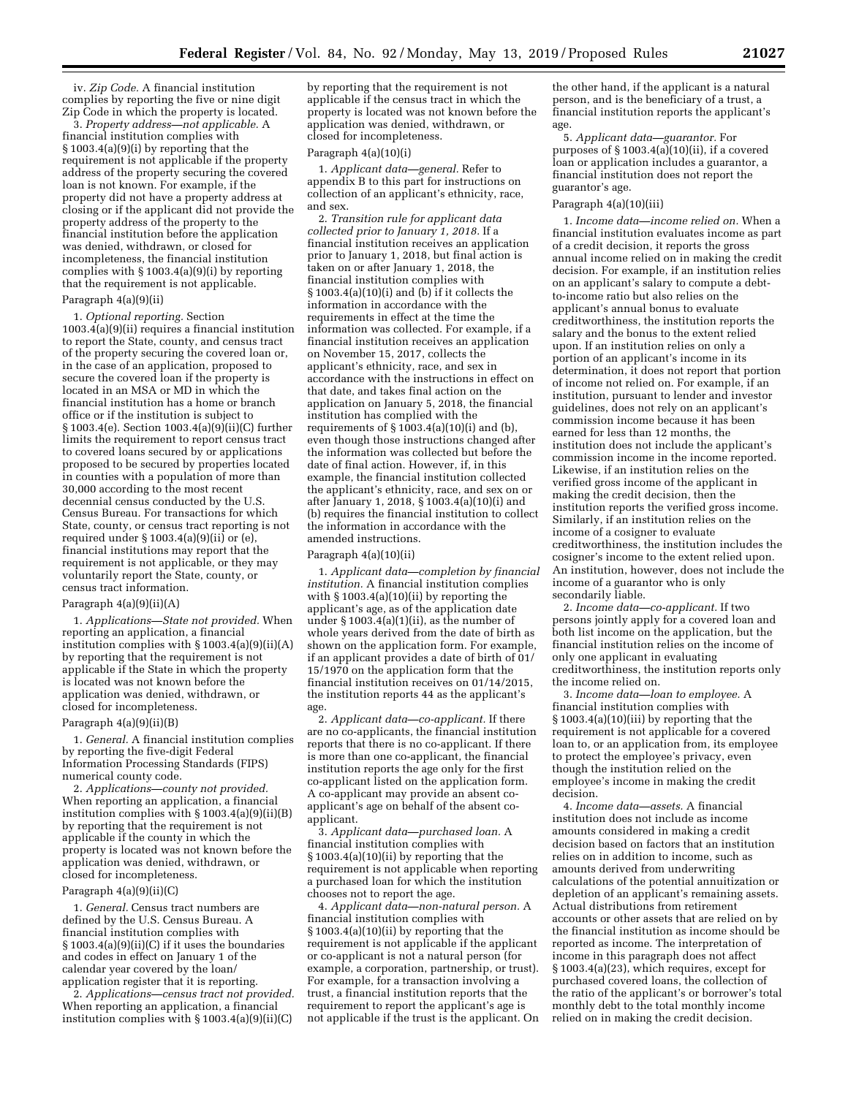iv. *Zip Code.* A financial institution complies by reporting the five or nine digit Zip Code in which the property is located.

3. *Property address—not applicable.* A financial institution complies with § 1003.4(a)(9)(i) by reporting that the requirement is not applicable if the property address of the property securing the covered loan is not known. For example, if the property did not have a property address at closing or if the applicant did not provide the property address of the property to the financial institution before the application was denied, withdrawn, or closed for incompleteness, the financial institution complies with § 1003.4(a)(9)(i) by reporting that the requirement is not applicable. Paragraph 4(a)(9)(ii)

1. *Optional reporting.* Section 1003.4(a)(9)(ii) requires a financial institution to report the State, county, and census tract of the property securing the covered loan or, in the case of an application, proposed to secure the covered loan if the property is located in an MSA or MD in which the financial institution has a home or branch office or if the institution is subject to § 1003.4(e). Section 1003.4(a)(9)(ii)(C) further limits the requirement to report census tract to covered loans secured by or applications proposed to be secured by properties located in counties with a population of more than 30,000 according to the most recent decennial census conducted by the U.S. Census Bureau. For transactions for which State, county, or census tract reporting is not required under  $\S 1003.4(a)(9)(ii)$  or  $(e)$ , financial institutions may report that the requirement is not applicable, or they may voluntarily report the State, county, or census tract information.

#### Paragraph  $4(a)(9)(ii)(A)$

1. *Applications—State not provided.* When reporting an application, a financial institution complies with  $\S 1003.4(a)(9)(ii)(A)$ by reporting that the requirement is not applicable if the State in which the property is located was not known before the application was denied, withdrawn, or closed for incompleteness.

#### Paragraph 4(a)(9)(ii)(B)

1. *General.* A financial institution complies by reporting the five-digit Federal Information Processing Standards (FIPS) numerical county code.

2. *Applications—county not provided.*  When reporting an application, a financial institution complies with § 1003.4(a)(9)(ii)(B) by reporting that the requirement is not applicable if the county in which the property is located was not known before the application was denied, withdrawn, or closed for incompleteness.

### Paragraph 4(a)(9)(ii)(C)

1. *General.* Census tract numbers are defined by the U.S. Census Bureau. A financial institution complies with § 1003.4(a)(9)(ii)(C) if it uses the boundaries and codes in effect on January 1 of the calendar year covered by the loan/ application register that it is reporting.

2. *Applications—census tract not provided.*  When reporting an application, a financial institution complies with § 1003.4(a)(9)(ii)(C)

by reporting that the requirement is not applicable if the census tract in which the property is located was not known before the application was denied, withdrawn, or closed for incompleteness.

#### Paragraph 4(a)(10)(i)

1. *Applicant data—general.* Refer to appendix B to this part for instructions on collection of an applicant's ethnicity, race, and sex.

2. *Transition rule for applicant data collected prior to January 1, 2018.* If a financial institution receives an application prior to January 1, 2018, but final action is taken on or after January 1, 2018, the financial institution complies with  $§ 1003.4(a)(10)(i)$  and (b) if it collects the information in accordance with the requirements in effect at the time the information was collected. For example, if a financial institution receives an application on November 15, 2017, collects the applicant's ethnicity, race, and sex in accordance with the instructions in effect on that date, and takes final action on the application on January 5, 2018, the financial institution has complied with the requirements of  $\S 1003.4(a)(10)(i)$  and (b), even though those instructions changed after the information was collected but before the date of final action. However, if, in this example, the financial institution collected the applicant's ethnicity, race, and sex on or after January 1, 2018, § 1003.4(a)(10)(i) and (b) requires the financial institution to collect the information in accordance with the amended instructions.

### Paragraph 4(a)(10)(ii)

1. *Applicant data—completion by financial institution.* A financial institution complies with  $\S 1003.4(a)(10)(ii)$  by reporting the applicant's age, as of the application date under  $§ 1003.4(a)(1)(ii)$ , as the number of whole years derived from the date of birth as shown on the application form. For example, if an applicant provides a date of birth of 01/ 15/1970 on the application form that the financial institution receives on 01/14/2015, the institution reports 44 as the applicant's age.

2. *Applicant data—co-applicant.* If there are no co-applicants, the financial institution reports that there is no co-applicant. If there is more than one co-applicant, the financial institution reports the age only for the first co-applicant listed on the application form. A co-applicant may provide an absent coapplicant's age on behalf of the absent coapplicant.

3. *Applicant data—purchased loan.* A financial institution complies with § 1003.4(a)(10)(ii) by reporting that the requirement is not applicable when reporting a purchased loan for which the institution chooses not to report the age.

4. *Applicant data—non-natural person.* A financial institution complies with § 1003.4(a)(10)(ii) by reporting that the requirement is not applicable if the applicant or co-applicant is not a natural person (for example, a corporation, partnership, or trust). For example, for a transaction involving a trust, a financial institution reports that the requirement to report the applicant's age is not applicable if the trust is the applicant. On

the other hand, if the applicant is a natural person, and is the beneficiary of a trust, a financial institution reports the applicant's age.

5. *Applicant data—guarantor.* For purposes of § 1003.4(a)(10)(ii), if a covered loan or application includes a guarantor, a financial institution does not report the guarantor's age.

### Paragraph 4(a)(10)(iii)

1. *Income data—income relied on.* When a financial institution evaluates income as part of a credit decision, it reports the gross annual income relied on in making the credit decision. For example, if an institution relies on an applicant's salary to compute a debtto-income ratio but also relies on the applicant's annual bonus to evaluate creditworthiness, the institution reports the salary and the bonus to the extent relied upon. If an institution relies on only a portion of an applicant's income in its determination, it does not report that portion of income not relied on. For example, if an institution, pursuant to lender and investor guidelines, does not rely on an applicant's commission income because it has been earned for less than 12 months, the institution does not include the applicant's commission income in the income reported. Likewise, if an institution relies on the verified gross income of the applicant in making the credit decision, then the institution reports the verified gross income. Similarly, if an institution relies on the income of a cosigner to evaluate creditworthiness, the institution includes the cosigner's income to the extent relied upon. An institution, however, does not include the income of a guarantor who is only secondarily liable.

2. *Income data—co-applicant.* If two persons jointly apply for a covered loan and both list income on the application, but the financial institution relies on the income of only one applicant in evaluating creditworthiness, the institution reports only the income relied on.

3. *Income data—loan to employee.* A financial institution complies with § 1003.4(a)(10)(iii) by reporting that the requirement is not applicable for a covered loan to, or an application from, its employee to protect the employee's privacy, even though the institution relied on the employee's income in making the credit decision.

4. *Income data—assets.* A financial institution does not include as income amounts considered in making a credit decision based on factors that an institution relies on in addition to income, such as amounts derived from underwriting calculations of the potential annuitization or depletion of an applicant's remaining assets. Actual distributions from retirement accounts or other assets that are relied on by the financial institution as income should be reported as income. The interpretation of income in this paragraph does not affect § 1003.4(a)(23), which requires, except for purchased covered loans, the collection of the ratio of the applicant's or borrower's total monthly debt to the total monthly income relied on in making the credit decision.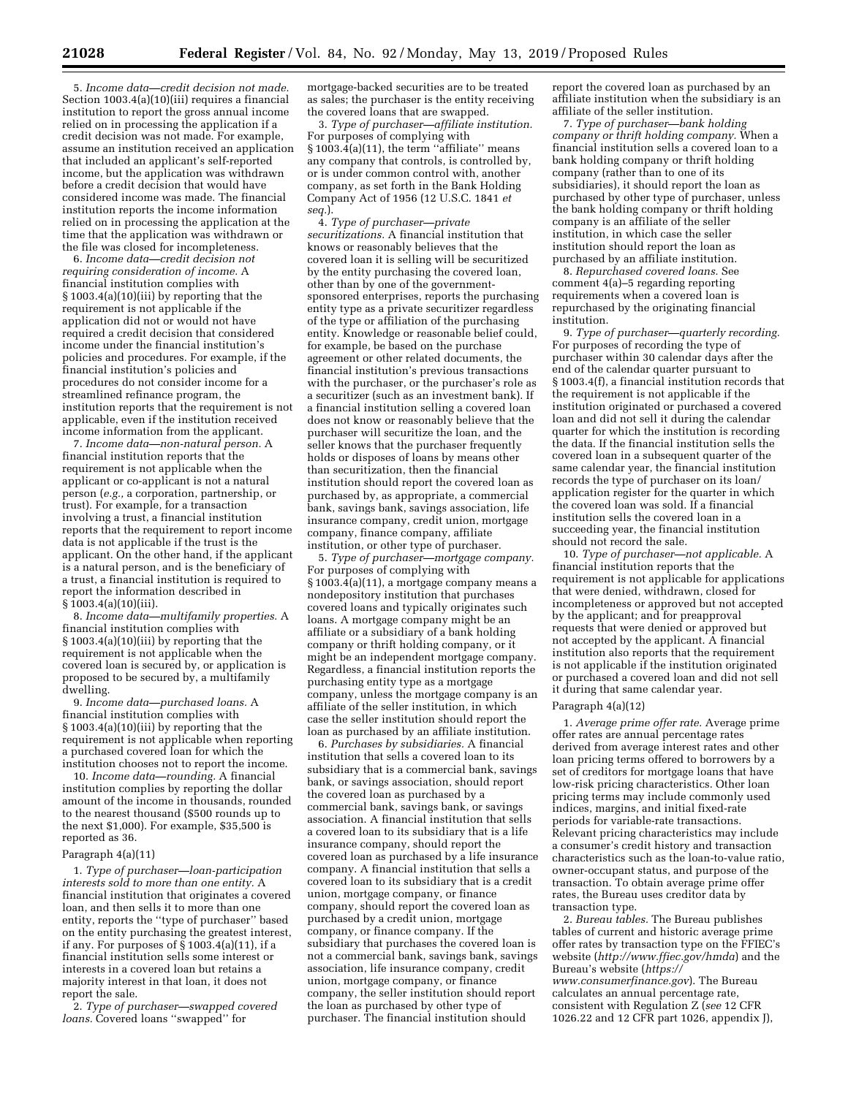5. *Income data—credit decision not made.*  Section 1003.4(a)(10)(iii) requires a financial institution to report the gross annual income relied on in processing the application if a credit decision was not made. For example, assume an institution received an application that included an applicant's self-reported income, but the application was withdrawn before a credit decision that would have considered income was made. The financial institution reports the income information relied on in processing the application at the time that the application was withdrawn or the file was closed for incompleteness.

6. *Income data—credit decision not requiring consideration of income.* A financial institution complies with § 1003.4(a)(10)(iii) by reporting that the requirement is not applicable if the application did not or would not have required a credit decision that considered income under the financial institution's policies and procedures. For example, if the financial institution's policies and procedures do not consider income for a streamlined refinance program, the institution reports that the requirement is not applicable, even if the institution received income information from the applicant.

7. *Income data—non-natural person.* A financial institution reports that the requirement is not applicable when the applicant or co-applicant is not a natural person (*e.g.,* a corporation, partnership, or trust). For example, for a transaction involving a trust, a financial institution reports that the requirement to report income data is not applicable if the trust is the applicant. On the other hand, if the applicant is a natural person, and is the beneficiary of a trust, a financial institution is required to report the information described in § 1003.4(a)(10)(iii).

8. *Income data—multifamily properties.* A financial institution complies with § 1003.4(a)(10)(iii) by reporting that the requirement is not applicable when the covered loan is secured by, or application is proposed to be secured by, a multifamily dwelling.

9. *Income data—purchased loans.* A financial institution complies with § 1003.4(a)(10)(iii) by reporting that the requirement is not applicable when reporting a purchased covered loan for which the institution chooses not to report the income.

10. *Income data—rounding.* A financial institution complies by reporting the dollar amount of the income in thousands, rounded to the nearest thousand (\$500 rounds up to the next \$1,000). For example, \$35,500 is reported as 36.

#### Paragraph 4(a)(11)

1. *Type of purchaser—loan-participation interests sold to more than one entity.* A financial institution that originates a covered loan, and then sells it to more than one entity, reports the ''type of purchaser'' based on the entity purchasing the greatest interest, if any. For purposes of § 1003.4(a)(11), if a financial institution sells some interest or interests in a covered loan but retains a majority interest in that loan, it does not report the sale.

2. *Type of purchaser—swapped covered loans.* Covered loans ''swapped'' for

mortgage-backed securities are to be treated as sales; the purchaser is the entity receiving the covered loans that are swapped.

3. *Type of purchaser—affiliate institution.*  For purposes of complying with § 1003.4(a)(11), the term ''affiliate'' means any company that controls, is controlled by, or is under common control with, another company, as set forth in the Bank Holding Company Act of 1956 (12 U.S.C. 1841 *et seq.*).

4. *Type of purchaser—private securitizations.* A financial institution that knows or reasonably believes that the covered loan it is selling will be securitized by the entity purchasing the covered loan, other than by one of the governmentsponsored enterprises, reports the purchasing entity type as a private securitizer regardless of the type or affiliation of the purchasing entity. Knowledge or reasonable belief could, for example, be based on the purchase agreement or other related documents, the financial institution's previous transactions with the purchaser, or the purchaser's role as a securitizer (such as an investment bank). If a financial institution selling a covered loan does not know or reasonably believe that the purchaser will securitize the loan, and the seller knows that the purchaser frequently holds or disposes of loans by means other than securitization, then the financial institution should report the covered loan as purchased by, as appropriate, a commercial bank, savings bank, savings association, life insurance company, credit union, mortgage company, finance company, affiliate institution, or other type of purchaser.

5. *Type of purchaser—mortgage company.*  For purposes of complying with § 1003.4(a)(11), a mortgage company means a nondepository institution that purchases covered loans and typically originates such loans. A mortgage company might be an affiliate or a subsidiary of a bank holding company or thrift holding company, or it might be an independent mortgage company. Regardless, a financial institution reports the purchasing entity type as a mortgage company, unless the mortgage company is an affiliate of the seller institution, in which case the seller institution should report the loan as purchased by an affiliate institution.

6. *Purchases by subsidiaries.* A financial institution that sells a covered loan to its subsidiary that is a commercial bank, savings bank, or savings association, should report the covered loan as purchased by a commercial bank, savings bank, or savings association. A financial institution that sells a covered loan to its subsidiary that is a life insurance company, should report the covered loan as purchased by a life insurance company. A financial institution that sells a covered loan to its subsidiary that is a credit union, mortgage company, or finance company, should report the covered loan as purchased by a credit union, mortgage company, or finance company. If the subsidiary that purchases the covered loan is not a commercial bank, savings bank, savings association, life insurance company, credit union, mortgage company, or finance company, the seller institution should report the loan as purchased by other type of purchaser. The financial institution should

report the covered loan as purchased by an affiliate institution when the subsidiary is an affiliate of the seller institution.

7. *Type of purchaser—bank holding company or thrift holding company.* When a financial institution sells a covered loan to a bank holding company or thrift holding company (rather than to one of its subsidiaries), it should report the loan as purchased by other type of purchaser, unless the bank holding company or thrift holding company is an affiliate of the seller institution, in which case the seller institution should report the loan as purchased by an affiliate institution.

8. *Repurchased covered loans.* See comment 4(a)–5 regarding reporting requirements when a covered loan is repurchased by the originating financial institution.

9. *Type of purchaser—quarterly recording.*  For purposes of recording the type of purchaser within 30 calendar days after the end of the calendar quarter pursuant to § 1003.4(f), a financial institution records that the requirement is not applicable if the institution originated or purchased a covered loan and did not sell it during the calendar quarter for which the institution is recording the data. If the financial institution sells the covered loan in a subsequent quarter of the same calendar year, the financial institution records the type of purchaser on its loan/ application register for the quarter in which the covered loan was sold. If a financial institution sells the covered loan in a succeeding year, the financial institution should not record the sale.

10. *Type of purchaser—not applicable.* A financial institution reports that the requirement is not applicable for applications that were denied, withdrawn, closed for incompleteness or approved but not accepted by the applicant; and for preapproval requests that were denied or approved but not accepted by the applicant. A financial institution also reports that the requirement is not applicable if the institution originated or purchased a covered loan and did not sell it during that same calendar year.

### Paragraph 4(a)(12)

1. *Average prime offer rate.* Average prime offer rates are annual percentage rates derived from average interest rates and other loan pricing terms offered to borrowers by a set of creditors for mortgage loans that have low-risk pricing characteristics. Other loan pricing terms may include commonly used indices, margins, and initial fixed-rate periods for variable-rate transactions. Relevant pricing characteristics may include a consumer's credit history and transaction characteristics such as the loan-to-value ratio, owner-occupant status, and purpose of the transaction. To obtain average prime offer rates, the Bureau uses creditor data by transaction type.

2. *Bureau tables.* The Bureau publishes tables of current and historic average prime offer rates by transaction type on the FFIEC's website (*<http://www.ffiec.gov/hmda>*) and the Bureau's website (*[https://](https://www.consumerfinance.gov) [www.consumerfinance.gov](https://www.consumerfinance.gov)*). The Bureau calculates an annual percentage rate, consistent with Regulation Z (*see* 12 CFR 1026.22 and 12 CFR part 1026, appendix J),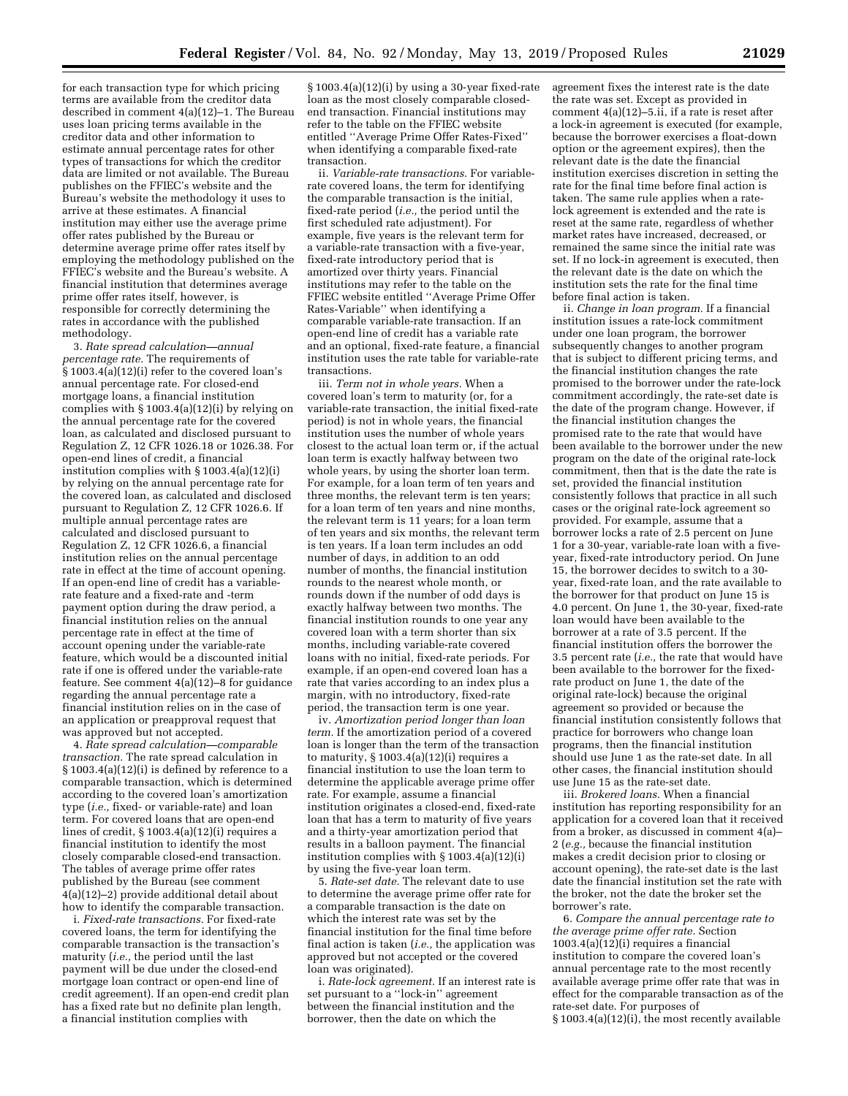for each transaction type for which pricing terms are available from the creditor data described in comment 4(a)(12)–1. The Bureau uses loan pricing terms available in the creditor data and other information to estimate annual percentage rates for other types of transactions for which the creditor data are limited or not available. The Bureau publishes on the FFIEC's website and the Bureau's website the methodology it uses to arrive at these estimates. A financial institution may either use the average prime offer rates published by the Bureau or determine average prime offer rates itself by employing the methodology published on the FFIEC's website and the Bureau's website. A financial institution that determines average prime offer rates itself, however, is responsible for correctly determining the rates in accordance with the published methodology.

3. *Rate spread calculation—annual percentage rate.* The requirements of § 1003.4(a)(12)(i) refer to the covered loan's annual percentage rate. For closed-end mortgage loans, a financial institution complies with § 1003.4(a)(12)(i) by relying on the annual percentage rate for the covered loan, as calculated and disclosed pursuant to Regulation Z, 12 CFR 1026.18 or 1026.38. For open-end lines of credit, a financial institution complies with § 1003.4(a)(12)(i) by relying on the annual percentage rate for the covered loan, as calculated and disclosed pursuant to Regulation Z, 12 CFR 1026.6. If multiple annual percentage rates are calculated and disclosed pursuant to Regulation Z, 12 CFR 1026.6, a financial institution relies on the annual percentage rate in effect at the time of account opening. If an open-end line of credit has a variablerate feature and a fixed-rate and -term payment option during the draw period, a financial institution relies on the annual percentage rate in effect at the time of account opening under the variable-rate feature, which would be a discounted initial rate if one is offered under the variable-rate feature. See comment 4(a)(12)–8 for guidance regarding the annual percentage rate a financial institution relies on in the case of an application or preapproval request that was approved but not accepted.

4. *Rate spread calculation—comparable transaction.* The rate spread calculation in § 1003.4(a)(12)(i) is defined by reference to a comparable transaction, which is determined according to the covered loan's amortization type (*i.e.,* fixed- or variable-rate) and loan term. For covered loans that are open-end lines of credit, § 1003.4(a)(12)(i) requires a financial institution to identify the most closely comparable closed-end transaction. The tables of average prime offer rates published by the Bureau (see comment 4(a)(12)–2) provide additional detail about how to identify the comparable transaction.

i. *Fixed-rate transactions.* For fixed-rate covered loans, the term for identifying the comparable transaction is the transaction's maturity (*i.e.,* the period until the last payment will be due under the closed-end mortgage loan contract or open-end line of credit agreement). If an open-end credit plan has a fixed rate but no definite plan length, a financial institution complies with

 $\S 1003.4(a)(12)(i)$  by using a 30-year fixed-rate loan as the most closely comparable closedend transaction. Financial institutions may refer to the table on the FFIEC website entitled ''Average Prime Offer Rates-Fixed'' when identifying a comparable fixed-rate transaction.

ii. *Variable-rate transactions.* For variablerate covered loans, the term for identifying the comparable transaction is the initial, fixed-rate period (*i.e.,* the period until the first scheduled rate adjustment). For example, five years is the relevant term for a variable-rate transaction with a five-year, fixed-rate introductory period that is amortized over thirty years. Financial institutions may refer to the table on the FFIEC website entitled ''Average Prime Offer Rates-Variable'' when identifying a comparable variable-rate transaction. If an open-end line of credit has a variable rate and an optional, fixed-rate feature, a financial institution uses the rate table for variable-rate transactions.

iii. *Term not in whole years.* When a covered loan's term to maturity (or, for a variable-rate transaction, the initial fixed-rate period) is not in whole years, the financial institution uses the number of whole years closest to the actual loan term or, if the actual loan term is exactly halfway between two whole years, by using the shorter loan term. For example, for a loan term of ten years and three months, the relevant term is ten years; for a loan term of ten years and nine months, the relevant term is 11 years; for a loan term of ten years and six months, the relevant term is ten years. If a loan term includes an odd number of days, in addition to an odd number of months, the financial institution rounds to the nearest whole month, or rounds down if the number of odd days is exactly halfway between two months. The financial institution rounds to one year any covered loan with a term shorter than six months, including variable-rate covered loans with no initial, fixed-rate periods. For example, if an open-end covered loan has a rate that varies according to an index plus a margin, with no introductory, fixed-rate period, the transaction term is one year.

iv. *Amortization period longer than loan term.* If the amortization period of a covered loan is longer than the term of the transaction to maturity,  $\S 1003.4(a)(12)(i)$  requires a financial institution to use the loan term to determine the applicable average prime offer rate. For example, assume a financial institution originates a closed-end, fixed-rate loan that has a term to maturity of five years and a thirty-year amortization period that results in a balloon payment. The financial institution complies with § 1003.4(a)(12)(i) by using the five-year loan term.

5. *Rate-set date.* The relevant date to use to determine the average prime offer rate for a comparable transaction is the date on which the interest rate was set by the financial institution for the final time before final action is taken (*i.e.,* the application was approved but not accepted or the covered loan was originated).

i. *Rate-lock agreement.* If an interest rate is set pursuant to a ''lock-in'' agreement between the financial institution and the borrower, then the date on which the

agreement fixes the interest rate is the date the rate was set. Except as provided in comment  $4(a)(12)-5.ii$ , if a rate is reset after a lock-in agreement is executed (for example, because the borrower exercises a float-down option or the agreement expires), then the relevant date is the date the financial institution exercises discretion in setting the rate for the final time before final action is taken. The same rule applies when a ratelock agreement is extended and the rate is reset at the same rate, regardless of whether market rates have increased, decreased, or remained the same since the initial rate was set. If no lock-in agreement is executed, then the relevant date is the date on which the institution sets the rate for the final time before final action is taken.

ii. *Change in loan program.* If a financial institution issues a rate-lock commitment under one loan program, the borrower subsequently changes to another program that is subject to different pricing terms, and the financial institution changes the rate promised to the borrower under the rate-lock commitment accordingly, the rate-set date is the date of the program change. However, if the financial institution changes the promised rate to the rate that would have been available to the borrower under the new program on the date of the original rate-lock commitment, then that is the date the rate is set, provided the financial institution consistently follows that practice in all such cases or the original rate-lock agreement so provided. For example, assume that a borrower locks a rate of 2.5 percent on June 1 for a 30-year, variable-rate loan with a fiveyear, fixed-rate introductory period. On June 15, the borrower decides to switch to a 30 year, fixed-rate loan, and the rate available to the borrower for that product on June 15 is 4.0 percent. On June 1, the 30-year, fixed-rate loan would have been available to the borrower at a rate of 3.5 percent. If the financial institution offers the borrower the 3.5 percent rate (*i.e.,* the rate that would have been available to the borrower for the fixedrate product on June 1, the date of the original rate-lock) because the original agreement so provided or because the financial institution consistently follows that practice for borrowers who change loan programs, then the financial institution should use June 1 as the rate-set date. In all other cases, the financial institution should use June 15 as the rate-set date.

iii. *Brokered loans.* When a financial institution has reporting responsibility for an application for a covered loan that it received from a broker, as discussed in comment 4(a)– 2 (*e.g.,* because the financial institution makes a credit decision prior to closing or account opening), the rate-set date is the last date the financial institution set the rate with the broker, not the date the broker set the borrower's rate.

6. *Compare the annual percentage rate to the average prime offer rate.* Section 1003.4(a)(12)(i) requires a financial institution to compare the covered loan's annual percentage rate to the most recently available average prime offer rate that was in effect for the comparable transaction as of the rate-set date. For purposes of § 1003.4(a)(12)(i), the most recently available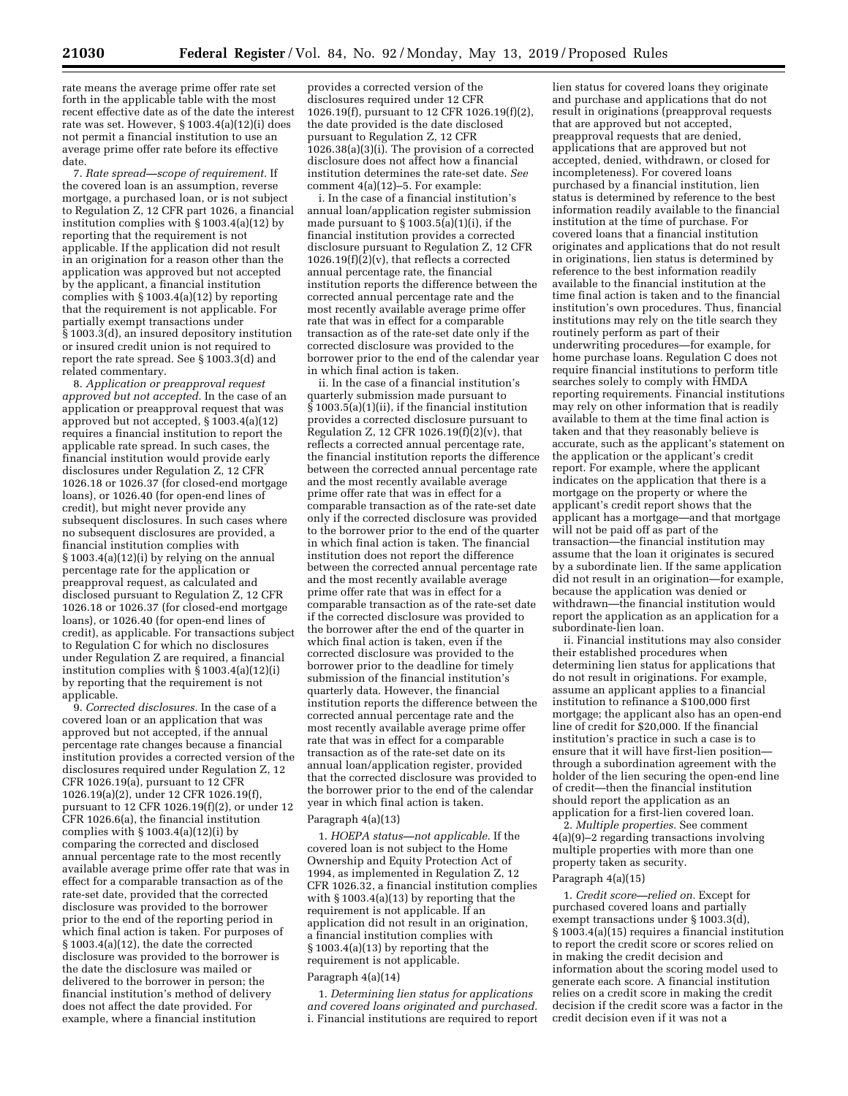rate means the average prime offer rate set forth in the applicable table with the most recent effective date as of the date the interest rate was set. However, § 1003.4(a)(12)(i) does not permit a financial institution to use an average prime offer rate before its effective date.

7. *Rate spread—scope of requirement.* If the covered loan is an assumption, reverse mortgage, a purchased loan, or is not subject to Regulation Z, 12 CFR part 1026, a financial institution complies with § 1003.4(a)(12) by reporting that the requirement is not applicable. If the application did not result in an origination for a reason other than the application was approved but not accepted by the applicant, a financial institution complies with § 1003.4(a)(12) by reporting that the requirement is not applicable. For partially exempt transactions under § 1003.3(d), an insured depository institution or insured credit union is not required to report the rate spread. See § 1003.3(d) and related commentary.

8. *Application or preapproval request approved but not accepted.* In the case of an application or preapproval request that was approved but not accepted, § 1003.4(a)(12) requires a financial institution to report the applicable rate spread. In such cases, the financial institution would provide early disclosures under Regulation Z, 12 CFR 1026.18 or 1026.37 (for closed-end mortgage loans), or 1026.40 (for open-end lines of credit), but might never provide any subsequent disclosures. In such cases where no subsequent disclosures are provided, a financial institution complies with § 1003.4(a)(12)(i) by relying on the annual percentage rate for the application or preapproval request, as calculated and disclosed pursuant to Regulation Z, 12 CFR 1026.18 or 1026.37 (for closed-end mortgage loans), or 1026.40 (for open-end lines of credit), as applicable. For transactions subject to Regulation C for which no disclosures under Regulation Z are required, a financial institution complies with  $\S 1003.4(a)(12)(i)$ by reporting that the requirement is not applicable.

9. *Corrected disclosures.* In the case of a covered loan or an application that was approved but not accepted, if the annual percentage rate changes because a financial institution provides a corrected version of the disclosures required under Regulation Z, 12 CFR 1026.19 $(a)$ , pursuant to 12 CFR 1026.19(a)(2), under 12 CFR 1026.19(f), pursuant to 12 CFR 1026.19(f)(2), or under 12 CFR 1026.6(a), the financial institution complies with  $\S 1003.4(a)(12)(i)$  by comparing the corrected and disclosed annual percentage rate to the most recently available average prime offer rate that was in effect for a comparable transaction as of the rate-set date, provided that the corrected disclosure was provided to the borrower prior to the end of the reporting period in which final action is taken. For purposes of § 1003.4(a)(12), the date the corrected disclosure was provided to the borrower is the date the disclosure was mailed or delivered to the borrower in person; the financial institution's method of delivery does not affect the date provided. For example, where a financial institution

provides a corrected version of the disclosures required under 12 CFR 1026.19(f), pursuant to 12 CFR 1026.19(f)(2), the date provided is the date disclosed pursuant to Regulation Z, 12 CFR 1026.38(a)(3)(i). The provision of a corrected disclosure does not affect how a financial institution determines the rate-set date. *See*  comment 4(a)(12)–5. For example:

i. In the case of a financial institution's annual loan/application register submission made pursuant to  $\S 1003.5(a)(1)(i)$ , if the financial institution provides a corrected disclosure pursuant to Regulation Z, 12 CFR  $1026.19(f)(2)(v)$ , that reflects a corrected annual percentage rate, the financial institution reports the difference between the corrected annual percentage rate and the most recently available average prime offer rate that was in effect for a comparable transaction as of the rate-set date only if the corrected disclosure was provided to the borrower prior to the end of the calendar year in which final action is taken.

ii. In the case of a financial institution's quarterly submission made pursuant to  $\S$  1003.5(a)(1)(ii), if the financial institution provides a corrected disclosure pursuant to Regulation Z, 12 CFR 1026.19 $(f)(z)(v)$ , that reflects a corrected annual percentage rate, the financial institution reports the difference between the corrected annual percentage rate and the most recently available average prime offer rate that was in effect for a comparable transaction as of the rate-set date only if the corrected disclosure was provided to the borrower prior to the end of the quarter in which final action is taken. The financial institution does not report the difference between the corrected annual percentage rate and the most recently available average prime offer rate that was in effect for a comparable transaction as of the rate-set date if the corrected disclosure was provided to the borrower after the end of the quarter in which final action is taken, even if the corrected disclosure was provided to the borrower prior to the deadline for timely submission of the financial institution's quarterly data. However, the financial institution reports the difference between the corrected annual percentage rate and the most recently available average prime offer rate that was in effect for a comparable transaction as of the rate-set date on its annual loan/application register, provided that the corrected disclosure was provided to the borrower prior to the end of the calendar year in which final action is taken.

#### Paragraph 4(a)(13)

1. *HOEPA status—not applicable.* If the covered loan is not subject to the Home Ownership and Equity Protection Act of 1994, as implemented in Regulation Z, 12 CFR 1026.32, a financial institution complies with § 1003.4(a)(13) by reporting that the requirement is not applicable. If an application did not result in an origination, a financial institution complies with § 1003.4(a)(13) by reporting that the requirement is not applicable. Paragraph 4(a)(14)

1. *Determining lien status for applications and covered loans originated and purchased.*  i. Financial institutions are required to report

lien status for covered loans they originate and purchase and applications that do not result in originations (preapproval requests that are approved but not accepted, preapproval requests that are denied, applications that are approved but not accepted, denied, withdrawn, or closed for incompleteness). For covered loans purchased by a financial institution, lien status is determined by reference to the best information readily available to the financial institution at the time of purchase. For covered loans that a financial institution originates and applications that do not result in originations, lien status is determined by reference to the best information readily available to the financial institution at the time final action is taken and to the financial institution's own procedures. Thus, financial institutions may rely on the title search they routinely perform as part of their underwriting procedures—for example, for home purchase loans. Regulation C does not require financial institutions to perform title searches solely to comply with HMDA reporting requirements. Financial institutions may rely on other information that is readily available to them at the time final action is taken and that they reasonably believe is accurate, such as the applicant's statement on the application or the applicant's credit report. For example, where the applicant indicates on the application that there is a mortgage on the property or where the applicant's credit report shows that the applicant has a mortgage—and that mortgage will not be paid off as part of the transaction—the financial institution may assume that the loan it originates is secured by a subordinate lien. If the same application did not result in an origination—for example, because the application was denied or withdrawn—the financial institution would report the application as an application for a subordinate-lien loan.

ii. Financial institutions may also consider their established procedures when determining lien status for applications that do not result in originations. For example, assume an applicant applies to a financial institution to refinance a \$100,000 first mortgage; the applicant also has an open-end line of credit for \$20,000. If the financial institution's practice in such a case is to ensure that it will have first-lien position through a subordination agreement with the holder of the lien securing the open-end line of credit—then the financial institution should report the application as an application for a first-lien covered loan.

2. *Multiple properties.* See comment 4(a)(9)–2 regarding transactions involving multiple properties with more than one property taken as security.

### Paragraph 4(a)(15)

1. *Credit score—relied on.* Except for purchased covered loans and partially exempt transactions under § 1003.3(d), § 1003.4(a)(15) requires a financial institution to report the credit score or scores relied on in making the credit decision and information about the scoring model used to generate each score. A financial institution relies on a credit score in making the credit decision if the credit score was a factor in the credit decision even if it was not a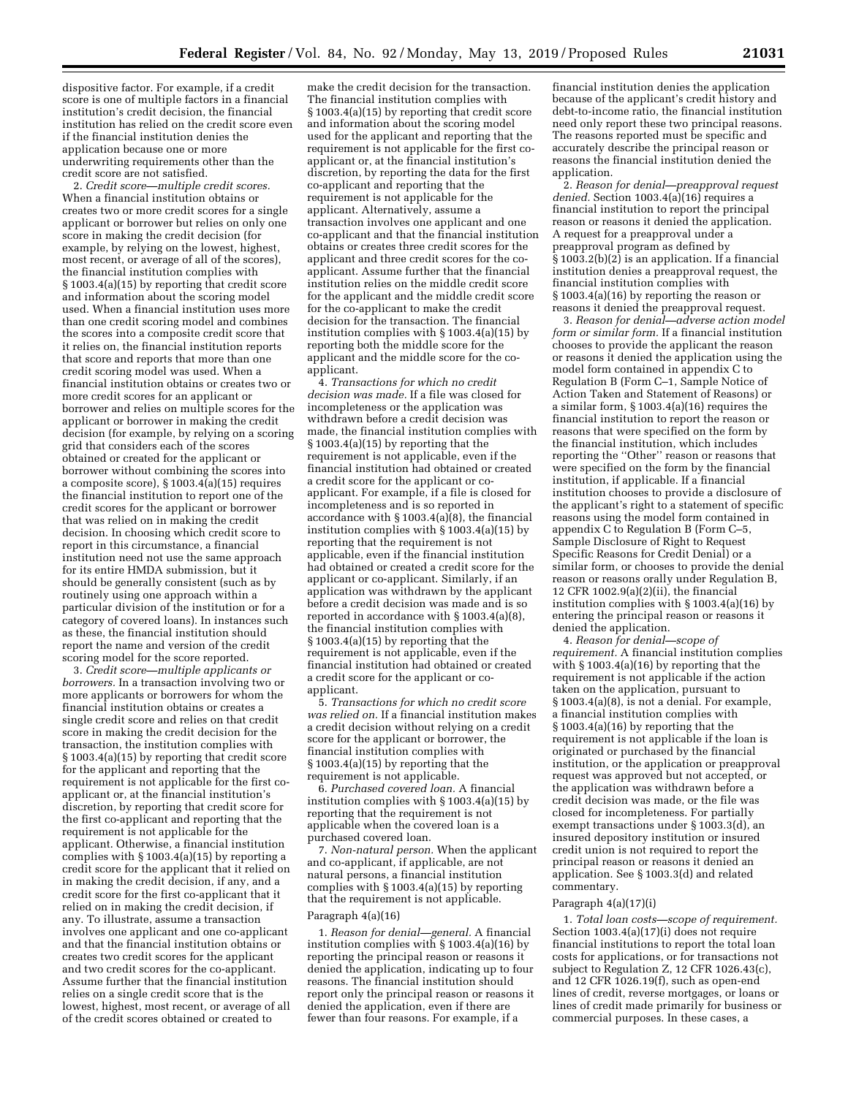dispositive factor. For example, if a credit score is one of multiple factors in a financial institution's credit decision, the financial institution has relied on the credit score even if the financial institution denies the application because one or more underwriting requirements other than the credit score are not satisfied.

2. *Credit score—multiple credit scores.*  When a financial institution obtains or creates two or more credit scores for a single applicant or borrower but relies on only one score in making the credit decision (for example, by relying on the lowest, highest, most recent, or average of all of the scores), the financial institution complies with § 1003.4(a)(15) by reporting that credit score and information about the scoring model used. When a financial institution uses more than one credit scoring model and combines the scores into a composite credit score that it relies on, the financial institution reports that score and reports that more than one credit scoring model was used. When a financial institution obtains or creates two or more credit scores for an applicant or borrower and relies on multiple scores for the applicant or borrower in making the credit decision (for example, by relying on a scoring grid that considers each of the scores obtained or created for the applicant or borrower without combining the scores into a composite score), § 1003.4(a)(15) requires the financial institution to report one of the credit scores for the applicant or borrower that was relied on in making the credit decision. In choosing which credit score to report in this circumstance, a financial institution need not use the same approach for its entire HMDA submission, but it should be generally consistent (such as by routinely using one approach within a particular division of the institution or for a category of covered loans). In instances such as these, the financial institution should report the name and version of the credit scoring model for the score reported.

3. *Credit score—multiple applicants or borrowers.* In a transaction involving two or more applicants or borrowers for whom the financial institution obtains or creates a single credit score and relies on that credit score in making the credit decision for the transaction, the institution complies with § 1003.4(a)(15) by reporting that credit score for the applicant and reporting that the requirement is not applicable for the first coapplicant or, at the financial institution's discretion, by reporting that credit score for the first co-applicant and reporting that the requirement is not applicable for the applicant. Otherwise, a financial institution complies with § 1003.4(a)(15) by reporting a credit score for the applicant that it relied on in making the credit decision, if any, and a credit score for the first co-applicant that it relied on in making the credit decision, if any. To illustrate, assume a transaction involves one applicant and one co-applicant and that the financial institution obtains or creates two credit scores for the applicant and two credit scores for the co-applicant. Assume further that the financial institution relies on a single credit score that is the lowest, highest, most recent, or average of all of the credit scores obtained or created to

make the credit decision for the transaction. The financial institution complies with § 1003.4(a)(15) by reporting that credit score and information about the scoring model used for the applicant and reporting that the requirement is not applicable for the first coapplicant or, at the financial institution's discretion, by reporting the data for the first co-applicant and reporting that the requirement is not applicable for the applicant. Alternatively, assume a transaction involves one applicant and one co-applicant and that the financial institution obtains or creates three credit scores for the applicant and three credit scores for the coapplicant. Assume further that the financial institution relies on the middle credit score for the applicant and the middle credit score for the co-applicant to make the credit decision for the transaction. The financial institution complies with § 1003.4(a)(15) by reporting both the middle score for the applicant and the middle score for the coapplicant.

4. *Transactions for which no credit decision was made.* If a file was closed for incompleteness or the application was withdrawn before a credit decision was made, the financial institution complies with § 1003.4(a)(15) by reporting that the requirement is not applicable, even if the financial institution had obtained or created a credit score for the applicant or coapplicant. For example, if a file is closed for incompleteness and is so reported in accordance with  $\S 1003.4(a)(8)$ , the financial institution complies with § 1003.4(a)(15) by reporting that the requirement is not applicable, even if the financial institution had obtained or created a credit score for the applicant or co-applicant. Similarly, if an application was withdrawn by the applicant before a credit decision was made and is so reported in accordance with § 1003.4(a)(8), the financial institution complies with § 1003.4(a)(15) by reporting that the requirement is not applicable, even if the financial institution had obtained or created a credit score for the applicant or coapplicant.

5. *Transactions for which no credit score was relied on.* If a financial institution makes a credit decision without relying on a credit score for the applicant or borrower, the financial institution complies with § 1003.4(a)(15) by reporting that the requirement is not applicable.

6. *Purchased covered loan.* A financial institution complies with § 1003.4(a)(15) by reporting that the requirement is not applicable when the covered loan is a purchased covered loan.

7. *Non-natural person.* When the applicant and co-applicant, if applicable, are not natural persons, a financial institution complies with § 1003.4(a)(15) by reporting that the requirement is not applicable. Paragraph 4(a)(16)

1. *Reason for denial—general.* A financial institution complies with § 1003.4(a)(16) by reporting the principal reason or reasons it denied the application, indicating up to four reasons. The financial institution should report only the principal reason or reasons it denied the application, even if there are fewer than four reasons. For example, if a

financial institution denies the application because of the applicant's credit history and debt-to-income ratio, the financial institution need only report these two principal reasons. The reasons reported must be specific and accurately describe the principal reason or reasons the financial institution denied the application.

2. *Reason for denial—preapproval request denied.* Section 1003.4(a)(16) requires a financial institution to report the principal reason or reasons it denied the application. A request for a preapproval under a preapproval program as defined by  $\S 1003.2(b)(2)$  is an application. If a financial institution denies a preapproval request, the financial institution complies with § 1003.4(a)(16) by reporting the reason or reasons it denied the preapproval request.

3. *Reason for denial—adverse action model form or similar form.* If a financial institution chooses to provide the applicant the reason or reasons it denied the application using the model form contained in appendix C to Regulation B (Form C–1, Sample Notice of Action Taken and Statement of Reasons) or a similar form, § 1003.4(a)(16) requires the financial institution to report the reason or reasons that were specified on the form by the financial institution, which includes reporting the ''Other'' reason or reasons that were specified on the form by the financial institution, if applicable. If a financial institution chooses to provide a disclosure of the applicant's right to a statement of specific reasons using the model form contained in appendix C to Regulation B (Form C–5, Sample Disclosure of Right to Request Specific Reasons for Credit Denial) or a similar form, or chooses to provide the denial reason or reasons orally under Regulation B, 12 CFR 1002.9(a)(2)(ii), the financial institution complies with § 1003.4(a)(16) by entering the principal reason or reasons it denied the application.

4. *Reason for denial—scope of requirement.* A financial institution complies with § 1003.4(a)(16) by reporting that the requirement is not applicable if the action taken on the application, pursuant to § 1003.4(a)(8), is not a denial. For example, a financial institution complies with § 1003.4(a)(16) by reporting that the requirement is not applicable if the loan is originated or purchased by the financial institution, or the application or preapproval request was approved but not accepted, or the application was withdrawn before a credit decision was made, or the file was closed for incompleteness. For partially exempt transactions under § 1003.3(d), an insured depository institution or insured credit union is not required to report the principal reason or reasons it denied an application. See § 1003.3(d) and related commentary.

#### Paragraph 4(a)(17)(i)

1. *Total loan costs—scope of requirement.*  Section 1003.4(a)(17)(i) does not require financial institutions to report the total loan costs for applications, or for transactions not subject to Regulation Z, 12 CFR 1026.43(c), and 12 CFR 1026.19(f), such as open-end lines of credit, reverse mortgages, or loans or lines of credit made primarily for business or commercial purposes. In these cases, a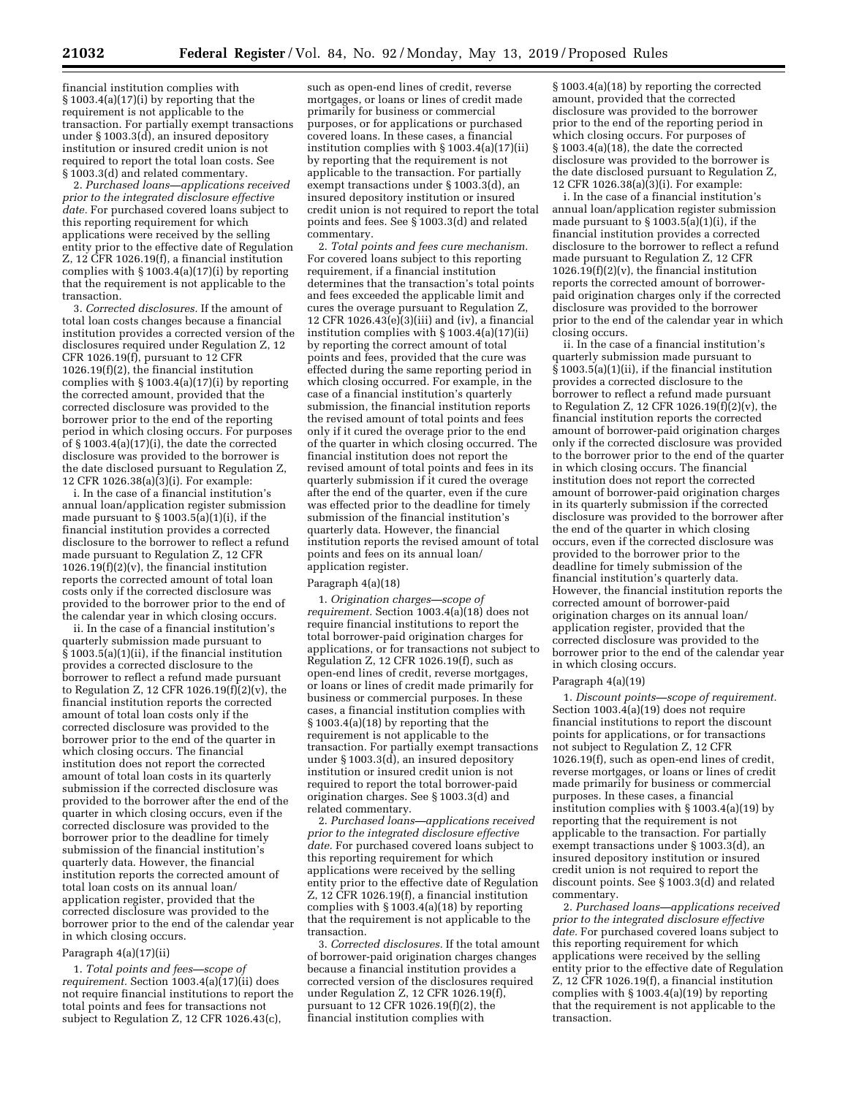financial institution complies with § 1003.4(a)(17)(i) by reporting that the requirement is not applicable to the transaction. For partially exempt transactions under § 1003.3(d), an insured depository institution or insured credit union is not required to report the total loan costs. See § 1003.3(d) and related commentary.

2. *Purchased loans—applications received prior to the integrated disclosure effective date.* For purchased covered loans subject to this reporting requirement for which applications were received by the selling entity prior to the effective date of Regulation Z, 12 CFR 1026.19(f), a financial institution complies with § 1003.4(a)(17)(i) by reporting that the requirement is not applicable to the transaction.

3. *Corrected disclosures.* If the amount of total loan costs changes because a financial institution provides a corrected version of the disclosures required under Regulation Z, 12 CFR 1026.19 $(f)$ , pursuant to 12 CFR 1026.19(f)(2), the financial institution complies with  $\S 1003.4(a)(17)(i)$  by reporting the corrected amount, provided that the corrected disclosure was provided to the borrower prior to the end of the reporting period in which closing occurs. For purposes of § 1003.4(a)(17)(i), the date the corrected disclosure was provided to the borrower is the date disclosed pursuant to Regulation Z, 12 CFR 1026.38(a)(3)(i). For example:

i. In the case of a financial institution's annual loan/application register submission made pursuant to § 1003.5(a)(1)(i), if the financial institution provides a corrected disclosure to the borrower to reflect a refund made pursuant to Regulation Z, 12 CFR  $1026.19(f)(2)(v)$ , the financial institution reports the corrected amount of total loan costs only if the corrected disclosure was provided to the borrower prior to the end of the calendar year in which closing occurs.

ii. In the case of a financial institution's quarterly submission made pursuant to  $\hat{\S}$  1003.5(a)(1)(ii), if the financial institution provides a corrected disclosure to the borrower to reflect a refund made pursuant to Regulation Z, 12 CFR 1026.19(f)(2)(v), the financial institution reports the corrected amount of total loan costs only if the corrected disclosure was provided to the borrower prior to the end of the quarter in which closing occurs. The financial institution does not report the corrected amount of total loan costs in its quarterly submission if the corrected disclosure was provided to the borrower after the end of the quarter in which closing occurs, even if the corrected disclosure was provided to the borrower prior to the deadline for timely submission of the financial institution's quarterly data. However, the financial institution reports the corrected amount of total loan costs on its annual loan/ application register, provided that the corrected disclosure was provided to the borrower prior to the end of the calendar year in which closing occurs.

#### Paragraph 4(a)(17)(ii)

1. *Total points and fees—scope of requirement.* Section 1003.4(a)(17)(ii) does not require financial institutions to report the total points and fees for transactions not subject to Regulation Z, 12 CFR 1026.43(c),

such as open-end lines of credit, reverse mortgages, or loans or lines of credit made primarily for business or commercial purposes, or for applications or purchased covered loans. In these cases, a financial institution complies with § 1003.4(a)(17)(ii) by reporting that the requirement is not applicable to the transaction. For partially exempt transactions under § 1003.3(d), an insured depository institution or insured credit union is not required to report the total points and fees. See § 1003.3(d) and related commentary.

2. *Total points and fees cure mechanism.*  For covered loans subject to this reporting requirement, if a financial institution determines that the transaction's total points and fees exceeded the applicable limit and cures the overage pursuant to Regulation Z, 12 CFR 1026.43 $(e)(3)(iii)$  and  $(iv)$ , a financial institution complies with § 1003.4(a)(17)(ii) by reporting the correct amount of total points and fees, provided that the cure was effected during the same reporting period in which closing occurred. For example, in the case of a financial institution's quarterly submission, the financial institution reports the revised amount of total points and fees only if it cured the overage prior to the end of the quarter in which closing occurred. The financial institution does not report the revised amount of total points and fees in its quarterly submission if it cured the overage after the end of the quarter, even if the cure was effected prior to the deadline for timely submission of the financial institution's quarterly data. However, the financial institution reports the revised amount of total points and fees on its annual loan/ application register.

#### Paragraph 4(a)(18)

1. *Origination charges—scope of requirement.* Section 1003.4(a)(18) does not require financial institutions to report the total borrower-paid origination charges for applications, or for transactions not subject to Regulation Z, 12 CFR 1026.19(f), such as open-end lines of credit, reverse mortgages, or loans or lines of credit made primarily for business or commercial purposes. In these cases, a financial institution complies with  $§ 1003.4(a)(18)$  by reporting that the requirement is not applicable to the transaction. For partially exempt transactions under § 1003.3(d), an insured depository institution or insured credit union is not required to report the total borrower-paid origination charges. See § 1003.3(d) and related commentary.

2. *Purchased loans—applications received prior to the integrated disclosure effective date.* For purchased covered loans subject to this reporting requirement for which applications were received by the selling entity prior to the effective date of Regulation Z, 12 CFR 1026.19(f), a financial institution complies with § 1003.4(a)(18) by reporting that the requirement is not applicable to the transaction.

3. *Corrected disclosures.* If the total amount of borrower-paid origination charges changes because a financial institution provides a corrected version of the disclosures required under Regulation Z, 12 CFR 1026.19(f), pursuant to 12 CFR 1026.19(f)(2), the financial institution complies with

§ 1003.4(a)(18) by reporting the corrected amount, provided that the corrected disclosure was provided to the borrower prior to the end of the reporting period in which closing occurs. For purposes of § 1003.4(a)(18), the date the corrected disclosure was provided to the borrower is the date disclosed pursuant to Regulation Z, 12 CFR 1026.38(a)(3)(i). For example:

i. In the case of a financial institution's annual loan/application register submission made pursuant to  $\S 1003.5(a)(1)(i)$ , if the financial institution provides a corrected disclosure to the borrower to reflect a refund made pursuant to Regulation Z, 12 CFR  $1026.19(f)(2)(v)$ , the financial institution reports the corrected amount of borrowerpaid origination charges only if the corrected disclosure was provided to the borrower prior to the end of the calendar year in which closing occurs.

ii. In the case of a financial institution's quarterly submission made pursuant to § 1003.5(a)(1)(ii), if the financial institution provides a corrected disclosure to the borrower to reflect a refund made pursuant to Regulation Z, 12 CFR 1026.19 $(f)(2)(v)$ , the financial institution reports the corrected amount of borrower-paid origination charges only if the corrected disclosure was provided to the borrower prior to the end of the quarter in which closing occurs. The financial institution does not report the corrected amount of borrower-paid origination charges in its quarterly submission if the corrected disclosure was provided to the borrower after the end of the quarter in which closing occurs, even if the corrected disclosure was provided to the borrower prior to the deadline for timely submission of the financial institution's quarterly data. However, the financial institution reports the corrected amount of borrower-paid origination charges on its annual loan/ application register, provided that the corrected disclosure was provided to the borrower prior to the end of the calendar year in which closing occurs.

#### Paragraph 4(a)(19)

1. *Discount points—scope of requirement.*  Section 1003.4(a)(19) does not require financial institutions to report the discount points for applications, or for transactions not subject to Regulation Z, 12 CFR 1026.19(f), such as open-end lines of credit, reverse mortgages, or loans or lines of credit made primarily for business or commercial purposes. In these cases, a financial institution complies with § 1003.4(a)(19) by reporting that the requirement is not applicable to the transaction. For partially exempt transactions under § 1003.3(d), an insured depository institution or insured credit union is not required to report the discount points. See § 1003.3(d) and related commentary.

2. *Purchased loans—applications received prior to the integrated disclosure effective date.* For purchased covered loans subject to this reporting requirement for which applications were received by the selling entity prior to the effective date of Regulation Z, 12 CFR 1026.19(f), a financial institution complies with § 1003.4(a)(19) by reporting that the requirement is not applicable to the transaction.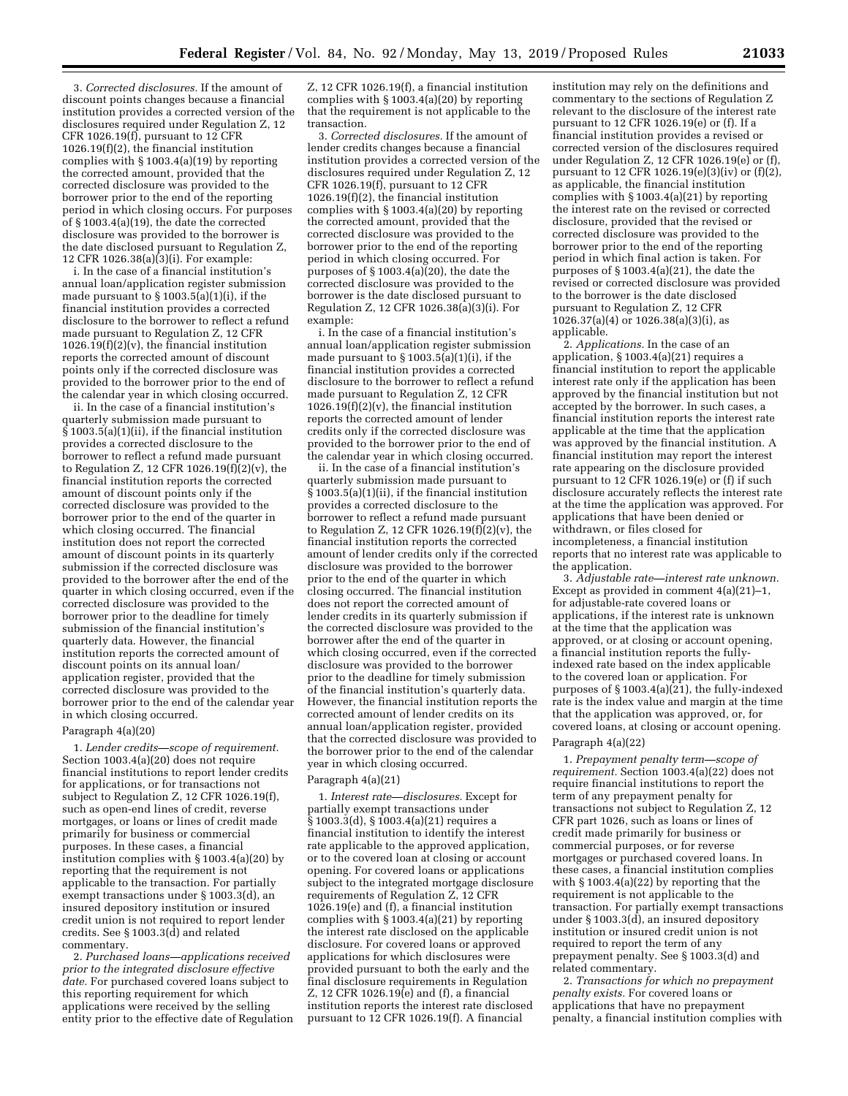3. *Corrected disclosures.* If the amount of discount points changes because a financial institution provides a corrected version of the disclosures required under Regulation Z, 12 CFR 1026.19(f), pursuant to 12 CFR 1026.19(f)(2), the financial institution complies with § 1003.4(a)(19) by reporting the corrected amount, provided that the corrected disclosure was provided to the borrower prior to the end of the reporting period in which closing occurs. For purposes of § 1003.4(a)(19), the date the corrected disclosure was provided to the borrower is the date disclosed pursuant to Regulation Z, 12 CFR 1026.38(a)(3)(i). For example:

i. In the case of a financial institution's annual loan/application register submission made pursuant to  $\S 1003.5(a)(1)(i)$ , if the financial institution provides a corrected disclosure to the borrower to reflect a refund made pursuant to Regulation Z, 12 CFR  $1026.19(f)(2)(v)$ , the financial institution reports the corrected amount of discount points only if the corrected disclosure was provided to the borrower prior to the end of the calendar year in which closing occurred.

ii. In the case of a financial institution's quarterly submission made pursuant to  $\hat{\S}$  1003.5(a)(1)(ii), if the financial institution provides a corrected disclosure to the borrower to reflect a refund made pursuant to Regulation Z, 12 CFR 1026.19(f)(2)(v), the financial institution reports the corrected amount of discount points only if the corrected disclosure was provided to the borrower prior to the end of the quarter in which closing occurred. The financial institution does not report the corrected amount of discount points in its quarterly submission if the corrected disclosure was provided to the borrower after the end of the quarter in which closing occurred, even if the corrected disclosure was provided to the borrower prior to the deadline for timely submission of the financial institution's quarterly data. However, the financial institution reports the corrected amount of discount points on its annual loan/ application register, provided that the corrected disclosure was provided to the borrower prior to the end of the calendar year in which closing occurred.

### Paragraph 4(a)(20)

1. *Lender credits—scope of requirement.*  Section 1003.4(a)(20) does not require financial institutions to report lender credits for applications, or for transactions not subject to Regulation Z, 12 CFR 1026.19(f), such as open-end lines of credit, reverse mortgages, or loans or lines of credit made primarily for business or commercial purposes. In these cases, a financial institution complies with § 1003.4(a)(20) by reporting that the requirement is not applicable to the transaction. For partially exempt transactions under § 1003.3(d), an insured depository institution or insured credit union is not required to report lender credits. See § 1003.3(d) and related commentary.

2. *Purchased loans—applications received prior to the integrated disclosure effective date.* For purchased covered loans subject to this reporting requirement for which applications were received by the selling entity prior to the effective date of Regulation

Z, 12 CFR 1026.19(f), a financial institution complies with § 1003.4(a)(20) by reporting that the requirement is not applicable to the transaction.

3. *Corrected disclosures.* If the amount of lender credits changes because a financial institution provides a corrected version of the disclosures required under Regulation Z, 12 CFR 1026.19(f), pursuant to 12 CFR 1026.19(f)(2), the financial institution complies with § 1003.4(a)(20) by reporting the corrected amount, provided that the corrected disclosure was provided to the borrower prior to the end of the reporting period in which closing occurred. For purposes of  $\S 1003.4(a)(20)$ , the date the corrected disclosure was provided to the borrower is the date disclosed pursuant to Regulation Z, 12 CFR 1026.38(a)(3)(i). For example:

i. In the case of a financial institution's annual loan/application register submission made pursuant to § 1003.5(a)(1)(i), if the financial institution provides a corrected disclosure to the borrower to reflect a refund made pursuant to Regulation Z, 12 CFR  $1026.19(f)(2)(v)$ , the financial institution reports the corrected amount of lender credits only if the corrected disclosure was provided to the borrower prior to the end of the calendar year in which closing occurred.

ii. In the case of a financial institution's quarterly submission made pursuant to  $\hat{\S}$  1003.5(a)(1)(ii), if the financial institution provides a corrected disclosure to the borrower to reflect a refund made pursuant to Regulation Z, 12 CFR 1026.19 $(f)(2)(v)$ , the financial institution reports the corrected amount of lender credits only if the corrected disclosure was provided to the borrower prior to the end of the quarter in which closing occurred. The financial institution does not report the corrected amount of lender credits in its quarterly submission if the corrected disclosure was provided to the borrower after the end of the quarter in which closing occurred, even if the corrected disclosure was provided to the borrower prior to the deadline for timely submission of the financial institution's quarterly data. However, the financial institution reports the corrected amount of lender credits on its annual loan/application register, provided that the corrected disclosure was provided to the borrower prior to the end of the calendar year in which closing occurred.

#### Paragraph 4(a)(21)

1. *Interest rate—disclosures.* Except for partially exempt transactions under  $\S 1003.3(d), \S 1003.4(a)(21)$  requires a financial institution to identify the interest rate applicable to the approved application, or to the covered loan at closing or account opening. For covered loans or applications subject to the integrated mortgage disclosure requirements of Regulation Z, 12 CFR 1026.19(e) and (f), a financial institution complies with § 1003.4(a)(21) by reporting the interest rate disclosed on the applicable disclosure. For covered loans or approved applications for which disclosures were provided pursuant to both the early and the final disclosure requirements in Regulation Z, 12 CFR 1026.19(e) and (f), a financial institution reports the interest rate disclosed pursuant to 12 CFR 1026.19(f). A financial

institution may rely on the definitions and commentary to the sections of Regulation Z relevant to the disclosure of the interest rate pursuant to 12 CFR 1026.19(e) or (f). If a financial institution provides a revised or corrected version of the disclosures required under Regulation Z, 12 CFR 1026.19(e) or (f), pursuant to 12 CFR 1026.19(e)(3)(iv) or (f)(2), as applicable, the financial institution complies with § 1003.4(a)(21) by reporting the interest rate on the revised or corrected disclosure, provided that the revised or corrected disclosure was provided to the borrower prior to the end of the reporting period in which final action is taken. For purposes of § 1003.4(a)(21), the date the revised or corrected disclosure was provided to the borrower is the date disclosed pursuant to Regulation Z, 12 CFR 1026.37(a)(4) or 1026.38(a)(3)(i), as applicable.

2. *Applications.* In the case of an application, § 1003.4(a)(21) requires a financial institution to report the applicable interest rate only if the application has been approved by the financial institution but not accepted by the borrower. In such cases, a financial institution reports the interest rate applicable at the time that the application was approved by the financial institution. A financial institution may report the interest rate appearing on the disclosure provided pursuant to 12 CFR 1026.19(e) or (f) if such disclosure accurately reflects the interest rate at the time the application was approved. For applications that have been denied or withdrawn, or files closed for incompleteness, a financial institution reports that no interest rate was applicable to the application.

3. *Adjustable rate—interest rate unknown.*  Except as provided in comment 4(a)(21)–1, for adjustable-rate covered loans or applications, if the interest rate is unknown at the time that the application was approved, or at closing or account opening, a financial institution reports the fullyindexed rate based on the index applicable to the covered loan or application. For purposes of § 1003.4(a)(21), the fully-indexed rate is the index value and margin at the time that the application was approved, or, for covered loans, at closing or account opening.

#### Paragraph 4(a)(22)

1. *Prepayment penalty term—scope of requirement.* Section 1003.4(a)(22) does not require financial institutions to report the term of any prepayment penalty for transactions not subject to Regulation Z, 12 CFR part 1026, such as loans or lines of credit made primarily for business or commercial purposes, or for reverse mortgages or purchased covered loans. In these cases, a financial institution complies with § 1003.4(a)(22) by reporting that the requirement is not applicable to the transaction. For partially exempt transactions under § 1003.3(d), an insured depository institution or insured credit union is not required to report the term of any prepayment penalty. See § 1003.3(d) and related commentary.

2. *Transactions for which no prepayment penalty exists.* For covered loans or applications that have no prepayment penalty, a financial institution complies with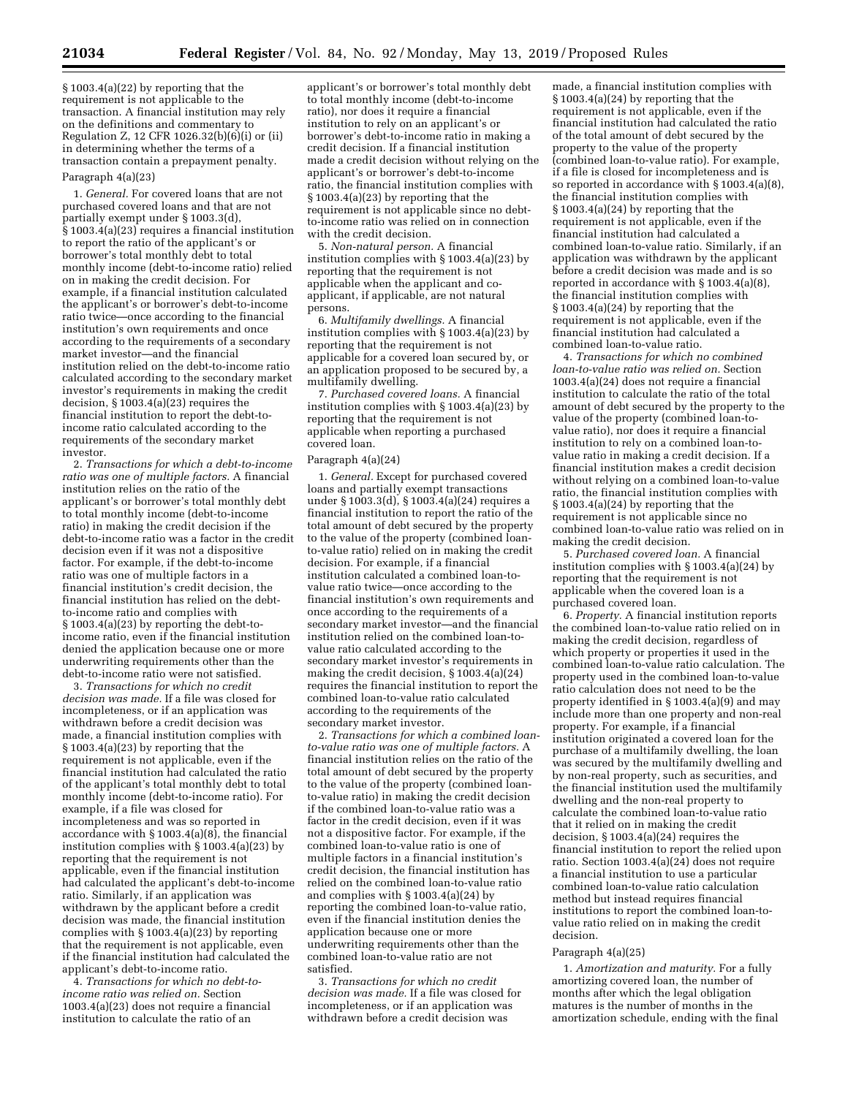§ 1003.4(a)(22) by reporting that the requirement is not applicable to the transaction. A financial institution may rely on the definitions and commentary to Regulation Z, 12 CFR 1026.32(b)(6)(i) or (ii) in determining whether the terms of a transaction contain a prepayment penalty. Paragraph 4(a)(23)

1. *General.* For covered loans that are not purchased covered loans and that are not partially exempt under § 1003.3(d),  $\hat{\S}$  1003.4(a)(23) requires a financial institution to report the ratio of the applicant's or borrower's total monthly debt to total monthly income (debt-to-income ratio) relied on in making the credit decision. For example, if a financial institution calculated the applicant's or borrower's debt-to-income ratio twice—once according to the financial institution's own requirements and once according to the requirements of a secondary market investor—and the financial institution relied on the debt-to-income ratio calculated according to the secondary market investor's requirements in making the credit decision,  $\S 1003.4(a)(23)$  requires the financial institution to report the debt-toincome ratio calculated according to the requirements of the secondary market investor.

2. *Transactions for which a debt-to-income ratio was one of multiple factors.* A financial institution relies on the ratio of the applicant's or borrower's total monthly debt to total monthly income (debt-to-income ratio) in making the credit decision if the debt-to-income ratio was a factor in the credit decision even if it was not a dispositive factor. For example, if the debt-to-income ratio was one of multiple factors in a financial institution's credit decision, the financial institution has relied on the debtto-income ratio and complies with § 1003.4(a)(23) by reporting the debt-toincome ratio, even if the financial institution denied the application because one or more underwriting requirements other than the debt-to-income ratio were not satisfied.

3. *Transactions for which no credit decision was made.* If a file was closed for incompleteness, or if an application was withdrawn before a credit decision was made, a financial institution complies with § 1003.4(a)(23) by reporting that the requirement is not applicable, even if the financial institution had calculated the ratio of the applicant's total monthly debt to total monthly income (debt-to-income ratio). For example, if a file was closed for incompleteness and was so reported in accordance with § 1003.4(a)(8), the financial institution complies with § 1003.4(a)(23) by reporting that the requirement is not applicable, even if the financial institution had calculated the applicant's debt-to-income ratio. Similarly, if an application was withdrawn by the applicant before a credit decision was made, the financial institution complies with § 1003.4(a)(23) by reporting that the requirement is not applicable, even if the financial institution had calculated the applicant's debt-to-income ratio.

4. *Transactions for which no debt-toincome ratio was relied on.* Section 1003.4(a)(23) does not require a financial institution to calculate the ratio of an

applicant's or borrower's total monthly debt to total monthly income (debt-to-income ratio), nor does it require a financial institution to rely on an applicant's or borrower's debt-to-income ratio in making a credit decision. If a financial institution made a credit decision without relying on the applicant's or borrower's debt-to-income ratio, the financial institution complies with § 1003.4(a)(23) by reporting that the requirement is not applicable since no debtto-income ratio was relied on in connection with the credit decision.

5. *Non-natural person.* A financial institution complies with § 1003.4(a)(23) by reporting that the requirement is not applicable when the applicant and coapplicant, if applicable, are not natural persons.

6. *Multifamily dwellings.* A financial institution complies with § 1003.4(a)(23) by reporting that the requirement is not applicable for a covered loan secured by, or an application proposed to be secured by, a multifamily dwelling.

7. *Purchased covered loans.* A financial institution complies with § 1003.4(a)(23) by reporting that the requirement is not applicable when reporting a purchased covered loan.

#### Paragraph 4(a)(24)

1. *General.* Except for purchased covered loans and partially exempt transactions under § 1003.3(d), § 1003.4(a)(24) requires a financial institution to report the ratio of the total amount of debt secured by the property to the value of the property (combined loanto-value ratio) relied on in making the credit decision. For example, if a financial institution calculated a combined loan-tovalue ratio twice—once according to the financial institution's own requirements and once according to the requirements of a secondary market investor—and the financial institution relied on the combined loan-tovalue ratio calculated according to the secondary market investor's requirements in making the credit decision, § 1003.4(a)(24) requires the financial institution to report the combined loan-to-value ratio calculated according to the requirements of the secondary market investor.

2. *Transactions for which a combined loanto-value ratio was one of multiple factors.* A financial institution relies on the ratio of the total amount of debt secured by the property to the value of the property (combined loanto-value ratio) in making the credit decision if the combined loan-to-value ratio was a factor in the credit decision, even if it was not a dispositive factor. For example, if the combined loan-to-value ratio is one of multiple factors in a financial institution's credit decision, the financial institution has relied on the combined loan-to-value ratio and complies with § 1003.4(a)(24) by reporting the combined loan-to-value ratio, even if the financial institution denies the application because one or more underwriting requirements other than the combined loan-to-value ratio are not satisfied.

3. *Transactions for which no credit decision was made.* If a file was closed for incompleteness, or if an application was withdrawn before a credit decision was

made, a financial institution complies with § 1003.4(a)(24) by reporting that the requirement is not applicable, even if the financial institution had calculated the ratio of the total amount of debt secured by the property to the value of the property (combined loan-to-value ratio). For example, if a file is closed for incompleteness and is so reported in accordance with § 1003.4(a)(8), the financial institution complies with § 1003.4(a)(24) by reporting that the requirement is not applicable, even if the financial institution had calculated a combined loan-to-value ratio. Similarly, if an application was withdrawn by the applicant before a credit decision was made and is so reported in accordance with § 1003.4(a)(8), the financial institution complies with § 1003.4(a)(24) by reporting that the requirement is not applicable, even if the financial institution had calculated a combined loan-to-value ratio.

4. *Transactions for which no combined loan-to-value ratio was relied on.* Section 1003.4(a)(24) does not require a financial institution to calculate the ratio of the total amount of debt secured by the property to the value of the property (combined loan-tovalue ratio), nor does it require a financial institution to rely on a combined loan-tovalue ratio in making a credit decision. If a financial institution makes a credit decision without relying on a combined loan-to-value ratio, the financial institution complies with § 1003.4(a)(24) by reporting that the requirement is not applicable since no combined loan-to-value ratio was relied on in making the credit decision.

5. *Purchased covered loan.* A financial institution complies with § 1003.4(a)(24) by reporting that the requirement is not applicable when the covered loan is a purchased covered loan.

6. *Property.* A financial institution reports the combined loan-to-value ratio relied on in making the credit decision, regardless of which property or properties it used in the combined loan-to-value ratio calculation. The property used in the combined loan-to-value ratio calculation does not need to be the property identified in § 1003.4(a)(9) and may include more than one property and non-real property. For example, if a financial institution originated a covered loan for the purchase of a multifamily dwelling, the loan was secured by the multifamily dwelling and by non-real property, such as securities, and the financial institution used the multifamily dwelling and the non-real property to calculate the combined loan-to-value ratio that it relied on in making the credit decision,  $§ 1003.4(a)(24)$  requires the financial institution to report the relied upon ratio. Section 1003.4(a)(24) does not require a financial institution to use a particular combined loan-to-value ratio calculation method but instead requires financial institutions to report the combined loan-tovalue ratio relied on in making the credit decision.

#### Paragraph 4(a)(25)

1. *Amortization and maturity.* For a fully amortizing covered loan, the number of months after which the legal obligation matures is the number of months in the amortization schedule, ending with the final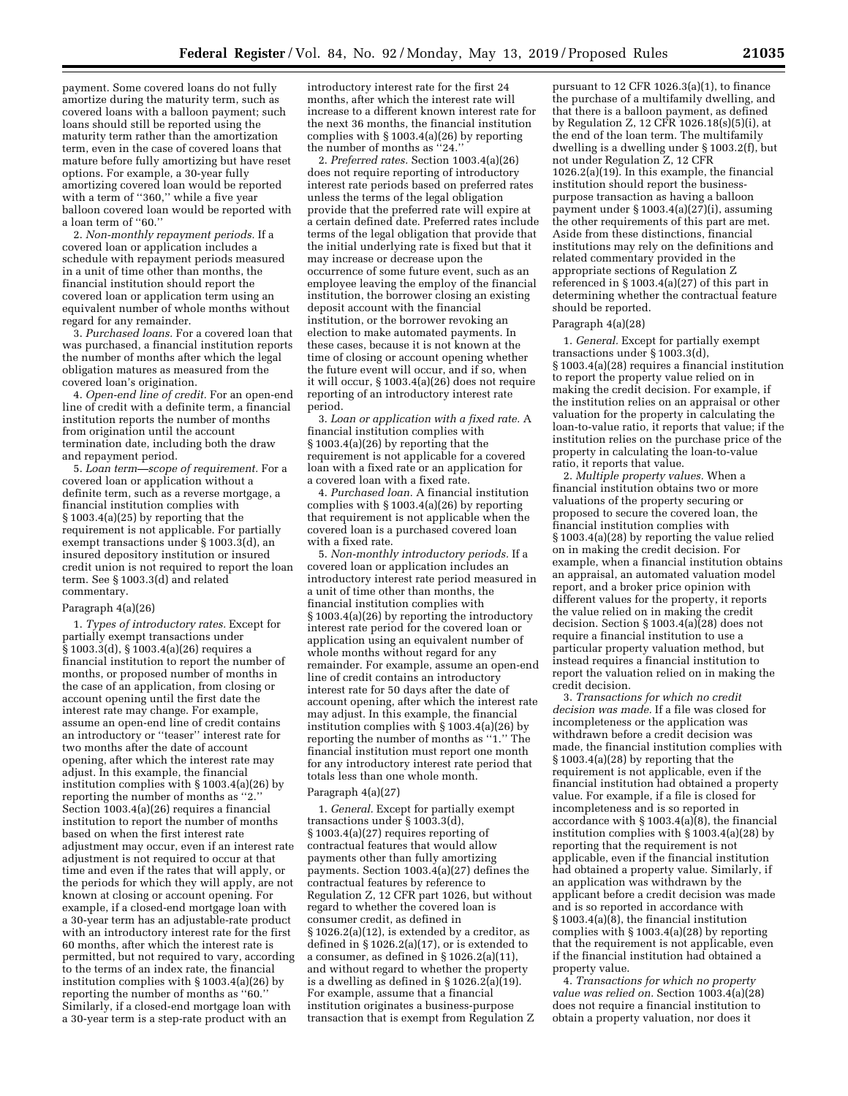payment. Some covered loans do not fully amortize during the maturity term, such as covered loans with a balloon payment; such loans should still be reported using the maturity term rather than the amortization term, even in the case of covered loans that mature before fully amortizing but have reset options. For example, a 30-year fully amortizing covered loan would be reported with a term of "360," while a five year balloon covered loan would be reported with a loan term of ''60.''

2. *Non-monthly repayment periods.* If a covered loan or application includes a schedule with repayment periods measured in a unit of time other than months, the financial institution should report the covered loan or application term using an equivalent number of whole months without regard for any remainder.

3. *Purchased loans.* For a covered loan that was purchased, a financial institution reports the number of months after which the legal obligation matures as measured from the covered loan's origination.

4. *Open-end line of credit.* For an open-end line of credit with a definite term, a financial institution reports the number of months from origination until the account termination date, including both the draw and repayment period.

5. *Loan term—scope of requirement.* For a covered loan or application without a definite term, such as a reverse mortgage, a financial institution complies with § 1003.4(a)(25) by reporting that the requirement is not applicable. For partially exempt transactions under § 1003.3(d), an insured depository institution or insured credit union is not required to report the loan term. See § 1003.3(d) and related commentary.

### Paragraph 4(a)(26)

1. *Types of introductory rates.* Except for partially exempt transactions under § 1003.3(d), § 1003.4(a)(26) requires a financial institution to report the number of months, or proposed number of months in the case of an application, from closing or account opening until the first date the interest rate may change. For example, assume an open-end line of credit contains an introductory or ''teaser'' interest rate for two months after the date of account opening, after which the interest rate may adjust. In this example, the financial institution complies with § 1003.4(a)(26) by reporting the number of months as "2. Section 1003.4(a)(26) requires a financial institution to report the number of months based on when the first interest rate adjustment may occur, even if an interest rate adjustment is not required to occur at that time and even if the rates that will apply, or the periods for which they will apply, are not known at closing or account opening. For example, if a closed-end mortgage loan with a 30-year term has an adjustable-rate product with an introductory interest rate for the first 60 months, after which the interest rate is permitted, but not required to vary, according to the terms of an index rate, the financial institution complies with § 1003.4(a)(26) by reporting the number of months as ''60.'' Similarly, if a closed-end mortgage loan with a 30-year term is a step-rate product with an

introductory interest rate for the first 24 months, after which the interest rate will increase to a different known interest rate for the next 36 months, the financial institution complies with § 1003.4(a)(26) by reporting the number of months as ''24.''

2. *Preferred rates.* Section 1003.4(a)(26) does not require reporting of introductory interest rate periods based on preferred rates unless the terms of the legal obligation provide that the preferred rate will expire at a certain defined date. Preferred rates include terms of the legal obligation that provide that the initial underlying rate is fixed but that it may increase or decrease upon the occurrence of some future event, such as an employee leaving the employ of the financial institution, the borrower closing an existing deposit account with the financial institution, or the borrower revoking an election to make automated payments. In these cases, because it is not known at the time of closing or account opening whether the future event will occur, and if so, when it will occur, § 1003.4(a)(26) does not require reporting of an introductory interest rate period.

3. *Loan or application with a fixed rate.* A financial institution complies with § 1003.4(a)(26) by reporting that the requirement is not applicable for a covered loan with a fixed rate or an application for a covered loan with a fixed rate.

4. *Purchased loan.* A financial institution complies with § 1003.4(a)(26) by reporting that requirement is not applicable when the covered loan is a purchased covered loan with a fixed rate.

5. *Non-monthly introductory periods.* If a covered loan or application includes an introductory interest rate period measured in a unit of time other than months, the financial institution complies with § 1003.4(a)(26) by reporting the introductory interest rate period for the covered loan or application using an equivalent number of whole months without regard for any remainder. For example, assume an open-end line of credit contains an introductory interest rate for 50 days after the date of account opening, after which the interest rate may adjust. In this example, the financial institution complies with § 1003.4(a)(26) by reporting the number of months as ''1.'' The financial institution must report one month for any introductory interest rate period that totals less than one whole month.

#### Paragraph 4(a)(27)

1. *General.* Except for partially exempt transactions under § 1003.3(d), § 1003.4(a)(27) requires reporting of contractual features that would allow payments other than fully amortizing payments. Section 1003.4(a)(27) defines the contractual features by reference to Regulation Z, 12 CFR part 1026, but without regard to whether the covered loan is consumer credit, as defined in § 1026.2(a)(12), is extended by a creditor, as defined in § 1026.2(a)(17), or is extended to a consumer, as defined in § 1026.2(a)(11), and without regard to whether the property is a dwelling as defined in § 1026.2(a)(19). For example, assume that a financial institution originates a business-purpose transaction that is exempt from Regulation Z

pursuant to 12 CFR 1026.3(a)(1), to finance the purchase of a multifamily dwelling, and that there is a balloon payment, as defined by Regulation Z, 12 CFR 1026.18(s)(5)(i), at the end of the loan term. The multifamily dwelling is a dwelling under § 1003.2(f), but not under Regulation Z, 12 CFR 1026.2(a)(19). In this example, the financial institution should report the businesspurpose transaction as having a balloon payment under § 1003.4(a)(27)(i), assuming the other requirements of this part are met. Aside from these distinctions, financial institutions may rely on the definitions and related commentary provided in the appropriate sections of Regulation Z referenced in § 1003.4(a)(27) of this part in determining whether the contractual feature should be reported.

#### Paragraph 4(a)(28)

1. *General.* Except for partially exempt transactions under § 1003.3(d), § 1003.4(a)(28) requires a financial institution to report the property value relied on in making the credit decision. For example, if the institution relies on an appraisal or other valuation for the property in calculating the loan-to-value ratio, it reports that value; if the institution relies on the purchase price of the property in calculating the loan-to-value ratio, it reports that value.

2. *Multiple property values.* When a financial institution obtains two or more valuations of the property securing or proposed to secure the covered loan, the financial institution complies with § 1003.4(a)(28) by reporting the value relied on in making the credit decision. For example, when a financial institution obtains an appraisal, an automated valuation model report, and a broker price opinion with different values for the property, it reports the value relied on in making the credit decision. Section  $\S 1003.4(a)\overline{(28)}$  does not require a financial institution to use a particular property valuation method, but instead requires a financial institution to report the valuation relied on in making the credit decision.

3. *Transactions for which no credit decision was made.* If a file was closed for incompleteness or the application was withdrawn before a credit decision was made, the financial institution complies with § 1003.4(a)(28) by reporting that the requirement is not applicable, even if the financial institution had obtained a property value. For example, if a file is closed for incompleteness and is so reported in accordance with  $\S 1003.4(a)(8)$ , the financial institution complies with § 1003.4(a)(28) by reporting that the requirement is not applicable, even if the financial institution had obtained a property value. Similarly, if an application was withdrawn by the applicant before a credit decision was made and is so reported in accordance with  $\S 1003.4(a)(8)$ , the financial institution complies with  $\S 1003.4(a)(28)$  by reporting that the requirement is not applicable, even if the financial institution had obtained a property value.

4. *Transactions for which no property value was relied on.* Section 1003.4(a)(28) does not require a financial institution to obtain a property valuation, nor does it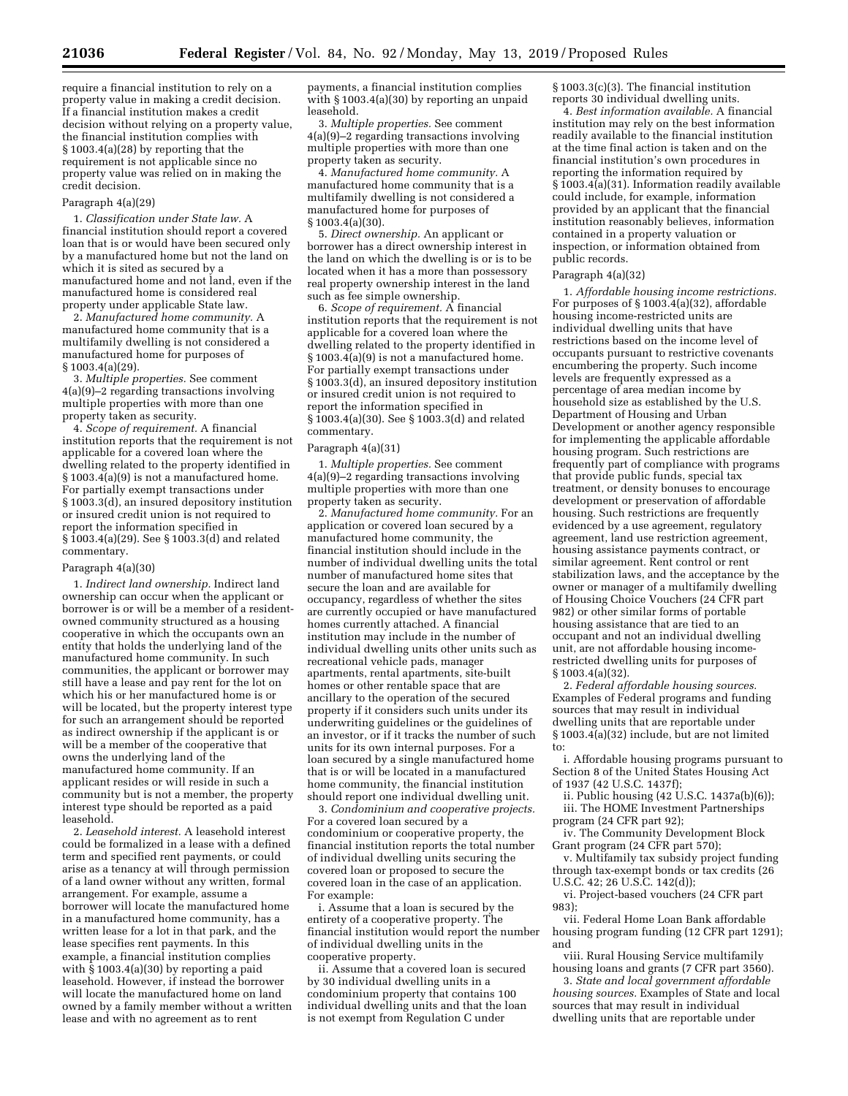require a financial institution to rely on a property value in making a credit decision. If a financial institution makes a credit decision without relying on a property value, the financial institution complies with § 1003.4(a)(28) by reporting that the requirement is not applicable since no property value was relied on in making the credit decision.

### Paragraph 4(a)(29)

1. *Classification under State law.* A financial institution should report a covered loan that is or would have been secured only by a manufactured home but not the land on which it is sited as secured by a manufactured home and not land, even if the manufactured home is considered real property under applicable State law.

2. *Manufactured home community.* A manufactured home community that is a multifamily dwelling is not considered a manufactured home for purposes of § 1003.4(a)(29).

3. *Multiple properties.* See comment 4(a)(9)–2 regarding transactions involving multiple properties with more than one property taken as security.

4. *Scope of requirement.* A financial institution reports that the requirement is not applicable for a covered loan where the dwelling related to the property identified in § 1003.4(a)(9) is not a manufactured home. For partially exempt transactions under § 1003.3(d), an insured depository institution or insured credit union is not required to report the information specified in § 1003.4(a)(29). See § 1003.3(d) and related commentary.

#### Paragraph 4(a)(30)

1. *Indirect land ownership.* Indirect land ownership can occur when the applicant or borrower is or will be a member of a residentowned community structured as a housing cooperative in which the occupants own an entity that holds the underlying land of the manufactured home community. In such communities, the applicant or borrower may still have a lease and pay rent for the lot on which his or her manufactured home is or will be located, but the property interest type for such an arrangement should be reported as indirect ownership if the applicant is or will be a member of the cooperative that owns the underlying land of the manufactured home community. If an applicant resides or will reside in such a community but is not a member, the property interest type should be reported as a paid leasehold.

2. *Leasehold interest.* A leasehold interest could be formalized in a lease with a defined term and specified rent payments, or could arise as a tenancy at will through permission of a land owner without any written, formal arrangement. For example, assume a borrower will locate the manufactured home in a manufactured home community, has a written lease for a lot in that park, and the lease specifies rent payments. In this example, a financial institution complies with  $\hat{\S}$  1003.4(a)(30) by reporting a paid leasehold. However, if instead the borrower will locate the manufactured home on land owned by a family member without a written lease and with no agreement as to rent

payments, a financial institution complies with § 1003.4(a)(30) by reporting an unpaid leasehold.

3. *Multiple properties.* See comment 4(a)(9)–2 regarding transactions involving multiple properties with more than one property taken as security.

4. *Manufactured home community.* A manufactured home community that is a multifamily dwelling is not considered a manufactured home for purposes of § 1003.4(a)(30).

5. *Direct ownership.* An applicant or borrower has a direct ownership interest in the land on which the dwelling is or is to be located when it has a more than possessory real property ownership interest in the land such as fee simple ownership.

6. *Scope of requirement.* A financial institution reports that the requirement is not applicable for a covered loan where the dwelling related to the property identified in § 1003.4(a)(9) is not a manufactured home. For partially exempt transactions under § 1003.3(d), an insured depository institution or insured credit union is not required to report the information specified in § 1003.4(a)(30). See § 1003.3(d) and related commentary.

#### Paragraph 4(a)(31)

1. *Multiple properties.* See comment 4(a)(9)–2 regarding transactions involving multiple properties with more than one property taken as security.

2. *Manufactured home community.* For an application or covered loan secured by a manufactured home community, the financial institution should include in the number of individual dwelling units the total number of manufactured home sites that secure the loan and are available for occupancy, regardless of whether the sites are currently occupied or have manufactured homes currently attached. A financial institution may include in the number of individual dwelling units other units such as recreational vehicle pads, manager apartments, rental apartments, site-built homes or other rentable space that are ancillary to the operation of the secured property if it considers such units under its underwriting guidelines or the guidelines of an investor, or if it tracks the number of such units for its own internal purposes. For a loan secured by a single manufactured home that is or will be located in a manufactured home community, the financial institution should report one individual dwelling unit.

3. *Condominium and cooperative projects.*  For a covered loan secured by a condominium or cooperative property, the financial institution reports the total number of individual dwelling units securing the covered loan or proposed to secure the covered loan in the case of an application. For example:

i. Assume that a loan is secured by the entirety of a cooperative property. The financial institution would report the number of individual dwelling units in the cooperative property.

ii. Assume that a covered loan is secured by 30 individual dwelling units in a condominium property that contains 100 individual dwelling units and that the loan is not exempt from Regulation C under

§ 1003.3(c)(3). The financial institution reports 30 individual dwelling units.

4. *Best information available.* A financial institution may rely on the best information readily available to the financial institution at the time final action is taken and on the financial institution's own procedures in reporting the information required by § 1003.4(a)(31). Information readily available could include, for example, information provided by an applicant that the financial institution reasonably believes, information contained in a property valuation or inspection, or information obtained from public records.

#### Paragraph 4(a)(32)

1. *Affordable housing income restrictions.*  For purposes of § 1003.4(a)(32), affordable housing income-restricted units are individual dwelling units that have restrictions based on the income level of occupants pursuant to restrictive covenants encumbering the property. Such income levels are frequently expressed as a percentage of area median income by household size as established by the U.S. Department of Housing and Urban Development or another agency responsible for implementing the applicable affordable housing program. Such restrictions are frequently part of compliance with programs that provide public funds, special tax treatment, or density bonuses to encourage development or preservation of affordable housing. Such restrictions are frequently evidenced by a use agreement, regulatory agreement, land use restriction agreement, housing assistance payments contract, or similar agreement. Rent control or rent stabilization laws, and the acceptance by the owner or manager of a multifamily dwelling of Housing Choice Vouchers (24 CFR part 982) or other similar forms of portable housing assistance that are tied to an occupant and not an individual dwelling unit, are not affordable housing incomerestricted dwelling units for purposes of § 1003.4(a)(32).

2. *Federal affordable housing sources.*  Examples of Federal programs and funding sources that may result in individual dwelling units that are reportable under § 1003.4(a)(32) include, but are not limited to:

i. Affordable housing programs pursuant to Section 8 of the United States Housing Act of 1937 (42 U.S.C. 1437f);

ii. Public housing (42 U.S.C. 1437a(b)(6)); iii. The HOME Investment Partnerships program (24 CFR part 92);

iv. The Community Development Block Grant program (24 CFR part 570);

v. Multifamily tax subsidy project funding through tax-exempt bonds or tax credits (26 U.S.C. 42; 26 U.S.C. 142(d));

vi. Project-based vouchers (24 CFR part 983);

vii. Federal Home Loan Bank affordable housing program funding (12 CFR part 1291); and

viii. Rural Housing Service multifamily housing loans and grants (7 CFR part 3560).

3. *State and local government affordable housing sources.* Examples of State and local sources that may result in individual dwelling units that are reportable under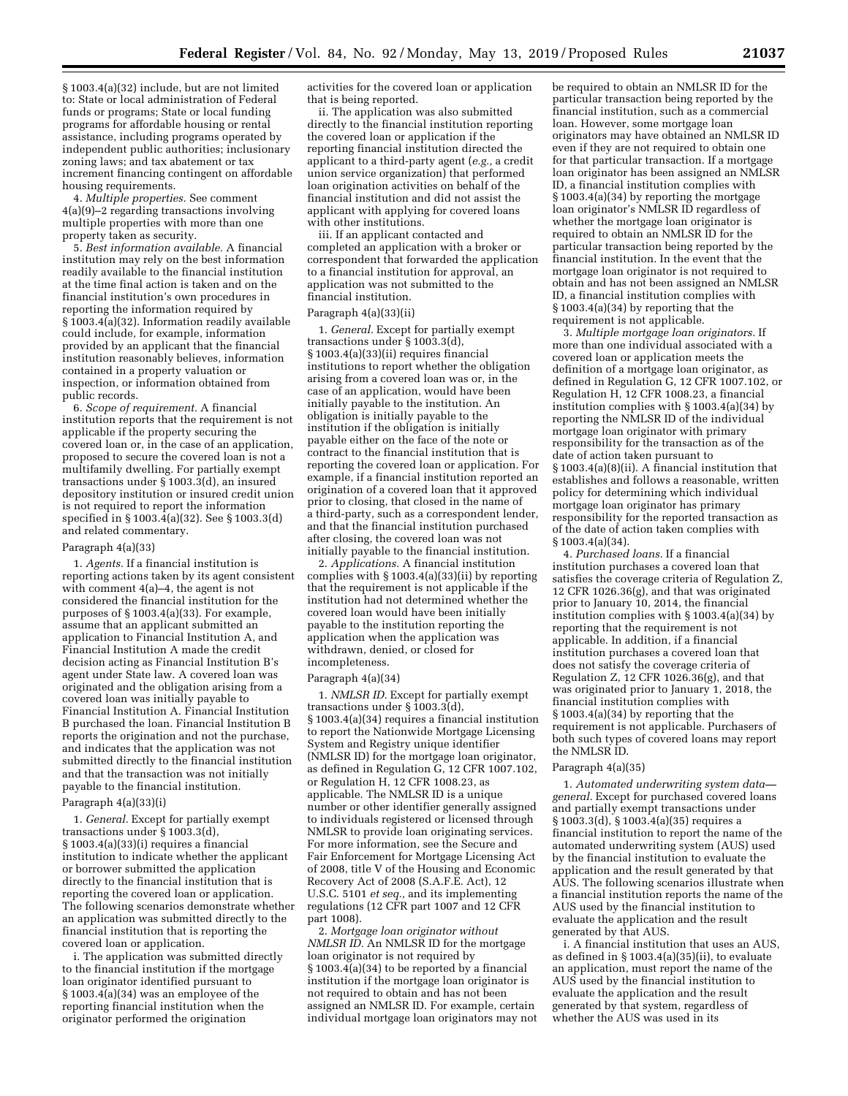§ 1003.4(a)(32) include, but are not limited to: State or local administration of Federal funds or programs; State or local funding programs for affordable housing or rental assistance, including programs operated by independent public authorities; inclusionary zoning laws; and tax abatement or tax increment financing contingent on affordable housing requirements.

4. *Multiple properties.* See comment 4(a)(9)–2 regarding transactions involving multiple properties with more than one property taken as security.

5. *Best information available.* A financial institution may rely on the best information readily available to the financial institution at the time final action is taken and on the financial institution's own procedures in reporting the information required by § 1003.4(a)(32). Information readily available could include, for example, information provided by an applicant that the financial institution reasonably believes, information contained in a property valuation or inspection, or information obtained from public records.

6. *Scope of requirement.* A financial institution reports that the requirement is not applicable if the property securing the covered loan or, in the case of an application, proposed to secure the covered loan is not a multifamily dwelling. For partially exempt transactions under § 1003.3(d), an insured depository institution or insured credit union is not required to report the information specified in § 1003.4(a)(32). See § 1003.3(d) and related commentary.

#### Paragraph 4(a)(33)

1. *Agents.* If a financial institution is reporting actions taken by its agent consistent with comment 4(a)–4, the agent is not considered the financial institution for the purposes of § 1003.4(a)(33). For example, assume that an applicant submitted an application to Financial Institution A, and Financial Institution A made the credit decision acting as Financial Institution B's agent under State law. A covered loan was originated and the obligation arising from a covered loan was initially payable to Financial Institution A. Financial Institution B purchased the loan. Financial Institution B reports the origination and not the purchase, and indicates that the application was not submitted directly to the financial institution and that the transaction was not initially payable to the financial institution.

### Paragraph 4(a)(33)(i)

1. *General.* Except for partially exempt transactions under § 1003.3(d), § 1003.4(a)(33)(i) requires a financial institution to indicate whether the applicant or borrower submitted the application directly to the financial institution that is reporting the covered loan or application. The following scenarios demonstrate whether an application was submitted directly to the financial institution that is reporting the covered loan or application.

i. The application was submitted directly to the financial institution if the mortgage loan originator identified pursuant to § 1003.4(a)(34) was an employee of the reporting financial institution when the originator performed the origination

activities for the covered loan or application that is being reported.

ii. The application was also submitted directly to the financial institution reporting the covered loan or application if the reporting financial institution directed the applicant to a third-party agent (*e.g.,* a credit union service organization) that performed loan origination activities on behalf of the financial institution and did not assist the applicant with applying for covered loans with other institutions.

iii. If an applicant contacted and completed an application with a broker or correspondent that forwarded the application to a financial institution for approval, an application was not submitted to the financial institution.

#### Paragraph 4(a)(33)(ii)

1. *General.* Except for partially exempt transactions under § 1003.3(d), § 1003.4(a)(33)(ii) requires financial institutions to report whether the obligation arising from a covered loan was or, in the case of an application, would have been initially payable to the institution. An obligation is initially payable to the institution if the obligation is initially payable either on the face of the note or contract to the financial institution that is reporting the covered loan or application. For example, if a financial institution reported an origination of a covered loan that it approved prior to closing, that closed in the name of a third-party, such as a correspondent lender, and that the financial institution purchased after closing, the covered loan was not initially payable to the financial institution.

2. *Applications.* A financial institution complies with § 1003.4(a)(33)(ii) by reporting that the requirement is not applicable if the institution had not determined whether the covered loan would have been initially payable to the institution reporting the application when the application was withdrawn, denied, or closed for incompleteness.

### Paragraph 4(a)(34)

1. *NMLSR ID.* Except for partially exempt transactions under § 1003.3(d), § 1003.4(a)(34) requires a financial institution to report the Nationwide Mortgage Licensing System and Registry unique identifier (NMLSR ID) for the mortgage loan originator, as defined in Regulation G, 12 CFR 1007.102, or Regulation H, 12 CFR 1008.23, as applicable. The NMLSR ID is a unique number or other identifier generally assigned to individuals registered or licensed through NMLSR to provide loan originating services. For more information, see the Secure and Fair Enforcement for Mortgage Licensing Act of 2008, title V of the Housing and Economic Recovery Act of 2008 (S.A.F.E. Act), 12 U.S.C. 5101 *et seq.,* and its implementing regulations (12 CFR part 1007 and 12 CFR part 1008).

2. *Mortgage loan originator without NMLSR ID.* An NMLSR ID for the mortgage loan originator is not required by § 1003.4(a)(34) to be reported by a financial institution if the mortgage loan originator is not required to obtain and has not been assigned an NMLSR ID. For example, certain individual mortgage loan originators may not be required to obtain an NMLSR ID for the particular transaction being reported by the financial institution, such as a commercial loan. However, some mortgage loan originators may have obtained an NMLSR ID even if they are not required to obtain one for that particular transaction. If a mortgage loan originator has been assigned an NMLSR ID, a financial institution complies with § 1003.4(a)(34) by reporting the mortgage loan originator's NMLSR ID regardless of whether the mortgage loan originator is required to obtain an NMLSR ID for the particular transaction being reported by the financial institution. In the event that the mortgage loan originator is not required to obtain and has not been assigned an NMLSR ID, a financial institution complies with § 1003.4(a)(34) by reporting that the requirement is not applicable.

3. *Multiple mortgage loan originators.* If more than one individual associated with a covered loan or application meets the definition of a mortgage loan originator, as defined in Regulation G, 12 CFR 1007.102, or Regulation H, 12 CFR 1008.23, a financial institution complies with § 1003.4(a)(34) by reporting the NMLSR ID of the individual mortgage loan originator with primary responsibility for the transaction as of the date of action taken pursuant to § 1003.4(a)(8)(ii). A financial institution that establishes and follows a reasonable, written policy for determining which individual mortgage loan originator has primary responsibility for the reported transaction as of the date of action taken complies with § 1003.4(a)(34).

4. *Purchased loans.* If a financial institution purchases a covered loan that satisfies the coverage criteria of Regulation Z, 12 CFR 1026.36(g), and that was originated prior to January 10, 2014, the financial institution complies with § 1003.4(a)(34) by reporting that the requirement is not applicable. In addition, if a financial institution purchases a covered loan that does not satisfy the coverage criteria of Regulation Z, 12 CFR 1026.36(g), and that was originated prior to January 1, 2018, the financial institution complies with § 1003.4(a)(34) by reporting that the requirement is not applicable. Purchasers of both such types of covered loans may report the NMLSR ID.

#### Paragraph 4(a)(35)

1. *Automated underwriting system data general.* Except for purchased covered loans and partially exempt transactions under § 1003.3(d), § 1003.4(a)(35) requires a financial institution to report the name of the automated underwriting system (AUS) used by the financial institution to evaluate the application and the result generated by that AUS. The following scenarios illustrate when a financial institution reports the name of the AUS used by the financial institution to evaluate the application and the result generated by that AUS.

i. A financial institution that uses an AUS, as defined in § 1003.4(a)(35)(ii), to evaluate an application, must report the name of the AUS used by the financial institution to evaluate the application and the result generated by that system, regardless of whether the AUS was used in its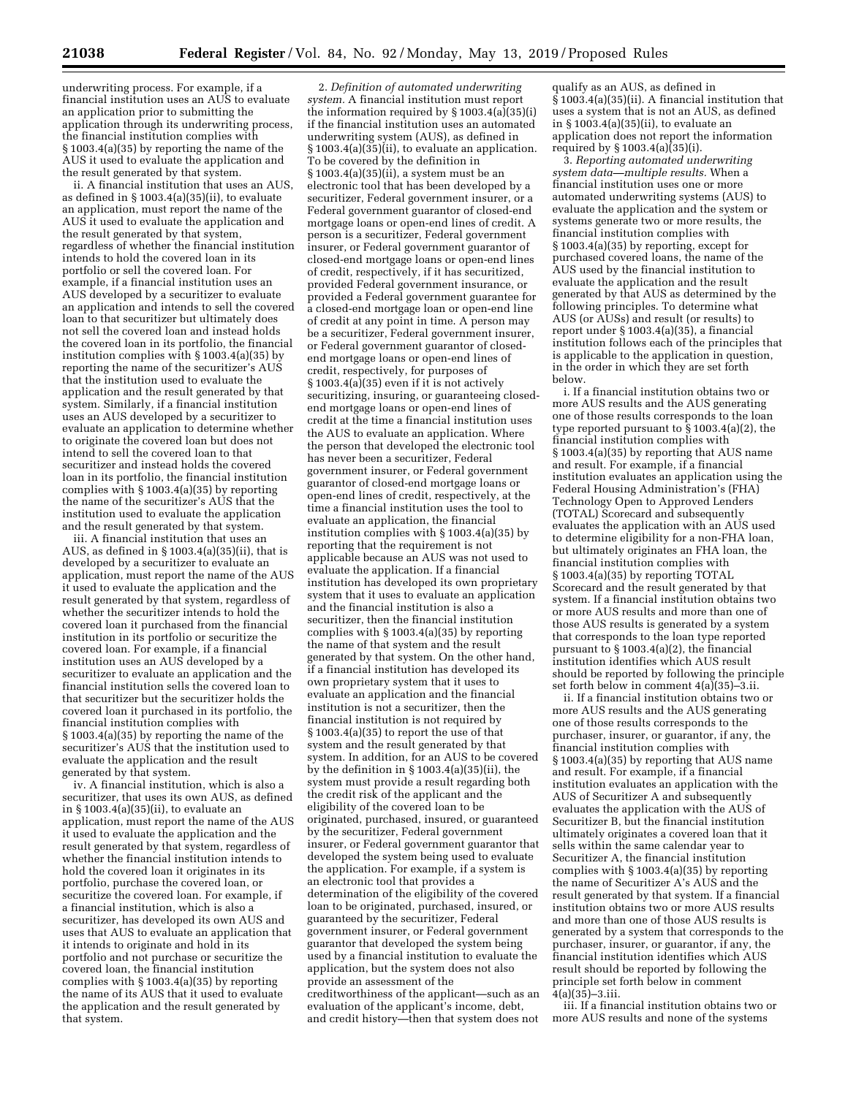underwriting process. For example, if a financial institution uses an AUS to evaluate an application prior to submitting the application through its underwriting process, the financial institution complies with § 1003.4(a)(35) by reporting the name of the AUS it used to evaluate the application and the result generated by that system.

ii. A financial institution that uses an AUS, as defined in § 1003.4(a)(35)(ii), to evaluate an application, must report the name of the AUS it used to evaluate the application and the result generated by that system, regardless of whether the financial institution intends to hold the covered loan in its portfolio or sell the covered loan. For example, if a financial institution uses an AUS developed by a securitizer to evaluate an application and intends to sell the covered loan to that securitizer but ultimately does not sell the covered loan and instead holds the covered loan in its portfolio, the financial institution complies with § 1003.4(a)(35) by reporting the name of the securitizer's AUS that the institution used to evaluate the application and the result generated by that system. Similarly, if a financial institution uses an AUS developed by a securitizer to evaluate an application to determine whether to originate the covered loan but does not intend to sell the covered loan to that securitizer and instead holds the covered loan in its portfolio, the financial institution complies with § 1003.4(a)(35) by reporting the name of the securitizer's AUS that the institution used to evaluate the application and the result generated by that system.

iii. A financial institution that uses an AUS, as defined in § 1003.4(a)(35)(ii), that is developed by a securitizer to evaluate an application, must report the name of the AUS it used to evaluate the application and the result generated by that system, regardless of whether the securitizer intends to hold the covered loan it purchased from the financial institution in its portfolio or securitize the covered loan. For example, if a financial institution uses an AUS developed by a securitizer to evaluate an application and the financial institution sells the covered loan to that securitizer but the securitizer holds the covered loan it purchased in its portfolio, the financial institution complies with § 1003.4(a)(35) by reporting the name of the securitizer's AUS that the institution used to evaluate the application and the result generated by that system.

iv. A financial institution, which is also a securitizer, that uses its own AUS, as defined in § 1003.4(a)(35)(ii), to evaluate an application, must report the name of the AUS it used to evaluate the application and the result generated by that system, regardless of whether the financial institution intends to hold the covered loan it originates in its portfolio, purchase the covered loan, or securitize the covered loan. For example, if a financial institution, which is also a securitizer, has developed its own AUS and uses that AUS to evaluate an application that it intends to originate and hold in its portfolio and not purchase or securitize the covered loan, the financial institution complies with § 1003.4(a)(35) by reporting the name of its AUS that it used to evaluate the application and the result generated by that system.

2. *Definition of automated underwriting system.* A financial institution must report the information required by  $\S 1003.4(a)(35)(i)$ if the financial institution uses an automated underwriting system (AUS), as defined in § 1003.4(a)(35)(ii), to evaluate an application. To be covered by the definition in § 1003.4(a)(35)(ii), a system must be an electronic tool that has been developed by a securitizer, Federal government insurer, or a Federal government guarantor of closed-end mortgage loans or open-end lines of credit. A person is a securitizer, Federal government insurer, or Federal government guarantor of closed-end mortgage loans or open-end lines of credit, respectively, if it has securitized, provided Federal government insurance, or provided a Federal government guarantee for a closed-end mortgage loan or open-end line of credit at any point in time. A person may be a securitizer, Federal government insurer, or Federal government guarantor of closedend mortgage loans or open-end lines of credit, respectively, for purposes of  $\S 1003.4(a)(35)$  even if it is not actively securitizing, insuring, or guaranteeing closedend mortgage loans or open-end lines of credit at the time a financial institution uses the AUS to evaluate an application. Where the person that developed the electronic tool has never been a securitizer, Federal government insurer, or Federal government guarantor of closed-end mortgage loans or open-end lines of credit, respectively, at the time a financial institution uses the tool to evaluate an application, the financial institution complies with § 1003.4(a)(35) by reporting that the requirement is not applicable because an AUS was not used to evaluate the application. If a financial institution has developed its own proprietary system that it uses to evaluate an application and the financial institution is also a securitizer, then the financial institution complies with § 1003.4(a)(35) by reporting the name of that system and the result generated by that system. On the other hand, if a financial institution has developed its own proprietary system that it uses to evaluate an application and the financial institution is not a securitizer, then the financial institution is not required by § 1003.4(a)(35) to report the use of that system and the result generated by that system. In addition, for an AUS to be covered by the definition in § 1003.4(a)(35)(ii), the system must provide a result regarding both the credit risk of the applicant and the eligibility of the covered loan to be originated, purchased, insured, or guaranteed by the securitizer, Federal government insurer, or Federal government guarantor that developed the system being used to evaluate the application. For example, if a system is an electronic tool that provides a determination of the eligibility of the covered loan to be originated, purchased, insured, or guaranteed by the securitizer, Federal government insurer, or Federal government guarantor that developed the system being used by a financial institution to evaluate the application, but the system does not also provide an assessment of the creditworthiness of the applicant—such as an evaluation of the applicant's income, debt, and credit history—then that system does not

qualify as an AUS, as defined in  $\hat{\S}$  1003.4(a)(35)(ii). A financial institution that uses a system that is not an AUS, as defined in § 1003.4(a)(35)(ii), to evaluate an application does not report the information required by § 1003.4(a)(35)(i).

3. *Reporting automated underwriting system data—multiple results.* When a financial institution uses one or more automated underwriting systems (AUS) to evaluate the application and the system or systems generate two or more results, the financial institution complies with § 1003.4(a)(35) by reporting, except for purchased covered loans, the name of the AUS used by the financial institution to evaluate the application and the result generated by that AUS as determined by the following principles. To determine what AUS (or AUSs) and result (or results) to report under § 1003.4(a)(35), a financial institution follows each of the principles that is applicable to the application in question, in the order in which they are set forth below.

i. If a financial institution obtains two or more AUS results and the AUS generating one of those results corresponds to the loan type reported pursuant to § 1003.4(a)(2), the financial institution complies with § 1003.4(a)(35) by reporting that AUS name and result. For example, if a financial institution evaluates an application using the Federal Housing Administration's (FHA) Technology Open to Approved Lenders (TOTAL) Scorecard and subsequently evaluates the application with an AUS used to determine eligibility for a non-FHA loan, but ultimately originates an FHA loan, the financial institution complies with § 1003.4(a)(35) by reporting TOTAL Scorecard and the result generated by that system. If a financial institution obtains two or more AUS results and more than one of those AUS results is generated by a system that corresponds to the loan type reported pursuant to § 1003.4(a)(2), the financial institution identifies which AUS result should be reported by following the principle set forth below in comment 4(a)(35)–3.ii.

ii. If a financial institution obtains two or more AUS results and the AUS generating one of those results corresponds to the purchaser, insurer, or guarantor, if any, the financial institution complies with § 1003.4(a)(35) by reporting that AUS name and result. For example, if a financial institution evaluates an application with the AUS of Securitizer A and subsequently evaluates the application with the AUS of Securitizer B, but the financial institution ultimately originates a covered loan that it sells within the same calendar year to Securitizer A, the financial institution complies with § 1003.4(a)(35) by reporting the name of Securitizer A's AUS and the result generated by that system. If a financial institution obtains two or more AUS results and more than one of those AUS results is generated by a system that corresponds to the purchaser, insurer, or guarantor, if any, the financial institution identifies which AUS result should be reported by following the principle set forth below in comment  $4(a)(35)-3.1i1.$ 

iii. If a financial institution obtains two or more AUS results and none of the systems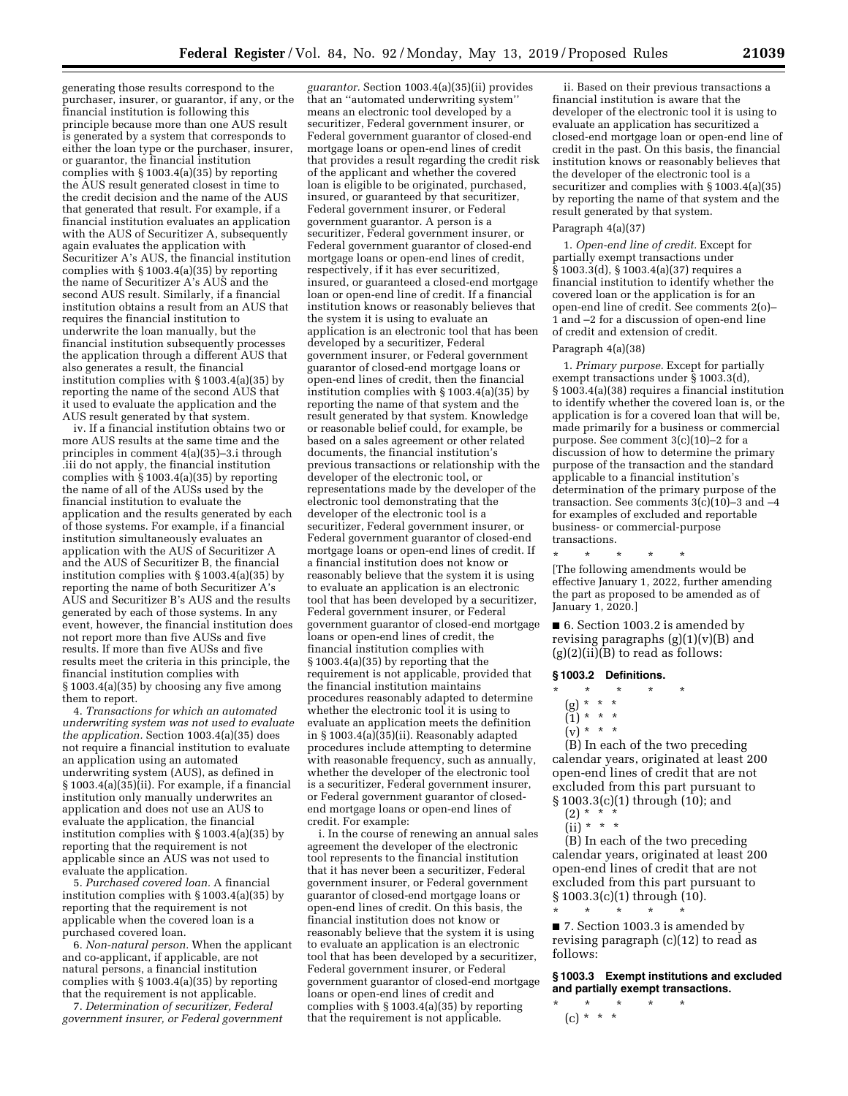generating those results correspond to the purchaser, insurer, or guarantor, if any, or the financial institution is following this principle because more than one AUS result is generated by a system that corresponds to either the loan type or the purchaser, insurer, or guarantor, the financial institution complies with § 1003.4(a)(35) by reporting the AUS result generated closest in time to the credit decision and the name of the AUS that generated that result. For example, if a financial institution evaluates an application with the AUS of Securitizer A, subsequently again evaluates the application with Securitizer A's AUS, the financial institution complies with § 1003.4(a)(35) by reporting the name of Securitizer A's AUS and the second AUS result. Similarly, if a financial institution obtains a result from an AUS that requires the financial institution to underwrite the loan manually, but the financial institution subsequently processes the application through a different AUS that also generates a result, the financial institution complies with § 1003.4(a)(35) by reporting the name of the second AUS that it used to evaluate the application and the AUS result generated by that system.

iv. If a financial institution obtains two or more AUS results at the same time and the principles in comment 4(a)(35)–3.i through .iii do not apply, the financial institution complies with § 1003.4(a)(35) by reporting the name of all of the AUSs used by the financial institution to evaluate the application and the results generated by each of those systems. For example, if a financial institution simultaneously evaluates an application with the AUS of Securitizer A and the AUS of Securitizer B, the financial institution complies with § 1003.4(a)(35) by reporting the name of both Securitizer A's AUS and Securitizer B's AUS and the results generated by each of those systems. In any event, however, the financial institution does not report more than five AUSs and five results. If more than five AUSs and five results meet the criteria in this principle, the financial institution complies with § 1003.4(a)(35) by choosing any five among them to report.

4. *Transactions for which an automated underwriting system was not used to evaluate the application.* Section 1003.4(a)(35) does not require a financial institution to evaluate an application using an automated underwriting system (AUS), as defined in § 1003.4(a)(35)(ii). For example, if a financial institution only manually underwrites an application and does not use an AUS to evaluate the application, the financial institution complies with § 1003.4(a)(35) by reporting that the requirement is not applicable since an AUS was not used to evaluate the application.

5. *Purchased covered loan.* A financial institution complies with § 1003.4(a)(35) by reporting that the requirement is not applicable when the covered loan is a purchased covered loan.

6. *Non-natural person.* When the applicant and co-applicant, if applicable, are not natural persons, a financial institution complies with § 1003.4(a)(35) by reporting that the requirement is not applicable.

7. *Determination of securitizer, Federal government insurer, or Federal government* 

*guarantor.* Section 1003.4(a)(35)(ii) provides that an ''automated underwriting system'' means an electronic tool developed by a securitizer, Federal government insurer, or Federal government guarantor of closed-end mortgage loans or open-end lines of credit that provides a result regarding the credit risk of the applicant and whether the covered loan is eligible to be originated, purchased, insured, or guaranteed by that securitizer, Federal government insurer, or Federal government guarantor. A person is a securitizer, Federal government insurer, or Federal government guarantor of closed-end mortgage loans or open-end lines of credit, respectively, if it has ever securitized, insured, or guaranteed a closed-end mortgage loan or open-end line of credit. If a financial institution knows or reasonably believes that the system it is using to evaluate an application is an electronic tool that has been developed by a securitizer, Federal government insurer, or Federal government guarantor of closed-end mortgage loans or open-end lines of credit, then the financial institution complies with § 1003.4(a)(35) by reporting the name of that system and the result generated by that system. Knowledge or reasonable belief could, for example, be based on a sales agreement or other related documents, the financial institution's previous transactions or relationship with the developer of the electronic tool, or representations made by the developer of the electronic tool demonstrating that the developer of the electronic tool is a securitizer, Federal government insurer, or Federal government guarantor of closed-end mortgage loans or open-end lines of credit. If a financial institution does not know or reasonably believe that the system it is using to evaluate an application is an electronic tool that has been developed by a securitizer, Federal government insurer, or Federal government guarantor of closed-end mortgage loans or open-end lines of credit, the financial institution complies with § 1003.4(a)(35) by reporting that the requirement is not applicable, provided that the financial institution maintains procedures reasonably adapted to determine whether the electronic tool it is using to evaluate an application meets the definition in § 1003.4(a)(35)(ii). Reasonably adapted procedures include attempting to determine with reasonable frequency, such as annually, whether the developer of the electronic tool is a securitizer, Federal government insurer, or Federal government guarantor of closedend mortgage loans or open-end lines of credit. For example:

i. In the course of renewing an annual sales agreement the developer of the electronic tool represents to the financial institution that it has never been a securitizer, Federal government insurer, or Federal government guarantor of closed-end mortgage loans or open-end lines of credit. On this basis, the financial institution does not know or reasonably believe that the system it is using to evaluate an application is an electronic tool that has been developed by a securitizer, Federal government insurer, or Federal government guarantor of closed-end mortgage loans or open-end lines of credit and complies with § 1003.4(a)(35) by reporting that the requirement is not applicable.

ii. Based on their previous transactions a financial institution is aware that the developer of the electronic tool it is using to evaluate an application has securitized a closed-end mortgage loan or open-end line of credit in the past. On this basis, the financial institution knows or reasonably believes that the developer of the electronic tool is a securitizer and complies with § 1003.4(a)(35) by reporting the name of that system and the result generated by that system.

### Paragraph 4(a)(37)

1. *Open-end line of credit.* Except for partially exempt transactions under § 1003.3(d), § 1003.4(a)(37) requires a financial institution to identify whether the covered loan or the application is for an open-end line of credit. See comments 2(o)– 1 and –2 for a discussion of open-end line of credit and extension of credit.

### Paragraph 4(a)(38)

1. *Primary purpose.* Except for partially exempt transactions under § 1003.3(d), § 1003.4(a)(38) requires a financial institution to identify whether the covered loan is, or the application is for a covered loan that will be, made primarily for a business or commercial purpose. See comment 3(c)(10)–2 for a discussion of how to determine the primary purpose of the transaction and the standard applicable to a financial institution's determination of the primary purpose of the transaction. See comments  $3(c)(10)-3$  and  $-4$ for examples of excluded and reportable business- or commercial-purpose transactions.

\* \* \* \* \* [The following amendments would be effective January 1, 2022, further amending the part as proposed to be amended as of January 1, 2020.]

■ 6. Section 1003.2 is amended by revising paragraphs  $(g)(1)(v)(B)$  and  $(g)(2)(ii)(B)$  to read as follows:

### **§ 1003.2 Definitions.**

- \* \* \* \* \*
- (g) \* \* \*
- $(1) * * * *$
- $(v) * * * *$

(B) In each of the two preceding calendar years, originated at least 200 open-end lines of credit that are not excluded from this part pursuant to § 1003.3(c)(1) through (10); and

- $(2) * *$
- (ii) \* \* \*

(B) In each of the two preceding calendar years, originated at least 200 open-end lines of credit that are not excluded from this part pursuant to § 1003.3(c)(1) through (10).

■ 7. Section 1003.3 is amended by revising paragraph (c)(12) to read as follows:

**§ 1003.3 Exempt institutions and excluded and partially exempt transactions.** 

\* \* \* \* \* (c) \* \* \*

\* \* \* \* \*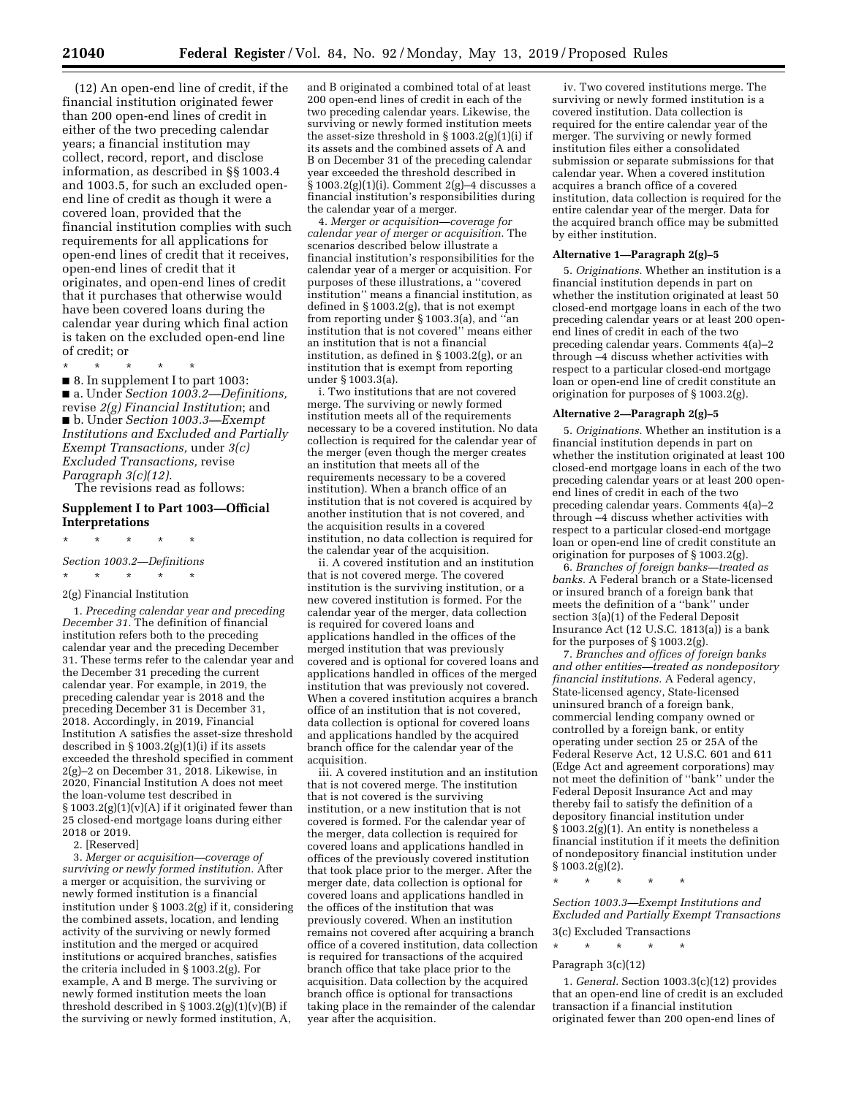(12) An open-end line of credit, if the financial institution originated fewer than 200 open-end lines of credit in either of the two preceding calendar years; a financial institution may collect, record, report, and disclose information, as described in §§ 1003.4 and 1003.5, for such an excluded openend line of credit as though it were a covered loan, provided that the financial institution complies with such requirements for all applications for open-end lines of credit that it receives, open-end lines of credit that it originates, and open-end lines of credit that it purchases that otherwise would have been covered loans during the calendar year during which final action is taken on the excluded open-end line of credit; or

\* \* \* \* \* ■ 8. In supplement I to part 1003: ■ a. Under *Section 1003.2—Definitions,*  revise *2(g) Financial Institution*; and ■ b. Under *Section 1003.3—Exempt Institutions and Excluded and Partially Exempt Transactions,* under *3(c) Excluded Transactions,* revise *Paragraph 3(c)(12)*.

The revisions read as follows:

### **Supplement I to Part 1003—Official Interpretations**

\* \* \* \* \* *Section 1003.2—Definitions*   $\star$   $\star$   $\star$   $\star$ 

### 2(g) Financial Institution

1. *Preceding calendar year and preceding December 31.* The definition of financial institution refers both to the preceding calendar year and the preceding December 31. These terms refer to the calendar year and the December 31 preceding the current calendar year. For example, in 2019, the preceding calendar year is 2018 and the preceding December 31 is December 31, 2018. Accordingly, in 2019, Financial Institution A satisfies the asset-size threshold described in § 1003.2(g)(1)(i) if its assets exceeded the threshold specified in comment 2(g)–2 on December 31, 2018. Likewise, in 2020, Financial Institution A does not meet the loan-volume test described in  $§ 1003.2(g)(1)(v)(A)$  if it originated fewer than 25 closed-end mortgage loans during either 2018 or 2019.

2. [Reserved]

3. *Merger or acquisition—coverage of surviving or newly formed institution.* After a merger or acquisition, the surviving or newly formed institution is a financial institution under § 1003.2(g) if it, considering the combined assets, location, and lending activity of the surviving or newly formed institution and the merged or acquired institutions or acquired branches, satisfies the criteria included in § 1003.2(g). For example, A and B merge. The surviving or newly formed institution meets the loan threshold described in  $\S 1003.2(g)(1)(v)(B)$  if the surviving or newly formed institution, A,

and B originated a combined total of at least 200 open-end lines of credit in each of the two preceding calendar years. Likewise, the surviving or newly formed institution meets the asset-size threshold in  $\S 1003.2(g)(1)(i)$  if its assets and the combined assets of A and B on December 31 of the preceding calendar year exceeded the threshold described in § 1003.2(g)(1)(i). Comment 2(g)–4 discusses a financial institution's responsibilities during the calendar year of a merger.

4. *Merger or acquisition—coverage for calendar year of merger or acquisition.* The scenarios described below illustrate a financial institution's responsibilities for the calendar year of a merger or acquisition. For purposes of these illustrations, a ''covered institution'' means a financial institution, as defined in § 1003.2(g), that is not exempt from reporting under § 1003.3(a), and ''an institution that is not covered'' means either an institution that is not a financial institution, as defined in § 1003.2(g), or an institution that is exempt from reporting under § 1003.3(a).

i. Two institutions that are not covered merge. The surviving or newly formed institution meets all of the requirements necessary to be a covered institution. No data collection is required for the calendar year of the merger (even though the merger creates an institution that meets all of the requirements necessary to be a covered institution). When a branch office of an institution that is not covered is acquired by another institution that is not covered, and the acquisition results in a covered institution, no data collection is required for the calendar year of the acquisition.

ii. A covered institution and an institution that is not covered merge. The covered institution is the surviving institution, or a new covered institution is formed. For the calendar year of the merger, data collection is required for covered loans and applications handled in the offices of the merged institution that was previously covered and is optional for covered loans and applications handled in offices of the merged institution that was previously not covered. When a covered institution acquires a branch office of an institution that is not covered, data collection is optional for covered loans and applications handled by the acquired branch office for the calendar year of the acquisition.

iii. A covered institution and an institution that is not covered merge. The institution that is not covered is the surviving institution, or a new institution that is not covered is formed. For the calendar year of the merger, data collection is required for covered loans and applications handled in offices of the previously covered institution that took place prior to the merger. After the merger date, data collection is optional for covered loans and applications handled in the offices of the institution that was previously covered. When an institution remains not covered after acquiring a branch office of a covered institution, data collection is required for transactions of the acquired branch office that take place prior to the acquisition. Data collection by the acquired branch office is optional for transactions taking place in the remainder of the calendar year after the acquisition.

iv. Two covered institutions merge. The surviving or newly formed institution is a covered institution. Data collection is required for the entire calendar year of the merger. The surviving or newly formed institution files either a consolidated submission or separate submissions for that calendar year. When a covered institution acquires a branch office of a covered institution, data collection is required for the entire calendar year of the merger. Data for the acquired branch office may be submitted by either institution.

#### **Alternative 1—Paragraph 2(g)–5**

5. *Originations.* Whether an institution is a financial institution depends in part on whether the institution originated at least 50 closed-end mortgage loans in each of the two preceding calendar years or at least 200 openend lines of credit in each of the two preceding calendar years. Comments 4(a)–2 through –4 discuss whether activities with respect to a particular closed-end mortgage loan or open-end line of credit constitute an origination for purposes of § 1003.2(g).

#### **Alternative 2—Paragraph 2(g)–5**

5. *Originations.* Whether an institution is a financial institution depends in part on whether the institution originated at least 100 closed-end mortgage loans in each of the two preceding calendar years or at least 200 openend lines of credit in each of the two preceding calendar years. Comments 4(a)–2 through –4 discuss whether activities with respect to a particular closed-end mortgage loan or open-end line of credit constitute an origination for purposes of § 1003.2(g).

6. *Branches of foreign banks—treated as banks.* A Federal branch or a State-licensed or insured branch of a foreign bank that meets the definition of a ''bank'' under section 3(a)(1) of the Federal Deposit Insurance Act  $(12 \text{ U.S.C. } 1813(a))$  is a bank for the purposes of § 1003.2(g).

7. *Branches and offices of foreign banks and other entities—treated as nondepository financial institutions.* A Federal agency, State-licensed agency, State-licensed uninsured branch of a foreign bank, commercial lending company owned or controlled by a foreign bank, or entity operating under section 25 or 25A of the Federal Reserve Act, 12 U.S.C. 601 and 611 (Edge Act and agreement corporations) may not meet the definition of ''bank'' under the Federal Deposit Insurance Act and may thereby fail to satisfy the definition of a depository financial institution under § 1003.2(g)(1). An entity is nonetheless a financial institution if it meets the definition of nondepository financial institution under  $§ 1003.2(g)(2).$ 

\* \* \* \* \*

*Section 1003.3—Exempt Institutions and Excluded and Partially Exempt Transactions*  3(c) Excluded Transactions

\* \* \* \* \*

### Paragraph 3(c)(12)

1. *General.* Section 1003.3(c)(12) provides that an open-end line of credit is an excluded transaction if a financial institution originated fewer than 200 open-end lines of